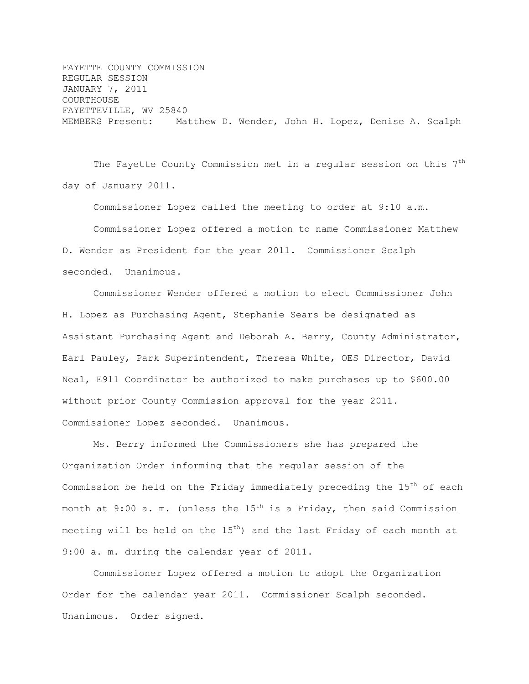FAYETTE COUNTY COMMISSION REGULAR SESSION JANUARY 7, 2011 COURTHOUSE FAYETTEVILLE, WV 25840 MEMBERS Present: Matthew D. Wender, John H. Lopez, Denise A. Scalph

The Fayette County Commission met in a regular session on this 7<sup>th</sup> day of January 2011.

Commissioner Lopez called the meeting to order at 9:10 a.m. Commissioner Lopez offered a motion to name Commissioner Matthew D. Wender as President for the year 2011. Commissioner Scalph seconded. Unanimous.

Commissioner Wender offered a motion to elect Commissioner John H. Lopez as Purchasing Agent, Stephanie Sears be designated as Assistant Purchasing Agent and Deborah A. Berry, County Administrator, Earl Pauley, Park Superintendent, Theresa White, OES Director, David Neal, E911 Coordinator be authorized to make purchases up to \$600.00 without prior County Commission approval for the year 2011. Commissioner Lopez seconded. Unanimous.

Ms. Berry informed the Commissioners she has prepared the Organization Order informing that the regular session of the Commission be held on the Friday immediately preceding the  $15<sup>th</sup>$  of each month at 9:00 a. m. (unless the  $15^{th}$  is a Friday, then said Commission meeting will be held on the  $15<sup>th</sup>$ ) and the last Friday of each month at 9:00 a. m. during the calendar year of 2011.

Commissioner Lopez offered a motion to adopt the Organization Order for the calendar year 2011. Commissioner Scalph seconded. Unanimous. Order signed.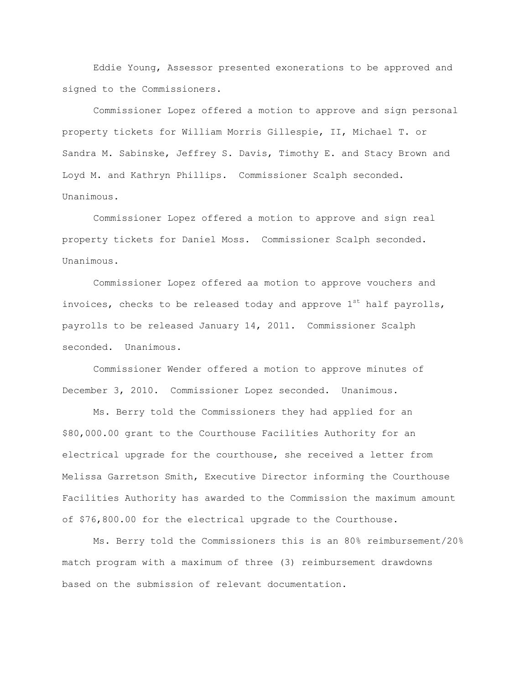Eddie Young, Assessor presented exonerations to be approved and signed to the Commissioners.

Commissioner Lopez offered a motion to approve and sign personal property tickets for William Morris Gillespie, II, Michael T. or Sandra M. Sabinske, Jeffrey S. Davis, Timothy E. and Stacy Brown and Loyd M. and Kathryn Phillips. Commissioner Scalph seconded. Unanimous.

Commissioner Lopez offered a motion to approve and sign real property tickets for Daniel Moss. Commissioner Scalph seconded. Unanimous.

Commissioner Lopez offered aa motion to approve vouchers and invoices, checks to be released today and approve  $1^{st}$  half payrolls, payrolls to be released January 14, 2011. Commissioner Scalph seconded. Unanimous.

Commissioner Wender offered a motion to approve minutes of December 3, 2010. Commissioner Lopez seconded. Unanimous.

Ms. Berry told the Commissioners they had applied for an \$80,000.00 grant to the Courthouse Facilities Authority for an electrical upgrade for the courthouse, she received a letter from Melissa Garretson Smith, Executive Director informing the Courthouse Facilities Authority has awarded to the Commission the maximum amount of \$76,800.00 for the electrical upgrade to the Courthouse.

Ms. Berry told the Commissioners this is an 80% reimbursement/20% match program with a maximum of three (3) reimbursement drawdowns based on the submission of relevant documentation.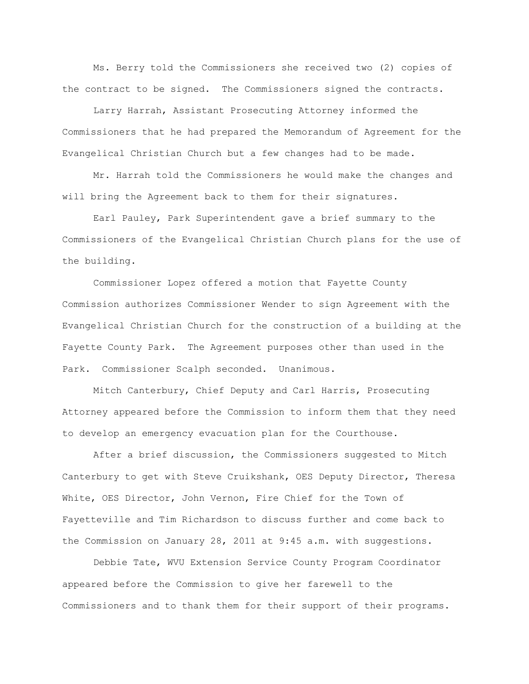Ms. Berry told the Commissioners she received two (2) copies of the contract to be signed. The Commissioners signed the contracts.

Larry Harrah, Assistant Prosecuting Attorney informed the Commissioners that he had prepared the Memorandum of Agreement for the Evangelical Christian Church but a few changes had to be made.

Mr. Harrah told the Commissioners he would make the changes and will bring the Agreement back to them for their signatures.

Earl Pauley, Park Superintendent gave a brief summary to the Commissioners of the Evangelical Christian Church plans for the use of the building.

Commissioner Lopez offered a motion that Fayette County Commission authorizes Commissioner Wender to sign Agreement with the Evangelical Christian Church for the construction of a building at the Fayette County Park. The Agreement purposes other than used in the Park. Commissioner Scalph seconded. Unanimous.

Mitch Canterbury, Chief Deputy and Carl Harris, Prosecuting Attorney appeared before the Commission to inform them that they need to develop an emergency evacuation plan for the Courthouse.

After a brief discussion, the Commissioners suggested to Mitch Canterbury to get with Steve Cruikshank, OES Deputy Director, Theresa White, OES Director, John Vernon, Fire Chief for the Town of Fayetteville and Tim Richardson to discuss further and come back to the Commission on January 28, 2011 at 9:45 a.m. with suggestions.

Debbie Tate, WVU Extension Service County Program Coordinator appeared before the Commission to give her farewell to the Commissioners and to thank them for their support of their programs.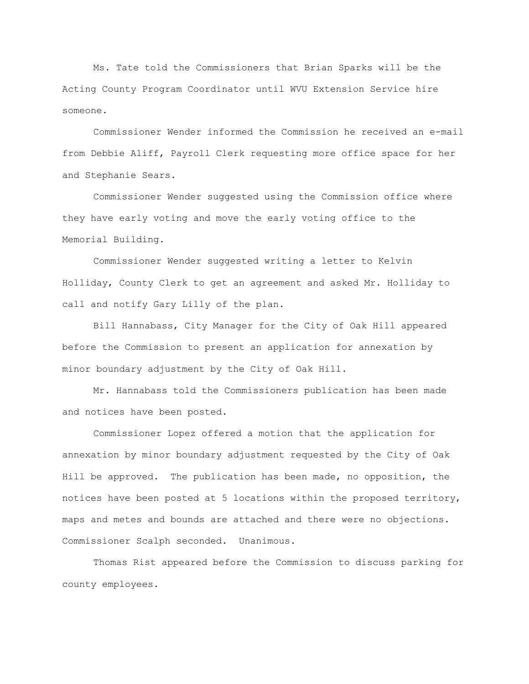Ms. Tate told the Commissioners that Brian Sparks will be the Acting County Program Coordinator until WVU Extension Service hire someone.

Commissioner Wender informed the Commission he received an e-mail from Debbie Aliff, Payroll Clerk requesting more office space for her and Stephanie Sears.

Commissioner Wender suggested using the Commission office where they have early voting and move the early voting office to the Memorial Building.

Commissioner Wender suggested writing a letter to Kelvin Holliday, County Clerk to get an agreement and asked Mr. Holliday to call and notify Gary Lilly of the plan.

Bill Hannabass, City Manager for the City of Oak Hill appeared before the Commission to present an application for annexation by minor boundary adjustment by the City of Oak Hill.

Mr. Hannabass told the Commissioners publication has been made and notices have been posted.

Commissioner Lopez offered a motion that the application for annexation by minor boundary adjustment requested by the City of Oak Hill be approved. The publication has been made, no opposition, the notices have been posted at 5 locations within the proposed territory, maps and metes and bounds are attached and there were no objections. Commissioner Scalph seconded. Unanimous.

Thomas Rist appeared before the Commission to discuss parking for county employees.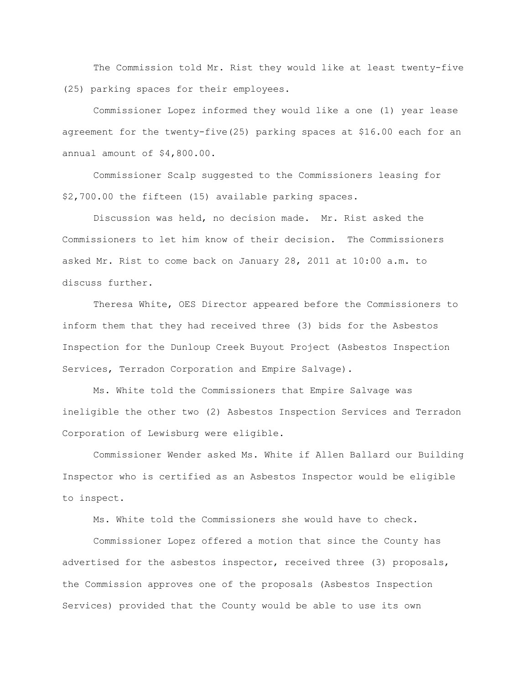The Commission told Mr. Rist they would like at least twenty-five (25) parking spaces for their employees.

Commissioner Lopez informed they would like a one (1) year lease agreement for the twenty-five(25) parking spaces at \$16.00 each for an annual amount of \$4,800.00.

Commissioner Scalp suggested to the Commissioners leasing for \$2,700.00 the fifteen (15) available parking spaces.

Discussion was held, no decision made. Mr. Rist asked the Commissioners to let him know of their decision. The Commissioners asked Mr. Rist to come back on January 28, 2011 at 10:00 a.m. to discuss further.

Theresa White, OES Director appeared before the Commissioners to inform them that they had received three (3) bids for the Asbestos Inspection for the Dunloup Creek Buyout Project (Asbestos Inspection Services, Terradon Corporation and Empire Salvage).

Ms. White told the Commissioners that Empire Salvage was ineligible the other two (2) Asbestos Inspection Services and Terradon Corporation of Lewisburg were eligible.

Commissioner Wender asked Ms. White if Allen Ballard our Building Inspector who is certified as an Asbestos Inspector would be eligible to inspect.

Ms. White told the Commissioners she would have to check.

Commissioner Lopez offered a motion that since the County has advertised for the asbestos inspector, received three (3) proposals, the Commission approves one of the proposals (Asbestos Inspection Services) provided that the County would be able to use its own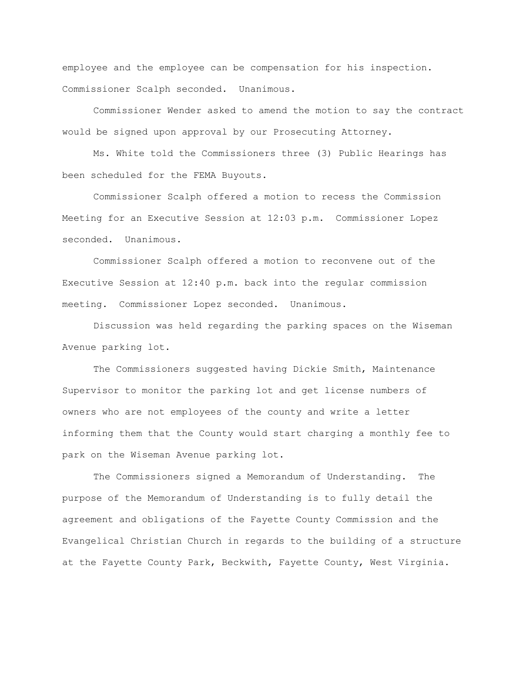employee and the employee can be compensation for his inspection. Commissioner Scalph seconded. Unanimous.

Commissioner Wender asked to amend the motion to say the contract would be signed upon approval by our Prosecuting Attorney.

Ms. White told the Commissioners three (3) Public Hearings has been scheduled for the FEMA Buyouts.

Commissioner Scalph offered a motion to recess the Commission Meeting for an Executive Session at 12:03 p.m. Commissioner Lopez seconded. Unanimous.

Commissioner Scalph offered a motion to reconvene out of the Executive Session at 12:40 p.m. back into the regular commission meeting. Commissioner Lopez seconded. Unanimous.

Discussion was held regarding the parking spaces on the Wiseman Avenue parking lot.

The Commissioners suggested having Dickie Smith, Maintenance Supervisor to monitor the parking lot and get license numbers of owners who are not employees of the county and write a letter informing them that the County would start charging a monthly fee to park on the Wiseman Avenue parking lot.

The Commissioners signed a Memorandum of Understanding. The purpose of the Memorandum of Understanding is to fully detail the agreement and obligations of the Fayette County Commission and the Evangelical Christian Church in regards to the building of a structure at the Fayette County Park, Beckwith, Fayette County, West Virginia.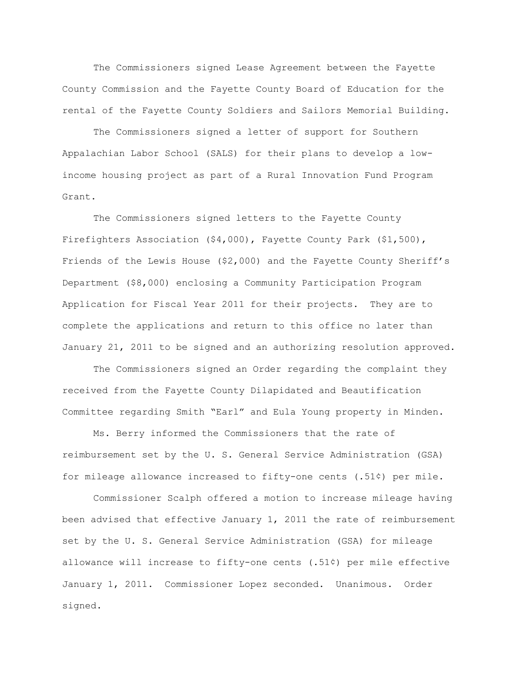The Commissioners signed Lease Agreement between the Fayette County Commission and the Fayette County Board of Education for the rental of the Fayette County Soldiers and Sailors Memorial Building.

The Commissioners signed a letter of support for Southern Appalachian Labor School (SALS) for their plans to develop a lowincome housing project as part of a Rural Innovation Fund Program Grant.

The Commissioners signed letters to the Fayette County Firefighters Association (\$4,000), Fayette County Park (\$1,500), Friends of the Lewis House (\$2,000) and the Fayette County Sheriff's Department (\$8,000) enclosing a Community Participation Program Application for Fiscal Year 2011 for their projects. They are to complete the applications and return to this office no later than January 21, 2011 to be signed and an authorizing resolution approved.

The Commissioners signed an Order regarding the complaint they received from the Fayette County Dilapidated and Beautification Committee regarding Smith "Earl" and Eula Young property in Minden.

Ms. Berry informed the Commissioners that the rate of reimbursement set by the U. S. General Service Administration (GSA) for mileage allowance increased to fifty-one cents (.51¢) per mile.

Commissioner Scalph offered a motion to increase mileage having been advised that effective January 1, 2011 the rate of reimbursement set by the U. S. General Service Administration (GSA) for mileage allowance will increase to fifty-one cents (.51¢) per mile effective January 1, 2011. Commissioner Lopez seconded. Unanimous. Order signed.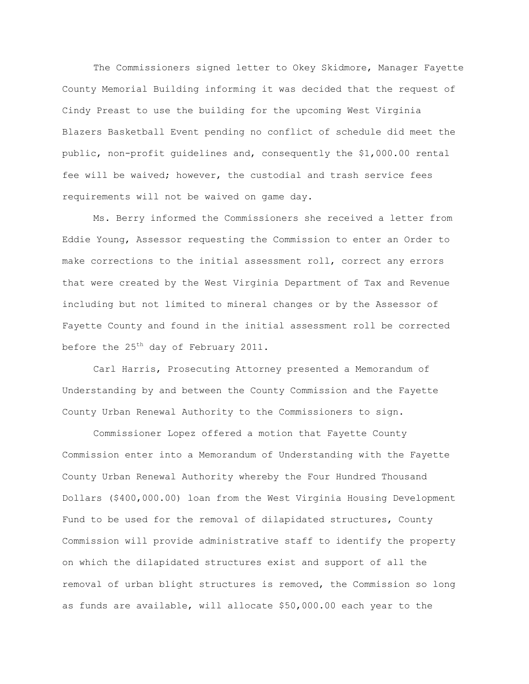The Commissioners signed letter to Okey Skidmore, Manager Fayette County Memorial Building informing it was decided that the request of Cindy Preast to use the building for the upcoming West Virginia Blazers Basketball Event pending no conflict of schedule did meet the public, non-profit guidelines and, consequently the \$1,000.00 rental fee will be waived; however, the custodial and trash service fees requirements will not be waived on game day.

Ms. Berry informed the Commissioners she received a letter from Eddie Young, Assessor requesting the Commission to enter an Order to make corrections to the initial assessment roll, correct any errors that were created by the West Virginia Department of Tax and Revenue including but not limited to mineral changes or by the Assessor of Fayette County and found in the initial assessment roll be corrected before the  $25<sup>th</sup>$  day of February 2011.

Carl Harris, Prosecuting Attorney presented a Memorandum of Understanding by and between the County Commission and the Fayette County Urban Renewal Authority to the Commissioners to sign.

Commissioner Lopez offered a motion that Fayette County Commission enter into a Memorandum of Understanding with the Fayette County Urban Renewal Authority whereby the Four Hundred Thousand Dollars (\$400,000.00) loan from the West Virginia Housing Development Fund to be used for the removal of dilapidated structures, County Commission will provide administrative staff to identify the property on which the dilapidated structures exist and support of all the removal of urban blight structures is removed, the Commission so long as funds are available, will allocate \$50,000.00 each year to the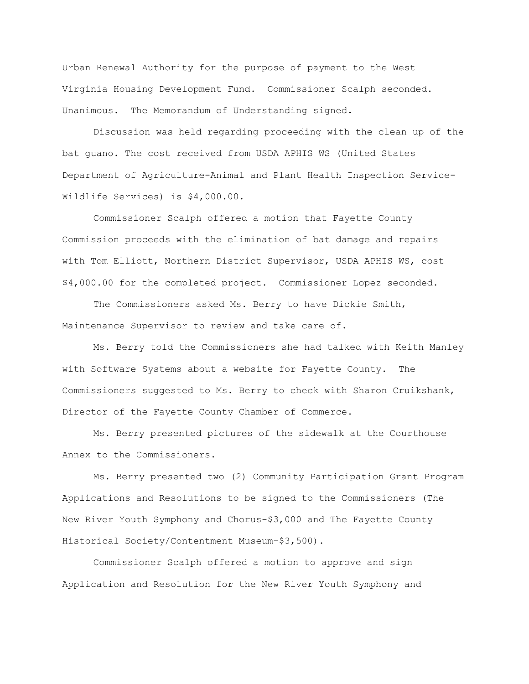Urban Renewal Authority for the purpose of payment to the West Virginia Housing Development Fund. Commissioner Scalph seconded. Unanimous. The Memorandum of Understanding signed.

Discussion was held regarding proceeding with the clean up of the bat guano. The cost received from USDA APHIS WS (United States Department of Agriculture-Animal and Plant Health Inspection Service-Wildlife Services) is \$4,000.00.

Commissioner Scalph offered a motion that Fayette County Commission proceeds with the elimination of bat damage and repairs with Tom Elliott, Northern District Supervisor, USDA APHIS WS, cost \$4,000.00 for the completed project. Commissioner Lopez seconded.

The Commissioners asked Ms. Berry to have Dickie Smith, Maintenance Supervisor to review and take care of.

Ms. Berry told the Commissioners she had talked with Keith Manley with Software Systems about a website for Fayette County. The Commissioners suggested to Ms. Berry to check with Sharon Cruikshank, Director of the Fayette County Chamber of Commerce.

Ms. Berry presented pictures of the sidewalk at the Courthouse Annex to the Commissioners.

Ms. Berry presented two (2) Community Participation Grant Program Applications and Resolutions to be signed to the Commissioners (The New River Youth Symphony and Chorus-\$3,000 and The Fayette County Historical Society/Contentment Museum-\$3,500).

Commissioner Scalph offered a motion to approve and sign Application and Resolution for the New River Youth Symphony and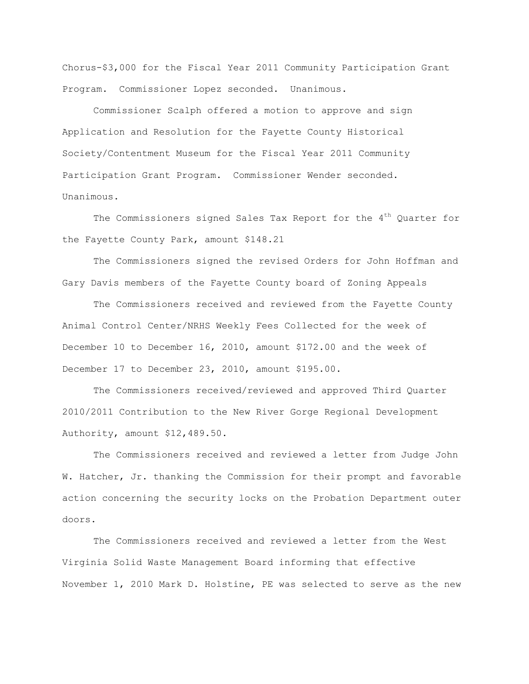Chorus-\$3,000 for the Fiscal Year 2011 Community Participation Grant Program. Commissioner Lopez seconded. Unanimous.

Commissioner Scalph offered a motion to approve and sign Application and Resolution for the Fayette County Historical Society/Contentment Museum for the Fiscal Year 2011 Community Participation Grant Program. Commissioner Wender seconded. Unanimous.

The Commissioners signed Sales Tax Report for the  $4<sup>th</sup>$  Quarter for the Fayette County Park, amount \$148.21

The Commissioners signed the revised Orders for John Hoffman and Gary Davis members of the Fayette County board of Zoning Appeals

The Commissioners received and reviewed from the Fayette County Animal Control Center/NRHS Weekly Fees Collected for the week of December 10 to December 16, 2010, amount \$172.00 and the week of December 17 to December 23, 2010, amount \$195.00.

The Commissioners received/reviewed and approved Third Quarter 2010/2011 Contribution to the New River Gorge Regional Development Authority, amount \$12,489.50.

The Commissioners received and reviewed a letter from Judge John W. Hatcher, Jr. thanking the Commission for their prompt and favorable action concerning the security locks on the Probation Department outer doors.

The Commissioners received and reviewed a letter from the West Virginia Solid Waste Management Board informing that effective November 1, 2010 Mark D. Holstine, PE was selected to serve as the new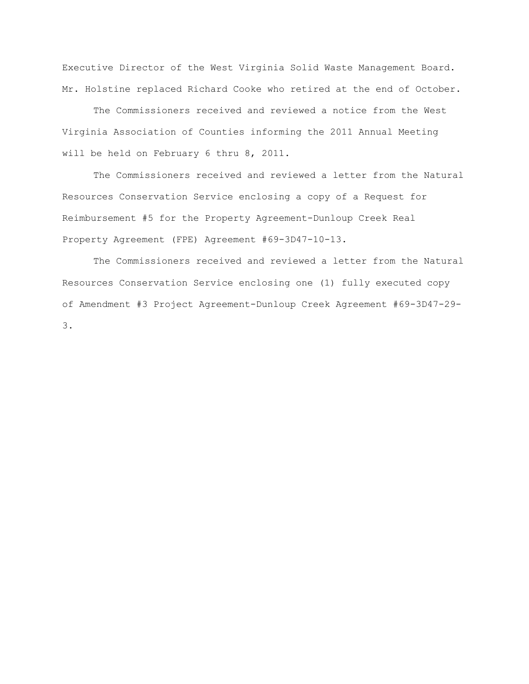Executive Director of the West Virginia Solid Waste Management Board. Mr. Holstine replaced Richard Cooke who retired at the end of October.

The Commissioners received and reviewed a notice from the West Virginia Association of Counties informing the 2011 Annual Meeting will be held on February 6 thru 8, 2011.

The Commissioners received and reviewed a letter from the Natural Resources Conservation Service enclosing a copy of a Request for Reimbursement #5 for the Property Agreement-Dunloup Creek Real Property Agreement (FPE) Agreement #69-3D47-10-13.

The Commissioners received and reviewed a letter from the Natural Resources Conservation Service enclosing one (1) fully executed copy of Amendment #3 Project Agreement-Dunloup Creek Agreement #69-3D47-29- 3.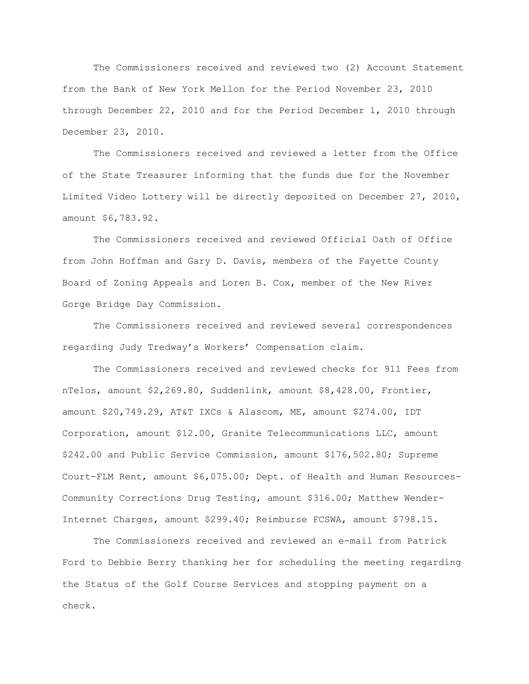The Commissioners received and reviewed two (2) Account Statement from the Bank of New York Mellon for the Period November 23, 2010 through December 22, 2010 and for the Period December 1, 2010 through December 23, 2010.

The Commissioners received and reviewed a letter from the Office of the State Treasurer informing that the funds due for the November Limited Video Lottery will be directly deposited on December 27, 2010, amount \$6,783.92.

The Commissioners received and reviewed Official Oath of Office from John Hoffman and Gary D. Davis, members of the Fayette County Board of Zoning Appeals and Loren B. Cox, member of the New River Gorge Bridge Day Commission.

The Commissioners received and reviewed several correspondences regarding Judy Tredway"s Workers" Compensation claim.

The Commissioners received and reviewed checks for 911 Fees from nTelos, amount \$2,269.80, Suddenlink, amount \$8,428.00, Frontier, amount \$20,749.29, AT&T IXCs & Alascom, ME, amount \$274.00, IDT Corporation, amount \$12.00, Granite Telecommunications LLC, amount \$242.00 and Public Service Commission, amount \$176,502.80; Supreme Court-FLM Rent, amount \$6,075.00; Dept. of Health and Human Resources-Community Corrections Drug Testing, amount \$316.00; Matthew Wender-Internet Charges, amount \$299.40; Reimburse FCSWA, amount \$798.15.

The Commissioners received and reviewed an e-mail from Patrick Ford to Debbie Berry thanking her for scheduling the meeting regarding the Status of the Golf Course Services and stopping payment on a check.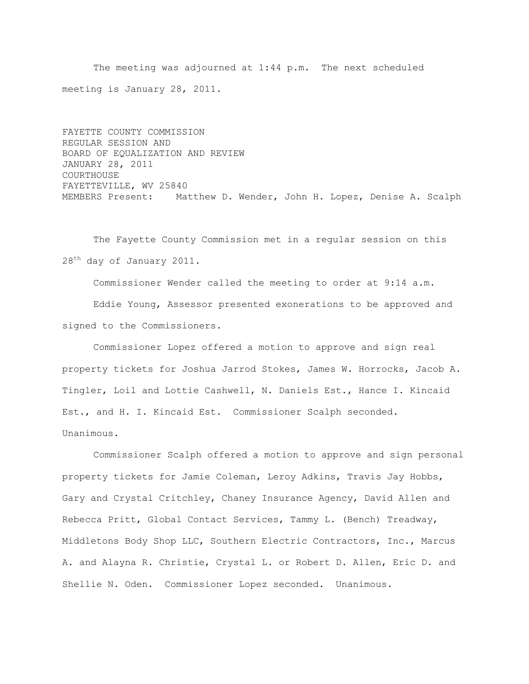The meeting was adjourned at 1:44 p.m. The next scheduled meeting is January 28, 2011.

FAYETTE COUNTY COMMISSION REGULAR SESSION AND BOARD OF EQUALIZATION AND REVIEW JANUARY 28, 2011 COURTHOUSE FAYETTEVILLE, WV 25840 MEMBERS Present: Matthew D. Wender, John H. Lopez, Denise A. Scalph

The Fayette County Commission met in a regular session on this 28<sup>th</sup> day of January 2011.

Commissioner Wender called the meeting to order at 9:14 a.m. Eddie Young, Assessor presented exonerations to be approved and signed to the Commissioners.

Commissioner Lopez offered a motion to approve and sign real property tickets for Joshua Jarrod Stokes, James W. Horrocks, Jacob A. Tingler, Loil and Lottie Cashwell, N. Daniels Est., Hance I. Kincaid Est., and H. I. Kincaid Est. Commissioner Scalph seconded. Unanimous.

Commissioner Scalph offered a motion to approve and sign personal property tickets for Jamie Coleman, Leroy Adkins, Travis Jay Hobbs, Gary and Crystal Critchley, Chaney Insurance Agency, David Allen and Rebecca Pritt, Global Contact Services, Tammy L. (Bench) Treadway, Middletons Body Shop LLC, Southern Electric Contractors, Inc., Marcus A. and Alayna R. Christie, Crystal L. or Robert D. Allen, Eric D. and Shellie N. Oden. Commissioner Lopez seconded. Unanimous.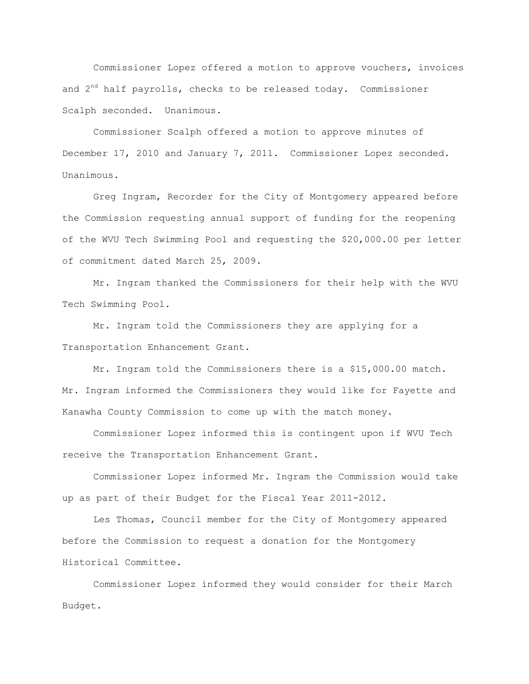Commissioner Lopez offered a motion to approve vouchers, invoices and  $2<sup>nd</sup>$  half payrolls, checks to be released today. Commissioner Scalph seconded. Unanimous.

Commissioner Scalph offered a motion to approve minutes of December 17, 2010 and January 7, 2011. Commissioner Lopez seconded. Unanimous.

Greg Ingram, Recorder for the City of Montgomery appeared before the Commission requesting annual support of funding for the reopening of the WVU Tech Swimming Pool and requesting the \$20,000.00 per letter of commitment dated March 25, 2009.

Mr. Ingram thanked the Commissioners for their help with the WVU Tech Swimming Pool.

Mr. Ingram told the Commissioners they are applying for a Transportation Enhancement Grant.

Mr. Ingram told the Commissioners there is a \$15,000.00 match. Mr. Ingram informed the Commissioners they would like for Fayette and Kanawha County Commission to come up with the match money.

Commissioner Lopez informed this is contingent upon if WVU Tech receive the Transportation Enhancement Grant.

Commissioner Lopez informed Mr. Ingram the Commission would take up as part of their Budget for the Fiscal Year 2011-2012.

Les Thomas, Council member for the City of Montgomery appeared before the Commission to request a donation for the Montgomery Historical Committee.

Commissioner Lopez informed they would consider for their March Budget.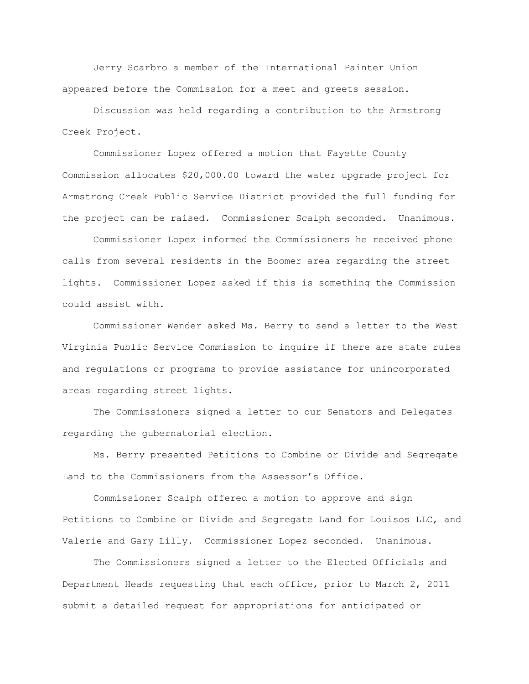Jerry Scarbro a member of the International Painter Union appeared before the Commission for a meet and greets session.

Discussion was held regarding a contribution to the Armstrong Creek Project.

Commissioner Lopez offered a motion that Fayette County Commission allocates \$20,000.00 toward the water upgrade project for Armstrong Creek Public Service District provided the full funding for the project can be raised. Commissioner Scalph seconded. Unanimous.

Commissioner Lopez informed the Commissioners he received phone calls from several residents in the Boomer area regarding the street lights. Commissioner Lopez asked if this is something the Commission could assist with.

Commissioner Wender asked Ms. Berry to send a letter to the West Virginia Public Service Commission to inquire if there are state rules and regulations or programs to provide assistance for unincorporated areas regarding street lights.

The Commissioners signed a letter to our Senators and Delegates regarding the gubernatorial election.

Ms. Berry presented Petitions to Combine or Divide and Segregate Land to the Commissioners from the Assessor's Office.

Commissioner Scalph offered a motion to approve and sign Petitions to Combine or Divide and Segregate Land for Louisos LLC, and Valerie and Gary Lilly. Commissioner Lopez seconded. Unanimous.

The Commissioners signed a letter to the Elected Officials and Department Heads requesting that each office, prior to March 2, 2011 submit a detailed request for appropriations for anticipated or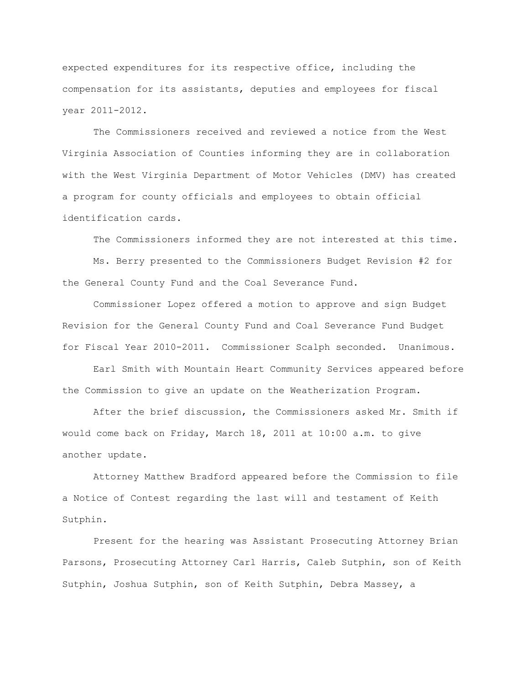expected expenditures for its respective office, including the compensation for its assistants, deputies and employees for fiscal year 2011-2012.

The Commissioners received and reviewed a notice from the West Virginia Association of Counties informing they are in collaboration with the West Virginia Department of Motor Vehicles (DMV) has created a program for county officials and employees to obtain official identification cards.

The Commissioners informed they are not interested at this time.

Ms. Berry presented to the Commissioners Budget Revision #2 for the General County Fund and the Coal Severance Fund.

Commissioner Lopez offered a motion to approve and sign Budget Revision for the General County Fund and Coal Severance Fund Budget for Fiscal Year 2010-2011. Commissioner Scalph seconded. Unanimous.

Earl Smith with Mountain Heart Community Services appeared before the Commission to give an update on the Weatherization Program.

After the brief discussion, the Commissioners asked Mr. Smith if would come back on Friday, March 18, 2011 at 10:00 a.m. to give another update.

Attorney Matthew Bradford appeared before the Commission to file a Notice of Contest regarding the last will and testament of Keith Sutphin.

Present for the hearing was Assistant Prosecuting Attorney Brian Parsons, Prosecuting Attorney Carl Harris, Caleb Sutphin, son of Keith Sutphin, Joshua Sutphin, son of Keith Sutphin, Debra Massey, a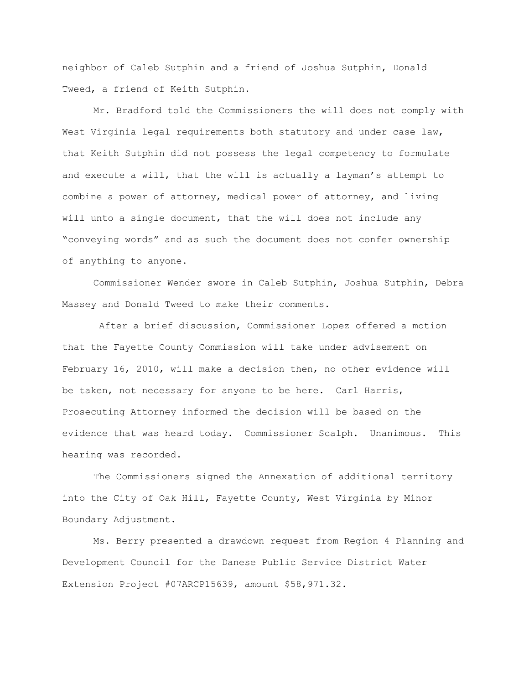neighbor of Caleb Sutphin and a friend of Joshua Sutphin, Donald Tweed, a friend of Keith Sutphin.

Mr. Bradford told the Commissioners the will does not comply with West Virginia legal requirements both statutory and under case law, that Keith Sutphin did not possess the legal competency to formulate and execute a will, that the will is actually a layman"s attempt to combine a power of attorney, medical power of attorney, and living will unto a single document, that the will does not include any "conveying words" and as such the document does not confer ownership of anything to anyone.

Commissioner Wender swore in Caleb Sutphin, Joshua Sutphin, Debra Massey and Donald Tweed to make their comments.

After a brief discussion, Commissioner Lopez offered a motion that the Fayette County Commission will take under advisement on February 16, 2010, will make a decision then, no other evidence will be taken, not necessary for anyone to be here. Carl Harris, Prosecuting Attorney informed the decision will be based on the evidence that was heard today. Commissioner Scalph. Unanimous. This hearing was recorded.

The Commissioners signed the Annexation of additional territory into the City of Oak Hill, Fayette County, West Virginia by Minor Boundary Adjustment.

Ms. Berry presented a drawdown request from Region 4 Planning and Development Council for the Danese Public Service District Water Extension Project #07ARCP15639, amount \$58,971.32.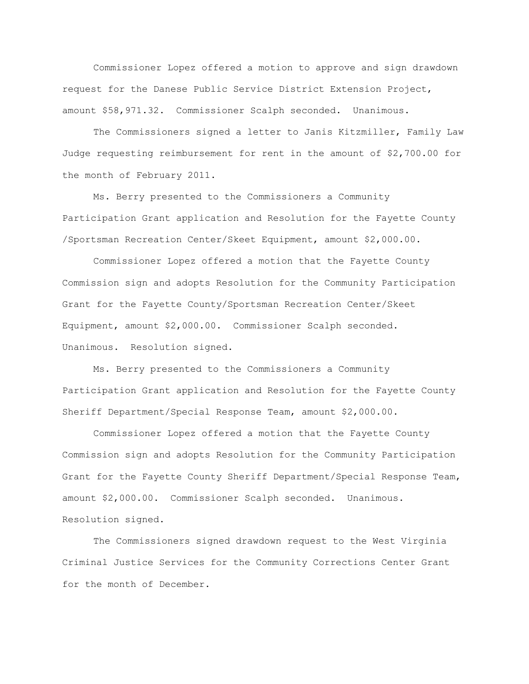Commissioner Lopez offered a motion to approve and sign drawdown request for the Danese Public Service District Extension Project, amount \$58,971.32. Commissioner Scalph seconded. Unanimous.

The Commissioners signed a letter to Janis Kitzmiller, Family Law Judge requesting reimbursement for rent in the amount of \$2,700.00 for the month of February 2011.

Ms. Berry presented to the Commissioners a Community Participation Grant application and Resolution for the Fayette County /Sportsman Recreation Center/Skeet Equipment, amount \$2,000.00.

Commissioner Lopez offered a motion that the Fayette County Commission sign and adopts Resolution for the Community Participation Grant for the Fayette County/Sportsman Recreation Center/Skeet Equipment, amount \$2,000.00. Commissioner Scalph seconded. Unanimous. Resolution signed.

Ms. Berry presented to the Commissioners a Community Participation Grant application and Resolution for the Fayette County Sheriff Department/Special Response Team, amount \$2,000.00.

Commissioner Lopez offered a motion that the Fayette County Commission sign and adopts Resolution for the Community Participation Grant for the Fayette County Sheriff Department/Special Response Team, amount \$2,000.00. Commissioner Scalph seconded. Unanimous. Resolution signed.

The Commissioners signed drawdown request to the West Virginia Criminal Justice Services for the Community Corrections Center Grant for the month of December.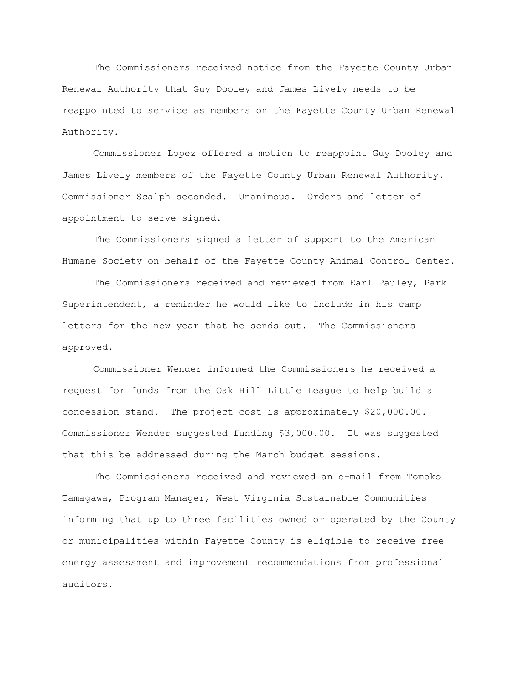The Commissioners received notice from the Fayette County Urban Renewal Authority that Guy Dooley and James Lively needs to be reappointed to service as members on the Fayette County Urban Renewal Authority.

Commissioner Lopez offered a motion to reappoint Guy Dooley and James Lively members of the Fayette County Urban Renewal Authority. Commissioner Scalph seconded. Unanimous. Orders and letter of appointment to serve signed.

The Commissioners signed a letter of support to the American Humane Society on behalf of the Fayette County Animal Control Center.

The Commissioners received and reviewed from Earl Pauley, Park Superintendent, a reminder he would like to include in his camp letters for the new year that he sends out. The Commissioners approved.

Commissioner Wender informed the Commissioners he received a request for funds from the Oak Hill Little League to help build a concession stand. The project cost is approximately \$20,000.00. Commissioner Wender suggested funding \$3,000.00. It was suggested that this be addressed during the March budget sessions.

The Commissioners received and reviewed an e-mail from Tomoko Tamagawa, Program Manager, West Virginia Sustainable Communities informing that up to three facilities owned or operated by the County or municipalities within Fayette County is eligible to receive free energy assessment and improvement recommendations from professional auditors.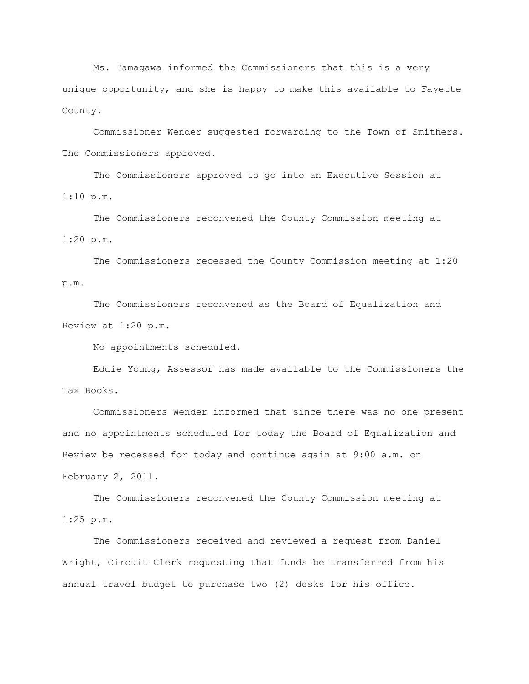Ms. Tamagawa informed the Commissioners that this is a very unique opportunity, and she is happy to make this available to Fayette County.

Commissioner Wender suggested forwarding to the Town of Smithers. The Commissioners approved.

The Commissioners approved to go into an Executive Session at 1:10 p.m.

The Commissioners reconvened the County Commission meeting at 1:20 p.m.

The Commissioners recessed the County Commission meeting at 1:20 p.m.

The Commissioners reconvened as the Board of Equalization and Review at 1:20 p.m.

No appointments scheduled.

Eddie Young, Assessor has made available to the Commissioners the Tax Books.

Commissioners Wender informed that since there was no one present and no appointments scheduled for today the Board of Equalization and Review be recessed for today and continue again at 9:00 a.m. on February 2, 2011.

The Commissioners reconvened the County Commission meeting at 1:25 p.m.

The Commissioners received and reviewed a request from Daniel Wright, Circuit Clerk requesting that funds be transferred from his annual travel budget to purchase two (2) desks for his office.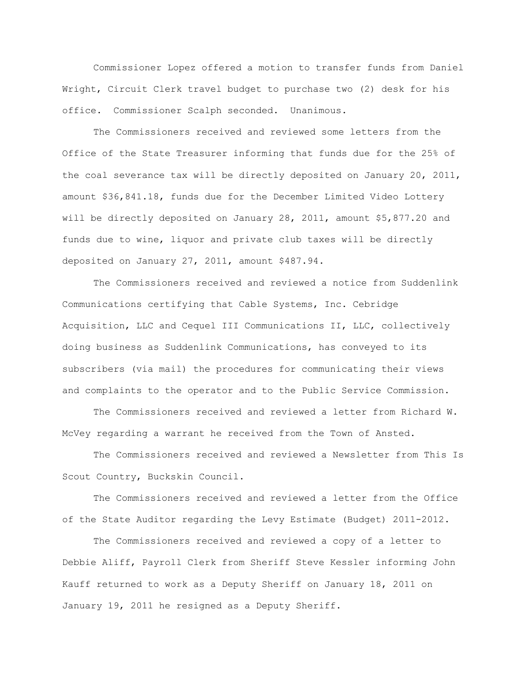Commissioner Lopez offered a motion to transfer funds from Daniel Wright, Circuit Clerk travel budget to purchase two (2) desk for his office. Commissioner Scalph seconded. Unanimous.

The Commissioners received and reviewed some letters from the Office of the State Treasurer informing that funds due for the 25% of the coal severance tax will be directly deposited on January 20, 2011, amount \$36,841.18, funds due for the December Limited Video Lottery will be directly deposited on January 28, 2011, amount \$5,877.20 and funds due to wine, liquor and private club taxes will be directly deposited on January 27, 2011, amount \$487.94.

The Commissioners received and reviewed a notice from Suddenlink Communications certifying that Cable Systems, Inc. Cebridge Acquisition, LLC and Cequel III Communications II, LLC, collectively doing business as Suddenlink Communications, has conveyed to its subscribers (via mail) the procedures for communicating their views and complaints to the operator and to the Public Service Commission.

The Commissioners received and reviewed a letter from Richard W. McVey regarding a warrant he received from the Town of Ansted.

The Commissioners received and reviewed a Newsletter from This Is Scout Country, Buckskin Council.

The Commissioners received and reviewed a letter from the Office of the State Auditor regarding the Levy Estimate (Budget) 2011-2012.

The Commissioners received and reviewed a copy of a letter to Debbie Aliff, Payroll Clerk from Sheriff Steve Kessler informing John Kauff returned to work as a Deputy Sheriff on January 18, 2011 on January 19, 2011 he resigned as a Deputy Sheriff.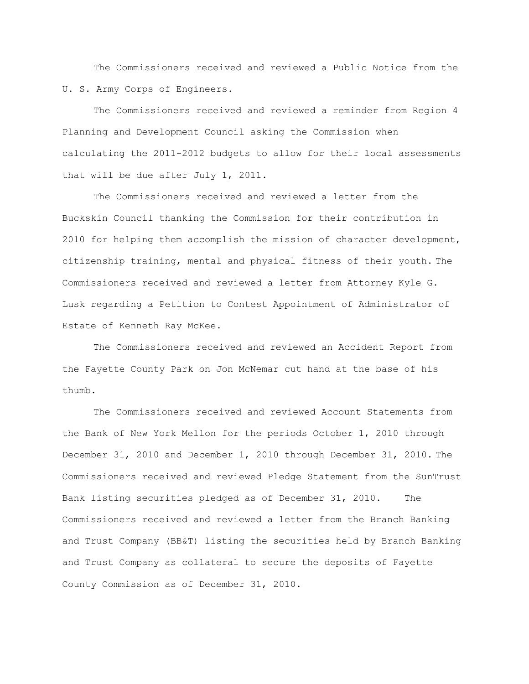The Commissioners received and reviewed a Public Notice from the U. S. Army Corps of Engineers.

The Commissioners received and reviewed a reminder from Region 4 Planning and Development Council asking the Commission when calculating the 2011-2012 budgets to allow for their local assessments that will be due after July 1, 2011.

The Commissioners received and reviewed a letter from the Buckskin Council thanking the Commission for their contribution in 2010 for helping them accomplish the mission of character development, citizenship training, mental and physical fitness of their youth. The Commissioners received and reviewed a letter from Attorney Kyle G. Lusk regarding a Petition to Contest Appointment of Administrator of Estate of Kenneth Ray McKee.

The Commissioners received and reviewed an Accident Report from the Fayette County Park on Jon McNemar cut hand at the base of his thumb.

The Commissioners received and reviewed Account Statements from the Bank of New York Mellon for the periods October 1, 2010 through December 31, 2010 and December 1, 2010 through December 31, 2010. The Commissioners received and reviewed Pledge Statement from the SunTrust Bank listing securities pledged as of December 31, 2010. The Commissioners received and reviewed a letter from the Branch Banking and Trust Company (BB&T) listing the securities held by Branch Banking and Trust Company as collateral to secure the deposits of Fayette County Commission as of December 31, 2010.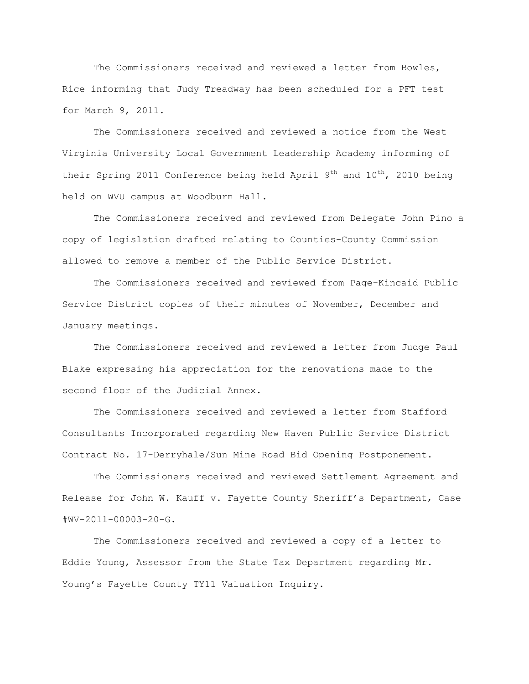The Commissioners received and reviewed a letter from Bowles, Rice informing that Judy Treadway has been scheduled for a PFT test for March 9, 2011.

The Commissioners received and reviewed a notice from the West Virginia University Local Government Leadership Academy informing of their Spring 2011 Conference being held April  $9<sup>th</sup>$  and  $10<sup>th</sup>$ , 2010 being held on WVU campus at Woodburn Hall.

The Commissioners received and reviewed from Delegate John Pino a copy of legislation drafted relating to Counties-County Commission allowed to remove a member of the Public Service District.

The Commissioners received and reviewed from Page-Kincaid Public Service District copies of their minutes of November, December and January meetings.

The Commissioners received and reviewed a letter from Judge Paul Blake expressing his appreciation for the renovations made to the second floor of the Judicial Annex.

The Commissioners received and reviewed a letter from Stafford Consultants Incorporated regarding New Haven Public Service District Contract No. 17-Derryhale/Sun Mine Road Bid Opening Postponement.

The Commissioners received and reviewed Settlement Agreement and Release for John W. Kauff v. Fayette County Sheriff's Department, Case  $#WV - 2011 - 00003 - 20 - G.$ 

The Commissioners received and reviewed a copy of a letter to Eddie Young, Assessor from the State Tax Department regarding Mr. Young's Fayette County TY11 Valuation Inquiry.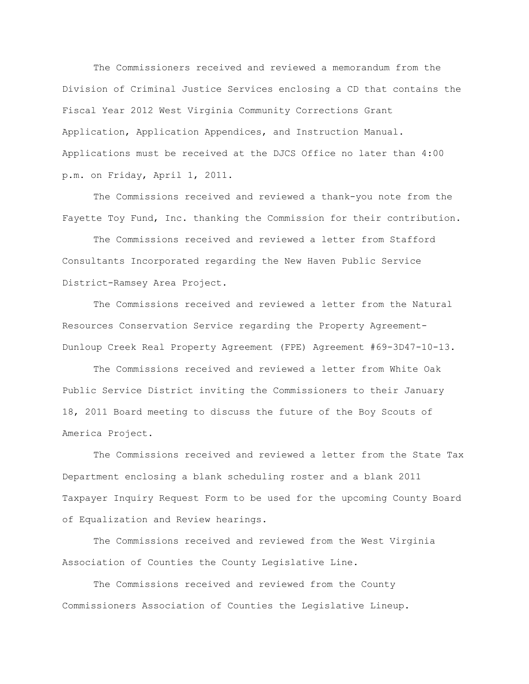The Commissioners received and reviewed a memorandum from the Division of Criminal Justice Services enclosing a CD that contains the Fiscal Year 2012 West Virginia Community Corrections Grant Application, Application Appendices, and Instruction Manual. Applications must be received at the DJCS Office no later than 4:00 p.m. on Friday, April 1, 2011.

The Commissions received and reviewed a thank-you note from the Fayette Toy Fund, Inc. thanking the Commission for their contribution.

The Commissions received and reviewed a letter from Stafford Consultants Incorporated regarding the New Haven Public Service District-Ramsey Area Project.

The Commissions received and reviewed a letter from the Natural Resources Conservation Service regarding the Property Agreement-Dunloup Creek Real Property Agreement (FPE) Agreement #69-3D47-10-13.

The Commissions received and reviewed a letter from White Oak Public Service District inviting the Commissioners to their January 18, 2011 Board meeting to discuss the future of the Boy Scouts of America Project.

The Commissions received and reviewed a letter from the State Tax Department enclosing a blank scheduling roster and a blank 2011 Taxpayer Inquiry Request Form to be used for the upcoming County Board of Equalization and Review hearings.

The Commissions received and reviewed from the West Virginia Association of Counties the County Legislative Line.

The Commissions received and reviewed from the County Commissioners Association of Counties the Legislative Lineup.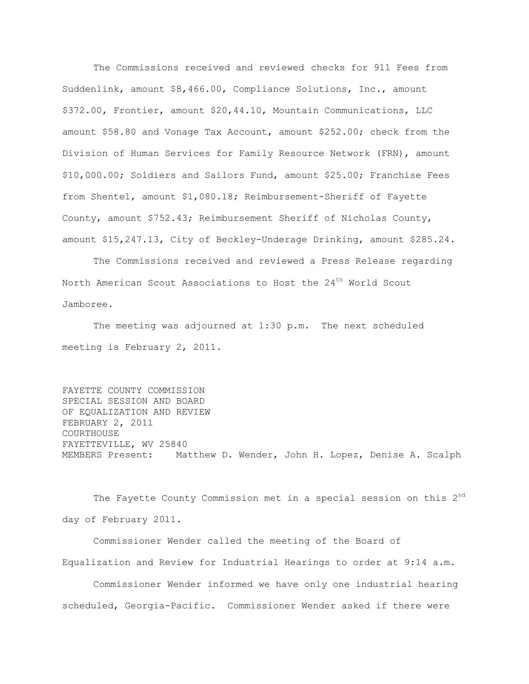The Commissions received and reviewed checks for 911 Fees from Suddenlink, amount \$8,466.00, Compliance Solutions, Inc., amount \$372.00, Frontier, amount \$20,44.10, Mountain Communications, LLC amount \$58.80 and Vonage Tax Account, amount \$252.00; check from the Division of Human Services for Family Resource Network (FRN), amount \$10,000.00; Soldiers and Sailors Fund, amount \$25.00; Franchise Fees from Shentel, amount \$1,080.18; Reimbursement-Sheriff of Fayette County, amount \$752.43; Reimbursement Sheriff of Nicholas County, amount \$15,247.13, City of Beckley-Underage Drinking, amount \$285.24.

The Commissions received and reviewed a Press Release regarding North American Scout Associations to Host the 24<sup>th</sup> World Scout Jamboree.

The meeting was adjourned at 1:30 p.m. The next scheduled meeting is February 2, 2011.

FAYETTE COUNTY COMMISSION SPECIAL SESSION AND BOARD OF EQUALIZATION AND REVIEW FEBRUARY 2, 2011 COURTHOUSE FAYETTEVILLE, WV 25840 MEMBERS Present: Matthew D. Wender, John H. Lopez, Denise A. Scalph

The Fayette County Commission met in a special session on this 2<sup>nd</sup> day of February 2011.

Commissioner Wender called the meeting of the Board of Equalization and Review for Industrial Hearings to order at 9:14 a.m.

Commissioner Wender informed we have only one industrial hearing scheduled, Georgia-Pacific. Commissioner Wender asked if there were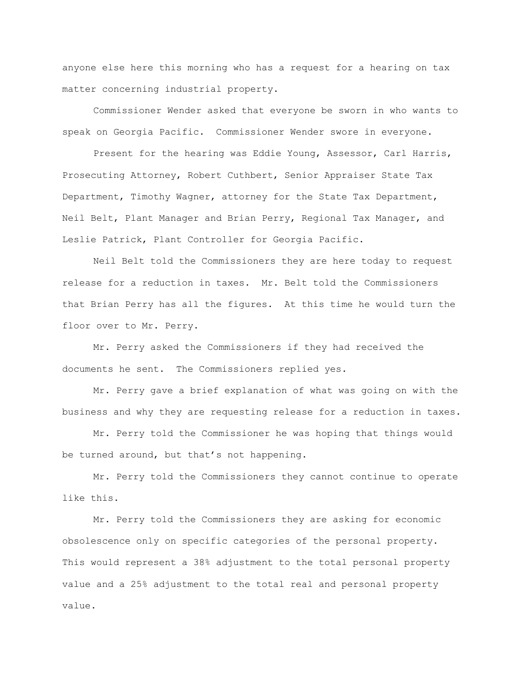anyone else here this morning who has a request for a hearing on tax matter concerning industrial property.

Commissioner Wender asked that everyone be sworn in who wants to speak on Georgia Pacific. Commissioner Wender swore in everyone.

Present for the hearing was Eddie Young, Assessor, Carl Harris, Prosecuting Attorney, Robert Cuthbert, Senior Appraiser State Tax Department, Timothy Wagner, attorney for the State Tax Department, Neil Belt, Plant Manager and Brian Perry, Regional Tax Manager, and Leslie Patrick, Plant Controller for Georgia Pacific.

Neil Belt told the Commissioners they are here today to request release for a reduction in taxes. Mr. Belt told the Commissioners that Brian Perry has all the figures. At this time he would turn the floor over to Mr. Perry.

Mr. Perry asked the Commissioners if they had received the documents he sent. The Commissioners replied yes.

Mr. Perry gave a brief explanation of what was going on with the business and why they are requesting release for a reduction in taxes.

Mr. Perry told the Commissioner he was hoping that things would be turned around, but that's not happening.

Mr. Perry told the Commissioners they cannot continue to operate like this.

Mr. Perry told the Commissioners they are asking for economic obsolescence only on specific categories of the personal property. This would represent a 38% adjustment to the total personal property value and a 25% adjustment to the total real and personal property value.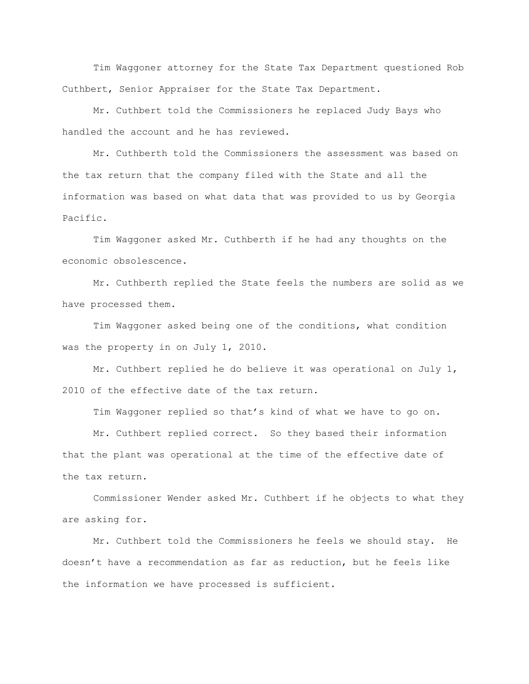Tim Waggoner attorney for the State Tax Department questioned Rob Cuthbert, Senior Appraiser for the State Tax Department.

Mr. Cuthbert told the Commissioners he replaced Judy Bays who handled the account and he has reviewed.

Mr. Cuthberth told the Commissioners the assessment was based on the tax return that the company filed with the State and all the information was based on what data that was provided to us by Georgia Pacific.

Tim Waggoner asked Mr. Cuthberth if he had any thoughts on the economic obsolescence.

Mr. Cuthberth replied the State feels the numbers are solid as we have processed them.

Tim Waggoner asked being one of the conditions, what condition was the property in on July 1, 2010.

Mr. Cuthbert replied he do believe it was operational on July 1, 2010 of the effective date of the tax return.

Tim Waggoner replied so that"s kind of what we have to go on.

Mr. Cuthbert replied correct. So they based their information that the plant was operational at the time of the effective date of the tax return.

Commissioner Wender asked Mr. Cuthbert if he objects to what they are asking for.

Mr. Cuthbert told the Commissioners he feels we should stay. He doesn"t have a recommendation as far as reduction, but he feels like the information we have processed is sufficient.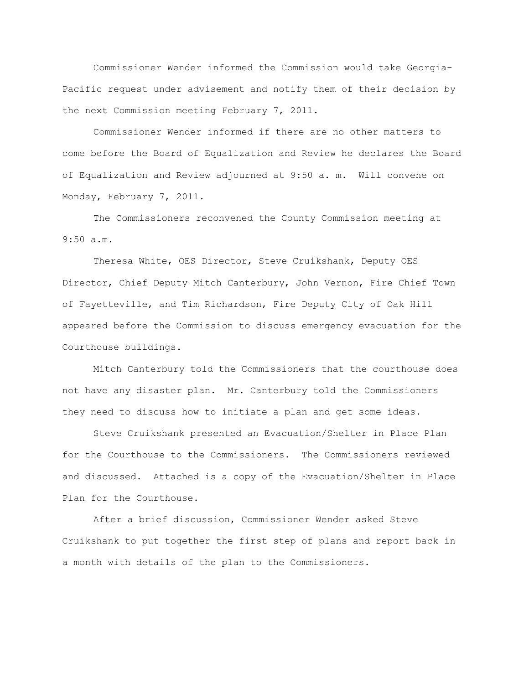Commissioner Wender informed the Commission would take Georgia-Pacific request under advisement and notify them of their decision by the next Commission meeting February 7, 2011.

Commissioner Wender informed if there are no other matters to come before the Board of Equalization and Review he declares the Board of Equalization and Review adjourned at 9:50 a. m. Will convene on Monday, February 7, 2011.

The Commissioners reconvened the County Commission meeting at 9:50 a.m.

Theresa White, OES Director, Steve Cruikshank, Deputy OES Director, Chief Deputy Mitch Canterbury, John Vernon, Fire Chief Town of Fayetteville, and Tim Richardson, Fire Deputy City of Oak Hill appeared before the Commission to discuss emergency evacuation for the Courthouse buildings.

Mitch Canterbury told the Commissioners that the courthouse does not have any disaster plan. Mr. Canterbury told the Commissioners they need to discuss how to initiate a plan and get some ideas.

Steve Cruikshank presented an Evacuation/Shelter in Place Plan for the Courthouse to the Commissioners. The Commissioners reviewed and discussed. Attached is a copy of the Evacuation/Shelter in Place Plan for the Courthouse.

After a brief discussion, Commissioner Wender asked Steve Cruikshank to put together the first step of plans and report back in a month with details of the plan to the Commissioners.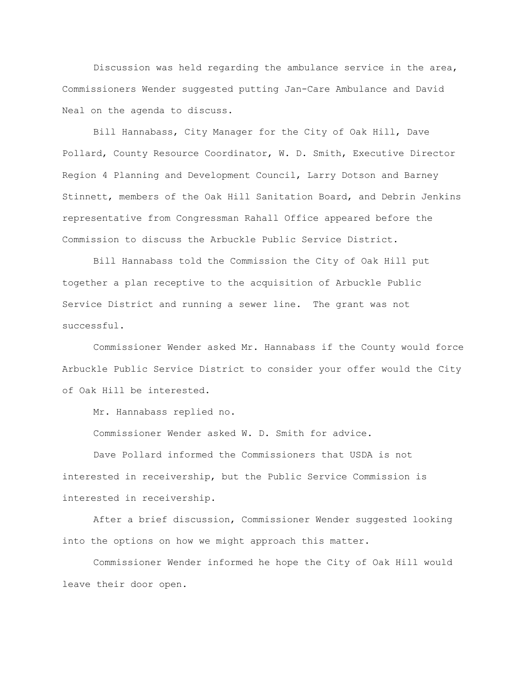Discussion was held regarding the ambulance service in the area, Commissioners Wender suggested putting Jan-Care Ambulance and David Neal on the agenda to discuss.

Bill Hannabass, City Manager for the City of Oak Hill, Dave Pollard, County Resource Coordinator, W. D. Smith, Executive Director Region 4 Planning and Development Council, Larry Dotson and Barney Stinnett, members of the Oak Hill Sanitation Board, and Debrin Jenkins representative from Congressman Rahall Office appeared before the Commission to discuss the Arbuckle Public Service District.

Bill Hannabass told the Commission the City of Oak Hill put together a plan receptive to the acquisition of Arbuckle Public Service District and running a sewer line. The grant was not successful.

Commissioner Wender asked Mr. Hannabass if the County would force Arbuckle Public Service District to consider your offer would the City of Oak Hill be interested.

Mr. Hannabass replied no.

Commissioner Wender asked W. D. Smith for advice.

Dave Pollard informed the Commissioners that USDA is not interested in receivership, but the Public Service Commission is interested in receivership.

After a brief discussion, Commissioner Wender suggested looking into the options on how we might approach this matter.

Commissioner Wender informed he hope the City of Oak Hill would leave their door open.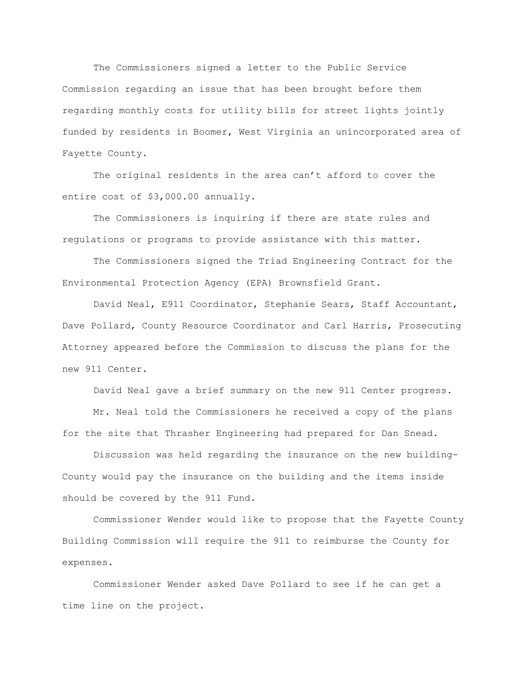The Commissioners signed a letter to the Public Service Commission regarding an issue that has been brought before them regarding monthly costs for utility bills for street lights jointly funded by residents in Boomer, West Virginia an unincorporated area of Fayette County.

The original residents in the area can't afford to cover the entire cost of \$3,000.00 annually.

The Commissioners is inquiring if there are state rules and regulations or programs to provide assistance with this matter.

The Commissioners signed the Triad Engineering Contract for the Environmental Protection Agency (EPA) Brownsfield Grant.

David Neal, E911 Coordinator, Stephanie Sears, Staff Accountant, Dave Pollard, County Resource Coordinator and Carl Harris, Prosecuting Attorney appeared before the Commission to discuss the plans for the new 911 Center.

David Neal gave a brief summary on the new 911 Center progress.

Mr. Neal told the Commissioners he received a copy of the plans for the site that Thrasher Engineering had prepared for Dan Snead.

Discussion was held regarding the insurance on the new building-County would pay the insurance on the building and the items inside should be covered by the 911 Fund.

Commissioner Wender would like to propose that the Fayette County Building Commission will require the 911 to reimburse the County for expenses.

Commissioner Wender asked Dave Pollard to see if he can get a time line on the project.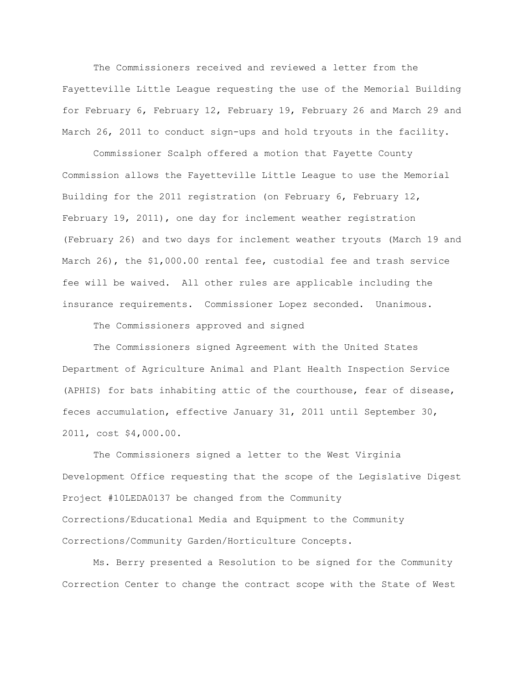The Commissioners received and reviewed a letter from the Fayetteville Little League requesting the use of the Memorial Building for February 6, February 12, February 19, February 26 and March 29 and March 26, 2011 to conduct sign-ups and hold tryouts in the facility.

Commissioner Scalph offered a motion that Fayette County Commission allows the Fayetteville Little League to use the Memorial Building for the 2011 registration (on February 6, February 12, February 19, 2011), one day for inclement weather registration (February 26) and two days for inclement weather tryouts (March 19 and March 26), the \$1,000.00 rental fee, custodial fee and trash service fee will be waived. All other rules are applicable including the insurance requirements. Commissioner Lopez seconded. Unanimous.

The Commissioners approved and signed

The Commissioners signed Agreement with the United States Department of Agriculture Animal and Plant Health Inspection Service (APHIS) for bats inhabiting attic of the courthouse, fear of disease, feces accumulation, effective January 31, 2011 until September 30, 2011, cost \$4,000.00.

The Commissioners signed a letter to the West Virginia Development Office requesting that the scope of the Legislative Digest Project #10LEDA0137 be changed from the Community Corrections/Educational Media and Equipment to the Community Corrections/Community Garden/Horticulture Concepts.

Ms. Berry presented a Resolution to be signed for the Community Correction Center to change the contract scope with the State of West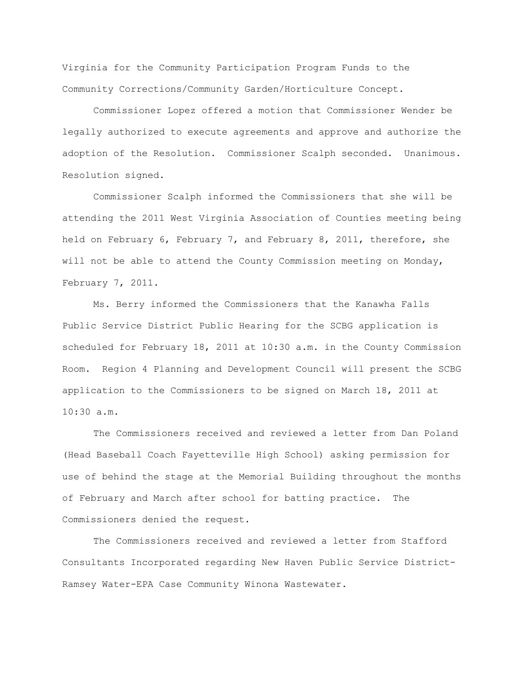Virginia for the Community Participation Program Funds to the Community Corrections/Community Garden/Horticulture Concept.

Commissioner Lopez offered a motion that Commissioner Wender be legally authorized to execute agreements and approve and authorize the adoption of the Resolution. Commissioner Scalph seconded. Unanimous. Resolution signed.

Commissioner Scalph informed the Commissioners that she will be attending the 2011 West Virginia Association of Counties meeting being held on February 6, February 7, and February 8, 2011, therefore, she will not be able to attend the County Commission meeting on Monday, February 7, 2011.

Ms. Berry informed the Commissioners that the Kanawha Falls Public Service District Public Hearing for the SCBG application is scheduled for February 18, 2011 at 10:30 a.m. in the County Commission Room. Region 4 Planning and Development Council will present the SCBG application to the Commissioners to be signed on March 18, 2011 at  $10:30 \text{ a.m.}$ 

The Commissioners received and reviewed a letter from Dan Poland (Head Baseball Coach Fayetteville High School) asking permission for use of behind the stage at the Memorial Building throughout the months of February and March after school for batting practice. The Commissioners denied the request.

The Commissioners received and reviewed a letter from Stafford Consultants Incorporated regarding New Haven Public Service District-Ramsey Water-EPA Case Community Winona Wastewater.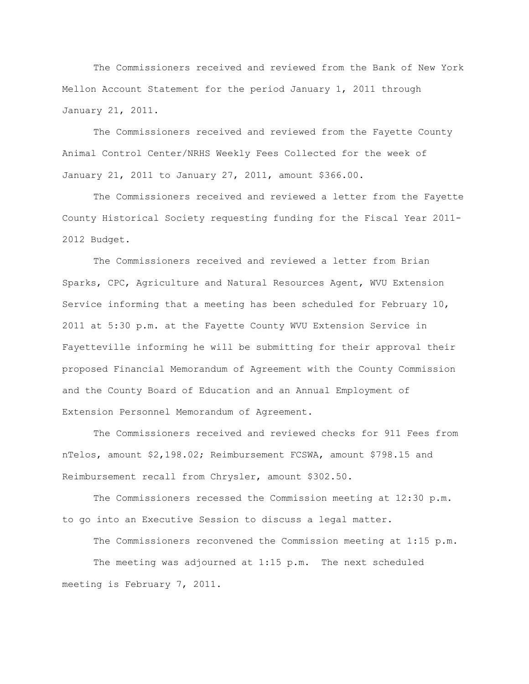The Commissioners received and reviewed from the Bank of New York Mellon Account Statement for the period January 1, 2011 through January 21, 2011.

The Commissioners received and reviewed from the Fayette County Animal Control Center/NRHS Weekly Fees Collected for the week of January 21, 2011 to January 27, 2011, amount \$366.00.

The Commissioners received and reviewed a letter from the Fayette County Historical Society requesting funding for the Fiscal Year 2011- 2012 Budget.

The Commissioners received and reviewed a letter from Brian Sparks, CPC, Agriculture and Natural Resources Agent, WVU Extension Service informing that a meeting has been scheduled for February 10, 2011 at 5:30 p.m. at the Fayette County WVU Extension Service in Fayetteville informing he will be submitting for their approval their proposed Financial Memorandum of Agreement with the County Commission and the County Board of Education and an Annual Employment of Extension Personnel Memorandum of Agreement.

The Commissioners received and reviewed checks for 911 Fees from nTelos, amount \$2,198.02; Reimbursement FCSWA, amount \$798.15 and Reimbursement recall from Chrysler, amount \$302.50.

The Commissioners recessed the Commission meeting at 12:30 p.m. to go into an Executive Session to discuss a legal matter.

The Commissioners reconvened the Commission meeting at 1:15 p.m. The meeting was adjourned at 1:15 p.m. The next scheduled

meeting is February 7, 2011.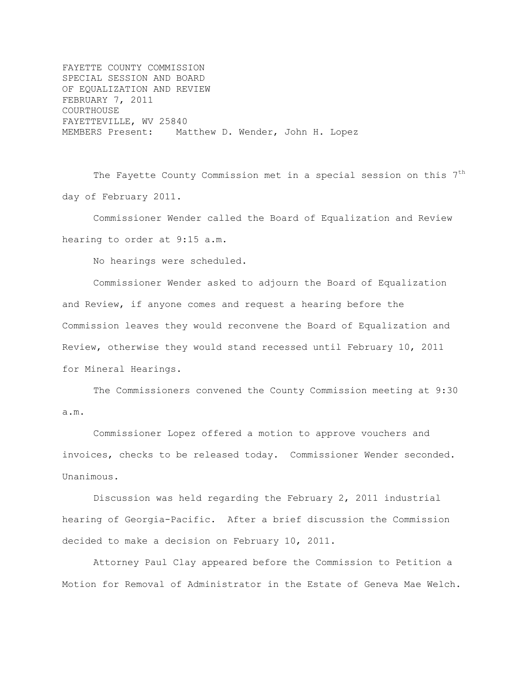FAYETTE COUNTY COMMISSION SPECIAL SESSION AND BOARD OF EQUALIZATION AND REVIEW FEBRUARY 7, 2011 COURTHOUSE FAYETTEVILLE, WV 25840 MEMBERS Present: Matthew D. Wender, John H. Lopez

The Fayette County Commission met in a special session on this 7<sup>th</sup> day of February 2011.

Commissioner Wender called the Board of Equalization and Review hearing to order at 9:15 a.m.

No hearings were scheduled.

Commissioner Wender asked to adjourn the Board of Equalization and Review, if anyone comes and request a hearing before the Commission leaves they would reconvene the Board of Equalization and Review, otherwise they would stand recessed until February 10, 2011 for Mineral Hearings.

The Commissioners convened the County Commission meeting at 9:30 a.m.

Commissioner Lopez offered a motion to approve vouchers and invoices, checks to be released today. Commissioner Wender seconded. Unanimous.

Discussion was held regarding the February 2, 2011 industrial hearing of Georgia-Pacific. After a brief discussion the Commission decided to make a decision on February 10, 2011.

Attorney Paul Clay appeared before the Commission to Petition a Motion for Removal of Administrator in the Estate of Geneva Mae Welch.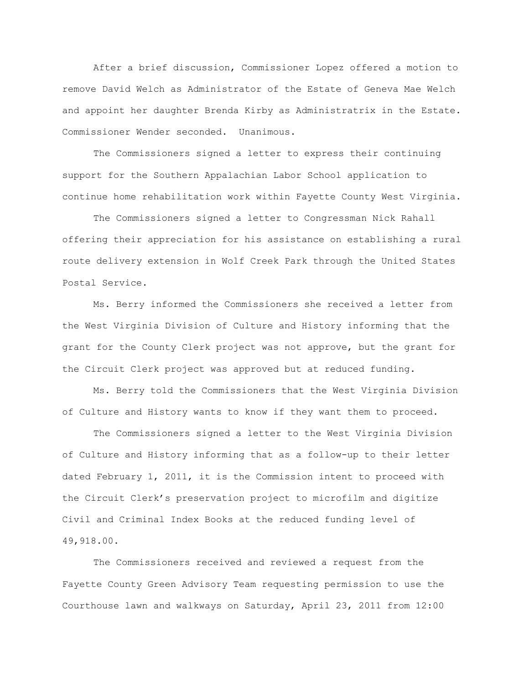After a brief discussion, Commissioner Lopez offered a motion to remove David Welch as Administrator of the Estate of Geneva Mae Welch and appoint her daughter Brenda Kirby as Administratrix in the Estate. Commissioner Wender seconded. Unanimous.

The Commissioners signed a letter to express their continuing support for the Southern Appalachian Labor School application to continue home rehabilitation work within Fayette County West Virginia.

The Commissioners signed a letter to Congressman Nick Rahall offering their appreciation for his assistance on establishing a rural route delivery extension in Wolf Creek Park through the United States Postal Service.

Ms. Berry informed the Commissioners she received a letter from the West Virginia Division of Culture and History informing that the grant for the County Clerk project was not approve, but the grant for the Circuit Clerk project was approved but at reduced funding.

Ms. Berry told the Commissioners that the West Virginia Division of Culture and History wants to know if they want them to proceed.

The Commissioners signed a letter to the West Virginia Division of Culture and History informing that as a follow-up to their letter dated February 1, 2011, it is the Commission intent to proceed with the Circuit Clerk"s preservation project to microfilm and digitize Civil and Criminal Index Books at the reduced funding level of 49,918.00.

The Commissioners received and reviewed a request from the Fayette County Green Advisory Team requesting permission to use the Courthouse lawn and walkways on Saturday, April 23, 2011 from 12:00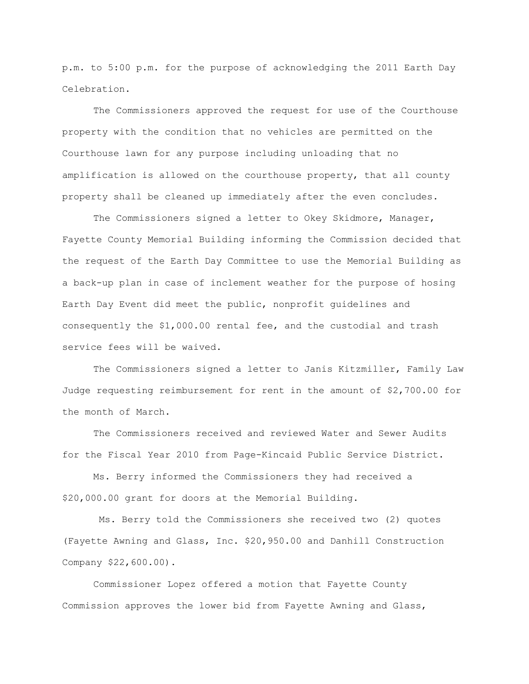p.m. to 5:00 p.m. for the purpose of acknowledging the 2011 Earth Day Celebration.

The Commissioners approved the request for use of the Courthouse property with the condition that no vehicles are permitted on the Courthouse lawn for any purpose including unloading that no amplification is allowed on the courthouse property, that all county property shall be cleaned up immediately after the even concludes.

The Commissioners signed a letter to Okey Skidmore, Manager, Fayette County Memorial Building informing the Commission decided that the request of the Earth Day Committee to use the Memorial Building as a back-up plan in case of inclement weather for the purpose of hosing Earth Day Event did meet the public, nonprofit guidelines and consequently the \$1,000.00 rental fee, and the custodial and trash service fees will be waived.

The Commissioners signed a letter to Janis Kitzmiller, Family Law Judge requesting reimbursement for rent in the amount of \$2,700.00 for the month of March.

The Commissioners received and reviewed Water and Sewer Audits for the Fiscal Year 2010 from Page-Kincaid Public Service District.

Ms. Berry informed the Commissioners they had received a \$20,000.00 grant for doors at the Memorial Building.

Ms. Berry told the Commissioners she received two (2) quotes (Fayette Awning and Glass, Inc. \$20,950.00 and Danhill Construction Company \$22,600.00).

Commissioner Lopez offered a motion that Fayette County Commission approves the lower bid from Fayette Awning and Glass,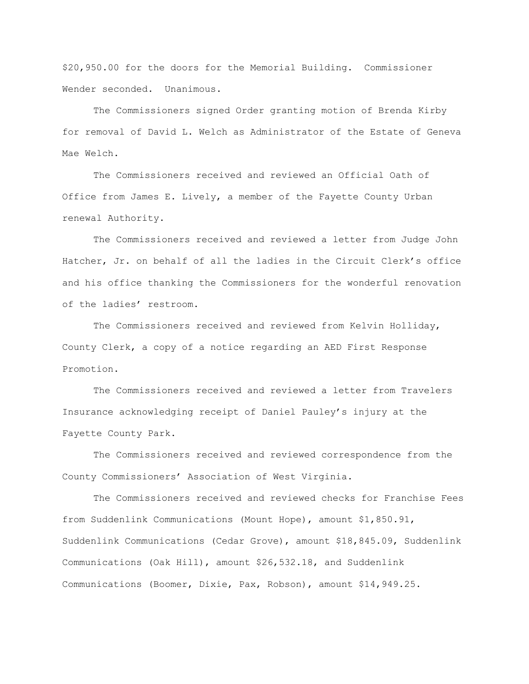\$20,950.00 for the doors for the Memorial Building. Commissioner Wender seconded. Unanimous.

The Commissioners signed Order granting motion of Brenda Kirby for removal of David L. Welch as Administrator of the Estate of Geneva Mae Welch.

The Commissioners received and reviewed an Official Oath of Office from James E. Lively, a member of the Fayette County Urban renewal Authority.

The Commissioners received and reviewed a letter from Judge John Hatcher, Jr. on behalf of all the ladies in the Circuit Clerk"s office and his office thanking the Commissioners for the wonderful renovation of the ladies' restroom.

The Commissioners received and reviewed from Kelvin Holliday, County Clerk, a copy of a notice regarding an AED First Response Promotion.

The Commissioners received and reviewed a letter from Travelers Insurance acknowledging receipt of Daniel Pauley"s injury at the Fayette County Park.

The Commissioners received and reviewed correspondence from the County Commissioners" Association of West Virginia.

The Commissioners received and reviewed checks for Franchise Fees from Suddenlink Communications (Mount Hope), amount \$1,850.91, Suddenlink Communications (Cedar Grove), amount \$18,845.09, Suddenlink Communications (Oak Hill), amount \$26,532.18, and Suddenlink Communications (Boomer, Dixie, Pax, Robson), amount \$14,949.25.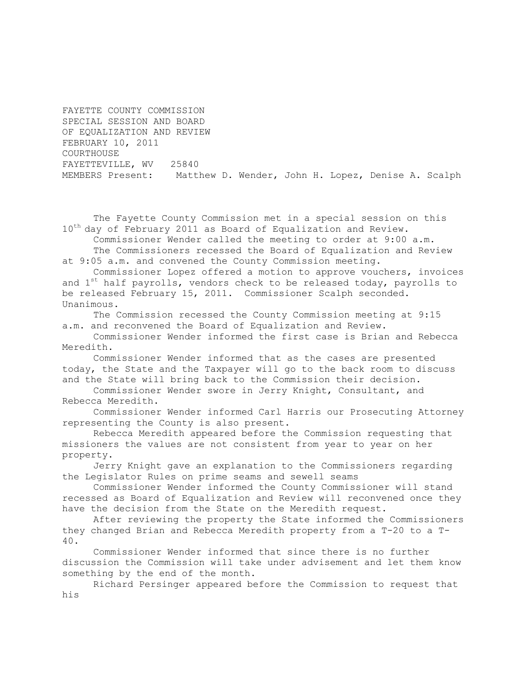FAYETTE COUNTY COMMISSION SPECIAL SESSION AND BOARD OF EQUALIZATION AND REVIEW FEBRUARY 10, 2011 COURTHOUSE FAYETTEVILLE, WV 25840 MEMBERS Present: Matthew D. Wender, John H. Lopez, Denise A. Scalph

The Fayette County Commission met in a special session on this 10<sup>th</sup> day of February 2011 as Board of Equalization and Review.

Commissioner Wender called the meeting to order at 9:00 a.m. The Commissioners recessed the Board of Equalization and Review

at 9:05 a.m. and convened the County Commission meeting.

Commissioner Lopez offered a motion to approve vouchers, invoices and  $1^{st}$  half payrolls, vendors check to be released today, payrolls to be released February 15, 2011. Commissioner Scalph seconded. Unanimous.

The Commission recessed the County Commission meeting at 9:15 a.m. and reconvened the Board of Equalization and Review.

Commissioner Wender informed the first case is Brian and Rebecca Meredith.

Commissioner Wender informed that as the cases are presented today, the State and the Taxpayer will go to the back room to discuss and the State will bring back to the Commission their decision.

Commissioner Wender swore in Jerry Knight, Consultant, and Rebecca Meredith.

Commissioner Wender informed Carl Harris our Prosecuting Attorney representing the County is also present.

Rebecca Meredith appeared before the Commission requesting that missioners the values are not consistent from year to year on her property.

Jerry Knight gave an explanation to the Commissioners regarding the Legislator Rules on prime seams and sewell seams

Commissioner Wender informed the County Commissioner will stand recessed as Board of Equalization and Review will reconvened once they have the decision from the State on the Meredith request.

After reviewing the property the State informed the Commissioners they changed Brian and Rebecca Meredith property from a T-20 to a T-40.

Commissioner Wender informed that since there is no further discussion the Commission will take under advisement and let them know something by the end of the month.

Richard Persinger appeared before the Commission to request that his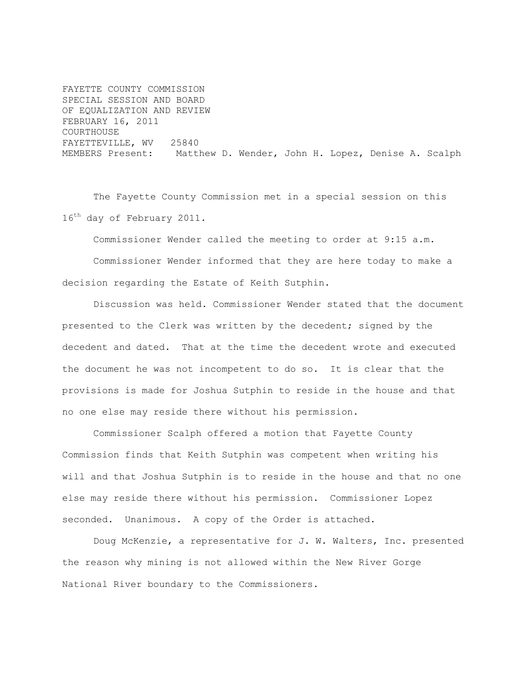FAYETTE COUNTY COMMISSION SPECIAL SESSION AND BOARD OF EQUALIZATION AND REVIEW FEBRUARY 16, 2011 COURTHOUSE FAYETTEVILLE, WV 25840 MEMBERS Present: Matthew D. Wender, John H. Lopez, Denise A. Scalph

The Fayette County Commission met in a special session on this 16<sup>th</sup> day of February 2011.

Commissioner Wender called the meeting to order at 9:15 a.m.

Commissioner Wender informed that they are here today to make a decision regarding the Estate of Keith Sutphin.

Discussion was held. Commissioner Wender stated that the document presented to the Clerk was written by the decedent; signed by the decedent and dated. That at the time the decedent wrote and executed the document he was not incompetent to do so. It is clear that the provisions is made for Joshua Sutphin to reside in the house and that no one else may reside there without his permission.

Commissioner Scalph offered a motion that Fayette County Commission finds that Keith Sutphin was competent when writing his will and that Joshua Sutphin is to reside in the house and that no one else may reside there without his permission. Commissioner Lopez seconded. Unanimous. A copy of the Order is attached.

Doug McKenzie, a representative for J. W. Walters, Inc. presented the reason why mining is not allowed within the New River Gorge National River boundary to the Commissioners.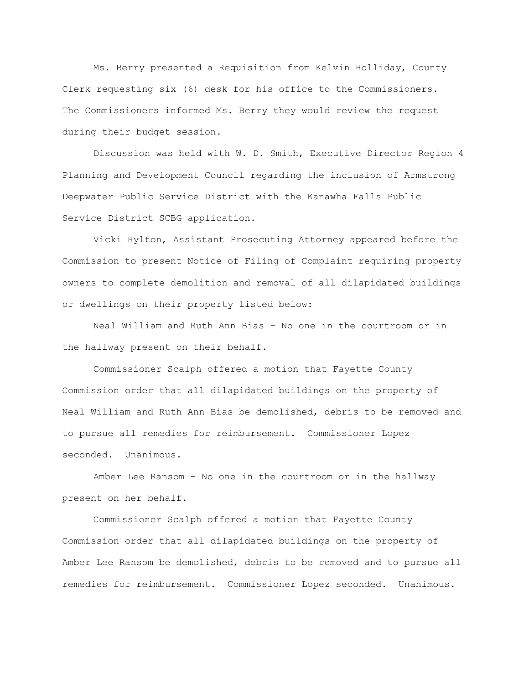Ms. Berry presented a Requisition from Kelvin Holliday, County Clerk requesting six (6) desk for his office to the Commissioners. The Commissioners informed Ms. Berry they would review the request during their budget session.

Discussion was held with W. D. Smith, Executive Director Region 4 Planning and Development Council regarding the inclusion of Armstrong Deepwater Public Service District with the Kanawha Falls Public Service District SCBG application.

Vicki Hylton, Assistant Prosecuting Attorney appeared before the Commission to present Notice of Filing of Complaint requiring property owners to complete demolition and removal of all dilapidated buildings or dwellings on their property listed below:

Neal William and Ruth Ann Bias - No one in the courtroom or in the hallway present on their behalf.

Commissioner Scalph offered a motion that Fayette County Commission order that all dilapidated buildings on the property of Neal William and Ruth Ann Bias be demolished, debris to be removed and to pursue all remedies for reimbursement. Commissioner Lopez seconded. Unanimous.

Amber Lee Ransom - No one in the courtroom or in the hallway present on her behalf.

Commissioner Scalph offered a motion that Fayette County Commission order that all dilapidated buildings on the property of Amber Lee Ransom be demolished, debris to be removed and to pursue all remedies for reimbursement. Commissioner Lopez seconded. Unanimous.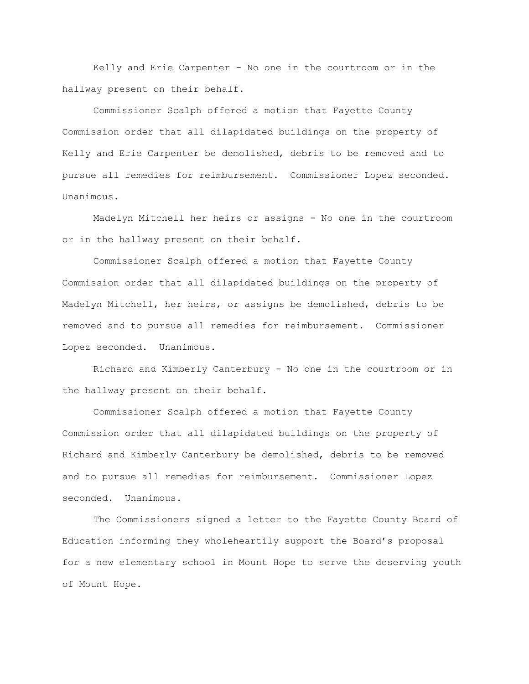Kelly and Erie Carpenter - No one in the courtroom or in the hallway present on their behalf.

Commissioner Scalph offered a motion that Fayette County Commission order that all dilapidated buildings on the property of Kelly and Erie Carpenter be demolished, debris to be removed and to pursue all remedies for reimbursement. Commissioner Lopez seconded. Unanimous.

Madelyn Mitchell her heirs or assigns - No one in the courtroom or in the hallway present on their behalf.

Commissioner Scalph offered a motion that Fayette County Commission order that all dilapidated buildings on the property of Madelyn Mitchell, her heirs, or assigns be demolished, debris to be removed and to pursue all remedies for reimbursement. Commissioner Lopez seconded. Unanimous.

Richard and Kimberly Canterbury - No one in the courtroom or in the hallway present on their behalf.

Commissioner Scalph offered a motion that Fayette County Commission order that all dilapidated buildings on the property of Richard and Kimberly Canterbury be demolished, debris to be removed and to pursue all remedies for reimbursement. Commissioner Lopez seconded. Unanimous.

The Commissioners signed a letter to the Fayette County Board of Education informing they wholeheartily support the Board"s proposal for a new elementary school in Mount Hope to serve the deserving youth of Mount Hope.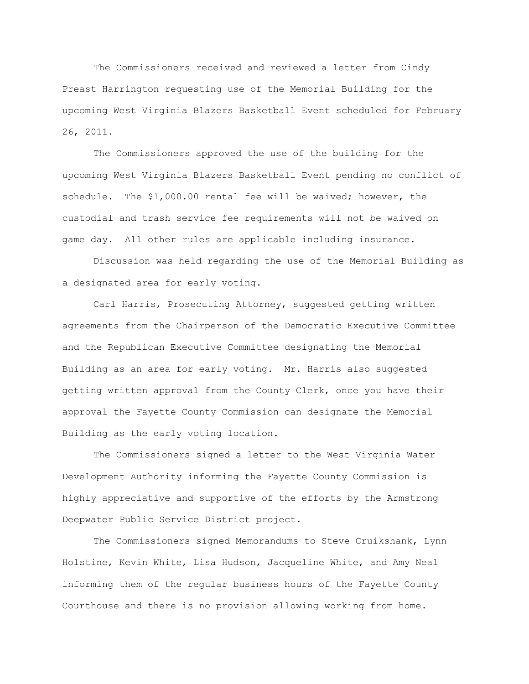The Commissioners received and reviewed a letter from Cindy Preast Harrington requesting use of the Memorial Building for the upcoming West Virginia Blazers Basketball Event scheduled for February 26, 2011.

The Commissioners approved the use of the building for the upcoming West Virginia Blazers Basketball Event pending no conflict of schedule. The \$1,000.00 rental fee will be waived; however, the custodial and trash service fee requirements will not be waived on game day. All other rules are applicable including insurance.

Discussion was held regarding the use of the Memorial Building as a designated area for early voting.

Carl Harris, Prosecuting Attorney, suggested getting written agreements from the Chairperson of the Democratic Executive Committee and the Republican Executive Committee designating the Memorial Building as an area for early voting. Mr. Harris also suggested getting written approval from the County Clerk, once you have their approval the Fayette County Commission can designate the Memorial Building as the early voting location.

The Commissioners signed a letter to the West Virginia Water Development Authority informing the Fayette County Commission is highly appreciative and supportive of the efforts by the Armstrong Deepwater Public Service District project.

The Commissioners signed Memorandums to Steve Cruikshank, Lynn Holstine, Kevin White, Lisa Hudson, Jacqueline White, and Amy Neal informing them of the regular business hours of the Fayette County Courthouse and there is no provision allowing working from home.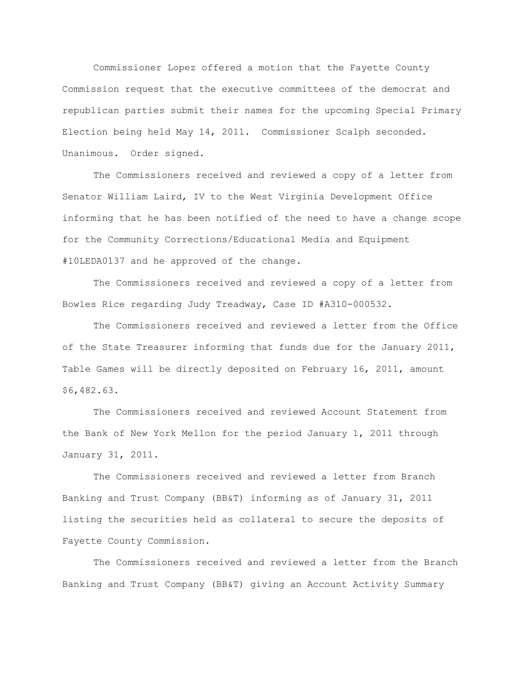Commissioner Lopez offered a motion that the Fayette County Commission request that the executive committees of the democrat and republican parties submit their names for the upcoming Special Primary Election being held May 14, 2011. Commissioner Scalph seconded. Unanimous. Order signed.

The Commissioners received and reviewed a copy of a letter from Senator William Laird, IV to the West Virginia Development Office informing that he has been notified of the need to have a change scope for the Community Corrections/Educational Media and Equipment #10LEDA0137 and he approved of the change.

The Commissioners received and reviewed a copy of a letter from Bowles Rice regarding Judy Treadway, Case ID #A310-000532.

The Commissioners received and reviewed a letter from the Office of the State Treasurer informing that funds due for the January 2011, Table Games will be directly deposited on February 16, 2011, amount \$6,482.63.

The Commissioners received and reviewed Account Statement from the Bank of New York Mellon for the period January 1, 2011 through January 31, 2011.

The Commissioners received and reviewed a letter from Branch Banking and Trust Company (BB&T) informing as of January 31, 2011 listing the securities held as collateral to secure the deposits of Fayette County Commission.

The Commissioners received and reviewed a letter from the Branch Banking and Trust Company (BB&T) giving an Account Activity Summary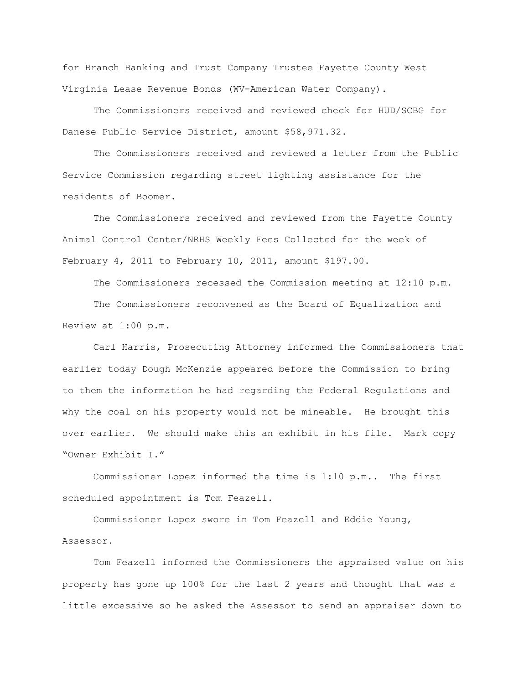for Branch Banking and Trust Company Trustee Fayette County West Virginia Lease Revenue Bonds (WV-American Water Company).

The Commissioners received and reviewed check for HUD/SCBG for Danese Public Service District, amount \$58,971.32.

The Commissioners received and reviewed a letter from the Public Service Commission regarding street lighting assistance for the residents of Boomer.

The Commissioners received and reviewed from the Fayette County Animal Control Center/NRHS Weekly Fees Collected for the week of February 4, 2011 to February 10, 2011, amount \$197.00.

The Commissioners recessed the Commission meeting at 12:10 p.m.

The Commissioners reconvened as the Board of Equalization and Review at 1:00 p.m.

Carl Harris, Prosecuting Attorney informed the Commissioners that earlier today Dough McKenzie appeared before the Commission to bring to them the information he had regarding the Federal Regulations and why the coal on his property would not be mineable. He brought this over earlier. We should make this an exhibit in his file. Mark copy "Owner Exhibit I."

Commissioner Lopez informed the time is 1:10 p.m.. The first scheduled appointment is Tom Feazell.

Commissioner Lopez swore in Tom Feazell and Eddie Young, Assessor.

Tom Feazell informed the Commissioners the appraised value on his property has gone up 100% for the last 2 years and thought that was a little excessive so he asked the Assessor to send an appraiser down to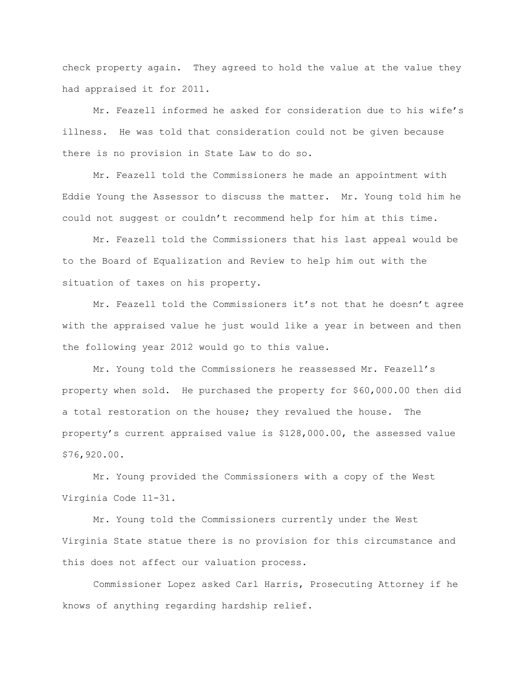check property again. They agreed to hold the value at the value they had appraised it for 2011.

Mr. Feazell informed he asked for consideration due to his wife"s illness. He was told that consideration could not be given because there is no provision in State Law to do so.

Mr. Feazell told the Commissioners he made an appointment with Eddie Young the Assessor to discuss the matter. Mr. Young told him he could not suggest or couldn"t recommend help for him at this time.

Mr. Feazell told the Commissioners that his last appeal would be to the Board of Equalization and Review to help him out with the situation of taxes on his property.

Mr. Feazell told the Commissioners it's not that he doesn't agree with the appraised value he just would like a year in between and then the following year 2012 would go to this value.

Mr. Young told the Commissioners he reassessed Mr. Feazell"s property when sold. He purchased the property for \$60,000.00 then did a total restoration on the house; they revalued the house. The property"s current appraised value is \$128,000.00, the assessed value \$76,920.00.

Mr. Young provided the Commissioners with a copy of the West Virginia Code 11-31.

Mr. Young told the Commissioners currently under the West Virginia State statue there is no provision for this circumstance and this does not affect our valuation process.

Commissioner Lopez asked Carl Harris, Prosecuting Attorney if he knows of anything regarding hardship relief.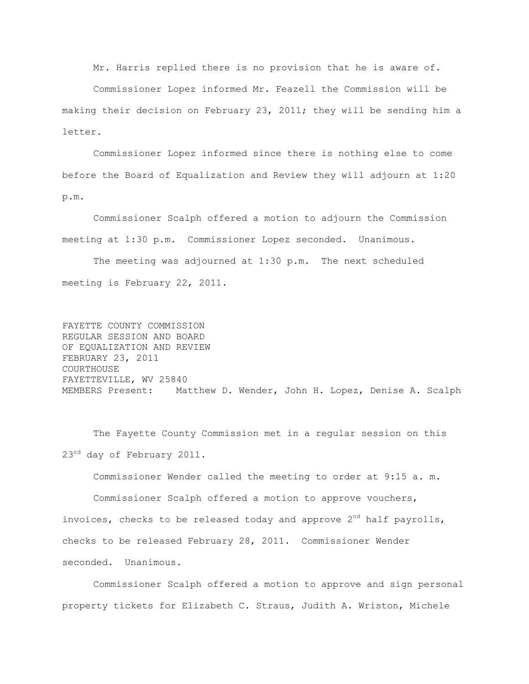Mr. Harris replied there is no provision that he is aware of.

Commissioner Lopez informed Mr. Feazell the Commission will be making their decision on February 23, 2011; they will be sending him a letter.

Commissioner Lopez informed since there is nothing else to come before the Board of Equalization and Review they will adjourn at 1:20 p.m.

Commissioner Scalph offered a motion to adjourn the Commission meeting at 1:30 p.m. Commissioner Lopez seconded. Unanimous.

The meeting was adjourned at 1:30 p.m. The next scheduled meeting is February 22, 2011.

FAYETTE COUNTY COMMISSION REGULAR SESSION AND BOARD OF EQUALIZATION AND REVIEW FEBRUARY 23, 2011 COURTHOUSE FAYETTEVILLE, WV 25840 MEMBERS Present: Matthew D. Wender, John H. Lopez, Denise A. Scalph

The Fayette County Commission met in a regular session on this 23<sup>rd</sup> day of February 2011.

Commissioner Wender called the meeting to order at 9:15 a. m.

Commissioner Scalph offered a motion to approve vouchers, invoices, checks to be released today and approve  $2<sup>nd</sup>$  half payrolls, checks to be released February 28, 2011. Commissioner Wender seconded. Unanimous.

Commissioner Scalph offered a motion to approve and sign personal property tickets for Elizabeth C. Straus, Judith A. Wriston, Michele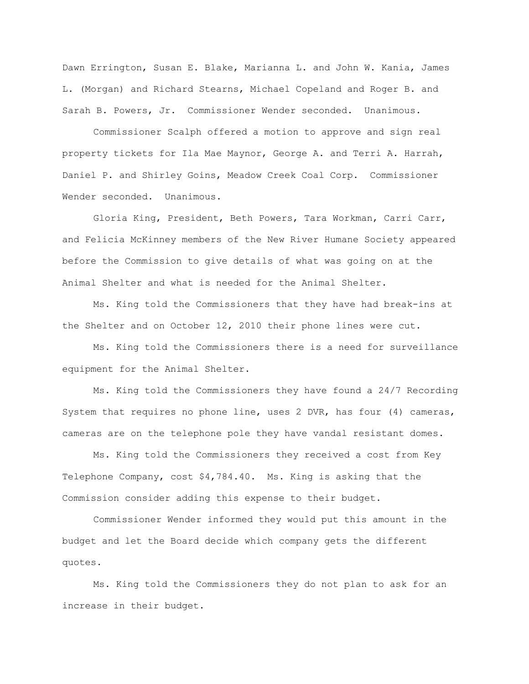Dawn Errington, Susan E. Blake, Marianna L. and John W. Kania, James L. (Morgan) and Richard Stearns, Michael Copeland and Roger B. and Sarah B. Powers, Jr. Commissioner Wender seconded. Unanimous.

Commissioner Scalph offered a motion to approve and sign real property tickets for Ila Mae Maynor, George A. and Terri A. Harrah, Daniel P. and Shirley Goins, Meadow Creek Coal Corp. Commissioner Wender seconded. Unanimous.

Gloria King, President, Beth Powers, Tara Workman, Carri Carr, and Felicia McKinney members of the New River Humane Society appeared before the Commission to give details of what was going on at the Animal Shelter and what is needed for the Animal Shelter.

Ms. King told the Commissioners that they have had break-ins at the Shelter and on October 12, 2010 their phone lines were cut.

Ms. King told the Commissioners there is a need for surveillance equipment for the Animal Shelter.

Ms. King told the Commissioners they have found a 24/7 Recording System that requires no phone line, uses 2 DVR, has four (4) cameras, cameras are on the telephone pole they have vandal resistant domes.

Ms. King told the Commissioners they received a cost from Key Telephone Company, cost \$4,784.40. Ms. King is asking that the Commission consider adding this expense to their budget.

Commissioner Wender informed they would put this amount in the budget and let the Board decide which company gets the different quotes.

Ms. King told the Commissioners they do not plan to ask for an increase in their budget.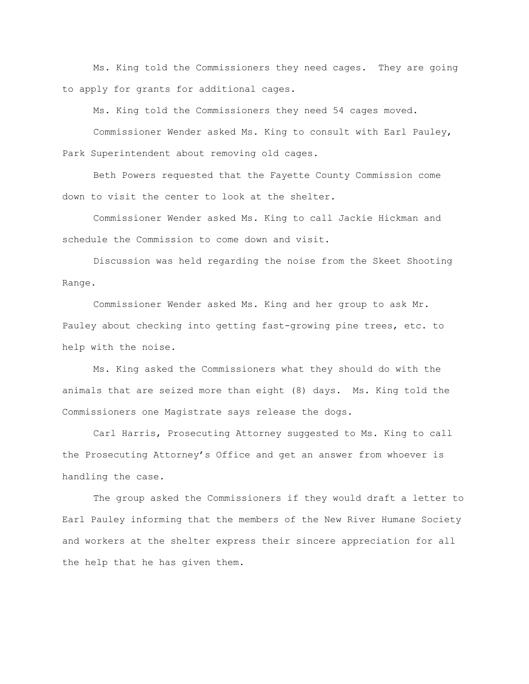Ms. King told the Commissioners they need cages. They are going to apply for grants for additional cages.

Ms. King told the Commissioners they need 54 cages moved.

Commissioner Wender asked Ms. King to consult with Earl Pauley, Park Superintendent about removing old cages.

Beth Powers requested that the Fayette County Commission come down to visit the center to look at the shelter.

Commissioner Wender asked Ms. King to call Jackie Hickman and schedule the Commission to come down and visit.

Discussion was held regarding the noise from the Skeet Shooting Range.

Commissioner Wender asked Ms. King and her group to ask Mr. Pauley about checking into getting fast-growing pine trees, etc. to help with the noise.

Ms. King asked the Commissioners what they should do with the animals that are seized more than eight (8) days. Ms. King told the Commissioners one Magistrate says release the dogs.

Carl Harris, Prosecuting Attorney suggested to Ms. King to call the Prosecuting Attorney"s Office and get an answer from whoever is handling the case.

The group asked the Commissioners if they would draft a letter to Earl Pauley informing that the members of the New River Humane Society and workers at the shelter express their sincere appreciation for all the help that he has given them.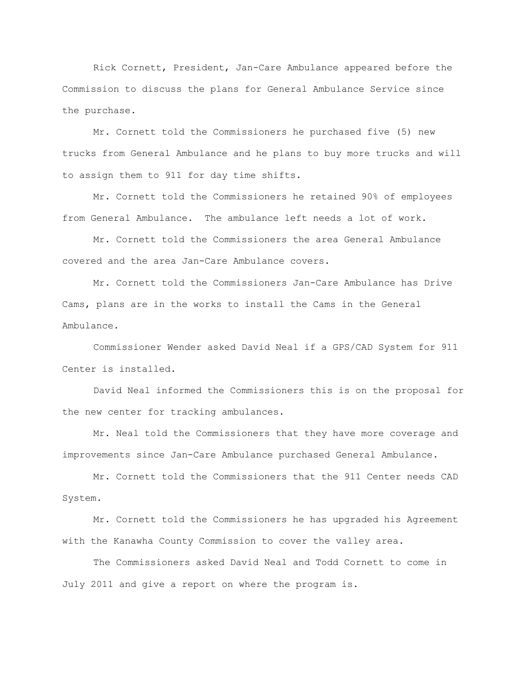Rick Cornett, President, Jan-Care Ambulance appeared before the Commission to discuss the plans for General Ambulance Service since the purchase.

Mr. Cornett told the Commissioners he purchased five (5) new trucks from General Ambulance and he plans to buy more trucks and will to assign them to 911 for day time shifts.

Mr. Cornett told the Commissioners he retained 90% of employees from General Ambulance. The ambulance left needs a lot of work.

Mr. Cornett told the Commissioners the area General Ambulance covered and the area Jan-Care Ambulance covers.

Mr. Cornett told the Commissioners Jan-Care Ambulance has Drive Cams, plans are in the works to install the Cams in the General Ambulance.

Commissioner Wender asked David Neal if a GPS/CAD System for 911 Center is installed.

David Neal informed the Commissioners this is on the proposal for the new center for tracking ambulances.

Mr. Neal told the Commissioners that they have more coverage and improvements since Jan-Care Ambulance purchased General Ambulance.

Mr. Cornett told the Commissioners that the 911 Center needs CAD System.

Mr. Cornett told the Commissioners he has upgraded his Agreement with the Kanawha County Commission to cover the valley area.

The Commissioners asked David Neal and Todd Cornett to come in July 2011 and give a report on where the program is.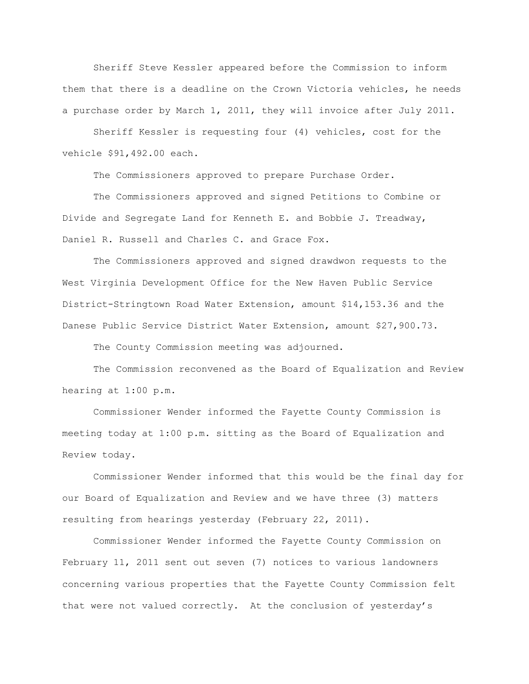Sheriff Steve Kessler appeared before the Commission to inform them that there is a deadline on the Crown Victoria vehicles, he needs a purchase order by March 1, 2011, they will invoice after July 2011.

Sheriff Kessler is requesting four (4) vehicles, cost for the vehicle \$91,492.00 each.

The Commissioners approved to prepare Purchase Order.

The Commissioners approved and signed Petitions to Combine or Divide and Segregate Land for Kenneth E. and Bobbie J. Treadway, Daniel R. Russell and Charles C. and Grace Fox.

The Commissioners approved and signed drawdwon requests to the West Virginia Development Office for the New Haven Public Service District-Stringtown Road Water Extension, amount \$14,153.36 and the Danese Public Service District Water Extension, amount \$27,900.73.

The County Commission meeting was adjourned.

The Commission reconvened as the Board of Equalization and Review hearing at 1:00 p.m.

Commissioner Wender informed the Fayette County Commission is meeting today at 1:00 p.m. sitting as the Board of Equalization and Review today.

Commissioner Wender informed that this would be the final day for our Board of Equalization and Review and we have three (3) matters resulting from hearings yesterday (February 22, 2011).

Commissioner Wender informed the Fayette County Commission on February 11, 2011 sent out seven (7) notices to various landowners concerning various properties that the Fayette County Commission felt that were not valued correctly. At the conclusion of yesterday"s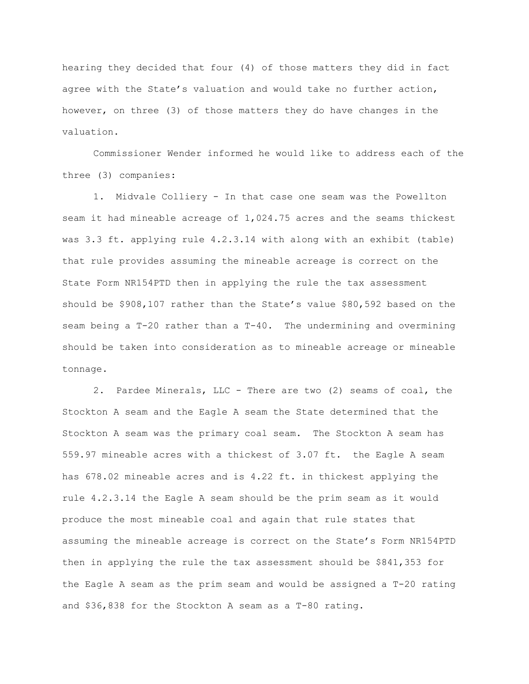hearing they decided that four (4) of those matters they did in fact agree with the State's valuation and would take no further action, however, on three (3) of those matters they do have changes in the valuation.

Commissioner Wender informed he would like to address each of the three (3) companies:

1. Midvale Colliery - In that case one seam was the Powellton seam it had mineable acreage of 1,024.75 acres and the seams thickest was 3.3 ft. applying rule 4.2.3.14 with along with an exhibit (table) that rule provides assuming the mineable acreage is correct on the State Form NR154PTD then in applying the rule the tax assessment should be \$908,107 rather than the State"s value \$80,592 based on the seam being a T-20 rather than a T-40. The undermining and overmining should be taken into consideration as to mineable acreage or mineable tonnage.

2. Pardee Minerals, LLC - There are two (2) seams of coal, the Stockton A seam and the Eagle A seam the State determined that the Stockton A seam was the primary coal seam. The Stockton A seam has 559.97 mineable acres with a thickest of 3.07 ft. the Eagle A seam has 678.02 mineable acres and is 4.22 ft. in thickest applying the rule 4.2.3.14 the Eagle A seam should be the prim seam as it would produce the most mineable coal and again that rule states that assuming the mineable acreage is correct on the State"s Form NR154PTD then in applying the rule the tax assessment should be \$841,353 for the Eagle A seam as the prim seam and would be assigned a T-20 rating and \$36,838 for the Stockton A seam as a T-80 rating.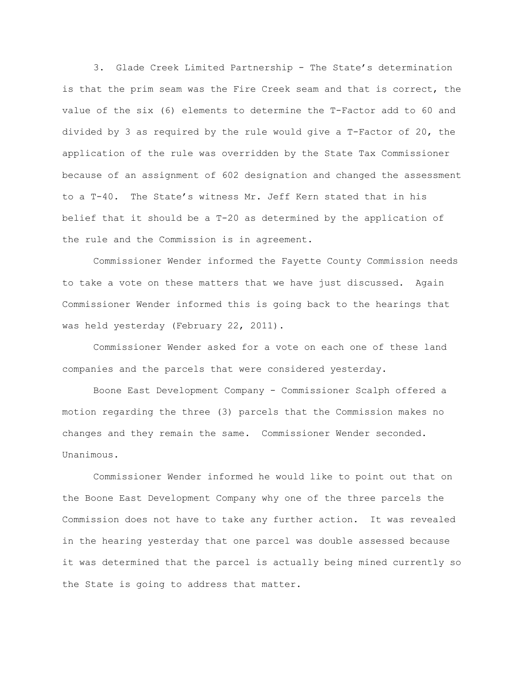3. Glade Creek Limited Partnership - The State"s determination is that the prim seam was the Fire Creek seam and that is correct, the value of the six (6) elements to determine the T-Factor add to 60 and divided by 3 as required by the rule would give a T-Factor of 20, the application of the rule was overridden by the State Tax Commissioner because of an assignment of 602 designation and changed the assessment to a T-40. The State"s witness Mr. Jeff Kern stated that in his belief that it should be a T-20 as determined by the application of the rule and the Commission is in agreement.

Commissioner Wender informed the Fayette County Commission needs to take a vote on these matters that we have just discussed. Again Commissioner Wender informed this is going back to the hearings that was held yesterday (February 22, 2011).

Commissioner Wender asked for a vote on each one of these land companies and the parcels that were considered yesterday.

Boone East Development Company - Commissioner Scalph offered a motion regarding the three (3) parcels that the Commission makes no changes and they remain the same. Commissioner Wender seconded. Unanimous.

Commissioner Wender informed he would like to point out that on the Boone East Development Company why one of the three parcels the Commission does not have to take any further action. It was revealed in the hearing yesterday that one parcel was double assessed because it was determined that the parcel is actually being mined currently so the State is going to address that matter.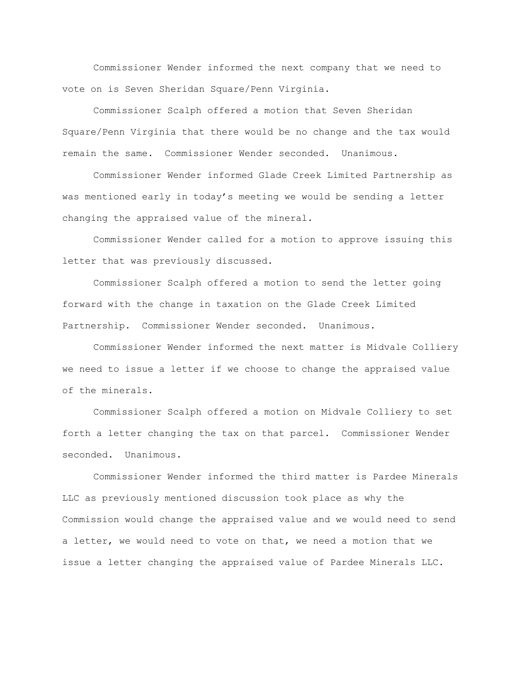Commissioner Wender informed the next company that we need to vote on is Seven Sheridan Square/Penn Virginia.

Commissioner Scalph offered a motion that Seven Sheridan Square/Penn Virginia that there would be no change and the tax would remain the same. Commissioner Wender seconded. Unanimous.

Commissioner Wender informed Glade Creek Limited Partnership as was mentioned early in today"s meeting we would be sending a letter changing the appraised value of the mineral.

Commissioner Wender called for a motion to approve issuing this letter that was previously discussed.

Commissioner Scalph offered a motion to send the letter going forward with the change in taxation on the Glade Creek Limited Partnership. Commissioner Wender seconded. Unanimous.

Commissioner Wender informed the next matter is Midvale Colliery we need to issue a letter if we choose to change the appraised value of the minerals.

Commissioner Scalph offered a motion on Midvale Colliery to set forth a letter changing the tax on that parcel. Commissioner Wender seconded. Unanimous.

Commissioner Wender informed the third matter is Pardee Minerals LLC as previously mentioned discussion took place as why the Commission would change the appraised value and we would need to send a letter, we would need to vote on that, we need a motion that we issue a letter changing the appraised value of Pardee Minerals LLC.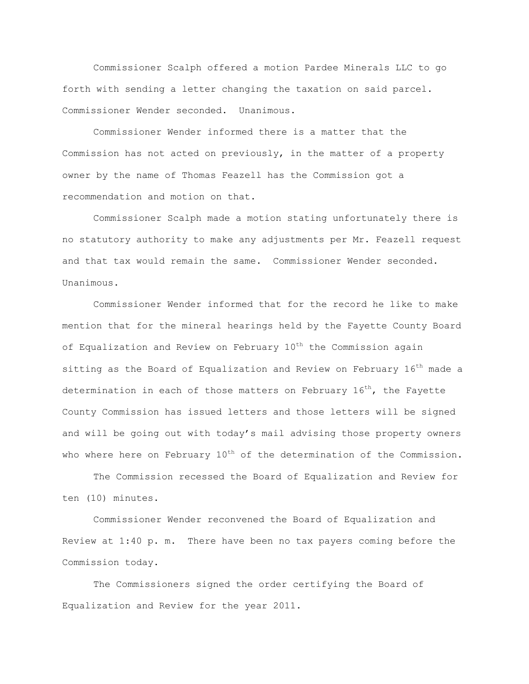Commissioner Scalph offered a motion Pardee Minerals LLC to go forth with sending a letter changing the taxation on said parcel. Commissioner Wender seconded. Unanimous.

Commissioner Wender informed there is a matter that the Commission has not acted on previously, in the matter of a property owner by the name of Thomas Feazell has the Commission got a recommendation and motion on that.

Commissioner Scalph made a motion stating unfortunately there is no statutory authority to make any adjustments per Mr. Feazell request and that tax would remain the same. Commissioner Wender seconded. Unanimous.

Commissioner Wender informed that for the record he like to make mention that for the mineral hearings held by the Fayette County Board of Equalization and Review on February 10<sup>th</sup> the Commission again sitting as the Board of Equalization and Review on February 16<sup>th</sup> made a determination in each of those matters on February  $16<sup>th</sup>$ , the Fayette County Commission has issued letters and those letters will be signed and will be going out with today"s mail advising those property owners who where here on February  $10^{th}$  of the determination of the Commission.

The Commission recessed the Board of Equalization and Review for ten (10) minutes.

Commissioner Wender reconvened the Board of Equalization and Review at 1:40 p. m. There have been no tax payers coming before the Commission today.

The Commissioners signed the order certifying the Board of Equalization and Review for the year 2011.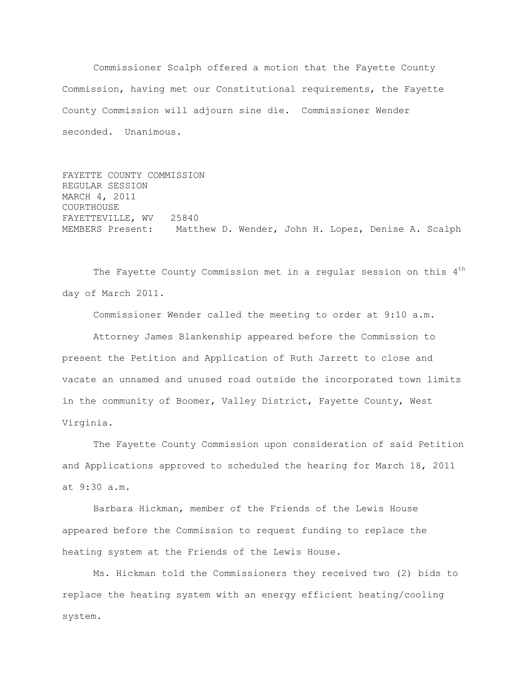Commissioner Scalph offered a motion that the Fayette County Commission, having met our Constitutional requirements, the Fayette County Commission will adjourn sine die. Commissioner Wender seconded. Unanimous.

FAYETTE COUNTY COMMISSION REGULAR SESSION MARCH 4, 2011 COURTHOUSE FAYETTEVILLE, WV 25840 MEMBERS Present: Matthew D. Wender, John H. Lopez, Denise A. Scalph

The Fayette County Commission met in a regular session on this 4<sup>th</sup> day of March 2011.

Commissioner Wender called the meeting to order at 9:10 a.m.

Attorney James Blankenship appeared before the Commission to present the Petition and Application of Ruth Jarrett to close and vacate an unnamed and unused road outside the incorporated town limits in the community of Boomer, Valley District, Fayette County, West Virginia.

The Fayette County Commission upon consideration of said Petition and Applications approved to scheduled the hearing for March 18, 2011 at 9:30 a.m.

Barbara Hickman, member of the Friends of the Lewis House appeared before the Commission to request funding to replace the heating system at the Friends of the Lewis House.

Ms. Hickman told the Commissioners they received two (2) bids to replace the heating system with an energy efficient heating/cooling system.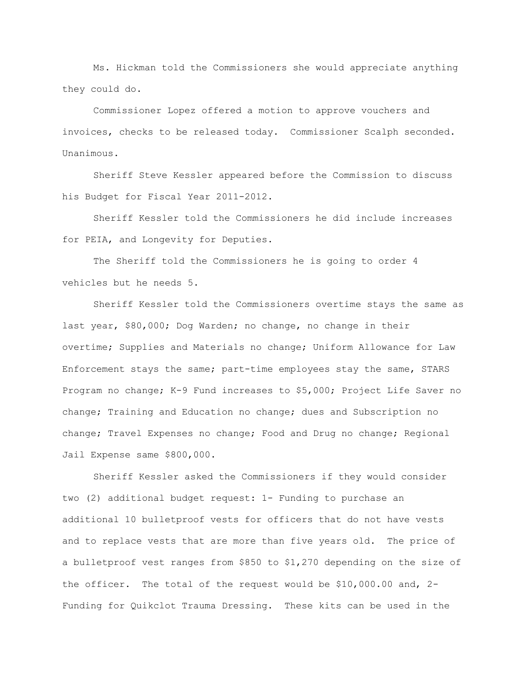Ms. Hickman told the Commissioners she would appreciate anything they could do.

Commissioner Lopez offered a motion to approve vouchers and invoices, checks to be released today. Commissioner Scalph seconded. Unanimous.

Sheriff Steve Kessler appeared before the Commission to discuss his Budget for Fiscal Year 2011-2012.

Sheriff Kessler told the Commissioners he did include increases for PEIA, and Longevity for Deputies.

The Sheriff told the Commissioners he is going to order 4 vehicles but he needs 5.

Sheriff Kessler told the Commissioners overtime stays the same as last year, \$80,000; Dog Warden; no change, no change in their overtime; Supplies and Materials no change; Uniform Allowance for Law Enforcement stays the same; part-time employees stay the same, STARS Program no change; K-9 Fund increases to \$5,000; Project Life Saver no change; Training and Education no change; dues and Subscription no change; Travel Expenses no change; Food and Drug no change; Regional Jail Expense same \$800,000.

Sheriff Kessler asked the Commissioners if they would consider two (2) additional budget request: 1- Funding to purchase an additional 10 bulletproof vests for officers that do not have vests and to replace vests that are more than five years old. The price of a bulletproof vest ranges from \$850 to \$1,270 depending on the size of the officer. The total of the request would be \$10,000.00 and, 2- Funding for Quikclot Trauma Dressing. These kits can be used in the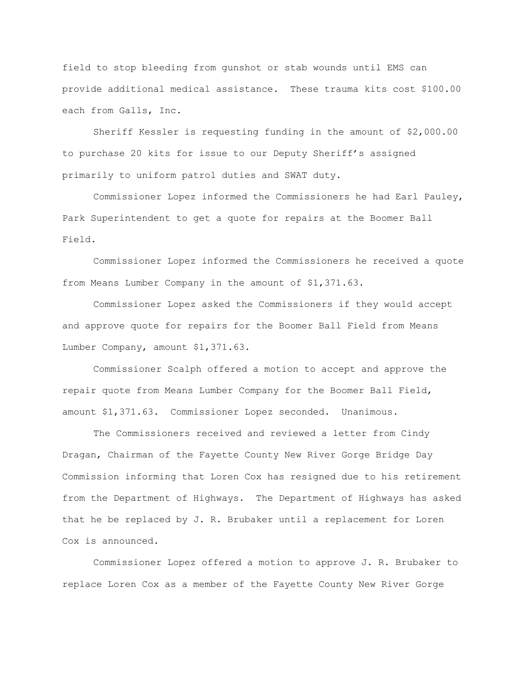field to stop bleeding from gunshot or stab wounds until EMS can provide additional medical assistance. These trauma kits cost \$100.00 each from Galls, Inc.

Sheriff Kessler is requesting funding in the amount of \$2,000.00 to purchase 20 kits for issue to our Deputy Sheriff"s assigned primarily to uniform patrol duties and SWAT duty.

Commissioner Lopez informed the Commissioners he had Earl Pauley, Park Superintendent to get a quote for repairs at the Boomer Ball Field.

Commissioner Lopez informed the Commissioners he received a quote from Means Lumber Company in the amount of \$1,371.63.

Commissioner Lopez asked the Commissioners if they would accept and approve quote for repairs for the Boomer Ball Field from Means Lumber Company, amount \$1,371.63.

Commissioner Scalph offered a motion to accept and approve the repair quote from Means Lumber Company for the Boomer Ball Field, amount \$1,371.63. Commissioner Lopez seconded. Unanimous.

The Commissioners received and reviewed a letter from Cindy Dragan, Chairman of the Fayette County New River Gorge Bridge Day Commission informing that Loren Cox has resigned due to his retirement from the Department of Highways. The Department of Highways has asked that he be replaced by J. R. Brubaker until a replacement for Loren Cox is announced.

Commissioner Lopez offered a motion to approve J. R. Brubaker to replace Loren Cox as a member of the Fayette County New River Gorge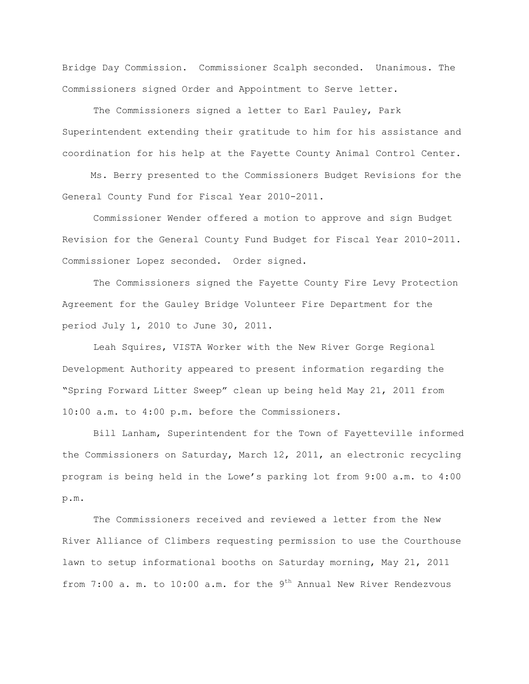Bridge Day Commission. Commissioner Scalph seconded. Unanimous. The Commissioners signed Order and Appointment to Serve letter.

The Commissioners signed a letter to Earl Pauley, Park Superintendent extending their gratitude to him for his assistance and coordination for his help at the Fayette County Animal Control Center.

 Ms. Berry presented to the Commissioners Budget Revisions for the General County Fund for Fiscal Year 2010-2011.

Commissioner Wender offered a motion to approve and sign Budget Revision for the General County Fund Budget for Fiscal Year 2010-2011. Commissioner Lopez seconded. Order signed.

The Commissioners signed the Fayette County Fire Levy Protection Agreement for the Gauley Bridge Volunteer Fire Department for the period July 1, 2010 to June 30, 2011.

Leah Squires, VISTA Worker with the New River Gorge Regional Development Authority appeared to present information regarding the "Spring Forward Litter Sweep" clean up being held May 21, 2011 from 10:00 a.m. to 4:00 p.m. before the Commissioners.

Bill Lanham, Superintendent for the Town of Fayetteville informed the Commissioners on Saturday, March 12, 2011, an electronic recycling program is being held in the Lowe"s parking lot from 9:00 a.m. to 4:00 p.m.

The Commissioners received and reviewed a letter from the New River Alliance of Climbers requesting permission to use the Courthouse lawn to setup informational booths on Saturday morning, May 21, 2011 from  $7:00$  a. m. to  $10:00$  a.m. for the  $9<sup>th</sup>$  Annual New River Rendezvous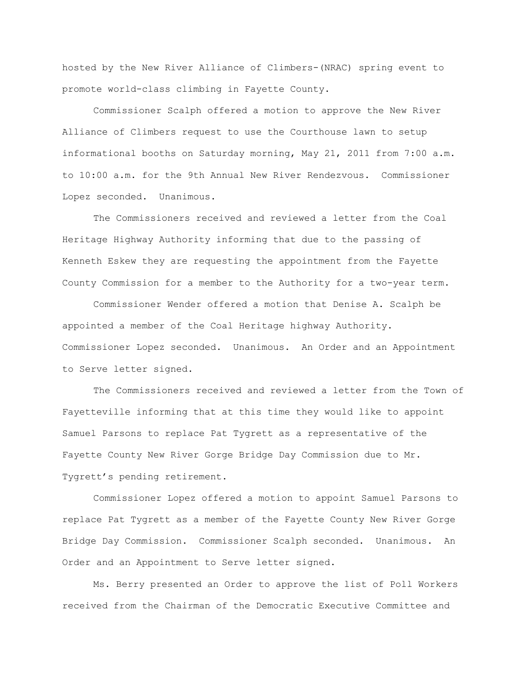hosted by the New River Alliance of Climbers-(NRAC) spring event to promote world-class climbing in Fayette County.

Commissioner Scalph offered a motion to approve the New River Alliance of Climbers request to use the Courthouse lawn to setup informational booths on Saturday morning, May 21, 2011 from 7:00 a.m. to 10:00 a.m. for the 9th Annual New River Rendezvous. Commissioner Lopez seconded. Unanimous.

The Commissioners received and reviewed a letter from the Coal Heritage Highway Authority informing that due to the passing of Kenneth Eskew they are requesting the appointment from the Fayette County Commission for a member to the Authority for a two-year term.

Commissioner Wender offered a motion that Denise A. Scalph be appointed a member of the Coal Heritage highway Authority. Commissioner Lopez seconded. Unanimous. An Order and an Appointment to Serve letter signed.

The Commissioners received and reviewed a letter from the Town of Fayetteville informing that at this time they would like to appoint Samuel Parsons to replace Pat Tygrett as a representative of the Fayette County New River Gorge Bridge Day Commission due to Mr. Tygrett"s pending retirement.

Commissioner Lopez offered a motion to appoint Samuel Parsons to replace Pat Tygrett as a member of the Fayette County New River Gorge Bridge Day Commission. Commissioner Scalph seconded. Unanimous. An Order and an Appointment to Serve letter signed.

Ms. Berry presented an Order to approve the list of Poll Workers received from the Chairman of the Democratic Executive Committee and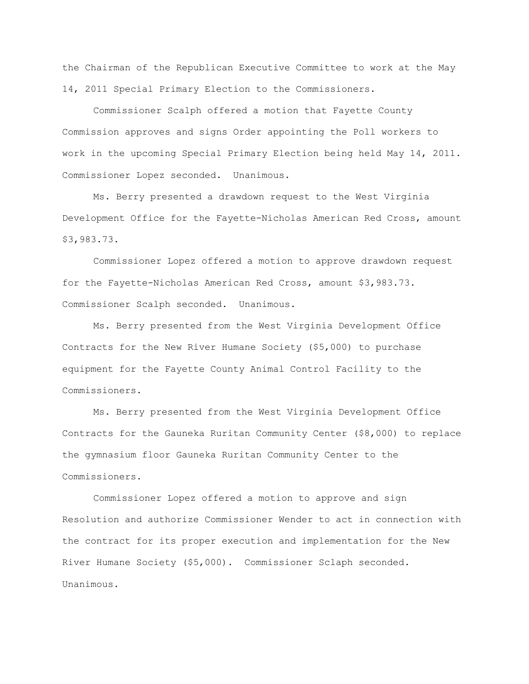the Chairman of the Republican Executive Committee to work at the May 14, 2011 Special Primary Election to the Commissioners.

Commissioner Scalph offered a motion that Fayette County Commission approves and signs Order appointing the Poll workers to work in the upcoming Special Primary Election being held May 14, 2011. Commissioner Lopez seconded. Unanimous.

Ms. Berry presented a drawdown request to the West Virginia Development Office for the Fayette-Nicholas American Red Cross, amount \$3,983.73.

Commissioner Lopez offered a motion to approve drawdown request for the Fayette-Nicholas American Red Cross, amount \$3,983.73. Commissioner Scalph seconded. Unanimous.

Ms. Berry presented from the West Virginia Development Office Contracts for the New River Humane Society (\$5,000) to purchase equipment for the Fayette County Animal Control Facility to the Commissioners.

Ms. Berry presented from the West Virginia Development Office Contracts for the Gauneka Ruritan Community Center (\$8,000) to replace the gymnasium floor Gauneka Ruritan Community Center to the Commissioners.

Commissioner Lopez offered a motion to approve and sign Resolution and authorize Commissioner Wender to act in connection with the contract for its proper execution and implementation for the New River Humane Society (\$5,000). Commissioner Sclaph seconded. Unanimous.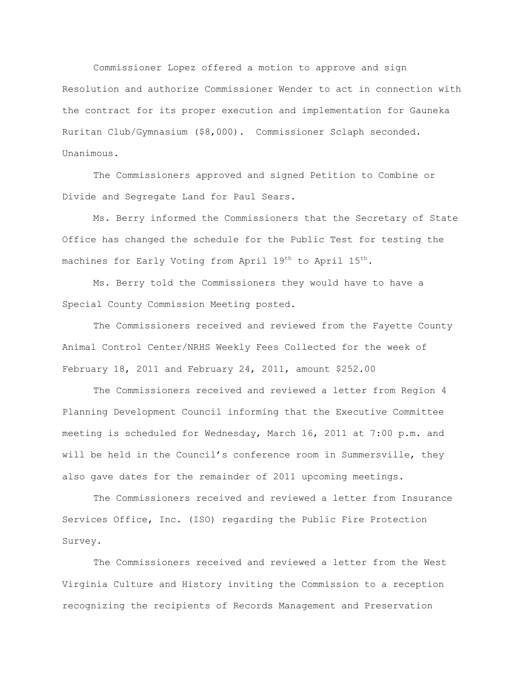Commissioner Lopez offered a motion to approve and sign Resolution and authorize Commissioner Wender to act in connection with the contract for its proper execution and implementation for Gauneka Ruritan Club/Gymnasium (\$8,000). Commissioner Sclaph seconded. Unanimous.

The Commissioners approved and signed Petition to Combine or Divide and Segregate Land for Paul Sears.

Ms. Berry informed the Commissioners that the Secretary of State Office has changed the schedule for the Public Test for testing the machines for Early Voting from April 19<sup>th</sup> to April 15<sup>th</sup>.

Ms. Berry told the Commissioners they would have to have a Special County Commission Meeting posted.

The Commissioners received and reviewed from the Fayette County Animal Control Center/NRHS Weekly Fees Collected for the week of February 18, 2011 and February 24, 2011, amount \$252.00

The Commissioners received and reviewed a letter from Region 4 Planning Development Council informing that the Executive Committee meeting is scheduled for Wednesday, March 16, 2011 at 7:00 p.m. and will be held in the Council's conference room in Summersville, they also gave dates for the remainder of 2011 upcoming meetings.

The Commissioners received and reviewed a letter from Insurance Services Office, Inc. (ISO) regarding the Public Fire Protection Survey.

The Commissioners received and reviewed a letter from the West Virginia Culture and History inviting the Commission to a reception recognizing the recipients of Records Management and Preservation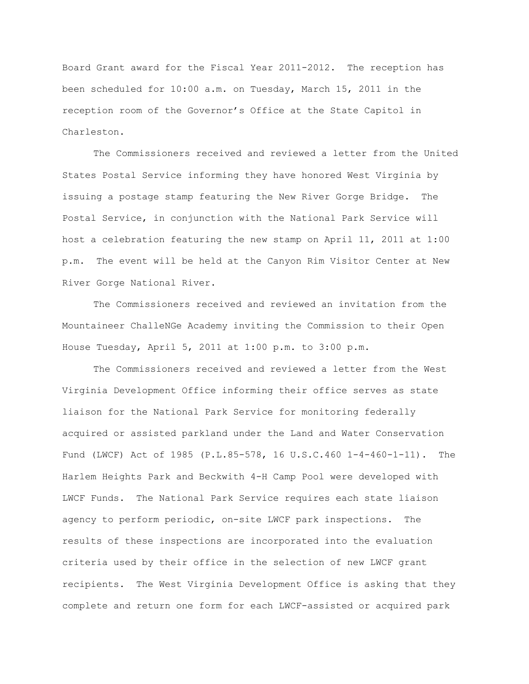Board Grant award for the Fiscal Year 2011-2012. The reception has been scheduled for 10:00 a.m. on Tuesday, March 15, 2011 in the reception room of the Governor"s Office at the State Capitol in Charleston.

The Commissioners received and reviewed a letter from the United States Postal Service informing they have honored West Virginia by issuing a postage stamp featuring the New River Gorge Bridge. The Postal Service, in conjunction with the National Park Service will host a celebration featuring the new stamp on April 11, 2011 at 1:00 p.m. The event will be held at the Canyon Rim Visitor Center at New River Gorge National River.

The Commissioners received and reviewed an invitation from the Mountaineer ChalleNGe Academy inviting the Commission to their Open House Tuesday, April 5, 2011 at 1:00 p.m. to 3:00 p.m.

The Commissioners received and reviewed a letter from the West Virginia Development Office informing their office serves as state liaison for the National Park Service for monitoring federally acquired or assisted parkland under the Land and Water Conservation Fund (LWCF) Act of 1985 (P.L.85-578, 16 U.S.C.460 1-4-460-1-11). The Harlem Heights Park and Beckwith 4-H Camp Pool were developed with LWCF Funds. The National Park Service requires each state liaison agency to perform periodic, on-site LWCF park inspections. The results of these inspections are incorporated into the evaluation criteria used by their office in the selection of new LWCF grant recipients. The West Virginia Development Office is asking that they complete and return one form for each LWCF-assisted or acquired park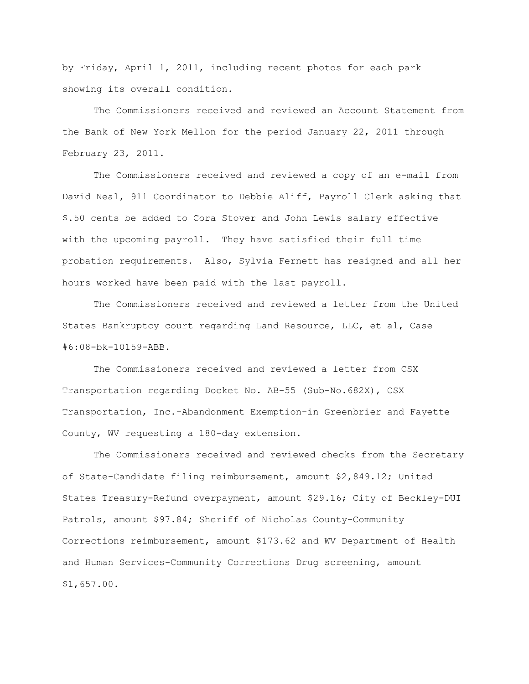by Friday, April 1, 2011, including recent photos for each park showing its overall condition.

The Commissioners received and reviewed an Account Statement from the Bank of New York Mellon for the period January 22, 2011 through February 23, 2011.

The Commissioners received and reviewed a copy of an e-mail from David Neal, 911 Coordinator to Debbie Aliff, Payroll Clerk asking that \$.50 cents be added to Cora Stover and John Lewis salary effective with the upcoming payroll. They have satisfied their full time probation requirements. Also, Sylvia Fernett has resigned and all her hours worked have been paid with the last payroll.

The Commissioners received and reviewed a letter from the United States Bankruptcy court regarding Land Resource, LLC, et al, Case #6:08-bk-10159-ABB.

The Commissioners received and reviewed a letter from CSX Transportation regarding Docket No. AB-55 (Sub-No.682X), CSX Transportation, Inc.-Abandonment Exemption-in Greenbrier and Fayette County, WV requesting a 180-day extension.

The Commissioners received and reviewed checks from the Secretary of State-Candidate filing reimbursement, amount \$2,849.12; United States Treasury-Refund overpayment, amount \$29.16; City of Beckley-DUI Patrols, amount \$97.84; Sheriff of Nicholas County-Community Corrections reimbursement, amount \$173.62 and WV Department of Health and Human Services-Community Corrections Drug screening, amount \$1,657.00.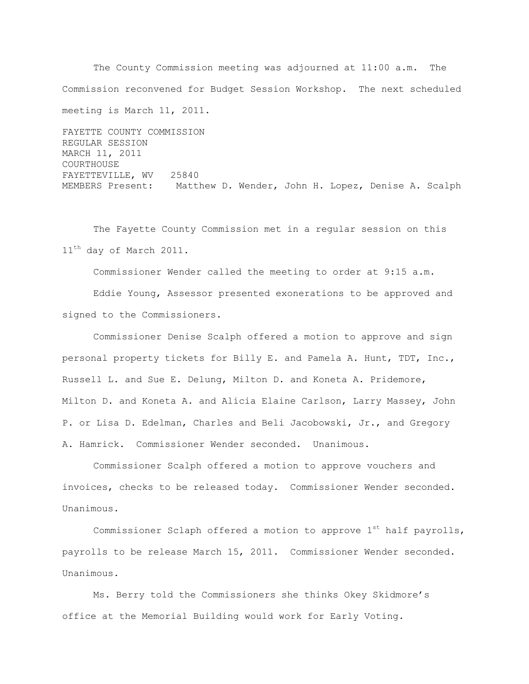The County Commission meeting was adjourned at 11:00 a.m. The Commission reconvened for Budget Session Workshop. The next scheduled meeting is March 11, 2011.

FAYETTE COUNTY COMMISSION REGULAR SESSION MARCH 11, 2011 COURTHOUSE FAYETTEVILLE, WV 25840 MEMBERS Present: Matthew D. Wender, John H. Lopez, Denise A. Scalph

The Fayette County Commission met in a regular session on this 11<sup>th</sup> day of March 2011.

Commissioner Wender called the meeting to order at 9:15 a.m.

Eddie Young, Assessor presented exonerations to be approved and signed to the Commissioners.

Commissioner Denise Scalph offered a motion to approve and sign personal property tickets for Billy E. and Pamela A. Hunt, TDT, Inc., Russell L. and Sue E. Delung, Milton D. and Koneta A. Pridemore, Milton D. and Koneta A. and Alicia Elaine Carlson, Larry Massey, John P. or Lisa D. Edelman, Charles and Beli Jacobowski, Jr., and Gregory A. Hamrick. Commissioner Wender seconded. Unanimous.

Commissioner Scalph offered a motion to approve vouchers and invoices, checks to be released today. Commissioner Wender seconded. Unanimous.

Commissioner Sclaph offered a motion to approve  $1^{st}$  half payrolls, payrolls to be release March 15, 2011. Commissioner Wender seconded. Unanimous.

Ms. Berry told the Commissioners she thinks Okey Skidmore"s office at the Memorial Building would work for Early Voting.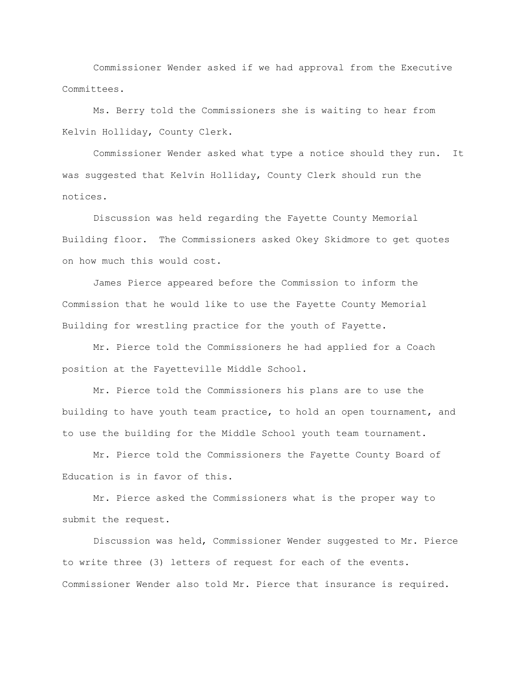Commissioner Wender asked if we had approval from the Executive Committees.

Ms. Berry told the Commissioners she is waiting to hear from Kelvin Holliday, County Clerk.

Commissioner Wender asked what type a notice should they run. It was suggested that Kelvin Holliday, County Clerk should run the notices.

Discussion was held regarding the Fayette County Memorial Building floor. The Commissioners asked Okey Skidmore to get quotes on how much this would cost.

James Pierce appeared before the Commission to inform the Commission that he would like to use the Fayette County Memorial Building for wrestling practice for the youth of Fayette.

Mr. Pierce told the Commissioners he had applied for a Coach position at the Fayetteville Middle School.

Mr. Pierce told the Commissioners his plans are to use the building to have youth team practice, to hold an open tournament, and to use the building for the Middle School youth team tournament.

 Mr. Pierce told the Commissioners the Fayette County Board of Education is in favor of this.

Mr. Pierce asked the Commissioners what is the proper way to submit the request.

Discussion was held, Commissioner Wender suggested to Mr. Pierce to write three (3) letters of request for each of the events. Commissioner Wender also told Mr. Pierce that insurance is required.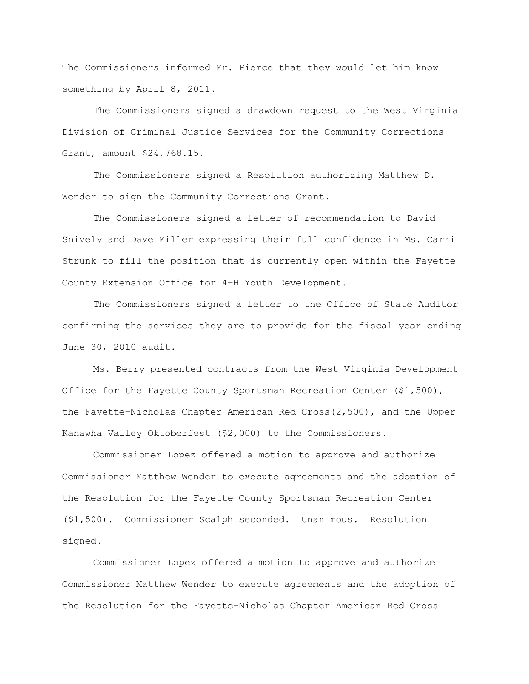The Commissioners informed Mr. Pierce that they would let him know something by April 8, 2011.

The Commissioners signed a drawdown request to the West Virginia Division of Criminal Justice Services for the Community Corrections Grant, amount \$24,768.15.

The Commissioners signed a Resolution authorizing Matthew D. Wender to sign the Community Corrections Grant.

The Commissioners signed a letter of recommendation to David Snively and Dave Miller expressing their full confidence in Ms. Carri Strunk to fill the position that is currently open within the Fayette County Extension Office for 4-H Youth Development.

The Commissioners signed a letter to the Office of State Auditor confirming the services they are to provide for the fiscal year ending June 30, 2010 audit.

Ms. Berry presented contracts from the West Virginia Development Office for the Fayette County Sportsman Recreation Center (\$1,500), the Fayette-Nicholas Chapter American Red Cross(2,500), and the Upper Kanawha Valley Oktoberfest (\$2,000) to the Commissioners.

Commissioner Lopez offered a motion to approve and authorize Commissioner Matthew Wender to execute agreements and the adoption of the Resolution for the Fayette County Sportsman Recreation Center (\$1,500). Commissioner Scalph seconded. Unanimous. Resolution signed.

Commissioner Lopez offered a motion to approve and authorize Commissioner Matthew Wender to execute agreements and the adoption of the Resolution for the Fayette-Nicholas Chapter American Red Cross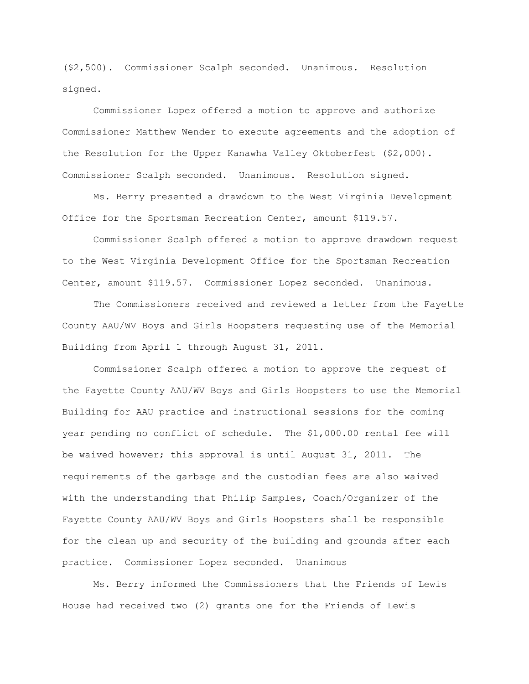(\$2,500). Commissioner Scalph seconded. Unanimous. Resolution signed.

Commissioner Lopez offered a motion to approve and authorize Commissioner Matthew Wender to execute agreements and the adoption of the Resolution for the Upper Kanawha Valley Oktoberfest (\$2,000). Commissioner Scalph seconded. Unanimous. Resolution signed.

Ms. Berry presented a drawdown to the West Virginia Development Office for the Sportsman Recreation Center, amount \$119.57.

Commissioner Scalph offered a motion to approve drawdown request to the West Virginia Development Office for the Sportsman Recreation Center, amount \$119.57. Commissioner Lopez seconded. Unanimous.

The Commissioners received and reviewed a letter from the Fayette County AAU/WV Boys and Girls Hoopsters requesting use of the Memorial Building from April 1 through August 31, 2011.

Commissioner Scalph offered a motion to approve the request of the Fayette County AAU/WV Boys and Girls Hoopsters to use the Memorial Building for AAU practice and instructional sessions for the coming year pending no conflict of schedule. The \$1,000.00 rental fee will be waived however; this approval is until August 31, 2011. The requirements of the garbage and the custodian fees are also waived with the understanding that Philip Samples, Coach/Organizer of the Fayette County AAU/WV Boys and Girls Hoopsters shall be responsible for the clean up and security of the building and grounds after each practice. Commissioner Lopez seconded. Unanimous

Ms. Berry informed the Commissioners that the Friends of Lewis House had received two (2) grants one for the Friends of Lewis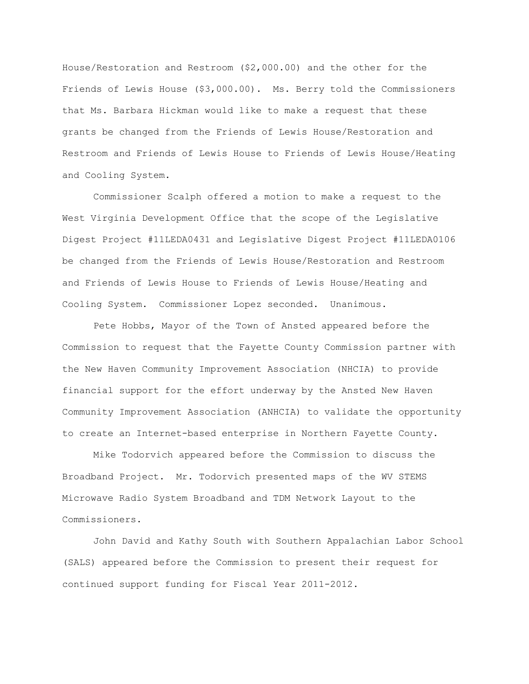House/Restoration and Restroom (\$2,000.00) and the other for the Friends of Lewis House (\$3,000.00). Ms. Berry told the Commissioners that Ms. Barbara Hickman would like to make a request that these grants be changed from the Friends of Lewis House/Restoration and Restroom and Friends of Lewis House to Friends of Lewis House/Heating and Cooling System.

Commissioner Scalph offered a motion to make a request to the West Virginia Development Office that the scope of the Legislative Digest Project #11LEDA0431 and Legislative Digest Project #11LEDA0106 be changed from the Friends of Lewis House/Restoration and Restroom and Friends of Lewis House to Friends of Lewis House/Heating and Cooling System. Commissioner Lopez seconded. Unanimous.

Pete Hobbs, Mayor of the Town of Ansted appeared before the Commission to request that the Fayette County Commission partner with the New Haven Community Improvement Association (NHCIA) to provide financial support for the effort underway by the Ansted New Haven Community Improvement Association (ANHCIA) to validate the opportunity to create an Internet-based enterprise in Northern Fayette County.

Mike Todorvich appeared before the Commission to discuss the Broadband Project. Mr. Todorvich presented maps of the WV STEMS Microwave Radio System Broadband and TDM Network Layout to the Commissioners.

John David and Kathy South with Southern Appalachian Labor School (SALS) appeared before the Commission to present their request for continued support funding for Fiscal Year 2011-2012.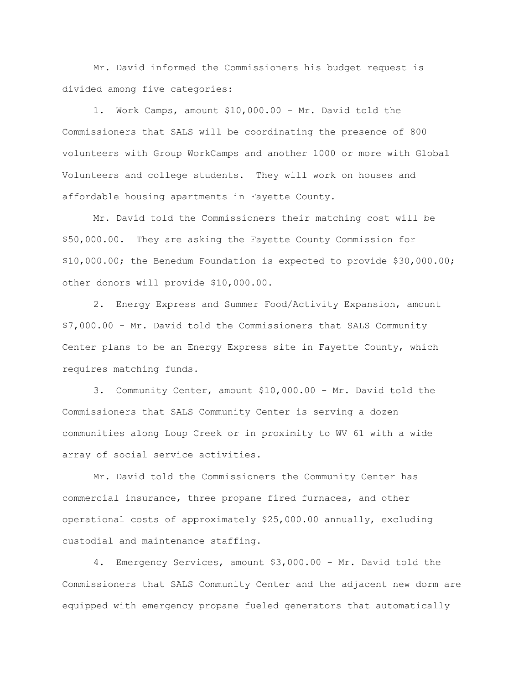Mr. David informed the Commissioners his budget request is divided among five categories:

1. Work Camps, amount \$10,000.00 – Mr. David told the Commissioners that SALS will be coordinating the presence of 800 volunteers with Group WorkCamps and another 1000 or more with Global Volunteers and college students. They will work on houses and affordable housing apartments in Fayette County.

Mr. David told the Commissioners their matching cost will be \$50,000.00. They are asking the Fayette County Commission for \$10,000.00; the Benedum Foundation is expected to provide \$30,000.00; other donors will provide \$10,000.00.

2. Energy Express and Summer Food/Activity Expansion, amount \$7,000.00 - Mr. David told the Commissioners that SALS Community Center plans to be an Energy Express site in Fayette County, which requires matching funds.

3. Community Center, amount \$10,000.00 - Mr. David told the Commissioners that SALS Community Center is serving a dozen communities along Loup Creek or in proximity to WV 61 with a wide array of social service activities.

Mr. David told the Commissioners the Community Center has commercial insurance, three propane fired furnaces, and other operational costs of approximately \$25,000.00 annually, excluding custodial and maintenance staffing.

4. Emergency Services, amount \$3,000.00 - Mr. David told the Commissioners that SALS Community Center and the adjacent new dorm are equipped with emergency propane fueled generators that automatically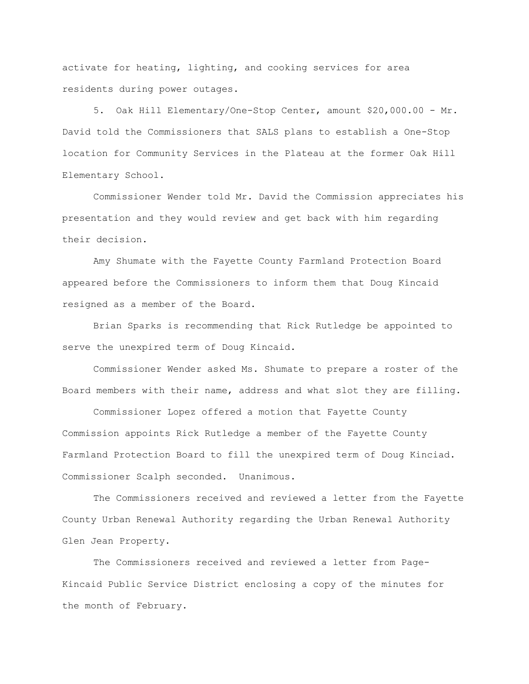activate for heating, lighting, and cooking services for area residents during power outages.

5. Oak Hill Elementary/One-Stop Center, amount \$20,000.00 - Mr. David told the Commissioners that SALS plans to establish a One-Stop location for Community Services in the Plateau at the former Oak Hill Elementary School.

Commissioner Wender told Mr. David the Commission appreciates his presentation and they would review and get back with him regarding their decision.

Amy Shumate with the Fayette County Farmland Protection Board appeared before the Commissioners to inform them that Doug Kincaid resigned as a member of the Board.

Brian Sparks is recommending that Rick Rutledge be appointed to serve the unexpired term of Doug Kincaid.

Commissioner Wender asked Ms. Shumate to prepare a roster of the Board members with their name, address and what slot they are filling.

Commissioner Lopez offered a motion that Fayette County Commission appoints Rick Rutledge a member of the Fayette County Farmland Protection Board to fill the unexpired term of Doug Kinciad. Commissioner Scalph seconded. Unanimous.

The Commissioners received and reviewed a letter from the Fayette County Urban Renewal Authority regarding the Urban Renewal Authority Glen Jean Property.

The Commissioners received and reviewed a letter from Page-Kincaid Public Service District enclosing a copy of the minutes for the month of February.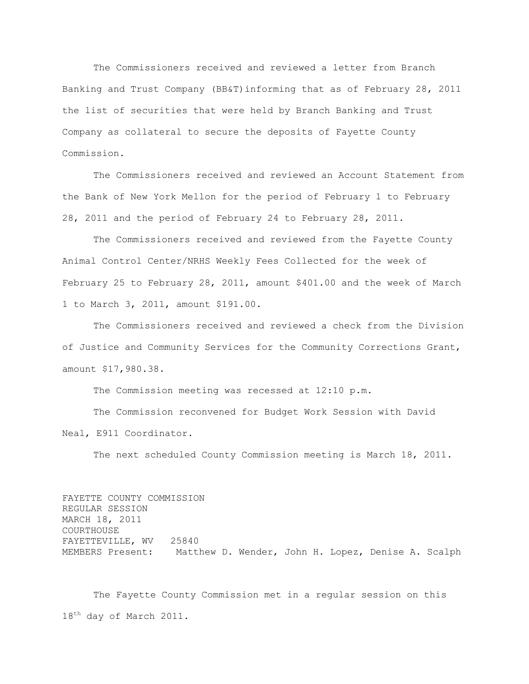The Commissioners received and reviewed a letter from Branch Banking and Trust Company (BB&T)informing that as of February 28, 2011 the list of securities that were held by Branch Banking and Trust Company as collateral to secure the deposits of Fayette County Commission.

The Commissioners received and reviewed an Account Statement from the Bank of New York Mellon for the period of February 1 to February 28, 2011 and the period of February 24 to February 28, 2011.

The Commissioners received and reviewed from the Fayette County Animal Control Center/NRHS Weekly Fees Collected for the week of February 25 to February 28, 2011, amount \$401.00 and the week of March 1 to March 3, 2011, amount \$191.00.

The Commissioners received and reviewed a check from the Division of Justice and Community Services for the Community Corrections Grant, amount \$17,980.38.

The Commission meeting was recessed at 12:10 p.m.

The Commission reconvened for Budget Work Session with David Neal, E911 Coordinator.

The next scheduled County Commission meeting is March 18, 2011.

FAYETTE COUNTY COMMISSION REGULAR SESSION MARCH 18, 2011 COURTHOUSE FAYETTEVILLE, WV 25840 MEMBERS Present: Matthew D. Wender, John H. Lopez, Denise A. Scalph

The Fayette County Commission met in a regular session on this 18<sup>th</sup> day of March 2011.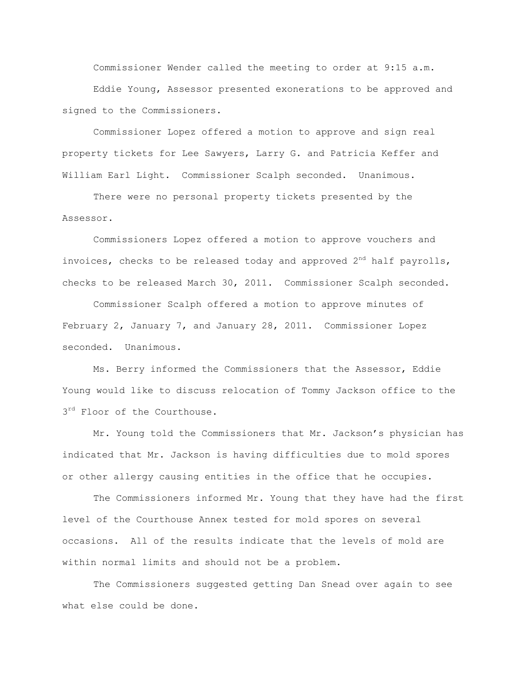Commissioner Wender called the meeting to order at 9:15 a.m. Eddie Young, Assessor presented exonerations to be approved and signed to the Commissioners.

Commissioner Lopez offered a motion to approve and sign real property tickets for Lee Sawyers, Larry G. and Patricia Keffer and William Earl Light. Commissioner Scalph seconded. Unanimous.

There were no personal property tickets presented by the Assessor.

Commissioners Lopez offered a motion to approve vouchers and invoices, checks to be released today and approved  $2<sup>nd</sup>$  half payrolls, checks to be released March 30, 2011. Commissioner Scalph seconded.

Commissioner Scalph offered a motion to approve minutes of February 2, January 7, and January 28, 2011. Commissioner Lopez seconded. Unanimous.

Ms. Berry informed the Commissioners that the Assessor, Eddie Young would like to discuss relocation of Tommy Jackson office to the  $3^{rd}$  Floor of the Courthouse.

Mr. Young told the Commissioners that Mr. Jackson"s physician has indicated that Mr. Jackson is having difficulties due to mold spores or other allergy causing entities in the office that he occupies.

The Commissioners informed Mr. Young that they have had the first level of the Courthouse Annex tested for mold spores on several occasions. All of the results indicate that the levels of mold are within normal limits and should not be a problem.

The Commissioners suggested getting Dan Snead over again to see what else could be done.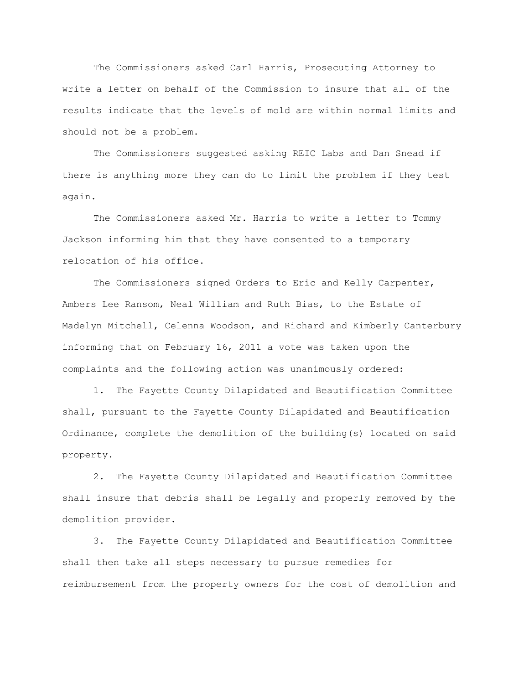The Commissioners asked Carl Harris, Prosecuting Attorney to write a letter on behalf of the Commission to insure that all of the results indicate that the levels of mold are within normal limits and should not be a problem.

The Commissioners suggested asking REIC Labs and Dan Snead if there is anything more they can do to limit the problem if they test again.

The Commissioners asked Mr. Harris to write a letter to Tommy Jackson informing him that they have consented to a temporary relocation of his office.

The Commissioners signed Orders to Eric and Kelly Carpenter, Ambers Lee Ransom, Neal William and Ruth Bias, to the Estate of Madelyn Mitchell, Celenna Woodson, and Richard and Kimberly Canterbury informing that on February 16, 2011 a vote was taken upon the complaints and the following action was unanimously ordered:

1. The Fayette County Dilapidated and Beautification Committee shall, pursuant to the Fayette County Dilapidated and Beautification Ordinance, complete the demolition of the building(s) located on said property.

2. The Fayette County Dilapidated and Beautification Committee shall insure that debris shall be legally and properly removed by the demolition provider.

3. The Fayette County Dilapidated and Beautification Committee shall then take all steps necessary to pursue remedies for reimbursement from the property owners for the cost of demolition and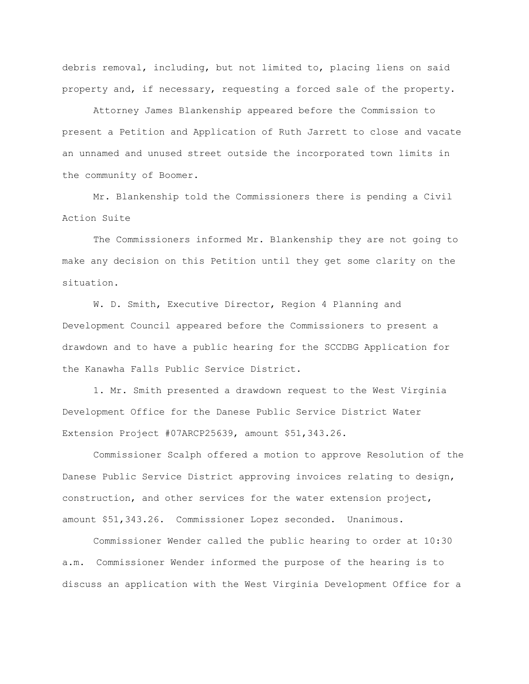debris removal, including, but not limited to, placing liens on said property and, if necessary, requesting a forced sale of the property.

Attorney James Blankenship appeared before the Commission to present a Petition and Application of Ruth Jarrett to close and vacate an unnamed and unused street outside the incorporated town limits in the community of Boomer.

Mr. Blankenship told the Commissioners there is pending a Civil Action Suite

The Commissioners informed Mr. Blankenship they are not going to make any decision on this Petition until they get some clarity on the situation.

W. D. Smith, Executive Director, Region 4 Planning and Development Council appeared before the Commissioners to present a drawdown and to have a public hearing for the SCCDBG Application for the Kanawha Falls Public Service District.

1. Mr. Smith presented a drawdown request to the West Virginia Development Office for the Danese Public Service District Water Extension Project #07ARCP25639, amount \$51,343.26.

Commissioner Scalph offered a motion to approve Resolution of the Danese Public Service District approving invoices relating to design, construction, and other services for the water extension project, amount \$51,343.26. Commissioner Lopez seconded. Unanimous.

Commissioner Wender called the public hearing to order at 10:30 a.m. Commissioner Wender informed the purpose of the hearing is to discuss an application with the West Virginia Development Office for a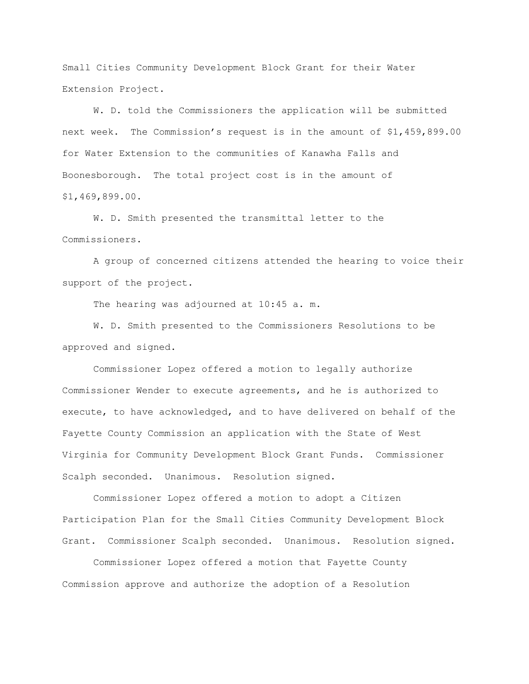Small Cities Community Development Block Grant for their Water Extension Project.

W. D. told the Commissioners the application will be submitted next week. The Commission"s request is in the amount of \$1,459,899.00 for Water Extension to the communities of Kanawha Falls and Boonesborough. The total project cost is in the amount of \$1,469,899.00.

W. D. Smith presented the transmittal letter to the Commissioners.

A group of concerned citizens attended the hearing to voice their support of the project.

The hearing was adjourned at 10:45 a.m.

W. D. Smith presented to the Commissioners Resolutions to be approved and signed.

Commissioner Lopez offered a motion to legally authorize Commissioner Wender to execute agreements, and he is authorized to execute, to have acknowledged, and to have delivered on behalf of the Fayette County Commission an application with the State of West Virginia for Community Development Block Grant Funds. Commissioner Scalph seconded. Unanimous. Resolution signed.

Commissioner Lopez offered a motion to adopt a Citizen Participation Plan for the Small Cities Community Development Block Grant. Commissioner Scalph seconded. Unanimous. Resolution signed.

Commissioner Lopez offered a motion that Fayette County Commission approve and authorize the adoption of a Resolution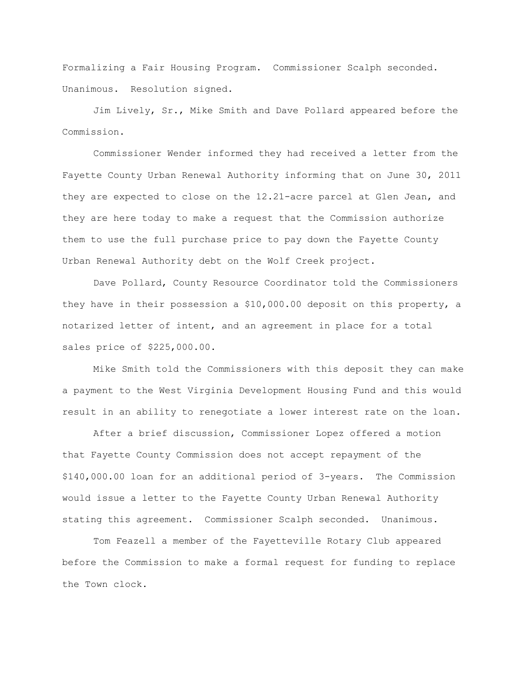Formalizing a Fair Housing Program. Commissioner Scalph seconded. Unanimous. Resolution signed.

Jim Lively, Sr., Mike Smith and Dave Pollard appeared before the Commission.

Commissioner Wender informed they had received a letter from the Fayette County Urban Renewal Authority informing that on June 30, 2011 they are expected to close on the 12.21-acre parcel at Glen Jean, and they are here today to make a request that the Commission authorize them to use the full purchase price to pay down the Fayette County Urban Renewal Authority debt on the Wolf Creek project.

Dave Pollard, County Resource Coordinator told the Commissioners they have in their possession a \$10,000.00 deposit on this property, a notarized letter of intent, and an agreement in place for a total sales price of \$225,000.00.

Mike Smith told the Commissioners with this deposit they can make a payment to the West Virginia Development Housing Fund and this would result in an ability to renegotiate a lower interest rate on the loan.

After a brief discussion, Commissioner Lopez offered a motion that Fayette County Commission does not accept repayment of the \$140,000.00 loan for an additional period of 3-years. The Commission would issue a letter to the Fayette County Urban Renewal Authority stating this agreement. Commissioner Scalph seconded. Unanimous.

Tom Feazell a member of the Fayetteville Rotary Club appeared before the Commission to make a formal request for funding to replace the Town clock.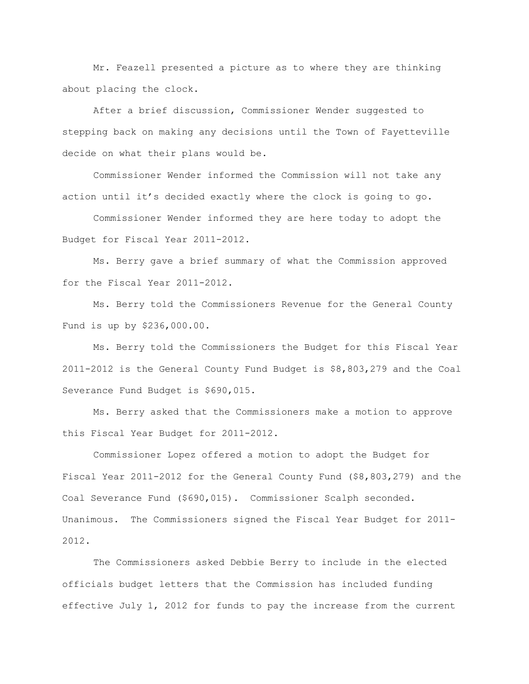Mr. Feazell presented a picture as to where they are thinking about placing the clock.

After a brief discussion, Commissioner Wender suggested to stepping back on making any decisions until the Town of Fayetteville decide on what their plans would be.

Commissioner Wender informed the Commission will not take any action until it's decided exactly where the clock is going to go.

Commissioner Wender informed they are here today to adopt the Budget for Fiscal Year 2011-2012.

Ms. Berry gave a brief summary of what the Commission approved for the Fiscal Year 2011-2012.

Ms. Berry told the Commissioners Revenue for the General County Fund is up by \$236,000.00.

Ms. Berry told the Commissioners the Budget for this Fiscal Year 2011-2012 is the General County Fund Budget is \$8,803,279 and the Coal Severance Fund Budget is \$690,015.

Ms. Berry asked that the Commissioners make a motion to approve this Fiscal Year Budget for 2011-2012.

Commissioner Lopez offered a motion to adopt the Budget for Fiscal Year 2011-2012 for the General County Fund (\$8,803,279) and the Coal Severance Fund (\$690,015). Commissioner Scalph seconded. Unanimous. The Commissioners signed the Fiscal Year Budget for 2011- 2012.

The Commissioners asked Debbie Berry to include in the elected officials budget letters that the Commission has included funding effective July 1, 2012 for funds to pay the increase from the current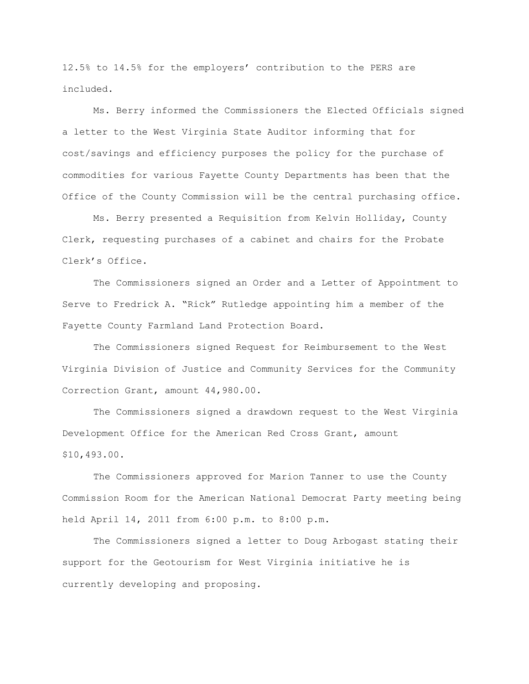12.5% to 14.5% for the employers" contribution to the PERS are included.

Ms. Berry informed the Commissioners the Elected Officials signed a letter to the West Virginia State Auditor informing that for cost/savings and efficiency purposes the policy for the purchase of commodities for various Fayette County Departments has been that the Office of the County Commission will be the central purchasing office.

Ms. Berry presented a Requisition from Kelvin Holliday, County Clerk, requesting purchases of a cabinet and chairs for the Probate Clerk"s Office.

The Commissioners signed an Order and a Letter of Appointment to Serve to Fredrick A. "Rick" Rutledge appointing him a member of the Fayette County Farmland Land Protection Board.

The Commissioners signed Request for Reimbursement to the West Virginia Division of Justice and Community Services for the Community Correction Grant, amount 44,980.00.

The Commissioners signed a drawdown request to the West Virginia Development Office for the American Red Cross Grant, amount \$10,493.00.

The Commissioners approved for Marion Tanner to use the County Commission Room for the American National Democrat Party meeting being held April 14, 2011 from 6:00 p.m. to 8:00 p.m.

The Commissioners signed a letter to Doug Arbogast stating their support for the Geotourism for West Virginia initiative he is currently developing and proposing.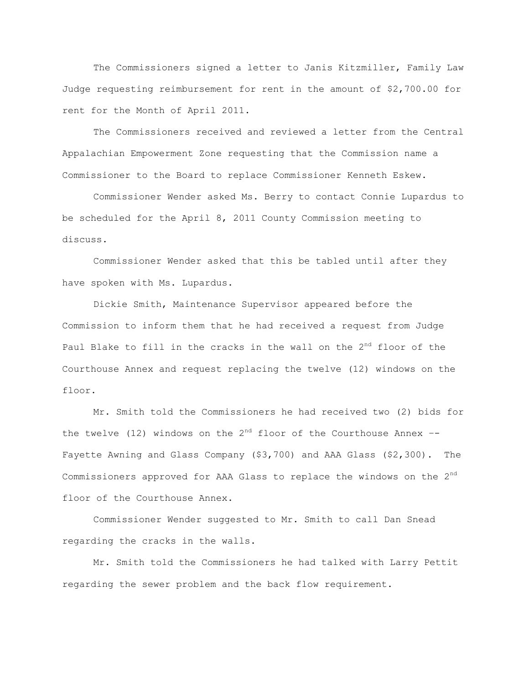The Commissioners signed a letter to Janis Kitzmiller, Family Law Judge requesting reimbursement for rent in the amount of \$2,700.00 for rent for the Month of April 2011.

The Commissioners received and reviewed a letter from the Central Appalachian Empowerment Zone requesting that the Commission name a Commissioner to the Board to replace Commissioner Kenneth Eskew.

Commissioner Wender asked Ms. Berry to contact Connie Lupardus to be scheduled for the April 8, 2011 County Commission meeting to discuss.

Commissioner Wender asked that this be tabled until after they have spoken with Ms. Lupardus.

Dickie Smith, Maintenance Supervisor appeared before the Commission to inform them that he had received a request from Judge Paul Blake to fill in the cracks in the wall on the 2<sup>nd</sup> floor of the Courthouse Annex and request replacing the twelve (12) windows on the floor.

Mr. Smith told the Commissioners he had received two (2) bids for the twelve (12) windows on the  $2^{nd}$  floor of the Courthouse Annex --Fayette Awning and Glass Company (\$3,700) and AAA Glass (\$2,300). The Commissioners approved for AAA Glass to replace the windows on the  $2<sup>nd</sup>$ floor of the Courthouse Annex.

Commissioner Wender suggested to Mr. Smith to call Dan Snead regarding the cracks in the walls.

Mr. Smith told the Commissioners he had talked with Larry Pettit regarding the sewer problem and the back flow requirement.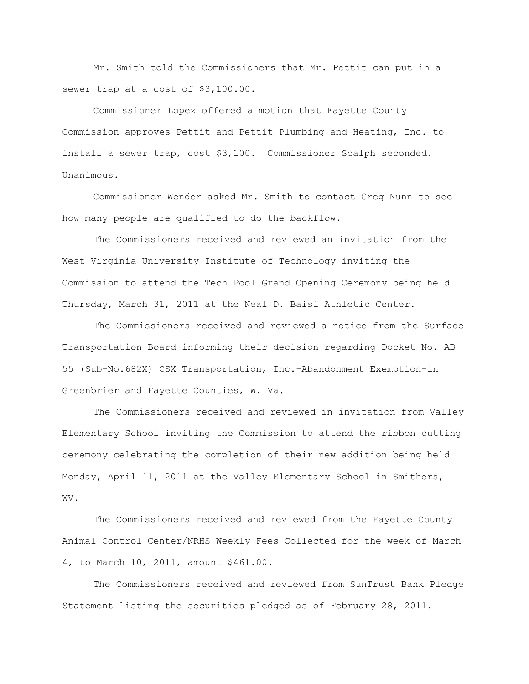Mr. Smith told the Commissioners that Mr. Pettit can put in a sewer trap at a cost of \$3,100.00.

Commissioner Lopez offered a motion that Fayette County Commission approves Pettit and Pettit Plumbing and Heating, Inc. to install a sewer trap, cost \$3,100. Commissioner Scalph seconded. Unanimous.

Commissioner Wender asked Mr. Smith to contact Greg Nunn to see how many people are qualified to do the backflow.

The Commissioners received and reviewed an invitation from the West Virginia University Institute of Technology inviting the Commission to attend the Tech Pool Grand Opening Ceremony being held Thursday, March 31, 2011 at the Neal D. Baisi Athletic Center.

The Commissioners received and reviewed a notice from the Surface Transportation Board informing their decision regarding Docket No. AB 55 (Sub-No.682X) CSX Transportation, Inc.-Abandonment Exemption-in Greenbrier and Fayette Counties, W. Va.

The Commissioners received and reviewed in invitation from Valley Elementary School inviting the Commission to attend the ribbon cutting ceremony celebrating the completion of their new addition being held Monday, April 11, 2011 at the Valley Elementary School in Smithers, WV.

The Commissioners received and reviewed from the Fayette County Animal Control Center/NRHS Weekly Fees Collected for the week of March 4, to March 10, 2011, amount \$461.00.

The Commissioners received and reviewed from SunTrust Bank Pledge Statement listing the securities pledged as of February 28, 2011.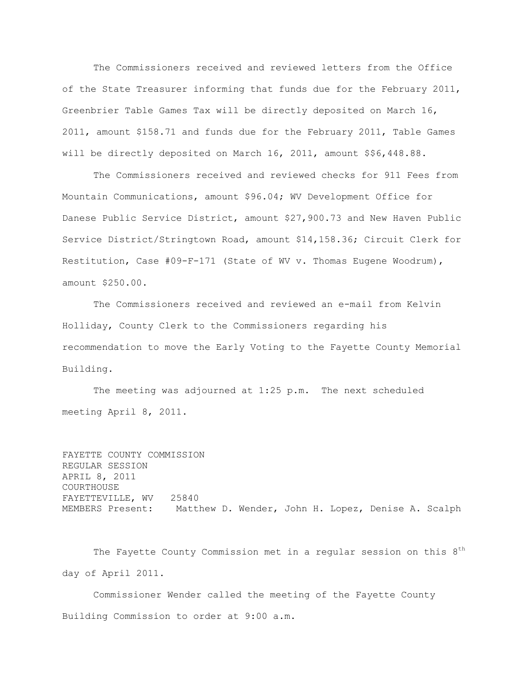The Commissioners received and reviewed letters from the Office of the State Treasurer informing that funds due for the February 2011, Greenbrier Table Games Tax will be directly deposited on March 16, 2011, amount \$158.71 and funds due for the February 2011, Table Games will be directly deposited on March 16, 2011, amount \$\$6,448.88.

The Commissioners received and reviewed checks for 911 Fees from Mountain Communications, amount \$96.04; WV Development Office for Danese Public Service District, amount \$27,900.73 and New Haven Public Service District/Stringtown Road, amount \$14,158.36; Circuit Clerk for Restitution, Case #09-F-171 (State of WV v. Thomas Eugene Woodrum), amount \$250.00.

The Commissioners received and reviewed an e-mail from Kelvin Holliday, County Clerk to the Commissioners regarding his recommendation to move the Early Voting to the Fayette County Memorial Building.

The meeting was adjourned at 1:25 p.m. The next scheduled meeting April 8, 2011.

```
FAYETTE COUNTY COMMISSION
REGULAR SESSION
APRIL 8, 2011
COURTHOUSE
FAYETTEVILLE, WV 25840
MEMBERS Present: Matthew D. Wender, John H. Lopez, Denise A. Scalph
```
The Fayette County Commission met in a regular session on this  $8<sup>th</sup>$ day of April 2011.

Commissioner Wender called the meeting of the Fayette County Building Commission to order at 9:00 a.m.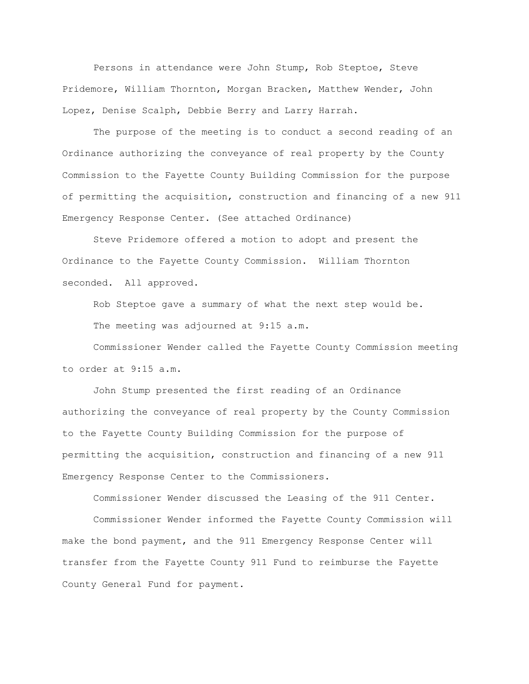Persons in attendance were John Stump, Rob Steptoe, Steve Pridemore, William Thornton, Morgan Bracken, Matthew Wender, John Lopez, Denise Scalph, Debbie Berry and Larry Harrah.

The purpose of the meeting is to conduct a second reading of an Ordinance authorizing the conveyance of real property by the County Commission to the Fayette County Building Commission for the purpose of permitting the acquisition, construction and financing of a new 911 Emergency Response Center. (See attached Ordinance)

Steve Pridemore offered a motion to adopt and present the Ordinance to the Fayette County Commission. William Thornton seconded. All approved.

Rob Steptoe gave a summary of what the next step would be. The meeting was adjourned at 9:15 a.m.

Commissioner Wender called the Fayette County Commission meeting to order at 9:15 a.m.

John Stump presented the first reading of an Ordinance authorizing the conveyance of real property by the County Commission to the Fayette County Building Commission for the purpose of permitting the acquisition, construction and financing of a new 911 Emergency Response Center to the Commissioners.

Commissioner Wender discussed the Leasing of the 911 Center.

Commissioner Wender informed the Fayette County Commission will make the bond payment, and the 911 Emergency Response Center will transfer from the Fayette County 911 Fund to reimburse the Fayette County General Fund for payment.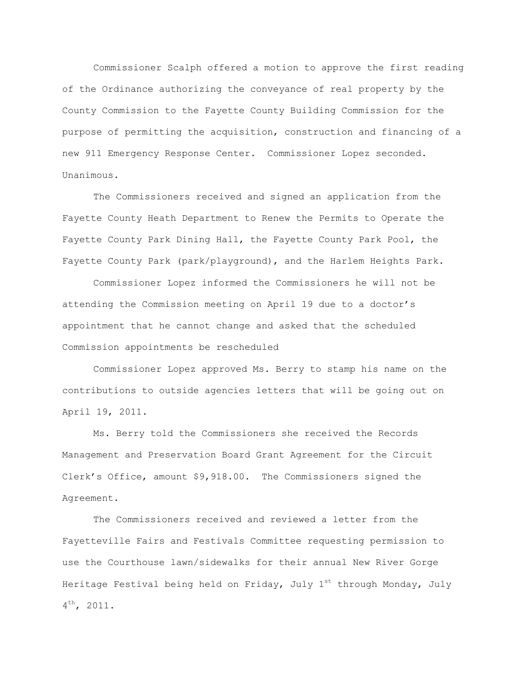Commissioner Scalph offered a motion to approve the first reading of the Ordinance authorizing the conveyance of real property by the County Commission to the Fayette County Building Commission for the purpose of permitting the acquisition, construction and financing of a new 911 Emergency Response Center. Commissioner Lopez seconded. Unanimous.

The Commissioners received and signed an application from the Fayette County Heath Department to Renew the Permits to Operate the Fayette County Park Dining Hall, the Fayette County Park Pool, the Fayette County Park (park/playground), and the Harlem Heights Park.

Commissioner Lopez informed the Commissioners he will not be attending the Commission meeting on April 19 due to a doctor"s appointment that he cannot change and asked that the scheduled Commission appointments be rescheduled

Commissioner Lopez approved Ms. Berry to stamp his name on the contributions to outside agencies letters that will be going out on April 19, 2011.

Ms. Berry told the Commissioners she received the Records Management and Preservation Board Grant Agreement for the Circuit Clerk"s Office, amount \$9,918.00. The Commissioners signed the Agreement.

The Commissioners received and reviewed a letter from the Fayetteville Fairs and Festivals Committee requesting permission to use the Courthouse lawn/sidewalks for their annual New River Gorge Heritage Festival being held on Friday, July  $1^{st}$  through Monday, July 4<sup>th</sup>, 2011.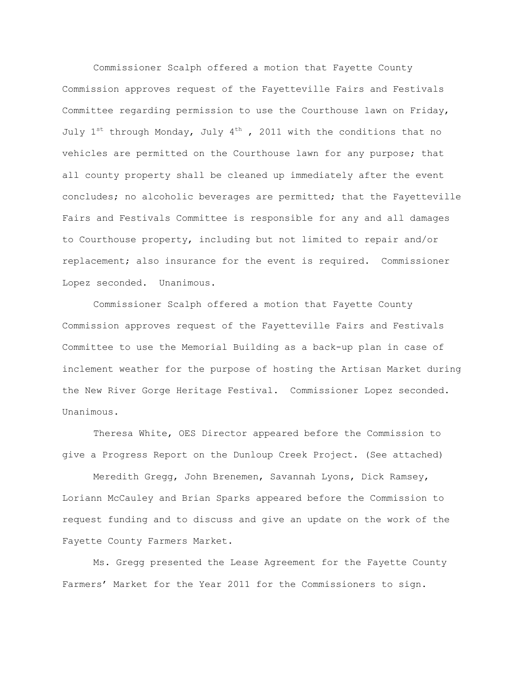Commissioner Scalph offered a motion that Fayette County Commission approves request of the Fayetteville Fairs and Festivals Committee regarding permission to use the Courthouse lawn on Friday, July  $1^{st}$  through Monday, July  $4^{th}$ , 2011 with the conditions that no vehicles are permitted on the Courthouse lawn for any purpose; that all county property shall be cleaned up immediately after the event concludes; no alcoholic beverages are permitted; that the Fayetteville Fairs and Festivals Committee is responsible for any and all damages to Courthouse property, including but not limited to repair and/or replacement; also insurance for the event is required. Commissioner Lopez seconded. Unanimous.

Commissioner Scalph offered a motion that Fayette County Commission approves request of the Fayetteville Fairs and Festivals Committee to use the Memorial Building as a back-up plan in case of inclement weather for the purpose of hosting the Artisan Market during the New River Gorge Heritage Festival. Commissioner Lopez seconded. Unanimous.

Theresa White, OES Director appeared before the Commission to give a Progress Report on the Dunloup Creek Project. (See attached)

Meredith Gregg, John Brenemen, Savannah Lyons, Dick Ramsey, Loriann McCauley and Brian Sparks appeared before the Commission to request funding and to discuss and give an update on the work of the Fayette County Farmers Market.

Ms. Gregg presented the Lease Agreement for the Fayette County Farmers" Market for the Year 2011 for the Commissioners to sign.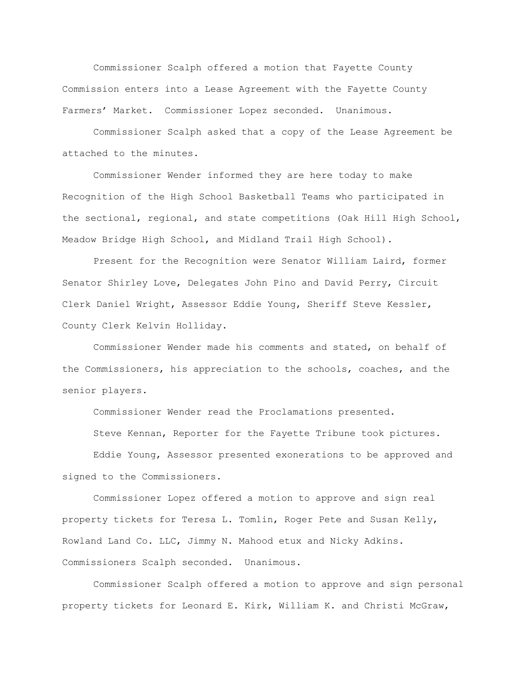Commissioner Scalph offered a motion that Fayette County Commission enters into a Lease Agreement with the Fayette County Farmers" Market. Commissioner Lopez seconded. Unanimous.

Commissioner Scalph asked that a copy of the Lease Agreement be attached to the minutes.

Commissioner Wender informed they are here today to make Recognition of the High School Basketball Teams who participated in the sectional, regional, and state competitions (Oak Hill High School, Meadow Bridge High School, and Midland Trail High School).

Present for the Recognition were Senator William Laird, former Senator Shirley Love, Delegates John Pino and David Perry, Circuit Clerk Daniel Wright, Assessor Eddie Young, Sheriff Steve Kessler, County Clerk Kelvin Holliday.

Commissioner Wender made his comments and stated, on behalf of the Commissioners, his appreciation to the schools, coaches, and the senior players.

Commissioner Wender read the Proclamations presented.

Steve Kennan, Reporter for the Fayette Tribune took pictures.

Eddie Young, Assessor presented exonerations to be approved and signed to the Commissioners.

Commissioner Lopez offered a motion to approve and sign real property tickets for Teresa L. Tomlin, Roger Pete and Susan Kelly, Rowland Land Co. LLC, Jimmy N. Mahood etux and Nicky Adkins. Commissioners Scalph seconded. Unanimous.

Commissioner Scalph offered a motion to approve and sign personal property tickets for Leonard E. Kirk, William K. and Christi McGraw,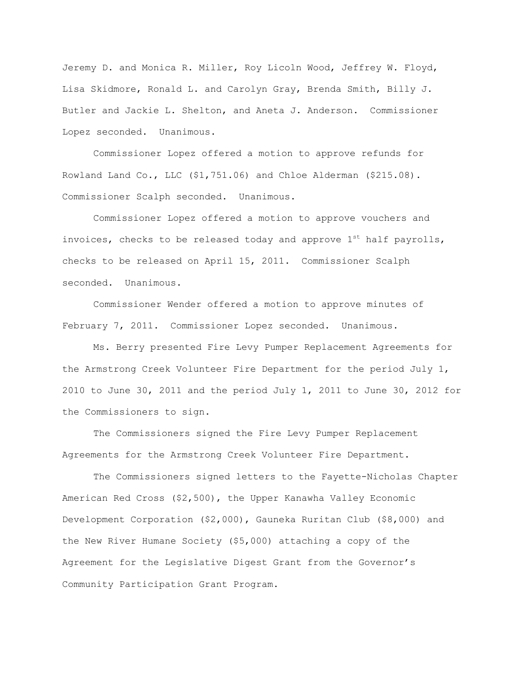Jeremy D. and Monica R. Miller, Roy Licoln Wood, Jeffrey W. Floyd, Lisa Skidmore, Ronald L. and Carolyn Gray, Brenda Smith, Billy J. Butler and Jackie L. Shelton, and Aneta J. Anderson. Commissioner Lopez seconded. Unanimous.

Commissioner Lopez offered a motion to approve refunds for Rowland Land Co., LLC (\$1,751.06) and Chloe Alderman (\$215.08). Commissioner Scalph seconded. Unanimous.

Commissioner Lopez offered a motion to approve vouchers and invoices, checks to be released today and approve  $1^{st}$  half payrolls, checks to be released on April 15, 2011. Commissioner Scalph seconded. Unanimous.

Commissioner Wender offered a motion to approve minutes of February 7, 2011. Commissioner Lopez seconded. Unanimous.

Ms. Berry presented Fire Levy Pumper Replacement Agreements for the Armstrong Creek Volunteer Fire Department for the period July 1, 2010 to June 30, 2011 and the period July 1, 2011 to June 30, 2012 for the Commissioners to sign.

The Commissioners signed the Fire Levy Pumper Replacement Agreements for the Armstrong Creek Volunteer Fire Department.

The Commissioners signed letters to the Fayette-Nicholas Chapter American Red Cross (\$2,500), the Upper Kanawha Valley Economic Development Corporation (\$2,000), Gauneka Ruritan Club (\$8,000) and the New River Humane Society (\$5,000) attaching a copy of the Agreement for the Legislative Digest Grant from the Governor's Community Participation Grant Program.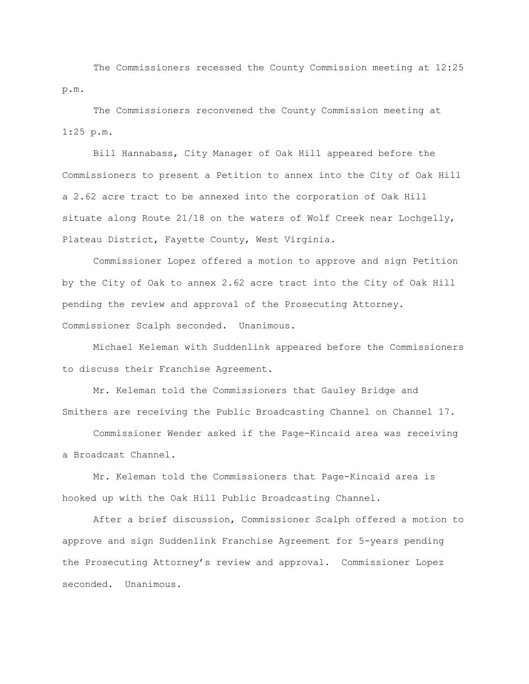The Commissioners recessed the County Commission meeting at 12:25 p.m.

The Commissioners reconvened the County Commission meeting at 1:25 p.m.

Bill Hannabass, City Manager of Oak Hill appeared before the Commissioners to present a Petition to annex into the City of Oak Hill a 2.62 acre tract to be annexed into the corporation of Oak Hill situate along Route 21/18 on the waters of Wolf Creek near Lochgelly, Plateau District, Fayette County, West Virginia.

Commissioner Lopez offered a motion to approve and sign Petition by the City of Oak to annex 2.62 acre tract into the City of Oak Hill pending the review and approval of the Prosecuting Attorney. Commissioner Scalph seconded. Unanimous.

Michael Keleman with Suddenlink appeared before the Commissioners to discuss their Franchise Agreement.

Mr. Keleman told the Commissioners that Gauley Bridge and Smithers are receiving the Public Broadcasting Channel on Channel 17.

Commissioner Wender asked if the Page-Kincaid area was receiving a Broadcast Channel.

Mr. Keleman told the Commissioners that Page-Kincaid area is hooked up with the Oak Hill Public Broadcasting Channel.

After a brief discussion, Commissioner Scalph offered a motion to approve and sign Suddenlink Franchise Agreement for 5-years pending the Prosecuting Attorney"s review and approval. Commissioner Lopez seconded. Unanimous.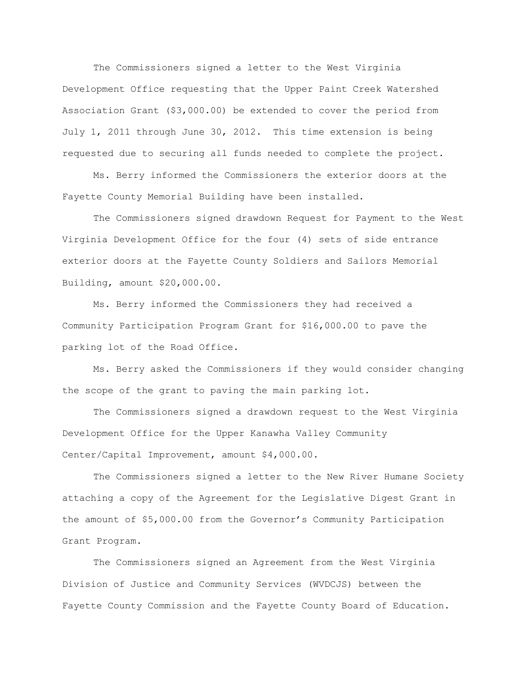The Commissioners signed a letter to the West Virginia Development Office requesting that the Upper Paint Creek Watershed Association Grant (\$3,000.00) be extended to cover the period from July 1, 2011 through June 30, 2012. This time extension is being requested due to securing all funds needed to complete the project.

Ms. Berry informed the Commissioners the exterior doors at the Fayette County Memorial Building have been installed.

The Commissioners signed drawdown Request for Payment to the West Virginia Development Office for the four (4) sets of side entrance exterior doors at the Fayette County Soldiers and Sailors Memorial Building, amount \$20,000.00.

Ms. Berry informed the Commissioners they had received a Community Participation Program Grant for \$16,000.00 to pave the parking lot of the Road Office.

Ms. Berry asked the Commissioners if they would consider changing the scope of the grant to paving the main parking lot.

The Commissioners signed a drawdown request to the West Virginia Development Office for the Upper Kanawha Valley Community Center/Capital Improvement, amount \$4,000.00.

The Commissioners signed a letter to the New River Humane Society attaching a copy of the Agreement for the Legislative Digest Grant in the amount of \$5,000.00 from the Governor"s Community Participation Grant Program.

The Commissioners signed an Agreement from the West Virginia Division of Justice and Community Services (WVDCJS) between the Fayette County Commission and the Fayette County Board of Education.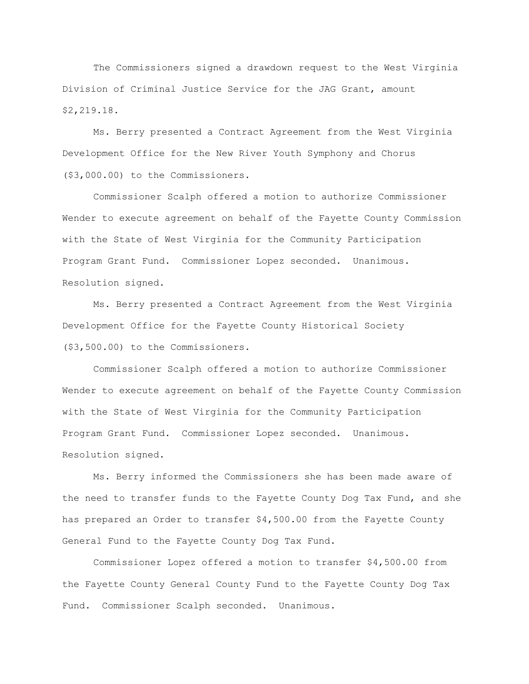The Commissioners signed a drawdown request to the West Virginia Division of Criminal Justice Service for the JAG Grant, amount \$2,219.18.

Ms. Berry presented a Contract Agreement from the West Virginia Development Office for the New River Youth Symphony and Chorus (\$3,000.00) to the Commissioners.

Commissioner Scalph offered a motion to authorize Commissioner Wender to execute agreement on behalf of the Fayette County Commission with the State of West Virginia for the Community Participation Program Grant Fund. Commissioner Lopez seconded. Unanimous. Resolution signed.

Ms. Berry presented a Contract Agreement from the West Virginia Development Office for the Fayette County Historical Society (\$3,500.00) to the Commissioners.

Commissioner Scalph offered a motion to authorize Commissioner Wender to execute agreement on behalf of the Fayette County Commission with the State of West Virginia for the Community Participation Program Grant Fund. Commissioner Lopez seconded. Unanimous. Resolution signed.

Ms. Berry informed the Commissioners she has been made aware of the need to transfer funds to the Fayette County Dog Tax Fund, and she has prepared an Order to transfer \$4,500.00 from the Fayette County General Fund to the Fayette County Dog Tax Fund.

Commissioner Lopez offered a motion to transfer \$4,500.00 from the Fayette County General County Fund to the Fayette County Dog Tax Fund. Commissioner Scalph seconded. Unanimous.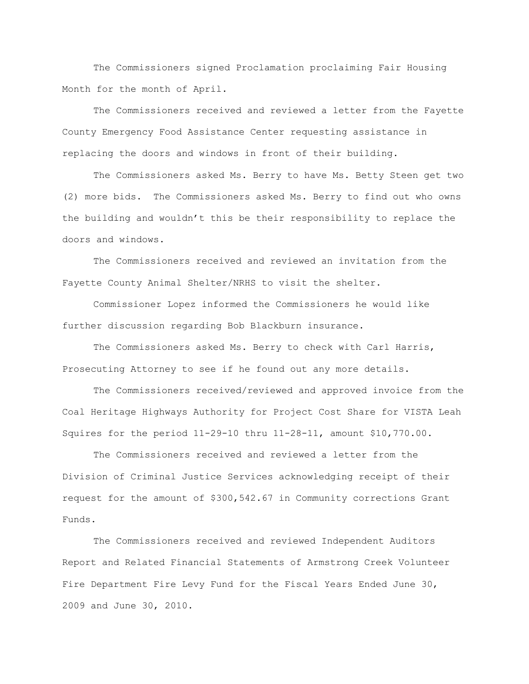The Commissioners signed Proclamation proclaiming Fair Housing Month for the month of April.

The Commissioners received and reviewed a letter from the Fayette County Emergency Food Assistance Center requesting assistance in replacing the doors and windows in front of their building.

The Commissioners asked Ms. Berry to have Ms. Betty Steen get two (2) more bids. The Commissioners asked Ms. Berry to find out who owns the building and wouldn"t this be their responsibility to replace the doors and windows.

The Commissioners received and reviewed an invitation from the Fayette County Animal Shelter/NRHS to visit the shelter.

Commissioner Lopez informed the Commissioners he would like further discussion regarding Bob Blackburn insurance.

The Commissioners asked Ms. Berry to check with Carl Harris, Prosecuting Attorney to see if he found out any more details.

The Commissioners received/reviewed and approved invoice from the Coal Heritage Highways Authority for Project Cost Share for VISTA Leah Squires for the period 11-29-10 thru 11-28-11, amount \$10,770.00.

The Commissioners received and reviewed a letter from the Division of Criminal Justice Services acknowledging receipt of their request for the amount of \$300,542.67 in Community corrections Grant Funds.

The Commissioners received and reviewed Independent Auditors Report and Related Financial Statements of Armstrong Creek Volunteer Fire Department Fire Levy Fund for the Fiscal Years Ended June 30, 2009 and June 30, 2010.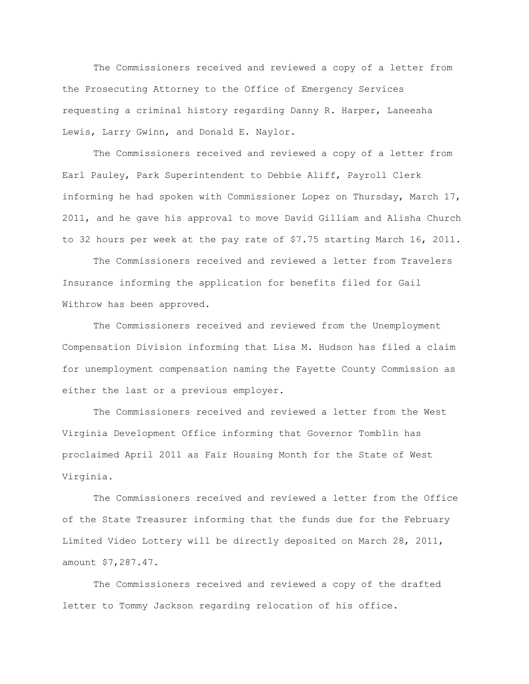The Commissioners received and reviewed a copy of a letter from the Prosecuting Attorney to the Office of Emergency Services requesting a criminal history regarding Danny R. Harper, Laneesha Lewis, Larry Gwinn, and Donald E. Naylor.

The Commissioners received and reviewed a copy of a letter from Earl Pauley, Park Superintendent to Debbie Aliff, Payroll Clerk informing he had spoken with Commissioner Lopez on Thursday, March 17, 2011, and he gave his approval to move David Gilliam and Alisha Church to 32 hours per week at the pay rate of \$7.75 starting March 16, 2011.

The Commissioners received and reviewed a letter from Travelers Insurance informing the application for benefits filed for Gail Withrow has been approved.

The Commissioners received and reviewed from the Unemployment Compensation Division informing that Lisa M. Hudson has filed a claim for unemployment compensation naming the Fayette County Commission as either the last or a previous employer.

The Commissioners received and reviewed a letter from the West Virginia Development Office informing that Governor Tomblin has proclaimed April 2011 as Fair Housing Month for the State of West Virginia.

The Commissioners received and reviewed a letter from the Office of the State Treasurer informing that the funds due for the February Limited Video Lottery will be directly deposited on March 28, 2011, amount \$7,287.47.

The Commissioners received and reviewed a copy of the drafted letter to Tommy Jackson regarding relocation of his office.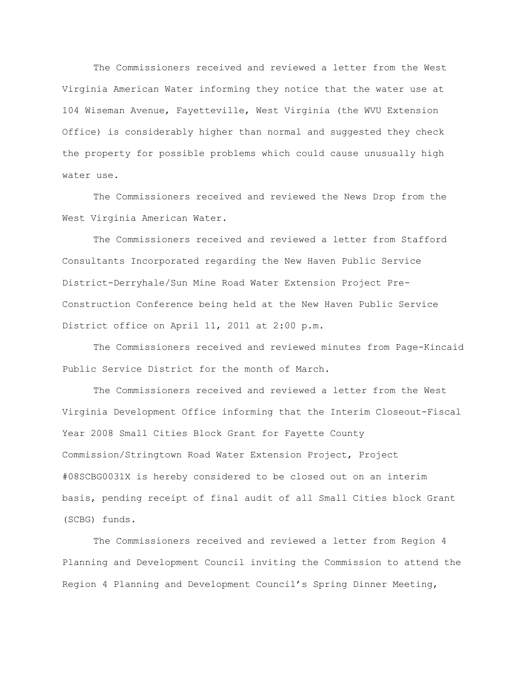The Commissioners received and reviewed a letter from the West Virginia American Water informing they notice that the water use at 104 Wiseman Avenue, Fayetteville, West Virginia (the WVU Extension Office) is considerably higher than normal and suggested they check the property for possible problems which could cause unusually high water use.

The Commissioners received and reviewed the News Drop from the West Virginia American Water.

The Commissioners received and reviewed a letter from Stafford Consultants Incorporated regarding the New Haven Public Service District-Derryhale/Sun Mine Road Water Extension Project Pre-Construction Conference being held at the New Haven Public Service District office on April 11, 2011 at 2:00 p.m.

The Commissioners received and reviewed minutes from Page-Kincaid Public Service District for the month of March.

The Commissioners received and reviewed a letter from the West Virginia Development Office informing that the Interim Closeout-Fiscal Year 2008 Small Cities Block Grant for Fayette County Commission/Stringtown Road Water Extension Project, Project #08SCBG0031X is hereby considered to be closed out on an interim basis, pending receipt of final audit of all Small Cities block Grant (SCBG) funds.

The Commissioners received and reviewed a letter from Region 4 Planning and Development Council inviting the Commission to attend the Region 4 Planning and Development Council"s Spring Dinner Meeting,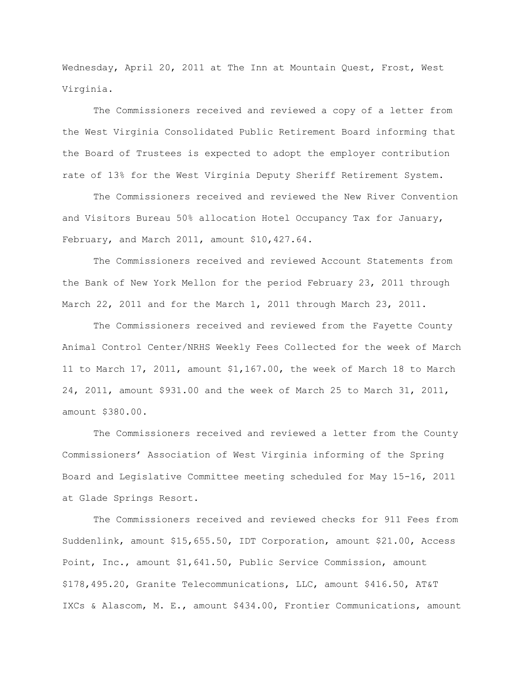Wednesday, April 20, 2011 at The Inn at Mountain Quest, Frost, West Virginia.

The Commissioners received and reviewed a copy of a letter from the West Virginia Consolidated Public Retirement Board informing that the Board of Trustees is expected to adopt the employer contribution rate of 13% for the West Virginia Deputy Sheriff Retirement System.

The Commissioners received and reviewed the New River Convention and Visitors Bureau 50% allocation Hotel Occupancy Tax for January, February, and March 2011, amount \$10,427.64.

The Commissioners received and reviewed Account Statements from the Bank of New York Mellon for the period February 23, 2011 through March 22, 2011 and for the March 1, 2011 through March 23, 2011.

The Commissioners received and reviewed from the Fayette County Animal Control Center/NRHS Weekly Fees Collected for the week of March 11 to March 17, 2011, amount \$1,167.00, the week of March 18 to March 24, 2011, amount \$931.00 and the week of March 25 to March 31, 2011, amount \$380.00.

The Commissioners received and reviewed a letter from the County Commissioners" Association of West Virginia informing of the Spring Board and Legislative Committee meeting scheduled for May 15-16, 2011 at Glade Springs Resort.

The Commissioners received and reviewed checks for 911 Fees from Suddenlink, amount \$15,655.50, IDT Corporation, amount \$21.00, Access Point, Inc., amount \$1,641.50, Public Service Commission, amount \$178,495.20, Granite Telecommunications, LLC, amount \$416.50, AT&T IXCs & Alascom, M. E., amount \$434.00, Frontier Communications, amount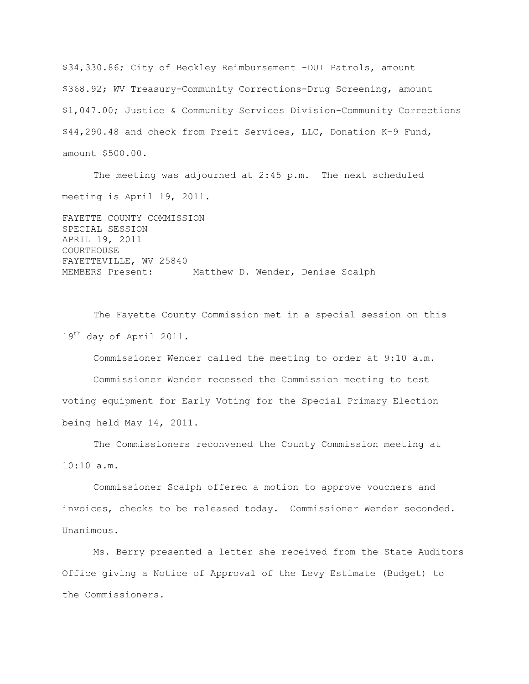\$34,330.86; City of Beckley Reimbursement -DUI Patrols, amount \$368.92; WV Treasury-Community Corrections-Drug Screening, amount \$1,047.00; Justice & Community Services Division-Community Corrections \$44,290.48 and check from Preit Services, LLC, Donation K-9 Fund, amount \$500.00.

The meeting was adjourned at 2:45 p.m. The next scheduled meeting is April 19, 2011.

FAYETTE COUNTY COMMISSION SPECIAL SESSION APRIL 19, 2011 COURTHOUSE FAYETTEVILLE, WV 25840 MEMBERS Present: Matthew D. Wender, Denise Scalph

The Fayette County Commission met in a special session on this 19<sup>th</sup> day of April 2011.

Commissioner Wender called the meeting to order at 9:10 a.m. Commissioner Wender recessed the Commission meeting to test voting equipment for Early Voting for the Special Primary Election being held May 14, 2011.

The Commissioners reconvened the County Commission meeting at 10:10 a.m.

Commissioner Scalph offered a motion to approve vouchers and invoices, checks to be released today. Commissioner Wender seconded. Unanimous.

Ms. Berry presented a letter she received from the State Auditors Office giving a Notice of Approval of the Levy Estimate (Budget) to the Commissioners.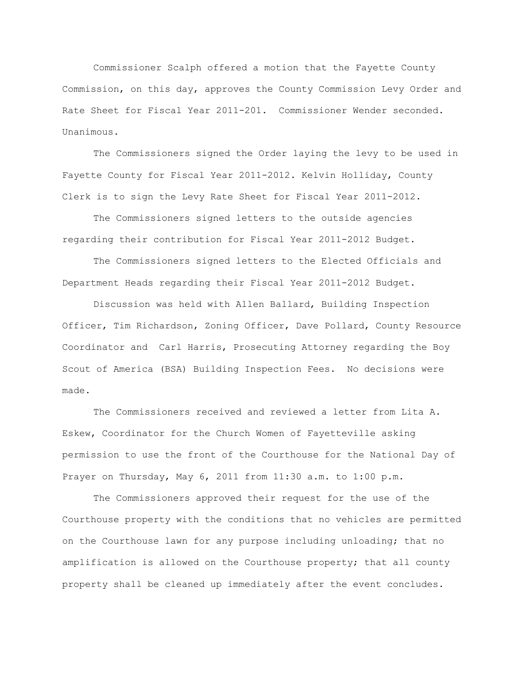Commissioner Scalph offered a motion that the Fayette County Commission, on this day, approves the County Commission Levy Order and Rate Sheet for Fiscal Year 2011-201. Commissioner Wender seconded. Unanimous.

The Commissioners signed the Order laying the levy to be used in Fayette County for Fiscal Year 2011-2012. Kelvin Holliday, County Clerk is to sign the Levy Rate Sheet for Fiscal Year 2011-2012.

The Commissioners signed letters to the outside agencies regarding their contribution for Fiscal Year 2011-2012 Budget.

The Commissioners signed letters to the Elected Officials and Department Heads regarding their Fiscal Year 2011-2012 Budget.

Discussion was held with Allen Ballard, Building Inspection Officer, Tim Richardson, Zoning Officer, Dave Pollard, County Resource Coordinator and Carl Harris, Prosecuting Attorney regarding the Boy Scout of America (BSA) Building Inspection Fees. No decisions were made.

The Commissioners received and reviewed a letter from Lita A. Eskew, Coordinator for the Church Women of Fayetteville asking permission to use the front of the Courthouse for the National Day of Prayer on Thursday, May 6, 2011 from 11:30 a.m. to 1:00 p.m.

The Commissioners approved their request for the use of the Courthouse property with the conditions that no vehicles are permitted on the Courthouse lawn for any purpose including unloading; that no amplification is allowed on the Courthouse property; that all county property shall be cleaned up immediately after the event concludes.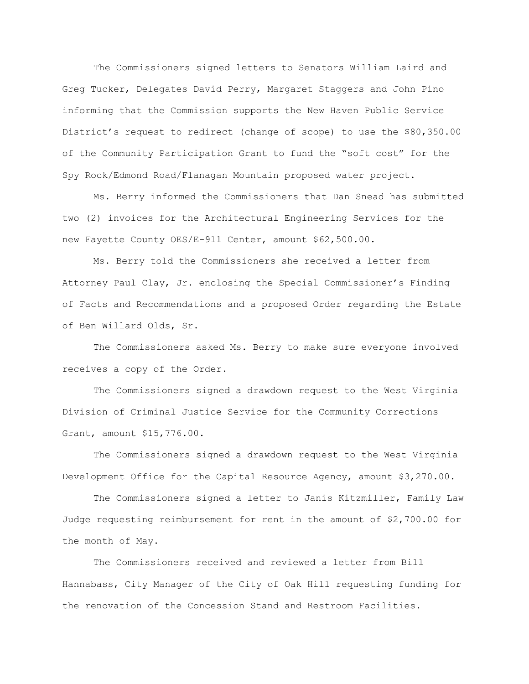The Commissioners signed letters to Senators William Laird and Greg Tucker, Delegates David Perry, Margaret Staggers and John Pino informing that the Commission supports the New Haven Public Service District"s request to redirect (change of scope) to use the \$80,350.00 of the Community Participation Grant to fund the "soft cost" for the Spy Rock/Edmond Road/Flanagan Mountain proposed water project.

Ms. Berry informed the Commissioners that Dan Snead has submitted two (2) invoices for the Architectural Engineering Services for the new Fayette County OES/E-911 Center, amount \$62,500.00.

Ms. Berry told the Commissioners she received a letter from Attorney Paul Clay, Jr. enclosing the Special Commissioner"s Finding of Facts and Recommendations and a proposed Order regarding the Estate of Ben Willard Olds, Sr.

The Commissioners asked Ms. Berry to make sure everyone involved receives a copy of the Order.

The Commissioners signed a drawdown request to the West Virginia Division of Criminal Justice Service for the Community Corrections Grant, amount \$15,776.00.

The Commissioners signed a drawdown request to the West Virginia Development Office for the Capital Resource Agency, amount \$3,270.00.

The Commissioners signed a letter to Janis Kitzmiller, Family Law Judge requesting reimbursement for rent in the amount of \$2,700.00 for the month of May.

The Commissioners received and reviewed a letter from Bill Hannabass, City Manager of the City of Oak Hill requesting funding for the renovation of the Concession Stand and Restroom Facilities.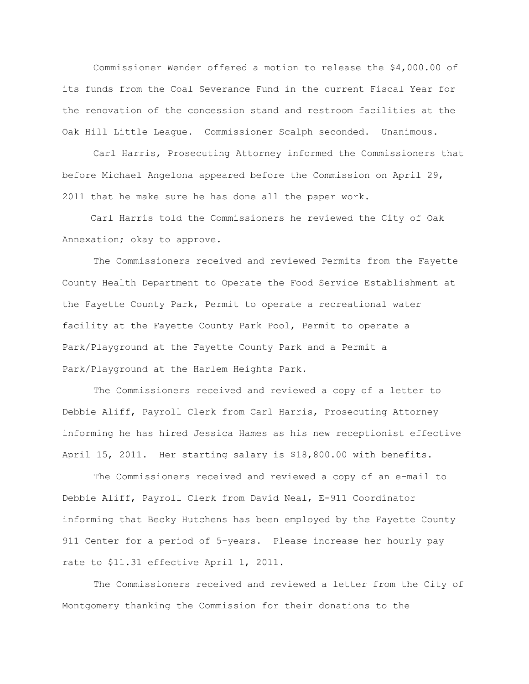Commissioner Wender offered a motion to release the \$4,000.00 of its funds from the Coal Severance Fund in the current Fiscal Year for the renovation of the concession stand and restroom facilities at the Oak Hill Little League. Commissioner Scalph seconded. Unanimous.

Carl Harris, Prosecuting Attorney informed the Commissioners that before Michael Angelona appeared before the Commission on April 29, 2011 that he make sure he has done all the paper work.

 Carl Harris told the Commissioners he reviewed the City of Oak Annexation; okay to approve.

The Commissioners received and reviewed Permits from the Fayette County Health Department to Operate the Food Service Establishment at the Fayette County Park, Permit to operate a recreational water facility at the Fayette County Park Pool, Permit to operate a Park/Playground at the Fayette County Park and a Permit a Park/Playground at the Harlem Heights Park.

The Commissioners received and reviewed a copy of a letter to Debbie Aliff, Payroll Clerk from Carl Harris, Prosecuting Attorney informing he has hired Jessica Hames as his new receptionist effective April 15, 2011. Her starting salary is \$18,800.00 with benefits.

The Commissioners received and reviewed a copy of an e-mail to Debbie Aliff, Payroll Clerk from David Neal, E-911 Coordinator informing that Becky Hutchens has been employed by the Fayette County 911 Center for a period of 5-years. Please increase her hourly pay rate to \$11.31 effective April 1, 2011.

The Commissioners received and reviewed a letter from the City of Montgomery thanking the Commission for their donations to the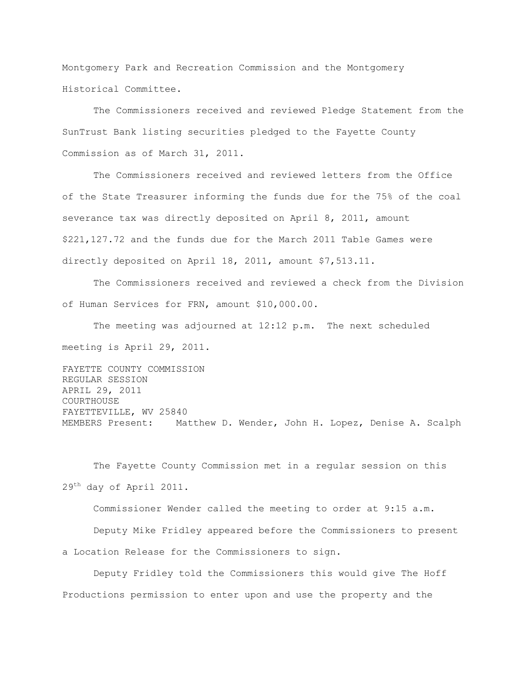Montgomery Park and Recreation Commission and the Montgomery Historical Committee.

The Commissioners received and reviewed Pledge Statement from the SunTrust Bank listing securities pledged to the Fayette County Commission as of March 31, 2011.

The Commissioners received and reviewed letters from the Office of the State Treasurer informing the funds due for the 75% of the coal severance tax was directly deposited on April 8, 2011, amount \$221,127.72 and the funds due for the March 2011 Table Games were directly deposited on April 18, 2011, amount \$7,513.11.

The Commissioners received and reviewed a check from the Division of Human Services for FRN, amount \$10,000.00.

The meeting was adjourned at 12:12 p.m. The next scheduled meeting is April 29, 2011.

FAYETTE COUNTY COMMISSION REGULAR SESSION APRIL 29, 2011 COURTHOUSE FAYETTEVILLE, WV 25840 MEMBERS Present: Matthew D. Wender, John H. Lopez, Denise A. Scalph

The Fayette County Commission met in a regular session on this 29<sup>th</sup> day of April 2011.

Commissioner Wender called the meeting to order at 9:15 a.m.

Deputy Mike Fridley appeared before the Commissioners to present a Location Release for the Commissioners to sign.

Deputy Fridley told the Commissioners this would give The Hoff Productions permission to enter upon and use the property and the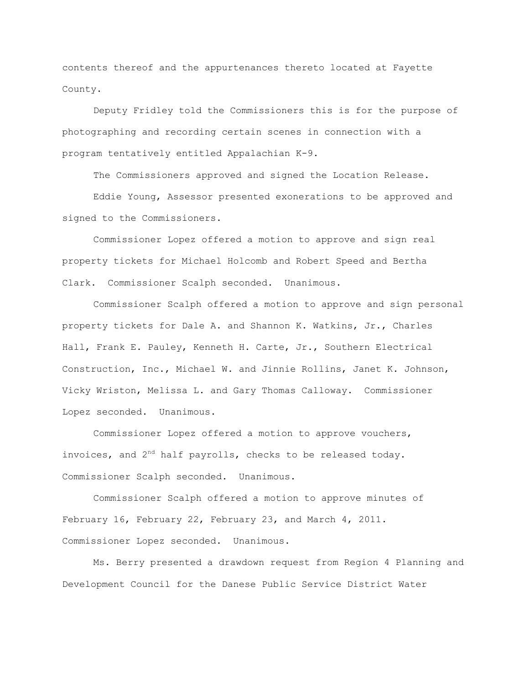contents thereof and the appurtenances thereto located at Fayette County.

Deputy Fridley told the Commissioners this is for the purpose of photographing and recording certain scenes in connection with a program tentatively entitled Appalachian K-9.

The Commissioners approved and signed the Location Release.

Eddie Young, Assessor presented exonerations to be approved and signed to the Commissioners.

Commissioner Lopez offered a motion to approve and sign real property tickets for Michael Holcomb and Robert Speed and Bertha Clark. Commissioner Scalph seconded. Unanimous.

Commissioner Scalph offered a motion to approve and sign personal property tickets for Dale A. and Shannon K. Watkins, Jr., Charles Hall, Frank E. Pauley, Kenneth H. Carte, Jr., Southern Electrical Construction, Inc., Michael W. and Jinnie Rollins, Janet K. Johnson, Vicky Wriston, Melissa L. and Gary Thomas Calloway. Commissioner Lopez seconded. Unanimous.

Commissioner Lopez offered a motion to approve vouchers, invoices, and  $2^{nd}$  half payrolls, checks to be released today. Commissioner Scalph seconded. Unanimous.

Commissioner Scalph offered a motion to approve minutes of February 16, February 22, February 23, and March 4, 2011. Commissioner Lopez seconded. Unanimous.

Ms. Berry presented a drawdown request from Region 4 Planning and Development Council for the Danese Public Service District Water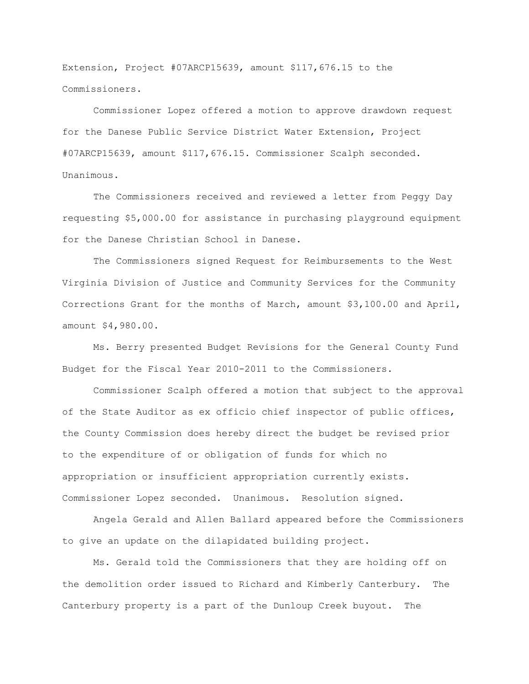Extension, Project #07ARCP15639, amount \$117,676.15 to the Commissioners.

Commissioner Lopez offered a motion to approve drawdown request for the Danese Public Service District Water Extension, Project #07ARCP15639, amount \$117,676.15. Commissioner Scalph seconded. Unanimous.

The Commissioners received and reviewed a letter from Peggy Day requesting \$5,000.00 for assistance in purchasing playground equipment for the Danese Christian School in Danese.

The Commissioners signed Request for Reimbursements to the West Virginia Division of Justice and Community Services for the Community Corrections Grant for the months of March, amount \$3,100.00 and April, amount \$4,980.00.

Ms. Berry presented Budget Revisions for the General County Fund Budget for the Fiscal Year 2010-2011 to the Commissioners.

Commissioner Scalph offered a motion that subject to the approval of the State Auditor as ex officio chief inspector of public offices, the County Commission does hereby direct the budget be revised prior to the expenditure of or obligation of funds for which no appropriation or insufficient appropriation currently exists. Commissioner Lopez seconded. Unanimous. Resolution signed.

Angela Gerald and Allen Ballard appeared before the Commissioners to give an update on the dilapidated building project.

Ms. Gerald told the Commissioners that they are holding off on the demolition order issued to Richard and Kimberly Canterbury. The Canterbury property is a part of the Dunloup Creek buyout. The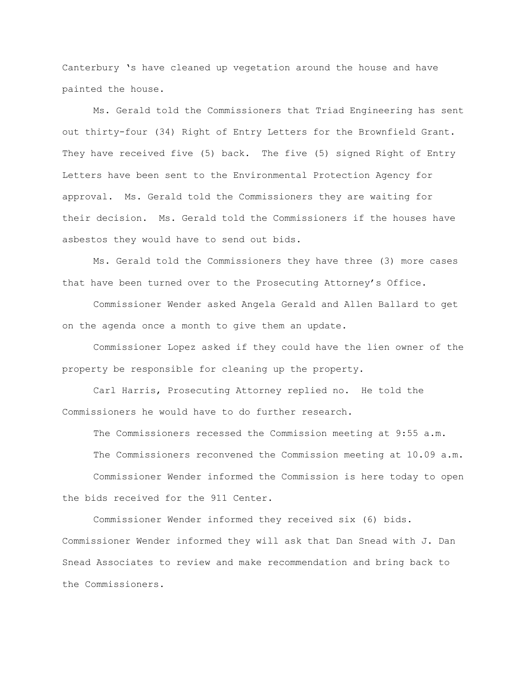Canterbury "s have cleaned up vegetation around the house and have painted the house.

Ms. Gerald told the Commissioners that Triad Engineering has sent out thirty-four (34) Right of Entry Letters for the Brownfield Grant. They have received five (5) back. The five (5) signed Right of Entry Letters have been sent to the Environmental Protection Agency for approval. Ms. Gerald told the Commissioners they are waiting for their decision. Ms. Gerald told the Commissioners if the houses have asbestos they would have to send out bids.

Ms. Gerald told the Commissioners they have three (3) more cases that have been turned over to the Prosecuting Attorney"s Office.

Commissioner Wender asked Angela Gerald and Allen Ballard to get on the agenda once a month to give them an update.

Commissioner Lopez asked if they could have the lien owner of the property be responsible for cleaning up the property.

Carl Harris, Prosecuting Attorney replied no. He told the Commissioners he would have to do further research.

The Commissioners recessed the Commission meeting at 9:55 a.m. The Commissioners reconvened the Commission meeting at 10.09 a.m. Commissioner Wender informed the Commission is here today to open the bids received for the 911 Center.

Commissioner Wender informed they received six (6) bids. Commissioner Wender informed they will ask that Dan Snead with J. Dan Snead Associates to review and make recommendation and bring back to the Commissioners.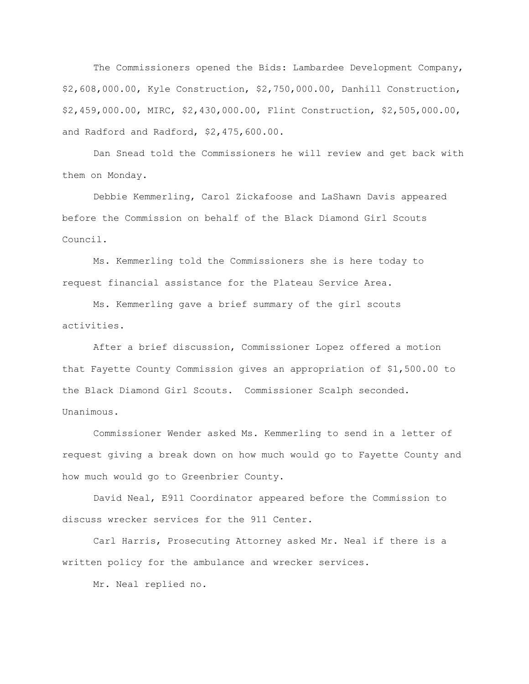The Commissioners opened the Bids: Lambardee Development Company, \$2,608,000.00, Kyle Construction, \$2,750,000.00, Danhill Construction, \$2,459,000.00, MIRC, \$2,430,000.00, Flint Construction, \$2,505,000.00, and Radford and Radford, \$2,475,600.00.

Dan Snead told the Commissioners he will review and get back with them on Monday.

Debbie Kemmerling, Carol Zickafoose and LaShawn Davis appeared before the Commission on behalf of the Black Diamond Girl Scouts Council.

Ms. Kemmerling told the Commissioners she is here today to request financial assistance for the Plateau Service Area.

Ms. Kemmerling gave a brief summary of the girl scouts activities.

After a brief discussion, Commissioner Lopez offered a motion that Fayette County Commission gives an appropriation of \$1,500.00 to the Black Diamond Girl Scouts. Commissioner Scalph seconded. Unanimous.

Commissioner Wender asked Ms. Kemmerling to send in a letter of request giving a break down on how much would go to Fayette County and how much would go to Greenbrier County.

David Neal, E911 Coordinator appeared before the Commission to discuss wrecker services for the 911 Center.

Carl Harris, Prosecuting Attorney asked Mr. Neal if there is a written policy for the ambulance and wrecker services.

Mr. Neal replied no.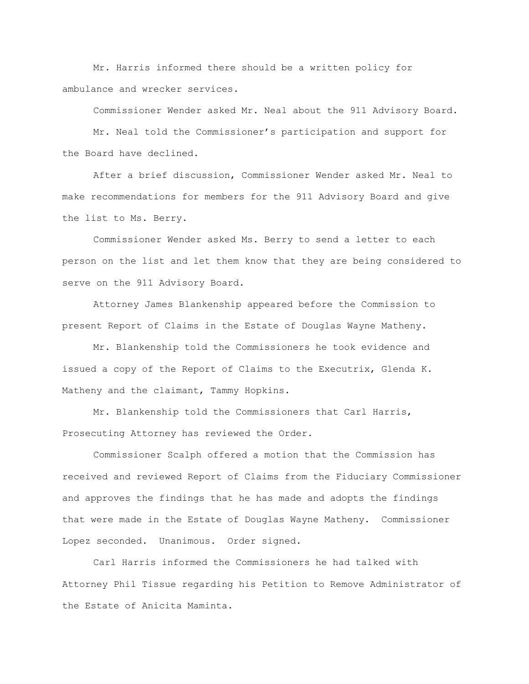Mr. Harris informed there should be a written policy for ambulance and wrecker services.

Commissioner Wender asked Mr. Neal about the 911 Advisory Board.

Mr. Neal told the Commissioner"s participation and support for the Board have declined.

After a brief discussion, Commissioner Wender asked Mr. Neal to make recommendations for members for the 911 Advisory Board and give the list to Ms. Berry.

Commissioner Wender asked Ms. Berry to send a letter to each person on the list and let them know that they are being considered to serve on the 911 Advisory Board.

Attorney James Blankenship appeared before the Commission to present Report of Claims in the Estate of Douglas Wayne Matheny.

Mr. Blankenship told the Commissioners he took evidence and issued a copy of the Report of Claims to the Executrix, Glenda K. Matheny and the claimant, Tammy Hopkins.

Mr. Blankenship told the Commissioners that Carl Harris, Prosecuting Attorney has reviewed the Order.

Commissioner Scalph offered a motion that the Commission has received and reviewed Report of Claims from the Fiduciary Commissioner and approves the findings that he has made and adopts the findings that were made in the Estate of Douglas Wayne Matheny. Commissioner Lopez seconded. Unanimous. Order signed.

Carl Harris informed the Commissioners he had talked with Attorney Phil Tissue regarding his Petition to Remove Administrator of the Estate of Anicita Maminta.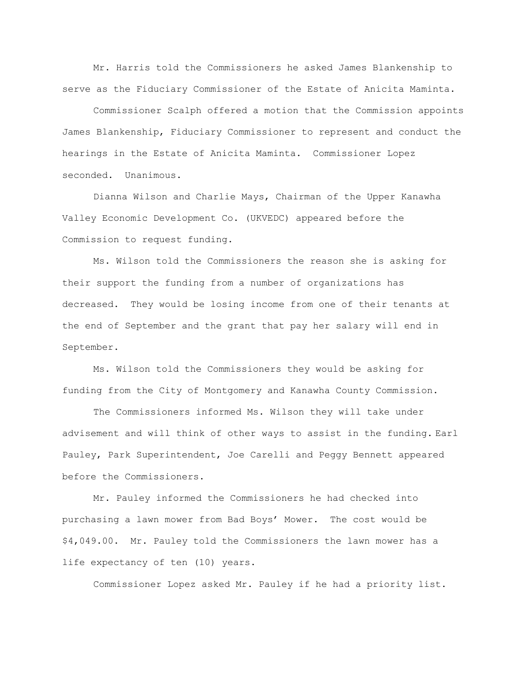Mr. Harris told the Commissioners he asked James Blankenship to serve as the Fiduciary Commissioner of the Estate of Anicita Maminta.

Commissioner Scalph offered a motion that the Commission appoints James Blankenship, Fiduciary Commissioner to represent and conduct the hearings in the Estate of Anicita Maminta. Commissioner Lopez seconded. Unanimous.

Dianna Wilson and Charlie Mays, Chairman of the Upper Kanawha Valley Economic Development Co. (UKVEDC) appeared before the Commission to request funding.

Ms. Wilson told the Commissioners the reason she is asking for their support the funding from a number of organizations has decreased. They would be losing income from one of their tenants at the end of September and the grant that pay her salary will end in September.

Ms. Wilson told the Commissioners they would be asking for funding from the City of Montgomery and Kanawha County Commission.

The Commissioners informed Ms. Wilson they will take under advisement and will think of other ways to assist in the funding. Earl Pauley, Park Superintendent, Joe Carelli and Peggy Bennett appeared before the Commissioners.

Mr. Pauley informed the Commissioners he had checked into purchasing a lawn mower from Bad Boys" Mower. The cost would be \$4,049.00. Mr. Pauley told the Commissioners the lawn mower has a life expectancy of ten (10) years.

Commissioner Lopez asked Mr. Pauley if he had a priority list.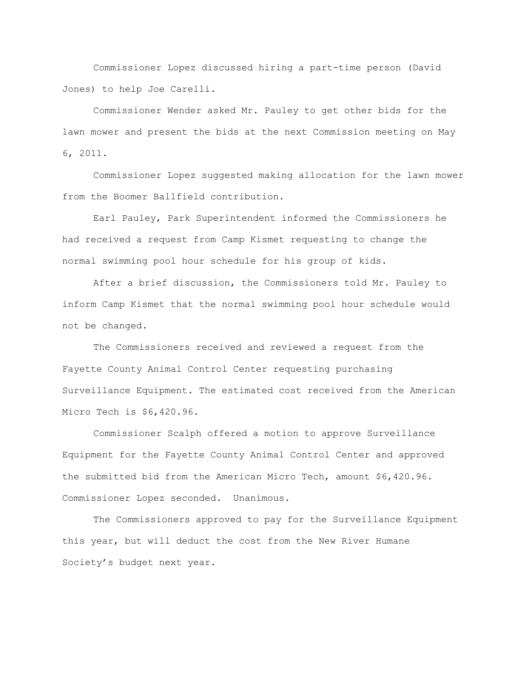Commissioner Lopez discussed hiring a part-time person (David Jones) to help Joe Carelli.

Commissioner Wender asked Mr. Pauley to get other bids for the lawn mower and present the bids at the next Commission meeting on May 6, 2011.

Commissioner Lopez suggested making allocation for the lawn mower from the Boomer Ballfield contribution.

Earl Pauley, Park Superintendent informed the Commissioners he had received a request from Camp Kismet requesting to change the normal swimming pool hour schedule for his group of kids.

After a brief discussion, the Commissioners told Mr. Pauley to inform Camp Kismet that the normal swimming pool hour schedule would not be changed.

The Commissioners received and reviewed a request from the Fayette County Animal Control Center requesting purchasing Surveillance Equipment. The estimated cost received from the American Micro Tech is \$6,420.96.

Commissioner Scalph offered a motion to approve Surveillance Equipment for the Fayette County Animal Control Center and approved the submitted bid from the American Micro Tech, amount \$6,420.96. Commissioner Lopez seconded. Unanimous.

The Commissioners approved to pay for the Surveillance Equipment this year, but will deduct the cost from the New River Humane Society"s budget next year.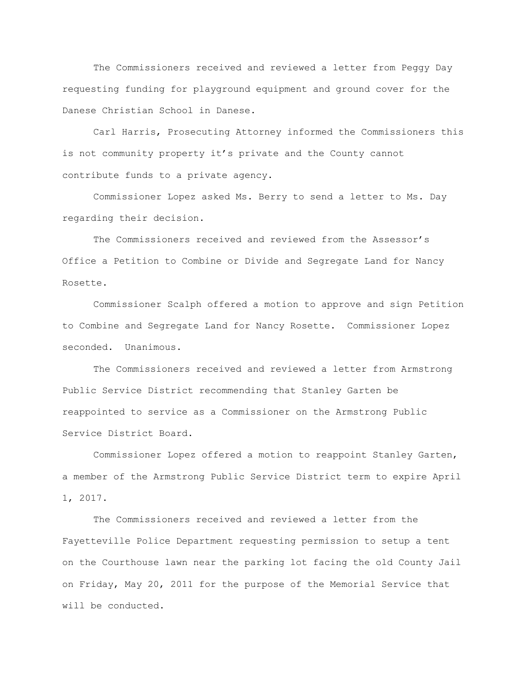The Commissioners received and reviewed a letter from Peggy Day requesting funding for playground equipment and ground cover for the Danese Christian School in Danese.

Carl Harris, Prosecuting Attorney informed the Commissioners this is not community property it's private and the County cannot contribute funds to a private agency.

Commissioner Lopez asked Ms. Berry to send a letter to Ms. Day regarding their decision.

The Commissioners received and reviewed from the Assessor"s Office a Petition to Combine or Divide and Segregate Land for Nancy Rosette.

Commissioner Scalph offered a motion to approve and sign Petition to Combine and Segregate Land for Nancy Rosette. Commissioner Lopez seconded. Unanimous.

The Commissioners received and reviewed a letter from Armstrong Public Service District recommending that Stanley Garten be reappointed to service as a Commissioner on the Armstrong Public Service District Board.

Commissioner Lopez offered a motion to reappoint Stanley Garten, a member of the Armstrong Public Service District term to expire April 1, 2017.

The Commissioners received and reviewed a letter from the Fayetteville Police Department requesting permission to setup a tent on the Courthouse lawn near the parking lot facing the old County Jail on Friday, May 20, 2011 for the purpose of the Memorial Service that will be conducted.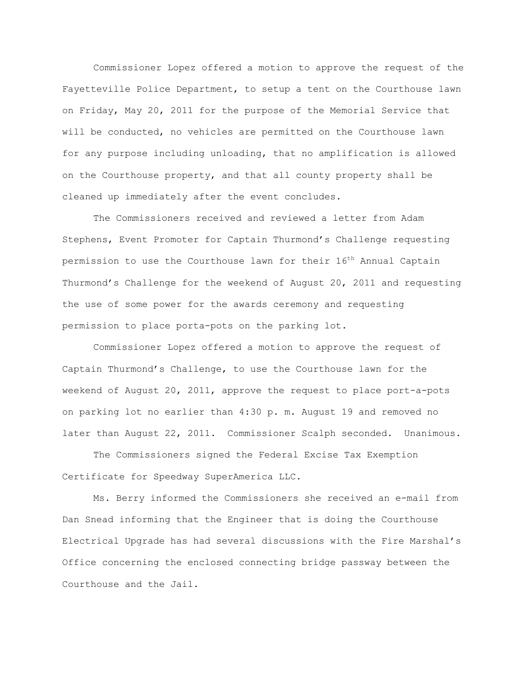Commissioner Lopez offered a motion to approve the request of the Fayetteville Police Department, to setup a tent on the Courthouse lawn on Friday, May 20, 2011 for the purpose of the Memorial Service that will be conducted, no vehicles are permitted on the Courthouse lawn for any purpose including unloading, that no amplification is allowed on the Courthouse property, and that all county property shall be cleaned up immediately after the event concludes.

The Commissioners received and reviewed a letter from Adam Stephens, Event Promoter for Captain Thurmond"s Challenge requesting permission to use the Courthouse lawn for their 16<sup>th</sup> Annual Captain Thurmond"s Challenge for the weekend of August 20, 2011 and requesting the use of some power for the awards ceremony and requesting permission to place porta-pots on the parking lot.

Commissioner Lopez offered a motion to approve the request of Captain Thurmond"s Challenge, to use the Courthouse lawn for the weekend of August 20, 2011, approve the request to place port-a-pots on parking lot no earlier than 4:30 p. m. August 19 and removed no later than August 22, 2011. Commissioner Scalph seconded. Unanimous.

The Commissioners signed the Federal Excise Tax Exemption Certificate for Speedway SuperAmerica LLC.

Ms. Berry informed the Commissioners she received an e-mail from Dan Snead informing that the Engineer that is doing the Courthouse Electrical Upgrade has had several discussions with the Fire Marshal"s Office concerning the enclosed connecting bridge passway between the Courthouse and the Jail.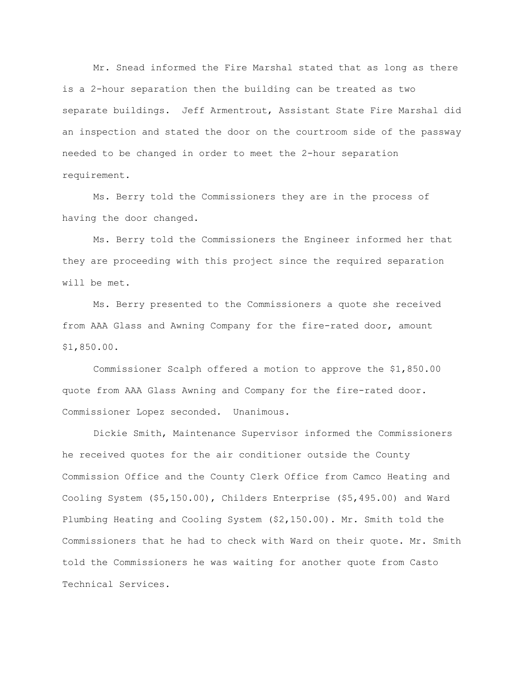Mr. Snead informed the Fire Marshal stated that as long as there is a 2-hour separation then the building can be treated as two separate buildings. Jeff Armentrout, Assistant State Fire Marshal did an inspection and stated the door on the courtroom side of the passway needed to be changed in order to meet the 2-hour separation requirement.

Ms. Berry told the Commissioners they are in the process of having the door changed.

Ms. Berry told the Commissioners the Engineer informed her that they are proceeding with this project since the required separation will be met.

Ms. Berry presented to the Commissioners a quote she received from AAA Glass and Awning Company for the fire-rated door, amount \$1,850.00.

Commissioner Scalph offered a motion to approve the \$1,850.00 quote from AAA Glass Awning and Company for the fire-rated door. Commissioner Lopez seconded. Unanimous.

Dickie Smith, Maintenance Supervisor informed the Commissioners he received quotes for the air conditioner outside the County Commission Office and the County Clerk Office from Camco Heating and Cooling System (\$5,150.00), Childers Enterprise (\$5,495.00) and Ward Plumbing Heating and Cooling System (\$2,150.00). Mr. Smith told the Commissioners that he had to check with Ward on their quote. Mr. Smith told the Commissioners he was waiting for another quote from Casto Technical Services.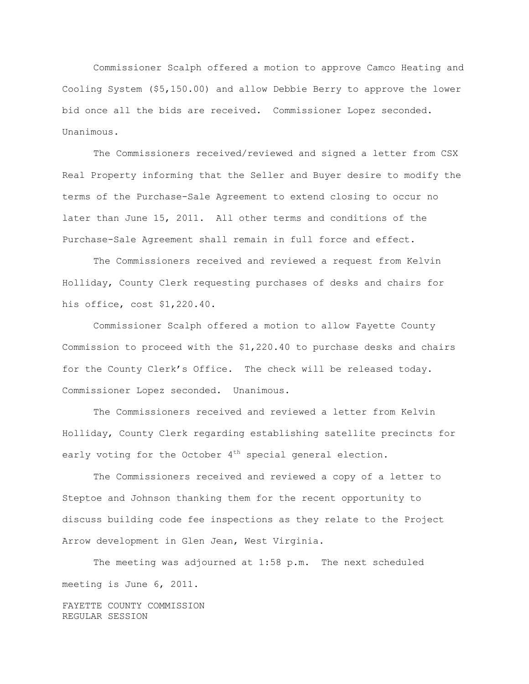Commissioner Scalph offered a motion to approve Camco Heating and Cooling System (\$5,150.00) and allow Debbie Berry to approve the lower bid once all the bids are received. Commissioner Lopez seconded. Unanimous.

The Commissioners received/reviewed and signed a letter from CSX Real Property informing that the Seller and Buyer desire to modify the terms of the Purchase-Sale Agreement to extend closing to occur no later than June 15, 2011. All other terms and conditions of the Purchase-Sale Agreement shall remain in full force and effect.

The Commissioners received and reviewed a request from Kelvin Holliday, County Clerk requesting purchases of desks and chairs for his office, cost \$1,220.40.

Commissioner Scalph offered a motion to allow Fayette County Commission to proceed with the \$1,220.40 to purchase desks and chairs for the County Clerk's Office. The check will be released today. Commissioner Lopez seconded. Unanimous.

The Commissioners received and reviewed a letter from Kelvin Holliday, County Clerk regarding establishing satellite precincts for early voting for the October  $4<sup>th</sup>$  special general election.

The Commissioners received and reviewed a copy of a letter to Steptoe and Johnson thanking them for the recent opportunity to discuss building code fee inspections as they relate to the Project Arrow development in Glen Jean, West Virginia.

The meeting was adjourned at 1:58 p.m. The next scheduled meeting is June 6, 2011.

FAYETTE COUNTY COMMISSION REGULAR SESSION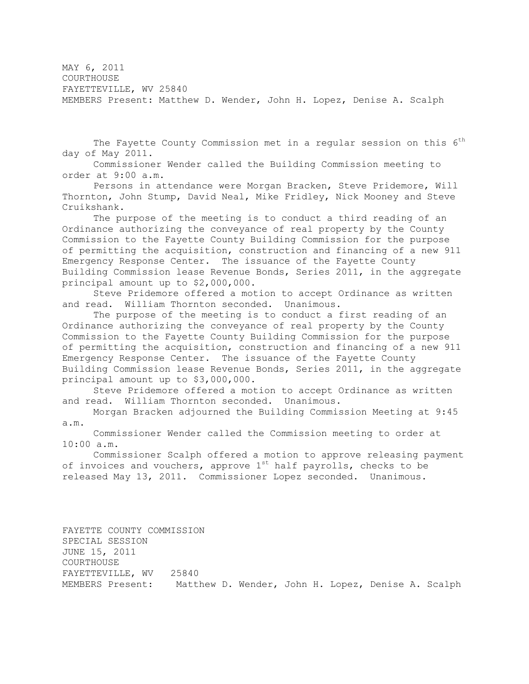MAY 6, 2011 **COURTHOUSE** FAYETTEVILLE, WV 25840 MEMBERS Present: Matthew D. Wender, John H. Lopez, Denise A. Scalph

The Fayette County Commission met in a regular session on this  $6<sup>th</sup>$ day of May 2011.

Commissioner Wender called the Building Commission meeting to order at 9:00 a.m.

Persons in attendance were Morgan Bracken, Steve Pridemore, Will Thornton, John Stump, David Neal, Mike Fridley, Nick Mooney and Steve Cruikshank.

The purpose of the meeting is to conduct a third reading of an Ordinance authorizing the conveyance of real property by the County Commission to the Fayette County Building Commission for the purpose of permitting the acquisition, construction and financing of a new 911 Emergency Response Center. The issuance of the Fayette County Building Commission lease Revenue Bonds, Series 2011, in the aggregate principal amount up to \$2,000,000.

Steve Pridemore offered a motion to accept Ordinance as written and read. William Thornton seconded. Unanimous.

The purpose of the meeting is to conduct a first reading of an Ordinance authorizing the conveyance of real property by the County Commission to the Fayette County Building Commission for the purpose of permitting the acquisition, construction and financing of a new 911 Emergency Response Center. The issuance of the Fayette County Building Commission lease Revenue Bonds, Series 2011, in the aggregate principal amount up to \$3,000,000.

Steve Pridemore offered a motion to accept Ordinance as written and read. William Thornton seconded. Unanimous.

Morgan Bracken adjourned the Building Commission Meeting at 9:45 a.m.

Commissioner Wender called the Commission meeting to order at 10:00 a.m.

Commissioner Scalph offered a motion to approve releasing payment of invoices and vouchers, approve  $1^{st}$  half payrolls, checks to be released May 13, 2011. Commissioner Lopez seconded. Unanimous.

FAYETTE COUNTY COMMISSION SPECIAL SESSION JUNE 15, 2011 COURTHOUSE FAYETTEVILLE, WV 25840 MEMBERS Present: Matthew D. Wender, John H. Lopez, Denise A. Scalph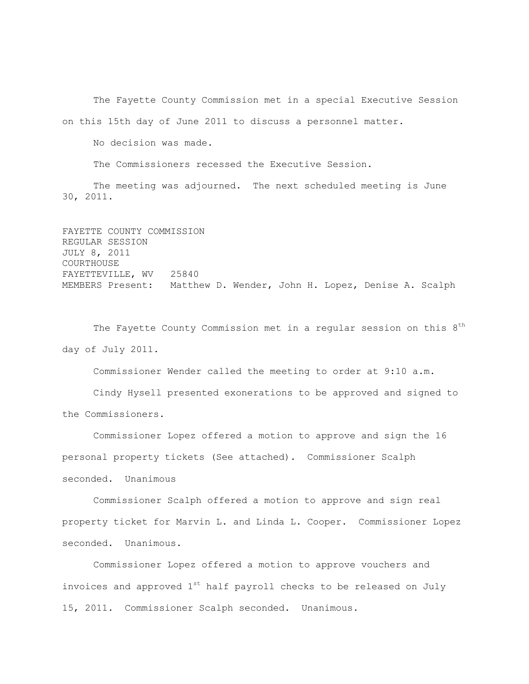The Fayette County Commission met in a special Executive Session on this 15th day of June 2011 to discuss a personnel matter.

No decision was made.

The Commissioners recessed the Executive Session.

The meeting was adjourned. The next scheduled meeting is June 30, 2011.

FAYETTE COUNTY COMMISSION REGULAR SESSION JULY 8, 2011 COURTHOUSE FAYETTEVILLE, WV 25840 MEMBERS Present: Matthew D. Wender, John H. Lopez, Denise A. Scalph

The Fayette County Commission met in a regular session on this  $8<sup>th</sup>$ day of July 2011.

Commissioner Wender called the meeting to order at 9:10 a.m.

Cindy Hysell presented exonerations to be approved and signed to the Commissioners.

Commissioner Lopez offered a motion to approve and sign the 16 personal property tickets (See attached). Commissioner Scalph seconded. Unanimous

Commissioner Scalph offered a motion to approve and sign real property ticket for Marvin L. and Linda L. Cooper. Commissioner Lopez seconded. Unanimous.

Commissioner Lopez offered a motion to approve vouchers and invoices and approved  $1^{st}$  half payroll checks to be released on July 15, 2011. Commissioner Scalph seconded. Unanimous.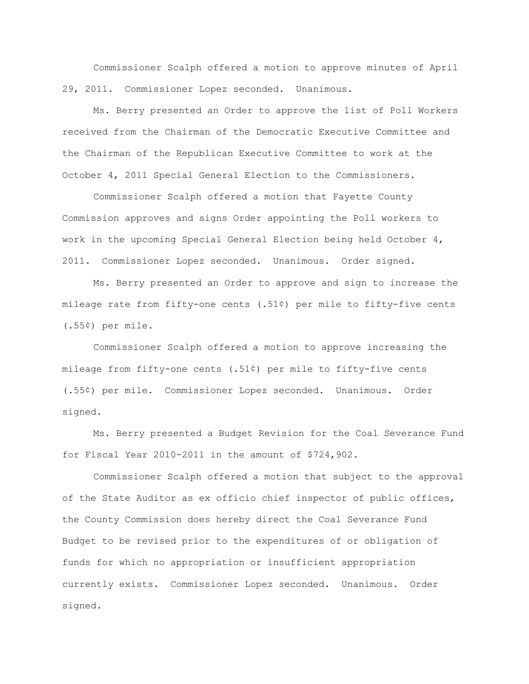Commissioner Scalph offered a motion to approve minutes of April 29, 2011. Commissioner Lopez seconded. Unanimous.

Ms. Berry presented an Order to approve the list of Poll Workers received from the Chairman of the Democratic Executive Committee and the Chairman of the Republican Executive Committee to work at the October 4, 2011 Special General Election to the Commissioners.

Commissioner Scalph offered a motion that Fayette County Commission approves and signs Order appointing the Poll workers to work in the upcoming Special General Election being held October 4, 2011. Commissioner Lopez seconded. Unanimous. Order signed.

Ms. Berry presented an Order to approve and sign to increase the mileage rate from fifty-one cents (.51¢) per mile to fifty-five cents (.55¢) per mile.

Commissioner Scalph offered a motion to approve increasing the mileage from fifty-one cents (.51¢) per mile to fifty-five cents (.55¢) per mile. Commissioner Lopez seconded. Unanimous. Order signed.

Ms. Berry presented a Budget Revision for the Coal Severance Fund for Fiscal Year 2010-2011 in the amount of \$724,902.

Commissioner Scalph offered a motion that subject to the approval of the State Auditor as ex officio chief inspector of public offices, the County Commission does hereby direct the Coal Severance Fund Budget to be revised prior to the expenditures of or obligation of funds for which no appropriation or insufficient appropriation currently exists. Commissioner Lopez seconded. Unanimous. Order signed.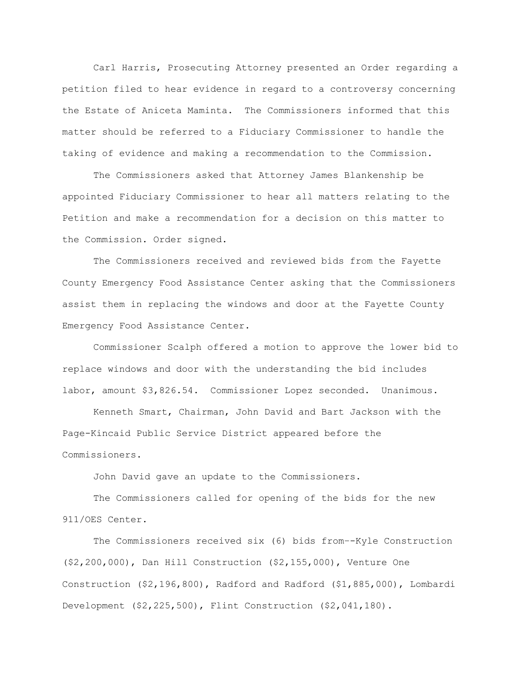Carl Harris, Prosecuting Attorney presented an Order regarding a petition filed to hear evidence in regard to a controversy concerning the Estate of Aniceta Maminta. The Commissioners informed that this matter should be referred to a Fiduciary Commissioner to handle the taking of evidence and making a recommendation to the Commission.

The Commissioners asked that Attorney James Blankenship be appointed Fiduciary Commissioner to hear all matters relating to the Petition and make a recommendation for a decision on this matter to the Commission. Order signed.

The Commissioners received and reviewed bids from the Fayette County Emergency Food Assistance Center asking that the Commissioners assist them in replacing the windows and door at the Fayette County Emergency Food Assistance Center.

Commissioner Scalph offered a motion to approve the lower bid to replace windows and door with the understanding the bid includes labor, amount \$3,826.54. Commissioner Lopez seconded. Unanimous.

Kenneth Smart, Chairman, John David and Bart Jackson with the Page-Kincaid Public Service District appeared before the Commissioners.

John David gave an update to the Commissioners.

The Commissioners called for opening of the bids for the new 911/OES Center.

The Commissioners received six (6) bids from–-Kyle Construction (\$2,200,000), Dan Hill Construction (\$2,155,000), Venture One Construction (\$2,196,800), Radford and Radford (\$1,885,000), Lombardi Development (\$2,225,500), Flint Construction (\$2,041,180).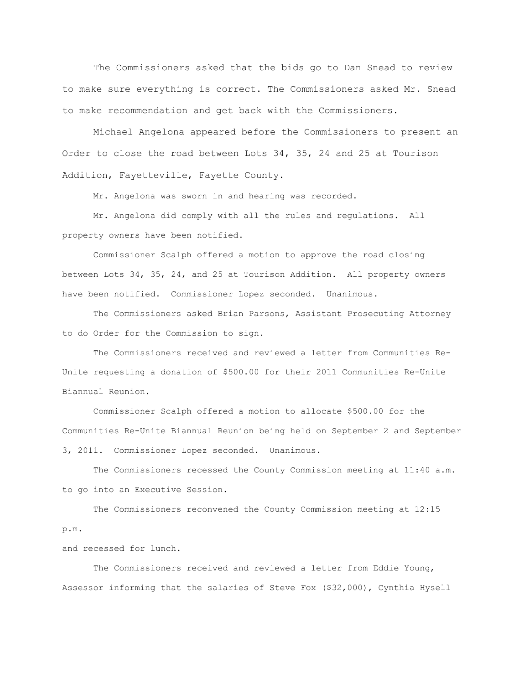The Commissioners asked that the bids go to Dan Snead to review to make sure everything is correct. The Commissioners asked Mr. Snead to make recommendation and get back with the Commissioners.

Michael Angelona appeared before the Commissioners to present an Order to close the road between Lots 34, 35, 24 and 25 at Tourison Addition, Fayetteville, Fayette County.

Mr. Angelona was sworn in and hearing was recorded.

Mr. Angelona did comply with all the rules and regulations. All property owners have been notified.

Commissioner Scalph offered a motion to approve the road closing between Lots 34, 35, 24, and 25 at Tourison Addition. All property owners have been notified. Commissioner Lopez seconded. Unanimous.

The Commissioners asked Brian Parsons, Assistant Prosecuting Attorney to do Order for the Commission to sign.

The Commissioners received and reviewed a letter from Communities Re-Unite requesting a donation of \$500.00 for their 2011 Communities Re-Unite Biannual Reunion.

Commissioner Scalph offered a motion to allocate \$500.00 for the Communities Re-Unite Biannual Reunion being held on September 2 and September 3, 2011. Commissioner Lopez seconded. Unanimous.

The Commissioners recessed the County Commission meeting at 11:40 a.m. to go into an Executive Session.

The Commissioners reconvened the County Commission meeting at 12:15 p.m.

and recessed for lunch.

The Commissioners received and reviewed a letter from Eddie Young, Assessor informing that the salaries of Steve Fox (\$32,000), Cynthia Hysell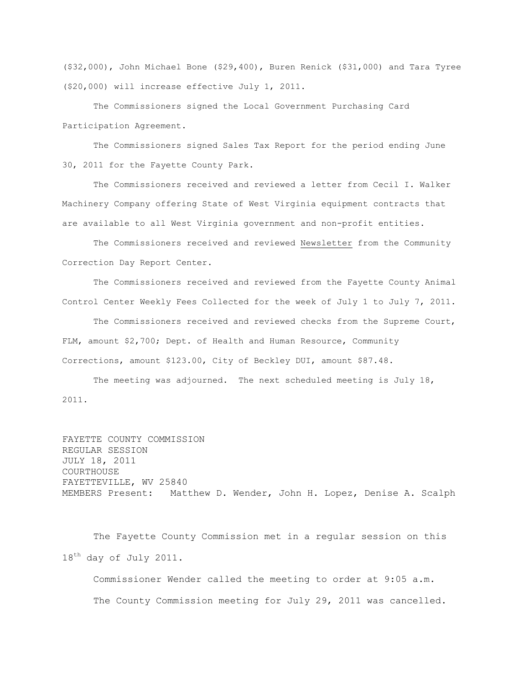(\$32,000), John Michael Bone (\$29,400), Buren Renick (\$31,000) and Tara Tyree (\$20,000) will increase effective July 1, 2011.

The Commissioners signed the Local Government Purchasing Card Participation Agreement.

The Commissioners signed Sales Tax Report for the period ending June 30, 2011 for the Fayette County Park.

The Commissioners received and reviewed a letter from Cecil I. Walker Machinery Company offering State of West Virginia equipment contracts that are available to all West Virginia government and non-profit entities.

The Commissioners received and reviewed Newsletter from the Community Correction Day Report Center.

The Commissioners received and reviewed from the Fayette County Animal Control Center Weekly Fees Collected for the week of July 1 to July 7, 2011.

The Commissioners received and reviewed checks from the Supreme Court, FLM, amount \$2,700; Dept. of Health and Human Resource, Community Corrections, amount \$123.00, City of Beckley DUI, amount \$87.48.

The meeting was adjourned. The next scheduled meeting is July 18, 2011.

FAYETTE COUNTY COMMISSION REGULAR SESSION JULY 18, 2011 COURTHOUSE FAYETTEVILLE, WV 25840 MEMBERS Present: Matthew D. Wender, John H. Lopez, Denise A. Scalph

The Fayette County Commission met in a regular session on this 18<sup>th</sup> day of July 2011.

Commissioner Wender called the meeting to order at 9:05 a.m. The County Commission meeting for July 29, 2011 was cancelled.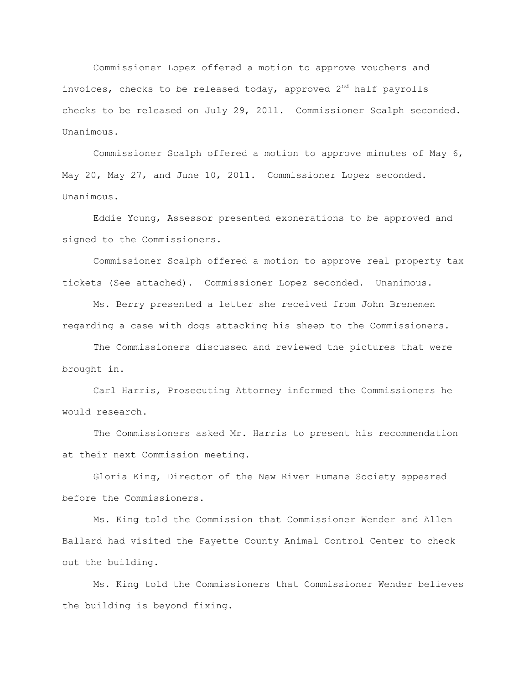Commissioner Lopez offered a motion to approve vouchers and invoices, checks to be released today, approved  $2<sup>nd</sup>$  half payrolls checks to be released on July 29, 2011. Commissioner Scalph seconded. Unanimous.

Commissioner Scalph offered a motion to approve minutes of May 6, May 20, May 27, and June 10, 2011. Commissioner Lopez seconded. Unanimous.

Eddie Young, Assessor presented exonerations to be approved and signed to the Commissioners.

Commissioner Scalph offered a motion to approve real property tax tickets (See attached). Commissioner Lopez seconded. Unanimous.

Ms. Berry presented a letter she received from John Brenemen regarding a case with dogs attacking his sheep to the Commissioners.

The Commissioners discussed and reviewed the pictures that were brought in.

Carl Harris, Prosecuting Attorney informed the Commissioners he would research.

The Commissioners asked Mr. Harris to present his recommendation at their next Commission meeting.

Gloria King, Director of the New River Humane Society appeared before the Commissioners.

Ms. King told the Commission that Commissioner Wender and Allen Ballard had visited the Fayette County Animal Control Center to check out the building.

Ms. King told the Commissioners that Commissioner Wender believes the building is beyond fixing.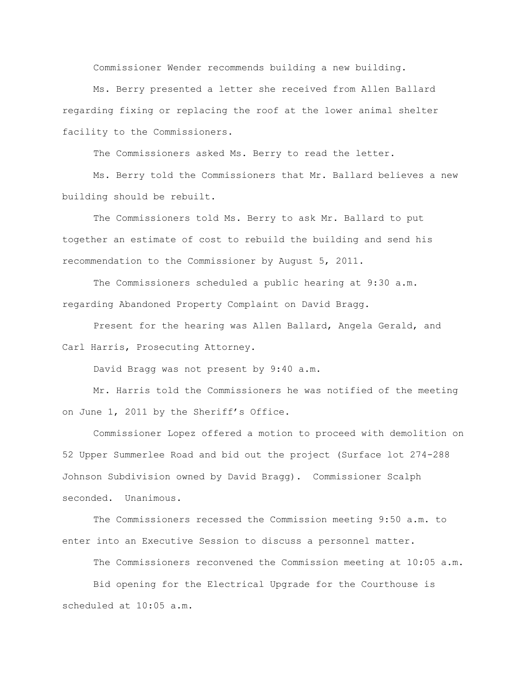Commissioner Wender recommends building a new building.

Ms. Berry presented a letter she received from Allen Ballard regarding fixing or replacing the roof at the lower animal shelter facility to the Commissioners.

The Commissioners asked Ms. Berry to read the letter.

Ms. Berry told the Commissioners that Mr. Ballard believes a new building should be rebuilt.

The Commissioners told Ms. Berry to ask Mr. Ballard to put together an estimate of cost to rebuild the building and send his recommendation to the Commissioner by August 5, 2011.

The Commissioners scheduled a public hearing at 9:30 a.m. regarding Abandoned Property Complaint on David Bragg.

Present for the hearing was Allen Ballard, Angela Gerald, and Carl Harris, Prosecuting Attorney.

David Bragg was not present by 9:40 a.m.

Mr. Harris told the Commissioners he was notified of the meeting on June 1, 2011 by the Sheriff's Office.

Commissioner Lopez offered a motion to proceed with demolition on 52 Upper Summerlee Road and bid out the project (Surface lot 274-288 Johnson Subdivision owned by David Bragg). Commissioner Scalph seconded. Unanimous.

The Commissioners recessed the Commission meeting 9:50 a.m. to enter into an Executive Session to discuss a personnel matter.

The Commissioners reconvened the Commission meeting at 10:05 a.m.

Bid opening for the Electrical Upgrade for the Courthouse is scheduled at 10:05 a.m.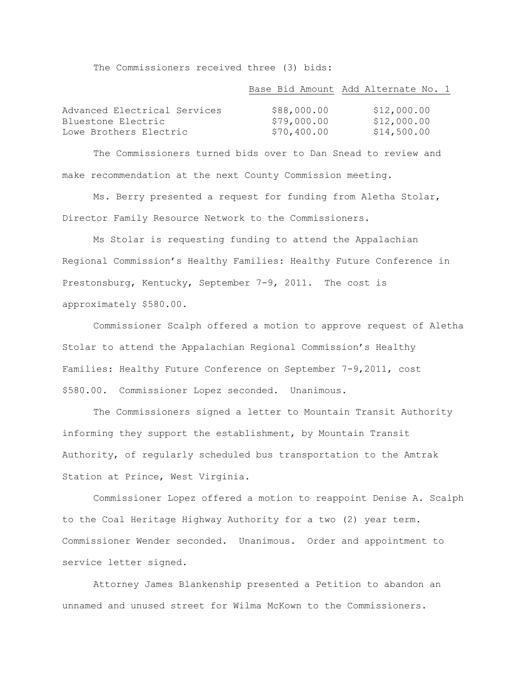The Commissioners received three (3) bids:

| Base Bid Amount Add Alternate No. 1 |  |  |  |  |  |  |  |
|-------------------------------------|--|--|--|--|--|--|--|
|-------------------------------------|--|--|--|--|--|--|--|

| Advanced Electrical Services | \$88,000.00 | \$12,000.00 |
|------------------------------|-------------|-------------|
| Bluestone Electric           | \$79,000.00 | \$12,000.00 |
| Lowe Brothers Electric       | \$70,400.00 | \$14,500.00 |

The Commissioners turned bids over to Dan Snead to review and make recommendation at the next County Commission meeting.

Ms. Berry presented a request for funding from Aletha Stolar, Director Family Resource Network to the Commissioners.

Ms Stolar is requesting funding to attend the Appalachian Regional Commission"s Healthy Families: Healthy Future Conference in Prestonsburg, Kentucky, September 7-9, 2011. The cost is approximately \$580.00.

Commissioner Scalph offered a motion to approve request of Aletha Stolar to attend the Appalachian Regional Commission"s Healthy Families: Healthy Future Conference on September 7-9,2011, cost \$580.00. Commissioner Lopez seconded. Unanimous.

The Commissioners signed a letter to Mountain Transit Authority informing they support the establishment, by Mountain Transit Authority, of regularly scheduled bus transportation to the Amtrak Station at Prince, West Virginia.

Commissioner Lopez offered a motion to reappoint Denise A. Scalph to the Coal Heritage Highway Authority for a two (2) year term. Commissioner Wender seconded. Unanimous. Order and appointment to service letter signed.

Attorney James Blankenship presented a Petition to abandon an unnamed and unused street for Wilma McKown to the Commissioners.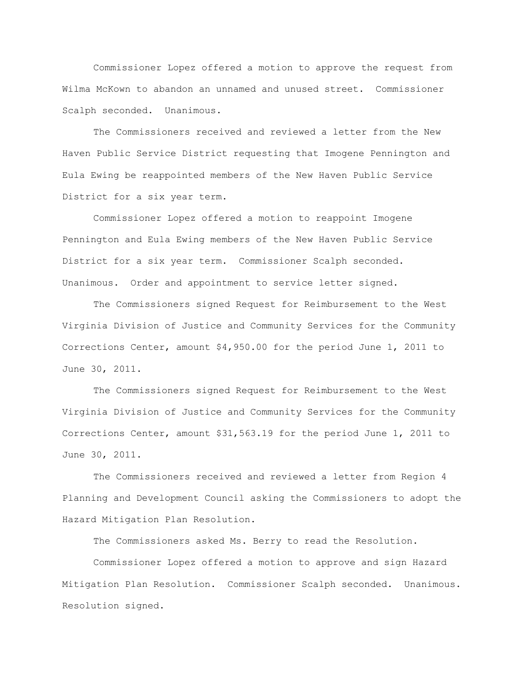Commissioner Lopez offered a motion to approve the request from Wilma McKown to abandon an unnamed and unused street. Commissioner Scalph seconded. Unanimous.

The Commissioners received and reviewed a letter from the New Haven Public Service District requesting that Imogene Pennington and Eula Ewing be reappointed members of the New Haven Public Service District for a six year term.

Commissioner Lopez offered a motion to reappoint Imogene Pennington and Eula Ewing members of the New Haven Public Service District for a six year term. Commissioner Scalph seconded. Unanimous. Order and appointment to service letter signed.

The Commissioners signed Request for Reimbursement to the West Virginia Division of Justice and Community Services for the Community Corrections Center, amount \$4,950.00 for the period June 1, 2011 to June 30, 2011.

The Commissioners signed Request for Reimbursement to the West Virginia Division of Justice and Community Services for the Community Corrections Center, amount \$31,563.19 for the period June 1, 2011 to June 30, 2011.

The Commissioners received and reviewed a letter from Region 4 Planning and Development Council asking the Commissioners to adopt the Hazard Mitigation Plan Resolution.

The Commissioners asked Ms. Berry to read the Resolution.

Commissioner Lopez offered a motion to approve and sign Hazard Mitigation Plan Resolution. Commissioner Scalph seconded. Unanimous. Resolution signed.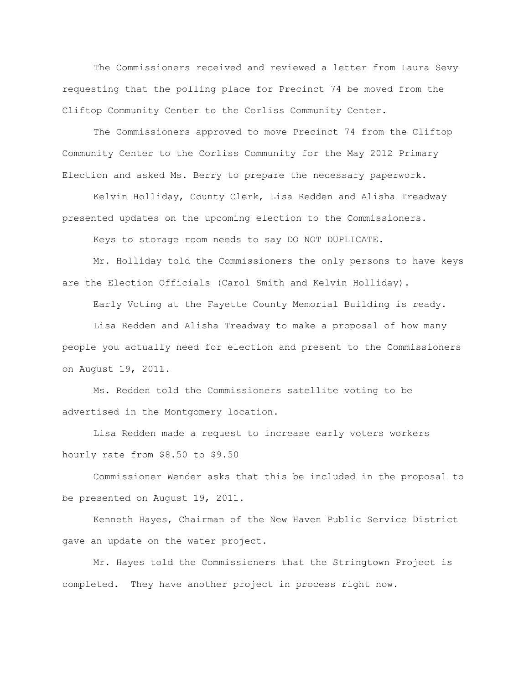The Commissioners received and reviewed a letter from Laura Sevy requesting that the polling place for Precinct 74 be moved from the Cliftop Community Center to the Corliss Community Center.

The Commissioners approved to move Precinct 74 from the Cliftop Community Center to the Corliss Community for the May 2012 Primary Election and asked Ms. Berry to prepare the necessary paperwork.

Kelvin Holliday, County Clerk, Lisa Redden and Alisha Treadway presented updates on the upcoming election to the Commissioners.

Keys to storage room needs to say DO NOT DUPLICATE.

Mr. Holliday told the Commissioners the only persons to have keys are the Election Officials (Carol Smith and Kelvin Holliday).

Early Voting at the Fayette County Memorial Building is ready.

Lisa Redden and Alisha Treadway to make a proposal of how many people you actually need for election and present to the Commissioners on August 19, 2011.

Ms. Redden told the Commissioners satellite voting to be advertised in the Montgomery location.

Lisa Redden made a request to increase early voters workers hourly rate from \$8.50 to \$9.50

Commissioner Wender asks that this be included in the proposal to be presented on August 19, 2011.

Kenneth Hayes, Chairman of the New Haven Public Service District gave an update on the water project.

Mr. Hayes told the Commissioners that the Stringtown Project is completed. They have another project in process right now.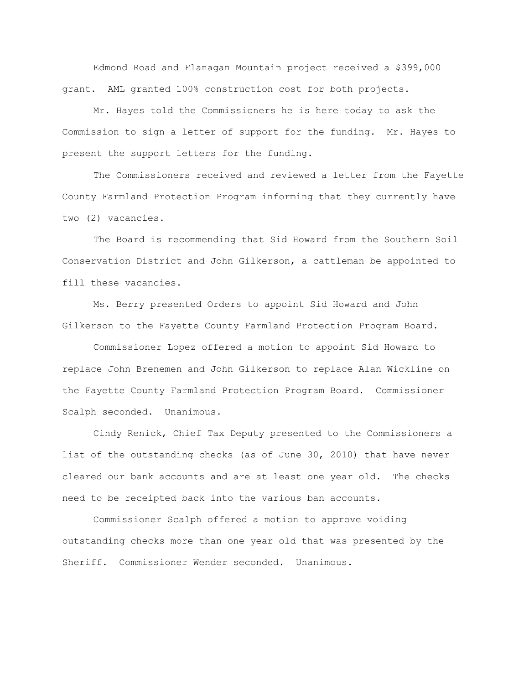Edmond Road and Flanagan Mountain project received a \$399,000 grant. AML granted 100% construction cost for both projects.

Mr. Hayes told the Commissioners he is here today to ask the Commission to sign a letter of support for the funding. Mr. Hayes to present the support letters for the funding.

The Commissioners received and reviewed a letter from the Fayette County Farmland Protection Program informing that they currently have two (2) vacancies.

The Board is recommending that Sid Howard from the Southern Soil Conservation District and John Gilkerson, a cattleman be appointed to fill these vacancies.

Ms. Berry presented Orders to appoint Sid Howard and John Gilkerson to the Fayette County Farmland Protection Program Board.

Commissioner Lopez offered a motion to appoint Sid Howard to replace John Brenemen and John Gilkerson to replace Alan Wickline on the Fayette County Farmland Protection Program Board. Commissioner Scalph seconded. Unanimous.

Cindy Renick, Chief Tax Deputy presented to the Commissioners a list of the outstanding checks (as of June 30, 2010) that have never cleared our bank accounts and are at least one year old. The checks need to be receipted back into the various ban accounts.

Commissioner Scalph offered a motion to approve voiding outstanding checks more than one year old that was presented by the Sheriff. Commissioner Wender seconded. Unanimous.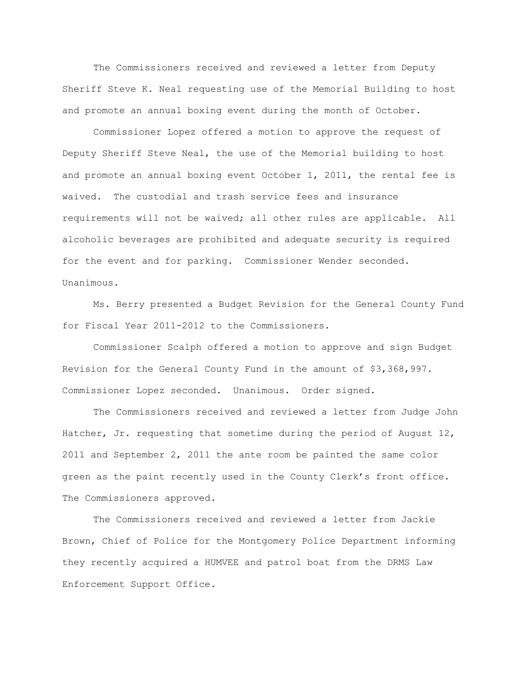The Commissioners received and reviewed a letter from Deputy Sheriff Steve K. Neal requesting use of the Memorial Building to host and promote an annual boxing event during the month of October.

Commissioner Lopez offered a motion to approve the request of Deputy Sheriff Steve Neal, the use of the Memorial building to host and promote an annual boxing event October 1, 2011, the rental fee is waived. The custodial and trash service fees and insurance requirements will not be waived; all other rules are applicable. All alcoholic beverages are prohibited and adequate security is required for the event and for parking. Commissioner Wender seconded. Unanimous.

Ms. Berry presented a Budget Revision for the General County Fund for Fiscal Year 2011-2012 to the Commissioners.

Commissioner Scalph offered a motion to approve and sign Budget Revision for the General County Fund in the amount of \$3,368,997. Commissioner Lopez seconded. Unanimous. Order signed.

The Commissioners received and reviewed a letter from Judge John Hatcher, Jr. requesting that sometime during the period of August 12, 2011 and September 2, 2011 the ante room be painted the same color green as the paint recently used in the County Clerk's front office. The Commissioners approved.

The Commissioners received and reviewed a letter from Jackie Brown, Chief of Police for the Montgomery Police Department informing they recently acquired a HUMVEE and patrol boat from the DRMS Law Enforcement Support Office.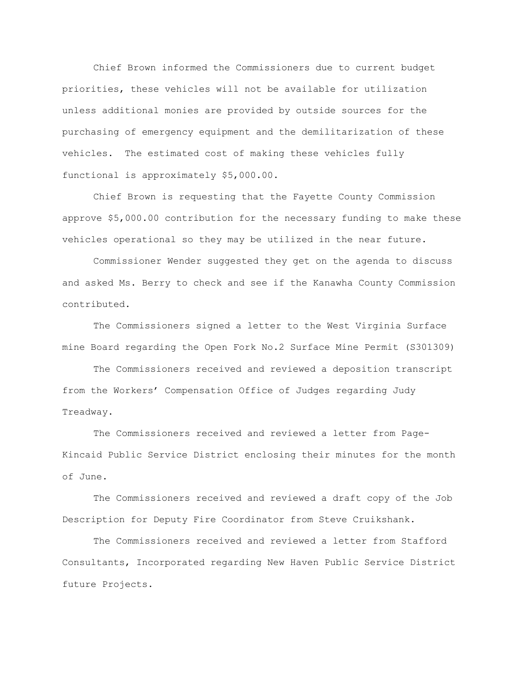Chief Brown informed the Commissioners due to current budget priorities, these vehicles will not be available for utilization unless additional monies are provided by outside sources for the purchasing of emergency equipment and the demilitarization of these vehicles. The estimated cost of making these vehicles fully functional is approximately \$5,000.00.

Chief Brown is requesting that the Fayette County Commission approve \$5,000.00 contribution for the necessary funding to make these vehicles operational so they may be utilized in the near future.

Commissioner Wender suggested they get on the agenda to discuss and asked Ms. Berry to check and see if the Kanawha County Commission contributed.

The Commissioners signed a letter to the West Virginia Surface mine Board regarding the Open Fork No.2 Surface Mine Permit (S301309)

The Commissioners received and reviewed a deposition transcript from the Workers" Compensation Office of Judges regarding Judy Treadway.

The Commissioners received and reviewed a letter from Page-Kincaid Public Service District enclosing their minutes for the month of June.

The Commissioners received and reviewed a draft copy of the Job Description for Deputy Fire Coordinator from Steve Cruikshank.

The Commissioners received and reviewed a letter from Stafford Consultants, Incorporated regarding New Haven Public Service District future Projects.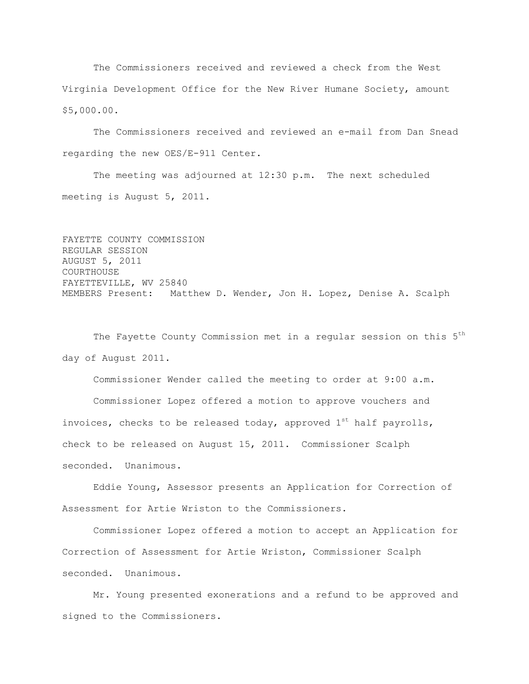The Commissioners received and reviewed a check from the West Virginia Development Office for the New River Humane Society, amount \$5,000.00.

The Commissioners received and reviewed an e-mail from Dan Snead regarding the new OES/E-911 Center.

The meeting was adjourned at 12:30 p.m. The next scheduled meeting is August 5, 2011.

```
FAYETTE COUNTY COMMISSION
REGULAR SESSION
AUGUST 5, 2011
COURTHOUSE
FAYETTEVILLE, WV 25840
MEMBERS Present: Matthew D. Wender, Jon H. Lopez, Denise A. Scalph
```
The Fayette County Commission met in a regular session on this 5<sup>th</sup> day of August 2011.

Commissioner Wender called the meeting to order at 9:00 a.m.

Commissioner Lopez offered a motion to approve vouchers and invoices, checks to be released today, approved  $1^{st}$  half payrolls, check to be released on August 15, 2011. Commissioner Scalph seconded. Unanimous.

Eddie Young, Assessor presents an Application for Correction of Assessment for Artie Wriston to the Commissioners.

Commissioner Lopez offered a motion to accept an Application for Correction of Assessment for Artie Wriston, Commissioner Scalph seconded. Unanimous.

Mr. Young presented exonerations and a refund to be approved and signed to the Commissioners.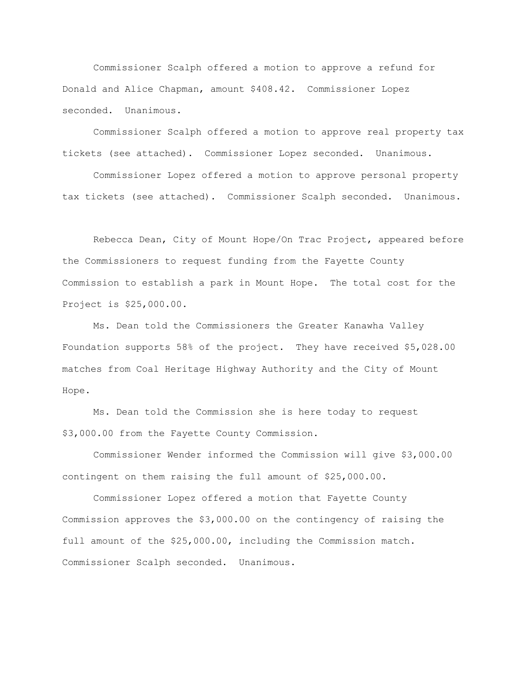Commissioner Scalph offered a motion to approve a refund for Donald and Alice Chapman, amount \$408.42. Commissioner Lopez seconded. Unanimous.

Commissioner Scalph offered a motion to approve real property tax tickets (see attached). Commissioner Lopez seconded. Unanimous.

Commissioner Lopez offered a motion to approve personal property tax tickets (see attached). Commissioner Scalph seconded. Unanimous.

Rebecca Dean, City of Mount Hope/On Trac Project, appeared before the Commissioners to request funding from the Fayette County Commission to establish a park in Mount Hope. The total cost for the Project is \$25,000.00.

Ms. Dean told the Commissioners the Greater Kanawha Valley Foundation supports 58% of the project. They have received \$5,028.00 matches from Coal Heritage Highway Authority and the City of Mount Hope.

Ms. Dean told the Commission she is here today to request \$3,000.00 from the Fayette County Commission.

Commissioner Wender informed the Commission will give \$3,000.00 contingent on them raising the full amount of \$25,000.00.

Commissioner Lopez offered a motion that Fayette County Commission approves the \$3,000.00 on the contingency of raising the full amount of the \$25,000.00, including the Commission match. Commissioner Scalph seconded. Unanimous.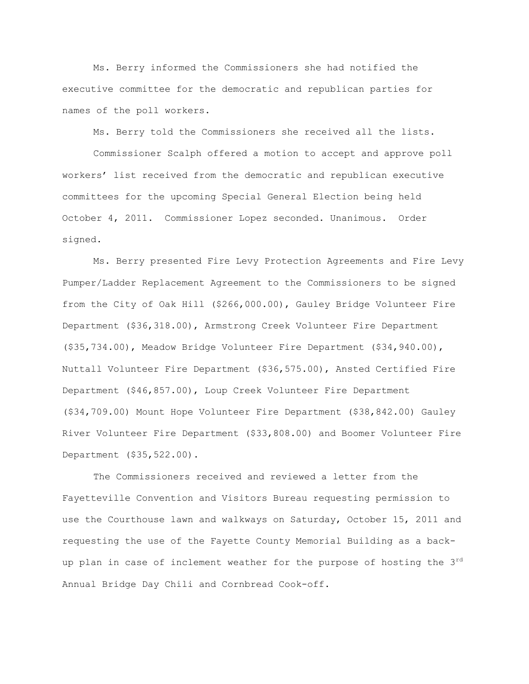Ms. Berry informed the Commissioners she had notified the executive committee for the democratic and republican parties for names of the poll workers.

Ms. Berry told the Commissioners she received all the lists.

Commissioner Scalph offered a motion to accept and approve poll workers" list received from the democratic and republican executive committees for the upcoming Special General Election being held October 4, 2011. Commissioner Lopez seconded. Unanimous. Order signed.

Ms. Berry presented Fire Levy Protection Agreements and Fire Levy Pumper/Ladder Replacement Agreement to the Commissioners to be signed from the City of Oak Hill (\$266,000.00), Gauley Bridge Volunteer Fire Department (\$36,318.00), Armstrong Creek Volunteer Fire Department (\$35,734.00), Meadow Bridge Volunteer Fire Department (\$34,940.00), Nuttall Volunteer Fire Department (\$36,575.00), Ansted Certified Fire Department (\$46,857.00), Loup Creek Volunteer Fire Department (\$34,709.00) Mount Hope Volunteer Fire Department (\$38,842.00) Gauley River Volunteer Fire Department (\$33,808.00) and Boomer Volunteer Fire Department (\$35,522.00).

The Commissioners received and reviewed a letter from the Fayetteville Convention and Visitors Bureau requesting permission to use the Courthouse lawn and walkways on Saturday, October 15, 2011 and requesting the use of the Fayette County Memorial Building as a backup plan in case of inclement weather for the purpose of hosting the 3<sup>rd</sup> Annual Bridge Day Chili and Cornbread Cook-off.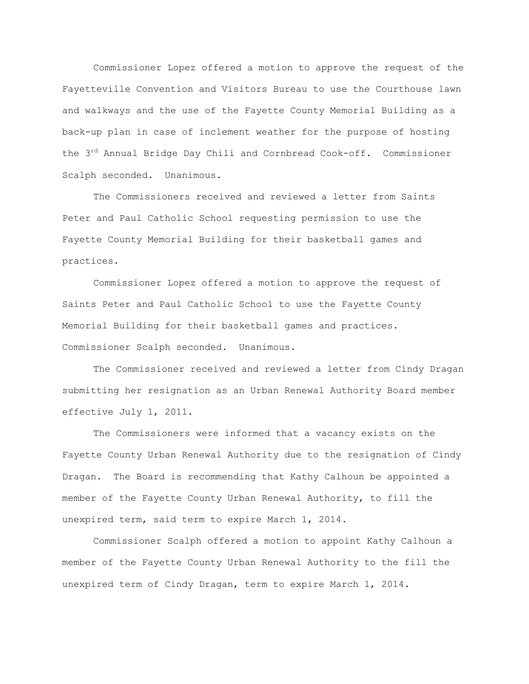Commissioner Lopez offered a motion to approve the request of the Fayetteville Convention and Visitors Bureau to use the Courthouse lawn and walkways and the use of the Fayette County Memorial Building as a back-up plan in case of inclement weather for the purpose of hosting the 3<sup>rd</sup> Annual Bridge Day Chili and Cornbread Cook-off. Commissioner Scalph seconded. Unanimous.

The Commissioners received and reviewed a letter from Saints Peter and Paul Catholic School requesting permission to use the Fayette County Memorial Building for their basketball games and practices.

Commissioner Lopez offered a motion to approve the request of Saints Peter and Paul Catholic School to use the Fayette County Memorial Building for their basketball games and practices. Commissioner Scalph seconded. Unanimous.

The Commissioner received and reviewed a letter from Cindy Dragan submitting her resignation as an Urban Renewal Authority Board member effective July 1, 2011.

The Commissioners were informed that a vacancy exists on the Fayette County Urban Renewal Authority due to the resignation of Cindy Dragan. The Board is recommending that Kathy Calhoun be appointed a member of the Fayette County Urban Renewal Authority, to fill the unexpired term, said term to expire March 1, 2014.

Commissioner Scalph offered a motion to appoint Kathy Calhoun a member of the Fayette County Urban Renewal Authority to the fill the unexpired term of Cindy Dragan, term to expire March 1, 2014.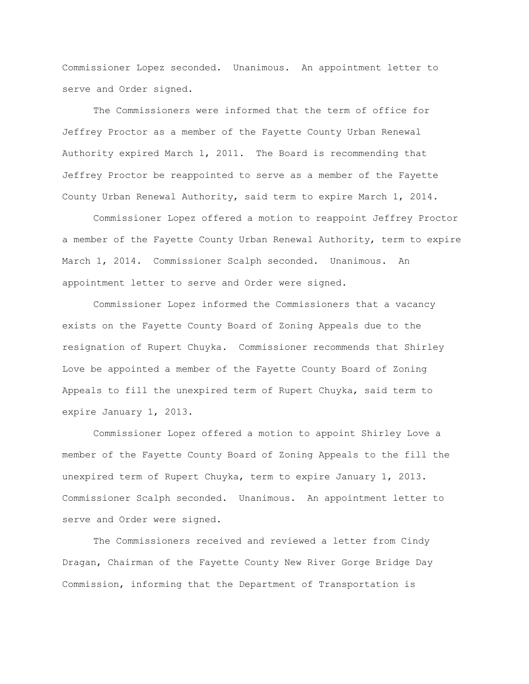Commissioner Lopez seconded. Unanimous. An appointment letter to serve and Order signed.

The Commissioners were informed that the term of office for Jeffrey Proctor as a member of the Fayette County Urban Renewal Authority expired March 1, 2011. The Board is recommending that Jeffrey Proctor be reappointed to serve as a member of the Fayette County Urban Renewal Authority, said term to expire March 1, 2014.

Commissioner Lopez offered a motion to reappoint Jeffrey Proctor a member of the Fayette County Urban Renewal Authority, term to expire March 1, 2014. Commissioner Scalph seconded. Unanimous. An appointment letter to serve and Order were signed.

Commissioner Lopez informed the Commissioners that a vacancy exists on the Fayette County Board of Zoning Appeals due to the resignation of Rupert Chuyka. Commissioner recommends that Shirley Love be appointed a member of the Fayette County Board of Zoning Appeals to fill the unexpired term of Rupert Chuyka, said term to expire January 1, 2013.

Commissioner Lopez offered a motion to appoint Shirley Love a member of the Fayette County Board of Zoning Appeals to the fill the unexpired term of Rupert Chuyka, term to expire January 1, 2013. Commissioner Scalph seconded. Unanimous. An appointment letter to serve and Order were signed.

The Commissioners received and reviewed a letter from Cindy Dragan, Chairman of the Fayette County New River Gorge Bridge Day Commission, informing that the Department of Transportation is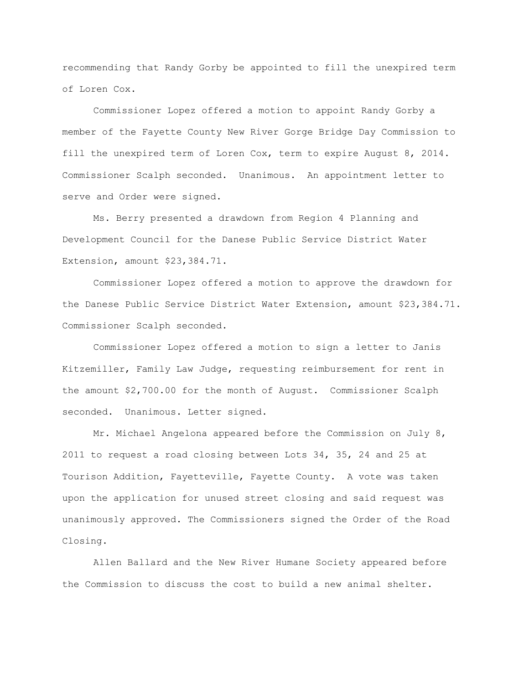recommending that Randy Gorby be appointed to fill the unexpired term of Loren Cox.

Commissioner Lopez offered a motion to appoint Randy Gorby a member of the Fayette County New River Gorge Bridge Day Commission to fill the unexpired term of Loren Cox, term to expire August 8, 2014. Commissioner Scalph seconded. Unanimous. An appointment letter to serve and Order were signed.

Ms. Berry presented a drawdown from Region 4 Planning and Development Council for the Danese Public Service District Water Extension, amount \$23,384.71.

Commissioner Lopez offered a motion to approve the drawdown for the Danese Public Service District Water Extension, amount \$23,384.71. Commissioner Scalph seconded.

Commissioner Lopez offered a motion to sign a letter to Janis Kitzemiller, Family Law Judge, requesting reimbursement for rent in the amount \$2,700.00 for the month of August. Commissioner Scalph seconded. Unanimous. Letter signed.

Mr. Michael Angelona appeared before the Commission on July 8, 2011 to request a road closing between Lots 34, 35, 24 and 25 at Tourison Addition, Fayetteville, Fayette County. A vote was taken upon the application for unused street closing and said request was unanimously approved. The Commissioners signed the Order of the Road Closing.

Allen Ballard and the New River Humane Society appeared before the Commission to discuss the cost to build a new animal shelter.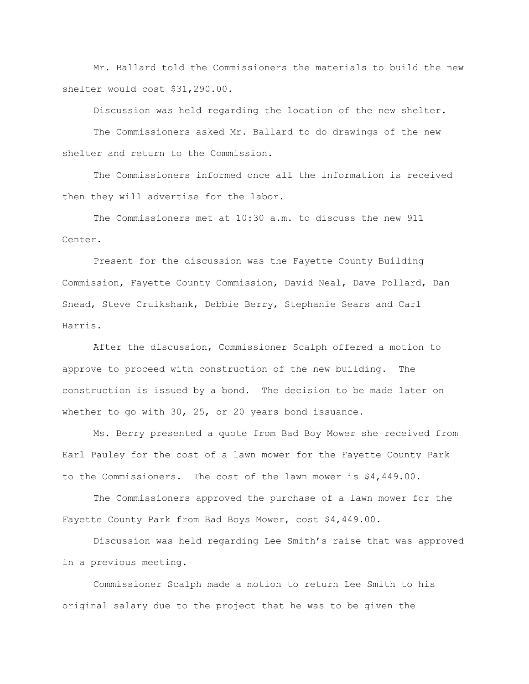Mr. Ballard told the Commissioners the materials to build the new shelter would cost \$31,290.00.

Discussion was held regarding the location of the new shelter.

The Commissioners asked Mr. Ballard to do drawings of the new shelter and return to the Commission.

The Commissioners informed once all the information is received then they will advertise for the labor.

The Commissioners met at 10:30 a.m. to discuss the new 911 Center.

Present for the discussion was the Fayette County Building Commission, Fayette County Commission, David Neal, Dave Pollard, Dan Snead, Steve Cruikshank, Debbie Berry, Stephanie Sears and Carl Harris.

After the discussion, Commissioner Scalph offered a motion to approve to proceed with construction of the new building. The construction is issued by a bond. The decision to be made later on whether to go with 30, 25, or 20 years bond issuance.

Ms. Berry presented a quote from Bad Boy Mower she received from Earl Pauley for the cost of a lawn mower for the Fayette County Park to the Commissioners. The cost of the lawn mower is \$4,449.00.

The Commissioners approved the purchase of a lawn mower for the Fayette County Park from Bad Boys Mower, cost \$4,449.00.

Discussion was held regarding Lee Smith"s raise that was approved in a previous meeting.

Commissioner Scalph made a motion to return Lee Smith to his original salary due to the project that he was to be given the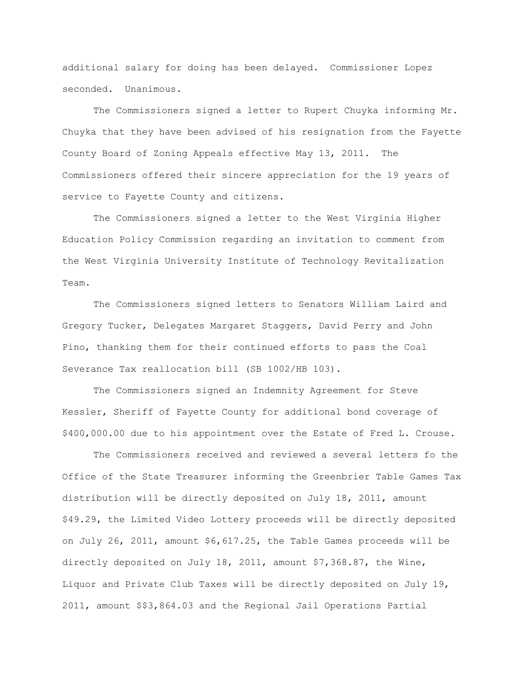additional salary for doing has been delayed. Commissioner Lopez seconded. Unanimous.

The Commissioners signed a letter to Rupert Chuyka informing Mr. Chuyka that they have been advised of his resignation from the Fayette County Board of Zoning Appeals effective May 13, 2011. The Commissioners offered their sincere appreciation for the 19 years of service to Fayette County and citizens.

The Commissioners signed a letter to the West Virginia Higher Education Policy Commission regarding an invitation to comment from the West Virginia University Institute of Technology Revitalization Team.

The Commissioners signed letters to Senators William Laird and Gregory Tucker, Delegates Margaret Staggers, David Perry and John Pino, thanking them for their continued efforts to pass the Coal Severance Tax reallocation bill (SB 1002/HB 103).

The Commissioners signed an Indemnity Agreement for Steve Kessler, Sheriff of Fayette County for additional bond coverage of \$400,000.00 due to his appointment over the Estate of Fred L. Crouse.

The Commissioners received and reviewed a several letters fo the Office of the State Treasurer informing the Greenbrier Table Games Tax distribution will be directly deposited on July 18, 2011, amount \$49.29, the Limited Video Lottery proceeds will be directly deposited on July 26, 2011, amount \$6,617.25, the Table Games proceeds will be directly deposited on July 18, 2011, amount \$7,368.87, the Wine, Liquor and Private Club Taxes will be directly deposited on July 19, 2011, amount \$\$3,864.03 and the Regional Jail Operations Partial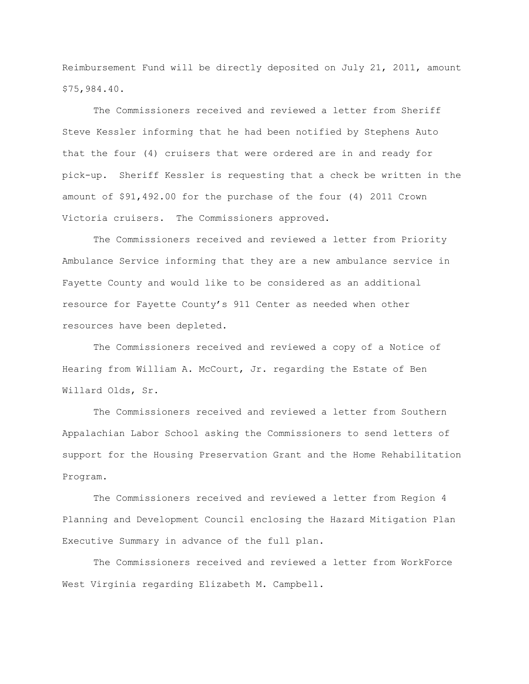Reimbursement Fund will be directly deposited on July 21, 2011, amount \$75,984.40.

The Commissioners received and reviewed a letter from Sheriff Steve Kessler informing that he had been notified by Stephens Auto that the four (4) cruisers that were ordered are in and ready for pick-up. Sheriff Kessler is requesting that a check be written in the amount of \$91,492.00 for the purchase of the four (4) 2011 Crown Victoria cruisers. The Commissioners approved.

The Commissioners received and reviewed a letter from Priority Ambulance Service informing that they are a new ambulance service in Fayette County and would like to be considered as an additional resource for Fayette County"s 911 Center as needed when other resources have been depleted.

The Commissioners received and reviewed a copy of a Notice of Hearing from William A. McCourt, Jr. regarding the Estate of Ben Willard Olds, Sr.

The Commissioners received and reviewed a letter from Southern Appalachian Labor School asking the Commissioners to send letters of support for the Housing Preservation Grant and the Home Rehabilitation Program.

The Commissioners received and reviewed a letter from Region 4 Planning and Development Council enclosing the Hazard Mitigation Plan Executive Summary in advance of the full plan.

The Commissioners received and reviewed a letter from WorkForce West Virginia regarding Elizabeth M. Campbell.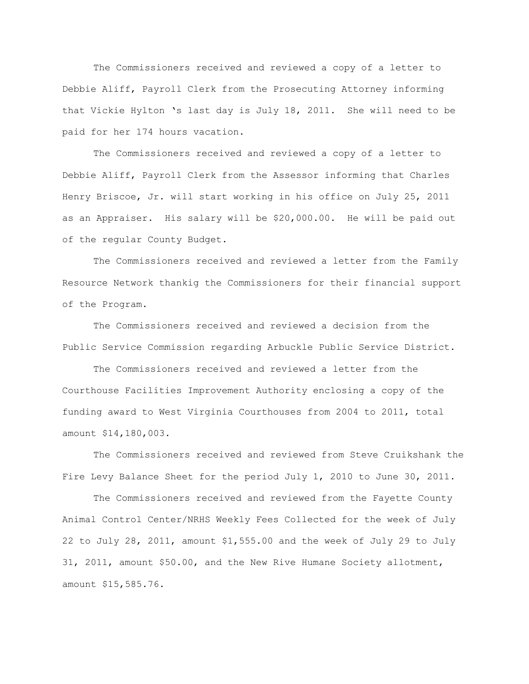The Commissioners received and reviewed a copy of a letter to Debbie Aliff, Payroll Clerk from the Prosecuting Attorney informing that Vickie Hylton "s last day is July 18, 2011. She will need to be paid for her 174 hours vacation.

The Commissioners received and reviewed a copy of a letter to Debbie Aliff, Payroll Clerk from the Assessor informing that Charles Henry Briscoe, Jr. will start working in his office on July 25, 2011 as an Appraiser. His salary will be \$20,000.00. He will be paid out of the regular County Budget.

The Commissioners received and reviewed a letter from the Family Resource Network thankig the Commissioners for their financial support of the Program.

The Commissioners received and reviewed a decision from the Public Service Commission regarding Arbuckle Public Service District.

The Commissioners received and reviewed a letter from the Courthouse Facilities Improvement Authority enclosing a copy of the funding award to West Virginia Courthouses from 2004 to 2011, total amount \$14,180,003.

The Commissioners received and reviewed from Steve Cruikshank the Fire Levy Balance Sheet for the period July 1, 2010 to June 30, 2011.

The Commissioners received and reviewed from the Fayette County Animal Control Center/NRHS Weekly Fees Collected for the week of July 22 to July 28, 2011, amount \$1,555.00 and the week of July 29 to July 31, 2011, amount \$50.00, and the New Rive Humane Society allotment, amount \$15,585.76.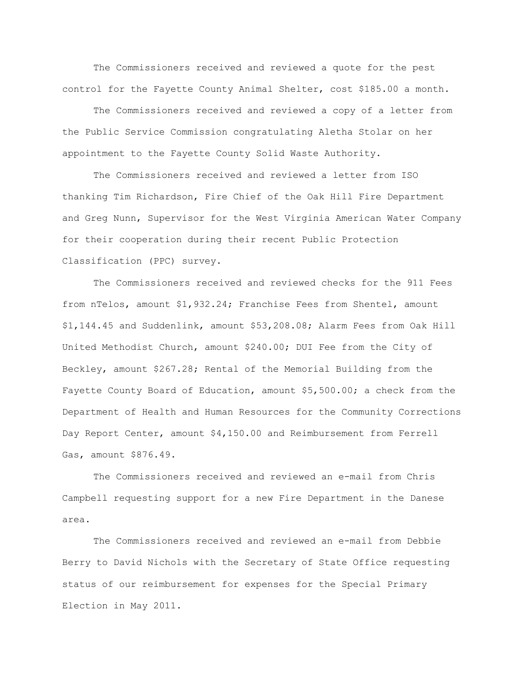The Commissioners received and reviewed a quote for the pest control for the Fayette County Animal Shelter, cost \$185.00 a month.

The Commissioners received and reviewed a copy of a letter from the Public Service Commission congratulating Aletha Stolar on her appointment to the Fayette County Solid Waste Authority.

The Commissioners received and reviewed a letter from ISO thanking Tim Richardson, Fire Chief of the Oak Hill Fire Department and Greg Nunn, Supervisor for the West Virginia American Water Company for their cooperation during their recent Public Protection Classification (PPC) survey.

The Commissioners received and reviewed checks for the 911 Fees from nTelos, amount \$1,932.24; Franchise Fees from Shentel, amount \$1,144.45 and Suddenlink, amount \$53,208.08; Alarm Fees from Oak Hill United Methodist Church, amount \$240.00; DUI Fee from the City of Beckley, amount \$267.28; Rental of the Memorial Building from the Fayette County Board of Education, amount \$5,500.00; a check from the Department of Health and Human Resources for the Community Corrections Day Report Center, amount \$4,150.00 and Reimbursement from Ferrell Gas, amount \$876.49.

The Commissioners received and reviewed an e-mail from Chris Campbell requesting support for a new Fire Department in the Danese area.

The Commissioners received and reviewed an e-mail from Debbie Berry to David Nichols with the Secretary of State Office requesting status of our reimbursement for expenses for the Special Primary Election in May 2011.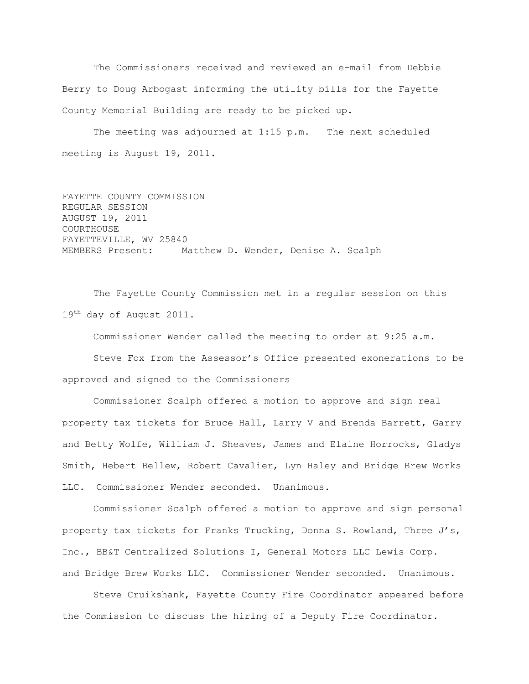The Commissioners received and reviewed an e-mail from Debbie Berry to Doug Arbogast informing the utility bills for the Fayette County Memorial Building are ready to be picked up.

The meeting was adjourned at 1:15 p.m. The next scheduled meeting is August 19, 2011.

FAYETTE COUNTY COMMISSION REGULAR SESSION AUGUST 19, 2011 COURTHOUSE FAYETTEVILLE, WV 25840 MEMBERS Present: Matthew D. Wender, Denise A. Scalph

The Fayette County Commission met in a regular session on this 19<sup>th</sup> day of August 2011.

Commissioner Wender called the meeting to order at 9:25 a.m.

Steve Fox from the Assessor"s Office presented exonerations to be approved and signed to the Commissioners

Commissioner Scalph offered a motion to approve and sign real property tax tickets for Bruce Hall, Larry V and Brenda Barrett, Garry and Betty Wolfe, William J. Sheaves, James and Elaine Horrocks, Gladys Smith, Hebert Bellew, Robert Cavalier, Lyn Haley and Bridge Brew Works LLC. Commissioner Wender seconded. Unanimous.

Commissioner Scalph offered a motion to approve and sign personal property tax tickets for Franks Trucking, Donna S. Rowland, Three J"s, Inc., BB&T Centralized Solutions I, General Motors LLC Lewis Corp. and Bridge Brew Works LLC. Commissioner Wender seconded. Unanimous.

Steve Cruikshank, Fayette County Fire Coordinator appeared before the Commission to discuss the hiring of a Deputy Fire Coordinator.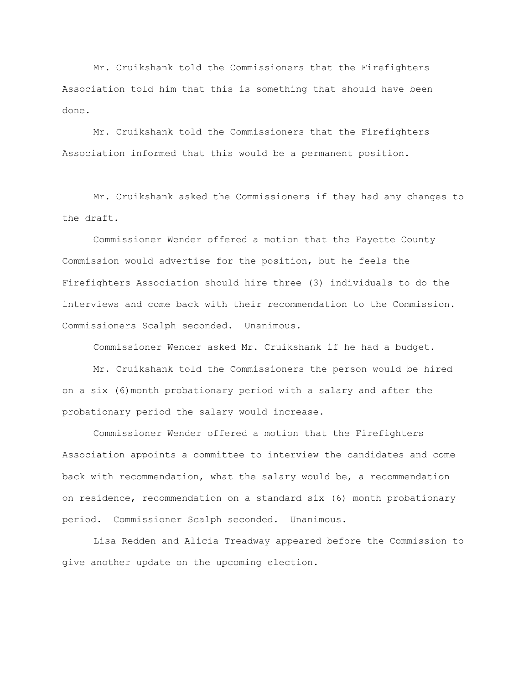Mr. Cruikshank told the Commissioners that the Firefighters Association told him that this is something that should have been done.

Mr. Cruikshank told the Commissioners that the Firefighters Association informed that this would be a permanent position.

Mr. Cruikshank asked the Commissioners if they had any changes to the draft.

Commissioner Wender offered a motion that the Fayette County Commission would advertise for the position, but he feels the Firefighters Association should hire three (3) individuals to do the interviews and come back with their recommendation to the Commission. Commissioners Scalph seconded. Unanimous.

Commissioner Wender asked Mr. Cruikshank if he had a budget.

Mr. Cruikshank told the Commissioners the person would be hired on a six (6)month probationary period with a salary and after the probationary period the salary would increase.

Commissioner Wender offered a motion that the Firefighters Association appoints a committee to interview the candidates and come back with recommendation, what the salary would be, a recommendation on residence, recommendation on a standard six (6) month probationary period. Commissioner Scalph seconded. Unanimous.

Lisa Redden and Alicia Treadway appeared before the Commission to give another update on the upcoming election.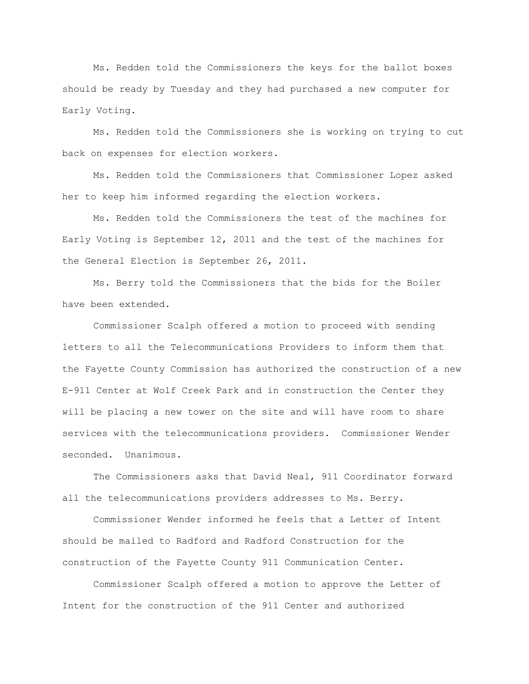Ms. Redden told the Commissioners the keys for the ballot boxes should be ready by Tuesday and they had purchased a new computer for Early Voting.

Ms. Redden told the Commissioners she is working on trying to cut back on expenses for election workers.

Ms. Redden told the Commissioners that Commissioner Lopez asked her to keep him informed regarding the election workers.

Ms. Redden told the Commissioners the test of the machines for Early Voting is September 12, 2011 and the test of the machines for the General Election is September 26, 2011.

Ms. Berry told the Commissioners that the bids for the Boiler have been extended.

Commissioner Scalph offered a motion to proceed with sending letters to all the Telecommunications Providers to inform them that the Fayette County Commission has authorized the construction of a new E-911 Center at Wolf Creek Park and in construction the Center they will be placing a new tower on the site and will have room to share services with the telecommunications providers. Commissioner Wender seconded. Unanimous.

The Commissioners asks that David Neal, 911 Coordinator forward all the telecommunications providers addresses to Ms. Berry.

Commissioner Wender informed he feels that a Letter of Intent should be mailed to Radford and Radford Construction for the construction of the Fayette County 911 Communication Center.

 Commissioner Scalph offered a motion to approve the Letter of Intent for the construction of the 911 Center and authorized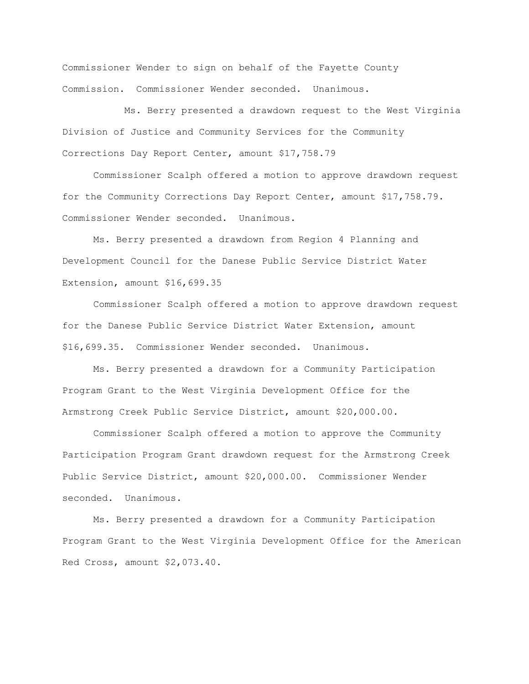Commissioner Wender to sign on behalf of the Fayette County Commission. Commissioner Wender seconded. Unanimous.

Ms. Berry presented a drawdown request to the West Virginia Division of Justice and Community Services for the Community Corrections Day Report Center, amount \$17,758.79

Commissioner Scalph offered a motion to approve drawdown request for the Community Corrections Day Report Center, amount \$17,758.79. Commissioner Wender seconded. Unanimous.

Ms. Berry presented a drawdown from Region 4 Planning and Development Council for the Danese Public Service District Water Extension, amount \$16,699.35

Commissioner Scalph offered a motion to approve drawdown request for the Danese Public Service District Water Extension, amount \$16,699.35. Commissioner Wender seconded. Unanimous.

Ms. Berry presented a drawdown for a Community Participation Program Grant to the West Virginia Development Office for the Armstrong Creek Public Service District, amount \$20,000.00.

Commissioner Scalph offered a motion to approve the Community Participation Program Grant drawdown request for the Armstrong Creek Public Service District, amount \$20,000.00. Commissioner Wender seconded. Unanimous.

Ms. Berry presented a drawdown for a Community Participation Program Grant to the West Virginia Development Office for the American Red Cross, amount \$2,073.40.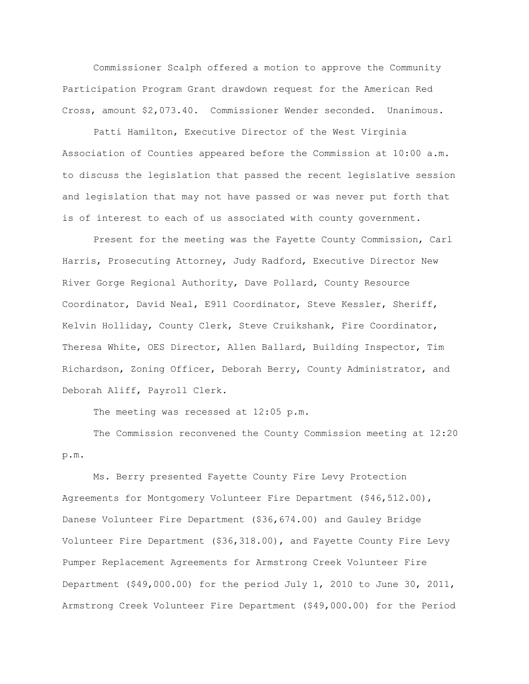Commissioner Scalph offered a motion to approve the Community Participation Program Grant drawdown request for the American Red Cross, amount \$2,073.40. Commissioner Wender seconded. Unanimous.

Patti Hamilton, Executive Director of the West Virginia Association of Counties appeared before the Commission at 10:00 a.m. to discuss the legislation that passed the recent legislative session and legislation that may not have passed or was never put forth that is of interest to each of us associated with county government.

Present for the meeting was the Fayette County Commission, Carl Harris, Prosecuting Attorney, Judy Radford, Executive Director New River Gorge Regional Authority, Dave Pollard, County Resource Coordinator, David Neal, E911 Coordinator, Steve Kessler, Sheriff, Kelvin Holliday, County Clerk, Steve Cruikshank, Fire Coordinator, Theresa White, OES Director, Allen Ballard, Building Inspector, Tim Richardson, Zoning Officer, Deborah Berry, County Administrator, and Deborah Aliff, Payroll Clerk.

The meeting was recessed at 12:05 p.m.

The Commission reconvened the County Commission meeting at 12:20 p.m.

Ms. Berry presented Fayette County Fire Levy Protection Agreements for Montgomery Volunteer Fire Department (\$46,512.00), Danese Volunteer Fire Department (\$36,674.00) and Gauley Bridge Volunteer Fire Department (\$36,318.00), and Fayette County Fire Levy Pumper Replacement Agreements for Armstrong Creek Volunteer Fire Department (\$49,000.00) for the period July 1, 2010 to June 30, 2011, Armstrong Creek Volunteer Fire Department (\$49,000.00) for the Period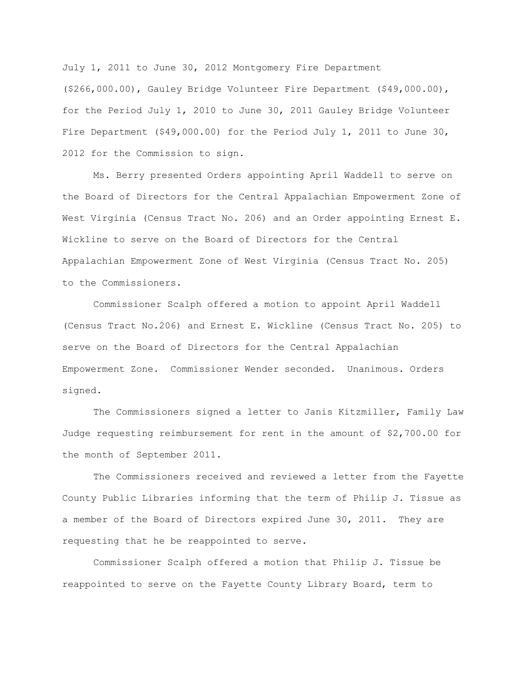July 1, 2011 to June 30, 2012 Montgomery Fire Department (\$266,000.00), Gauley Bridge Volunteer Fire Department (\$49,000.00), for the Period July 1, 2010 to June 30, 2011 Gauley Bridge Volunteer Fire Department (\$49,000.00) for the Period July 1, 2011 to June 30, 2012 for the Commission to sign.

Ms. Berry presented Orders appointing April Waddell to serve on the Board of Directors for the Central Appalachian Empowerment Zone of West Virginia (Census Tract No. 206) and an Order appointing Ernest E. Wickline to serve on the Board of Directors for the Central Appalachian Empowerment Zone of West Virginia (Census Tract No. 205) to the Commissioners.

Commissioner Scalph offered a motion to appoint April Waddell (Census Tract No.206) and Ernest E. Wickline (Census Tract No. 205) to serve on the Board of Directors for the Central Appalachian Empowerment Zone. Commissioner Wender seconded. Unanimous. Orders signed.

The Commissioners signed a letter to Janis Kitzmiller, Family Law Judge requesting reimbursement for rent in the amount of \$2,700.00 for the month of September 2011.

The Commissioners received and reviewed a letter from the Fayette County Public Libraries informing that the term of Philip J. Tissue as a member of the Board of Directors expired June 30, 2011. They are requesting that he be reappointed to serve.

Commissioner Scalph offered a motion that Philip J. Tissue be reappointed to serve on the Fayette County Library Board, term to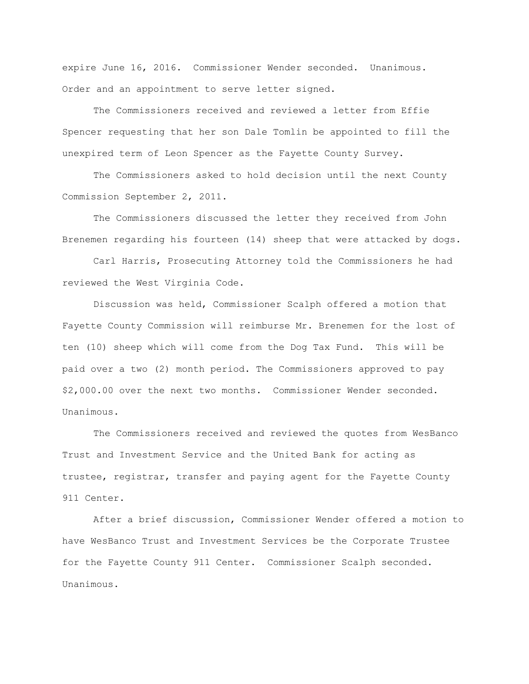expire June 16, 2016. Commissioner Wender seconded. Unanimous. Order and an appointment to serve letter signed.

The Commissioners received and reviewed a letter from Effie Spencer requesting that her son Dale Tomlin be appointed to fill the unexpired term of Leon Spencer as the Fayette County Survey.

The Commissioners asked to hold decision until the next County Commission September 2, 2011.

The Commissioners discussed the letter they received from John Brenemen regarding his fourteen (14) sheep that were attacked by dogs.

Carl Harris, Prosecuting Attorney told the Commissioners he had reviewed the West Virginia Code.

Discussion was held, Commissioner Scalph offered a motion that Fayette County Commission will reimburse Mr. Brenemen for the lost of ten (10) sheep which will come from the Dog Tax Fund. This will be paid over a two (2) month period. The Commissioners approved to pay \$2,000.00 over the next two months. Commissioner Wender seconded. Unanimous.

The Commissioners received and reviewed the quotes from WesBanco Trust and Investment Service and the United Bank for acting as trustee, registrar, transfer and paying agent for the Fayette County 911 Center.

After a brief discussion, Commissioner Wender offered a motion to have WesBanco Trust and Investment Services be the Corporate Trustee for the Fayette County 911 Center. Commissioner Scalph seconded. Unanimous.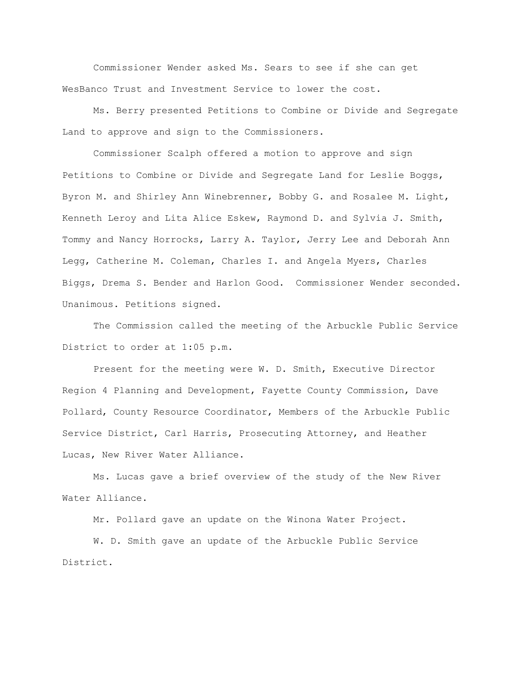Commissioner Wender asked Ms. Sears to see if she can get WesBanco Trust and Investment Service to lower the cost.

Ms. Berry presented Petitions to Combine or Divide and Segregate Land to approve and sign to the Commissioners.

Commissioner Scalph offered a motion to approve and sign Petitions to Combine or Divide and Segregate Land for Leslie Boggs, Byron M. and Shirley Ann Winebrenner, Bobby G. and Rosalee M. Light, Kenneth Leroy and Lita Alice Eskew, Raymond D. and Sylvia J. Smith, Tommy and Nancy Horrocks, Larry A. Taylor, Jerry Lee and Deborah Ann Legg, Catherine M. Coleman, Charles I. and Angela Myers, Charles Biggs, Drema S. Bender and Harlon Good. Commissioner Wender seconded. Unanimous. Petitions signed.

The Commission called the meeting of the Arbuckle Public Service District to order at 1:05 p.m.

Present for the meeting were W. D. Smith, Executive Director Region 4 Planning and Development, Fayette County Commission, Dave Pollard, County Resource Coordinator, Members of the Arbuckle Public Service District, Carl Harris, Prosecuting Attorney, and Heather Lucas, New River Water Alliance.

Ms. Lucas gave a brief overview of the study of the New River Water Alliance.

Mr. Pollard gave an update on the Winona Water Project.

W. D. Smith gave an update of the Arbuckle Public Service District.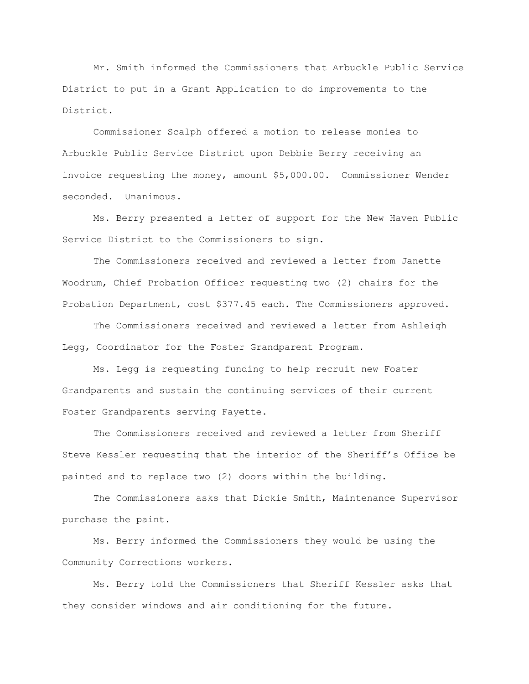Mr. Smith informed the Commissioners that Arbuckle Public Service District to put in a Grant Application to do improvements to the District.

Commissioner Scalph offered a motion to release monies to Arbuckle Public Service District upon Debbie Berry receiving an invoice requesting the money, amount \$5,000.00. Commissioner Wender seconded. Unanimous.

Ms. Berry presented a letter of support for the New Haven Public Service District to the Commissioners to sign.

The Commissioners received and reviewed a letter from Janette Woodrum, Chief Probation Officer requesting two (2) chairs for the Probation Department, cost \$377.45 each. The Commissioners approved.

The Commissioners received and reviewed a letter from Ashleigh Legg, Coordinator for the Foster Grandparent Program.

Ms. Legg is requesting funding to help recruit new Foster Grandparents and sustain the continuing services of their current Foster Grandparents serving Fayette.

The Commissioners received and reviewed a letter from Sheriff Steve Kessler requesting that the interior of the Sheriff"s Office be painted and to replace two (2) doors within the building.

The Commissioners asks that Dickie Smith, Maintenance Supervisor purchase the paint.

Ms. Berry informed the Commissioners they would be using the Community Corrections workers.

Ms. Berry told the Commissioners that Sheriff Kessler asks that they consider windows and air conditioning for the future.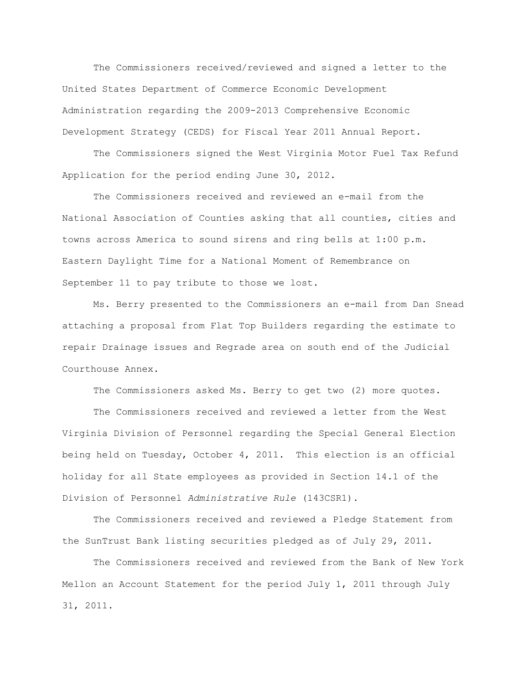The Commissioners received/reviewed and signed a letter to the United States Department of Commerce Economic Development Administration regarding the 2009-2013 Comprehensive Economic Development Strategy (CEDS) for Fiscal Year 2011 Annual Report.

The Commissioners signed the West Virginia Motor Fuel Tax Refund Application for the period ending June 30, 2012.

The Commissioners received and reviewed an e-mail from the National Association of Counties asking that all counties, cities and towns across America to sound sirens and ring bells at 1:00 p.m. Eastern Daylight Time for a National Moment of Remembrance on September 11 to pay tribute to those we lost.

Ms. Berry presented to the Commissioners an e-mail from Dan Snead attaching a proposal from Flat Top Builders regarding the estimate to repair Drainage issues and Regrade area on south end of the Judicial Courthouse Annex.

The Commissioners asked Ms. Berry to get two (2) more quotes.

The Commissioners received and reviewed a letter from the West Virginia Division of Personnel regarding the Special General Election being held on Tuesday, October 4, 2011. This election is an official holiday for all State employees as provided in Section 14.1 of the Division of Personnel *Administrative Rule* (143CSR1).

The Commissioners received and reviewed a Pledge Statement from the SunTrust Bank listing securities pledged as of July 29, 2011.

The Commissioners received and reviewed from the Bank of New York Mellon an Account Statement for the period July 1, 2011 through July 31, 2011.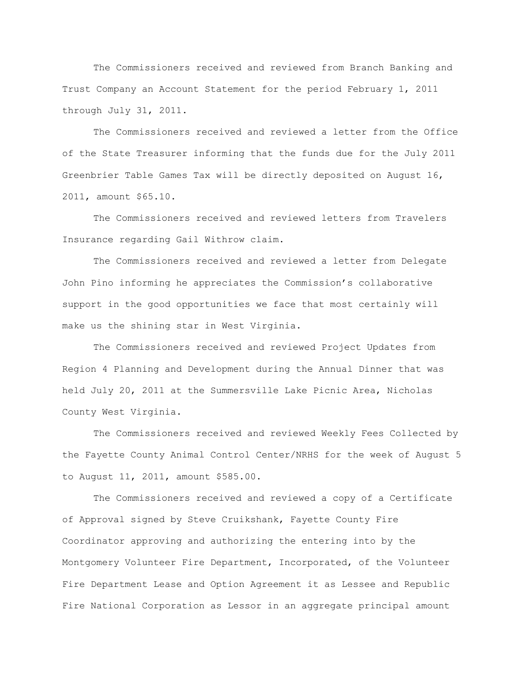The Commissioners received and reviewed from Branch Banking and Trust Company an Account Statement for the period February 1, 2011 through July 31, 2011.

The Commissioners received and reviewed a letter from the Office of the State Treasurer informing that the funds due for the July 2011 Greenbrier Table Games Tax will be directly deposited on August 16, 2011, amount \$65.10.

The Commissioners received and reviewed letters from Travelers Insurance regarding Gail Withrow claim.

The Commissioners received and reviewed a letter from Delegate John Pino informing he appreciates the Commission"s collaborative support in the good opportunities we face that most certainly will make us the shining star in West Virginia.

The Commissioners received and reviewed Project Updates from Region 4 Planning and Development during the Annual Dinner that was held July 20, 2011 at the Summersville Lake Picnic Area, Nicholas County West Virginia.

The Commissioners received and reviewed Weekly Fees Collected by the Fayette County Animal Control Center/NRHS for the week of August 5 to August 11, 2011, amount \$585.00.

The Commissioners received and reviewed a copy of a Certificate of Approval signed by Steve Cruikshank, Fayette County Fire Coordinator approving and authorizing the entering into by the Montgomery Volunteer Fire Department, Incorporated, of the Volunteer Fire Department Lease and Option Agreement it as Lessee and Republic Fire National Corporation as Lessor in an aggregate principal amount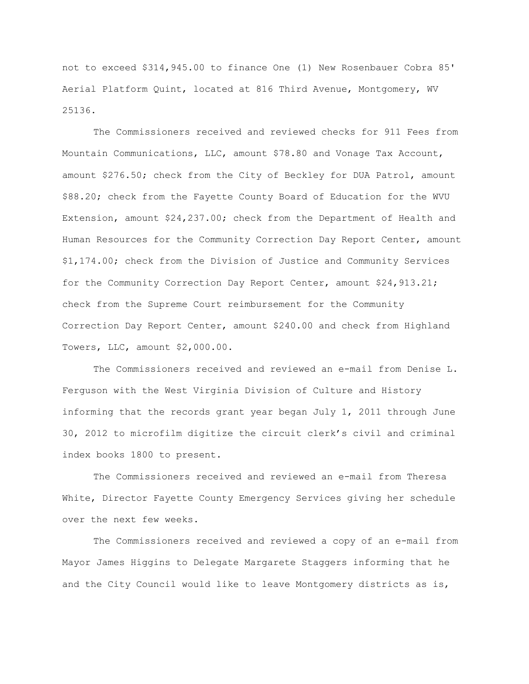not to exceed \$314,945.00 to finance One (1) New Rosenbauer Cobra 85' Aerial Platform Quint, located at 816 Third Avenue, Montgomery, WV 25136.

The Commissioners received and reviewed checks for 911 Fees from Mountain Communications, LLC, amount \$78.80 and Vonage Tax Account, amount \$276.50; check from the City of Beckley for DUA Patrol, amount \$88.20; check from the Fayette County Board of Education for the WVU Extension, amount \$24,237.00; check from the Department of Health and Human Resources for the Community Correction Day Report Center, amount \$1,174.00; check from the Division of Justice and Community Services for the Community Correction Day Report Center, amount \$24,913.21; check from the Supreme Court reimbursement for the Community Correction Day Report Center, amount \$240.00 and check from Highland Towers, LLC, amount \$2,000.00.

The Commissioners received and reviewed an e-mail from Denise L. Ferguson with the West Virginia Division of Culture and History informing that the records grant year began July 1, 2011 through June 30, 2012 to microfilm digitize the circuit clerk"s civil and criminal index books 1800 to present.

The Commissioners received and reviewed an e-mail from Theresa White, Director Fayette County Emergency Services giving her schedule over the next few weeks.

The Commissioners received and reviewed a copy of an e-mail from Mayor James Higgins to Delegate Margarete Staggers informing that he and the City Council would like to leave Montgomery districts as is,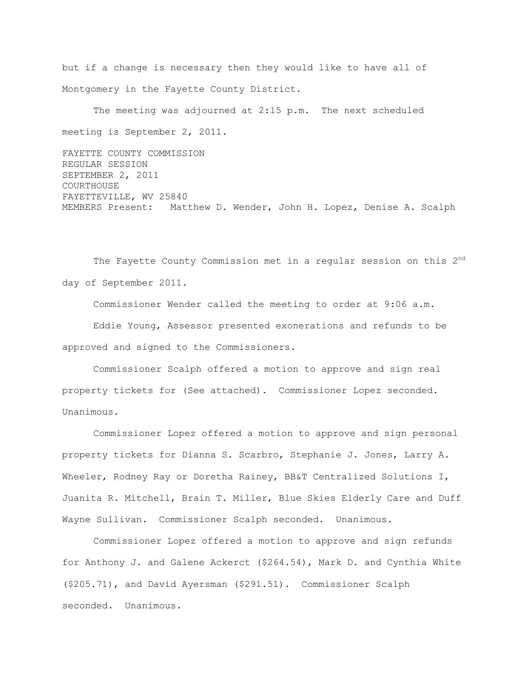but if a change is necessary then they would like to have all of Montgomery in the Fayette County District.

The meeting was adjourned at 2:15 p.m. The next scheduled meeting is September 2, 2011.

FAYETTE COUNTY COMMISSION REGULAR SESSION SEPTEMBER 2, 2011 COURTHOUSE FAYETTEVILLE, WV 25840 MEMBERS Present: Matthew D. Wender, John H. Lopez, Denise A. Scalph

The Fayette County Commission met in a regular session on this 2<sup>nd</sup> day of September 2011.

Commissioner Wender called the meeting to order at 9:06 a.m. Eddie Young, Assessor presented exonerations and refunds to be approved and signed to the Commissioners.

Commissioner Scalph offered a motion to approve and sign real property tickets for (See attached). Commissioner Lopez seconded. Unanimous.

Commissioner Lopez offered a motion to approve and sign personal property tickets for Dianna S. Scarbro, Stephanie J. Jones, Larry A. Wheeler, Rodney Ray or Doretha Rainey, BB&T Centralized Solutions I, Juanita R. Mitchell, Brain T. Miller, Blue Skies Elderly Care and Duff Wayne Sullivan. Commissioner Scalph seconded. Unanimous.

Commissioner Lopez offered a motion to approve and sign refunds for Anthony J. and Galene Ackerct (\$264.54), Mark D. and Cynthia White (\$205.71), and David Ayersman (\$291.51). Commissioner Scalph seconded. Unanimous.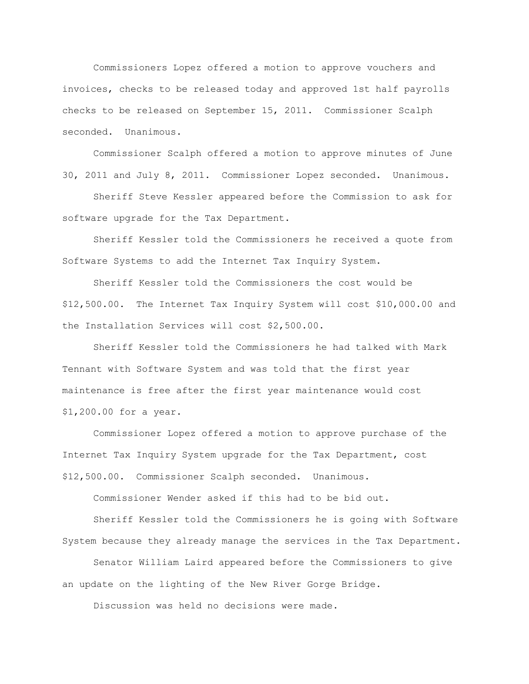Commissioners Lopez offered a motion to approve vouchers and invoices, checks to be released today and approved 1st half payrolls checks to be released on September 15, 2011. Commissioner Scalph seconded. Unanimous.

Commissioner Scalph offered a motion to approve minutes of June 30, 2011 and July 8, 2011. Commissioner Lopez seconded. Unanimous.

Sheriff Steve Kessler appeared before the Commission to ask for software upgrade for the Tax Department.

Sheriff Kessler told the Commissioners he received a quote from Software Systems to add the Internet Tax Inquiry System.

Sheriff Kessler told the Commissioners the cost would be \$12,500.00. The Internet Tax Inquiry System will cost \$10,000.00 and the Installation Services will cost \$2,500.00.

Sheriff Kessler told the Commissioners he had talked with Mark Tennant with Software System and was told that the first year maintenance is free after the first year maintenance would cost \$1,200.00 for a year.

Commissioner Lopez offered a motion to approve purchase of the Internet Tax Inquiry System upgrade for the Tax Department, cost \$12,500.00. Commissioner Scalph seconded. Unanimous.

Commissioner Wender asked if this had to be bid out.

Sheriff Kessler told the Commissioners he is going with Software System because they already manage the services in the Tax Department.

Senator William Laird appeared before the Commissioners to give an update on the lighting of the New River Gorge Bridge.

Discussion was held no decisions were made.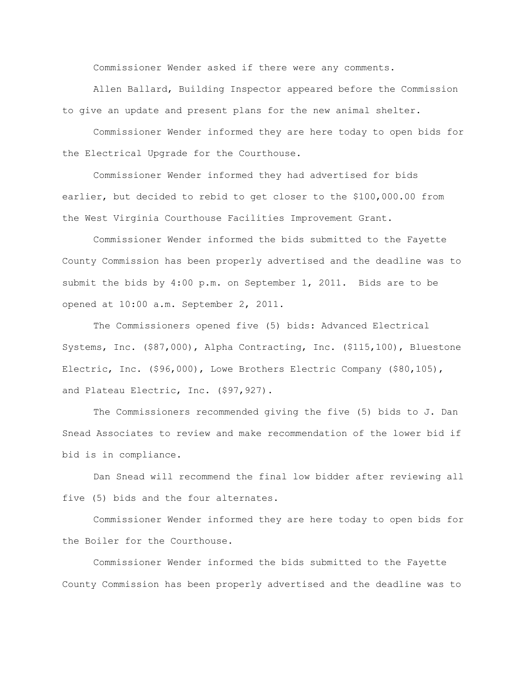Commissioner Wender asked if there were any comments.

Allen Ballard, Building Inspector appeared before the Commission to give an update and present plans for the new animal shelter.

Commissioner Wender informed they are here today to open bids for the Electrical Upgrade for the Courthouse.

Commissioner Wender informed they had advertised for bids earlier, but decided to rebid to get closer to the \$100,000.00 from the West Virginia Courthouse Facilities Improvement Grant.

Commissioner Wender informed the bids submitted to the Fayette County Commission has been properly advertised and the deadline was to submit the bids by 4:00 p.m. on September 1, 2011. Bids are to be opened at 10:00 a.m. September 2, 2011.

The Commissioners opened five (5) bids: Advanced Electrical Systems, Inc. (\$87,000), Alpha Contracting, Inc. (\$115,100), Bluestone Electric, Inc. (\$96,000), Lowe Brothers Electric Company (\$80,105), and Plateau Electric, Inc. (\$97,927).

The Commissioners recommended giving the five (5) bids to J. Dan Snead Associates to review and make recommendation of the lower bid if bid is in compliance.

Dan Snead will recommend the final low bidder after reviewing all five (5) bids and the four alternates.

Commissioner Wender informed they are here today to open bids for the Boiler for the Courthouse.

Commissioner Wender informed the bids submitted to the Fayette County Commission has been properly advertised and the deadline was to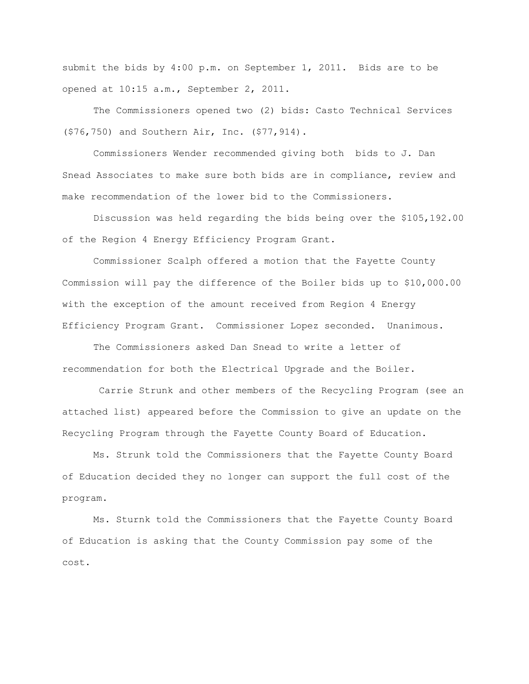submit the bids by 4:00 p.m. on September 1, 2011. Bids are to be opened at 10:15 a.m., September 2, 2011.

The Commissioners opened two (2) bids: Casto Technical Services (\$76,750) and Southern Air, Inc. (\$77,914).

Commissioners Wender recommended giving both bids to J. Dan Snead Associates to make sure both bids are in compliance, review and make recommendation of the lower bid to the Commissioners.

Discussion was held regarding the bids being over the \$105,192.00 of the Region 4 Energy Efficiency Program Grant.

Commissioner Scalph offered a motion that the Fayette County Commission will pay the difference of the Boiler bids up to \$10,000.00 with the exception of the amount received from Region 4 Energy Efficiency Program Grant. Commissioner Lopez seconded. Unanimous.

The Commissioners asked Dan Snead to write a letter of recommendation for both the Electrical Upgrade and the Boiler.

Carrie Strunk and other members of the Recycling Program (see an attached list) appeared before the Commission to give an update on the Recycling Program through the Fayette County Board of Education.

Ms. Strunk told the Commissioners that the Fayette County Board of Education decided they no longer can support the full cost of the program.

Ms. Sturnk told the Commissioners that the Fayette County Board of Education is asking that the County Commission pay some of the cost.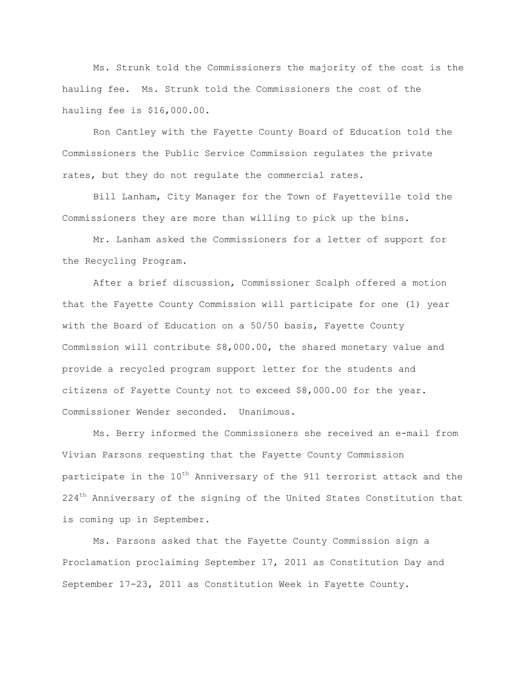Ms. Strunk told the Commissioners the majority of the cost is the hauling fee. Ms. Strunk told the Commissioners the cost of the hauling fee is \$16,000.00.

Ron Cantley with the Fayette County Board of Education told the Commissioners the Public Service Commission regulates the private rates, but they do not regulate the commercial rates.

Bill Lanham, City Manager for the Town of Fayetteville told the Commissioners they are more than willing to pick up the bins.

Mr. Lanham asked the Commissioners for a letter of support for the Recycling Program.

After a brief discussion, Commissioner Scalph offered a motion that the Fayette County Commission will participate for one (1) year with the Board of Education on a 50/50 basis, Fayette County Commission will contribute \$8,000.00, the shared monetary value and provide a recycled program support letter for the students and citizens of Fayette County not to exceed \$8,000.00 for the year. Commissioner Wender seconded. Unanimous.

Ms. Berry informed the Commissioners she received an e-mail from Vivian Parsons requesting that the Fayette County Commission participate in the 10<sup>th</sup> Anniversary of the 911 terrorist attack and the 224<sup>th</sup> Anniversary of the signing of the United States Constitution that is coming up in September.

Ms. Parsons asked that the Fayette County Commission sign a Proclamation proclaiming September 17, 2011 as Constitution Day and September 17-23, 2011 as Constitution Week in Fayette County.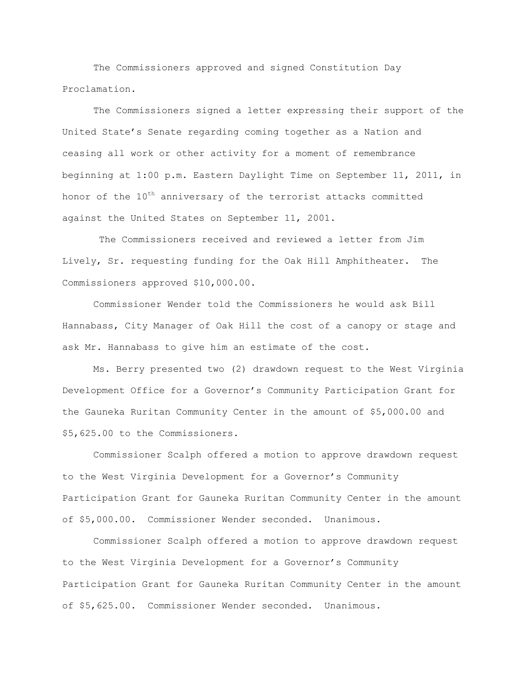The Commissioners approved and signed Constitution Day Proclamation.

The Commissioners signed a letter expressing their support of the United State"s Senate regarding coming together as a Nation and ceasing all work or other activity for a moment of remembrance beginning at 1:00 p.m. Eastern Daylight Time on September 11, 2011, in honor of the  $10^{th}$  anniversary of the terrorist attacks committed against the United States on September 11, 2001.

The Commissioners received and reviewed a letter from Jim Lively, Sr. requesting funding for the Oak Hill Amphitheater. The Commissioners approved \$10,000.00.

Commissioner Wender told the Commissioners he would ask Bill Hannabass, City Manager of Oak Hill the cost of a canopy or stage and ask Mr. Hannabass to give him an estimate of the cost.

Ms. Berry presented two (2) drawdown request to the West Virginia Development Office for a Governor"s Community Participation Grant for the Gauneka Ruritan Community Center in the amount of \$5,000.00 and \$5,625.00 to the Commissioners.

Commissioner Scalph offered a motion to approve drawdown request to the West Virginia Development for a Governor"s Community Participation Grant for Gauneka Ruritan Community Center in the amount of \$5,000.00. Commissioner Wender seconded. Unanimous.

Commissioner Scalph offered a motion to approve drawdown request to the West Virginia Development for a Governor"s Community Participation Grant for Gauneka Ruritan Community Center in the amount of \$5,625.00. Commissioner Wender seconded. Unanimous.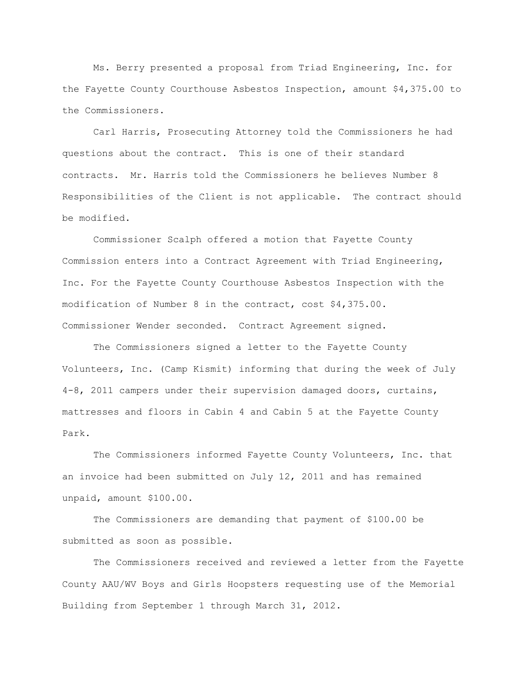Ms. Berry presented a proposal from Triad Engineering, Inc. for the Fayette County Courthouse Asbestos Inspection, amount \$4,375.00 to the Commissioners.

Carl Harris, Prosecuting Attorney told the Commissioners he had questions about the contract. This is one of their standard contracts. Mr. Harris told the Commissioners he believes Number 8 Responsibilities of the Client is not applicable. The contract should be modified.

Commissioner Scalph offered a motion that Fayette County Commission enters into a Contract Agreement with Triad Engineering, Inc. For the Fayette County Courthouse Asbestos Inspection with the modification of Number 8 in the contract, cost \$4,375.00. Commissioner Wender seconded. Contract Agreement signed.

The Commissioners signed a letter to the Fayette County Volunteers, Inc. (Camp Kismit) informing that during the week of July 4-8, 2011 campers under their supervision damaged doors, curtains, mattresses and floors in Cabin 4 and Cabin 5 at the Fayette County Park.

The Commissioners informed Fayette County Volunteers, Inc. that an invoice had been submitted on July 12, 2011 and has remained unpaid, amount \$100.00.

The Commissioners are demanding that payment of \$100.00 be submitted as soon as possible.

The Commissioners received and reviewed a letter from the Fayette County AAU/WV Boys and Girls Hoopsters requesting use of the Memorial Building from September 1 through March 31, 2012.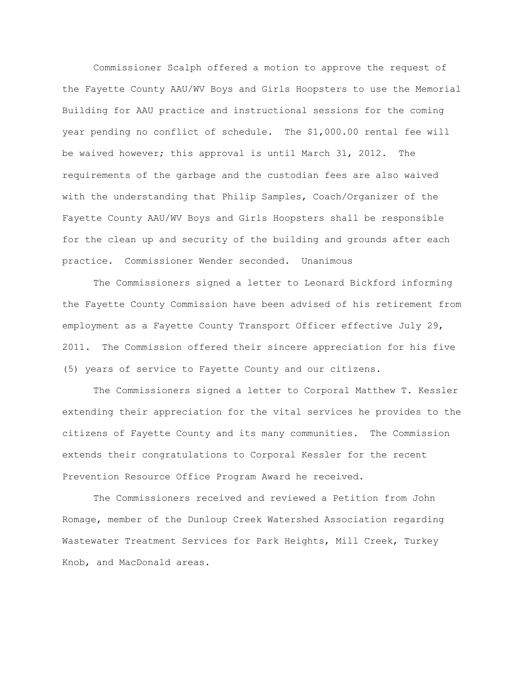Commissioner Scalph offered a motion to approve the request of the Fayette County AAU/WV Boys and Girls Hoopsters to use the Memorial Building for AAU practice and instructional sessions for the coming year pending no conflict of schedule. The \$1,000.00 rental fee will be waived however; this approval is until March 31, 2012. The requirements of the garbage and the custodian fees are also waived with the understanding that Philip Samples, Coach/Organizer of the Fayette County AAU/WV Boys and Girls Hoopsters shall be responsible for the clean up and security of the building and grounds after each practice. Commissioner Wender seconded. Unanimous

 The Commissioners signed a letter to Leonard Bickford informing the Fayette County Commission have been advised of his retirement from employment as a Fayette County Transport Officer effective July 29, 2011. The Commission offered their sincere appreciation for his five (5) years of service to Fayette County and our citizens.

The Commissioners signed a letter to Corporal Matthew T. Kessler extending their appreciation for the vital services he provides to the citizens of Fayette County and its many communities. The Commission extends their congratulations to Corporal Kessler for the recent Prevention Resource Office Program Award he received.

The Commissioners received and reviewed a Petition from John Romage, member of the Dunloup Creek Watershed Association regarding Wastewater Treatment Services for Park Heights, Mill Creek, Turkey Knob, and MacDonald areas.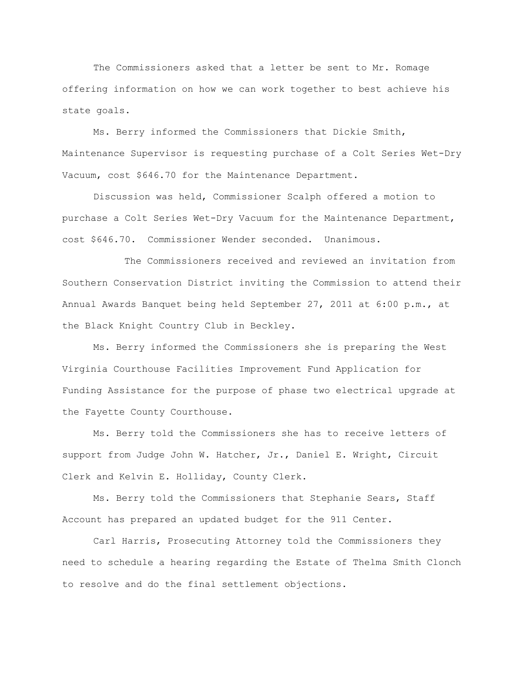The Commissioners asked that a letter be sent to Mr. Romage offering information on how we can work together to best achieve his state goals.

Ms. Berry informed the Commissioners that Dickie Smith, Maintenance Supervisor is requesting purchase of a Colt Series Wet-Dry Vacuum, cost \$646.70 for the Maintenance Department.

Discussion was held, Commissioner Scalph offered a motion to purchase a Colt Series Wet-Dry Vacuum for the Maintenance Department, cost \$646.70. Commissioner Wender seconded. Unanimous.

The Commissioners received and reviewed an invitation from Southern Conservation District inviting the Commission to attend their Annual Awards Banquet being held September 27, 2011 at 6:00 p.m., at the Black Knight Country Club in Beckley.

Ms. Berry informed the Commissioners she is preparing the West Virginia Courthouse Facilities Improvement Fund Application for Funding Assistance for the purpose of phase two electrical upgrade at the Fayette County Courthouse.

Ms. Berry told the Commissioners she has to receive letters of support from Judge John W. Hatcher, Jr., Daniel E. Wright, Circuit Clerk and Kelvin E. Holliday, County Clerk.

Ms. Berry told the Commissioners that Stephanie Sears, Staff Account has prepared an updated budget for the 911 Center.

Carl Harris, Prosecuting Attorney told the Commissioners they need to schedule a hearing regarding the Estate of Thelma Smith Clonch to resolve and do the final settlement objections.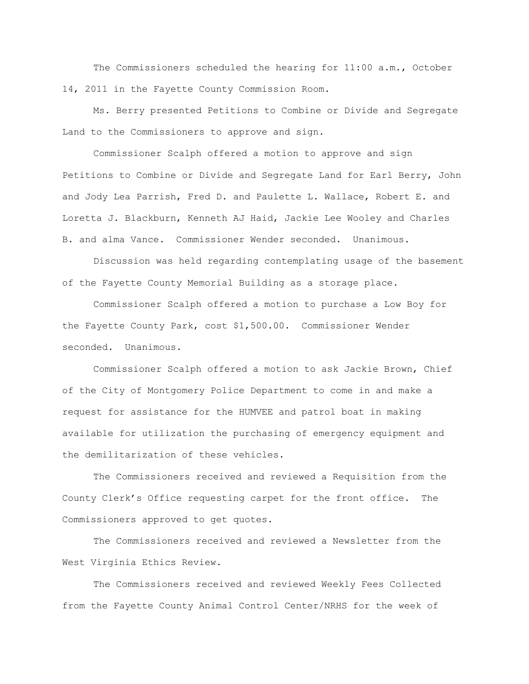The Commissioners scheduled the hearing for 11:00 a.m., October 14, 2011 in the Fayette County Commission Room.

Ms. Berry presented Petitions to Combine or Divide and Segregate Land to the Commissioners to approve and sign.

Commissioner Scalph offered a motion to approve and sign Petitions to Combine or Divide and Segregate Land for Earl Berry, John and Jody Lea Parrish, Fred D. and Paulette L. Wallace, Robert E. and Loretta J. Blackburn, Kenneth AJ Haid, Jackie Lee Wooley and Charles B. and alma Vance. Commissioner Wender seconded. Unanimous.

Discussion was held regarding contemplating usage of the basement of the Fayette County Memorial Building as a storage place.

Commissioner Scalph offered a motion to purchase a Low Boy for the Fayette County Park, cost \$1,500.00. Commissioner Wender seconded. Unanimous.

Commissioner Scalph offered a motion to ask Jackie Brown, Chief of the City of Montgomery Police Department to come in and make a request for assistance for the HUMVEE and patrol boat in making available for utilization the purchasing of emergency equipment and the demilitarization of these vehicles.

The Commissioners received and reviewed a Requisition from the County Clerk"s Office requesting carpet for the front office. The Commissioners approved to get quotes.

The Commissioners received and reviewed a Newsletter from the West Virginia Ethics Review.

The Commissioners received and reviewed Weekly Fees Collected from the Fayette County Animal Control Center/NRHS for the week of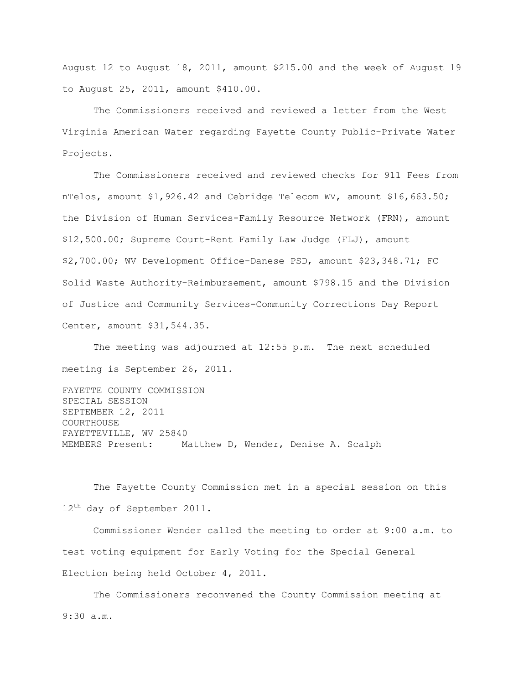August 12 to August 18, 2011, amount \$215.00 and the week of August 19 to August 25, 2011, amount \$410.00.

The Commissioners received and reviewed a letter from the West Virginia American Water regarding Fayette County Public-Private Water Projects.

The Commissioners received and reviewed checks for 911 Fees from nTelos, amount \$1,926.42 and Cebridge Telecom WV, amount \$16,663.50; the Division of Human Services-Family Resource Network (FRN), amount \$12,500.00; Supreme Court-Rent Family Law Judge (FLJ), amount \$2,700.00; WV Development Office-Danese PSD, amount \$23,348.71; FC Solid Waste Authority-Reimbursement, amount \$798.15 and the Division of Justice and Community Services-Community Corrections Day Report Center, amount \$31,544.35.

The meeting was adjourned at 12:55 p.m. The next scheduled meeting is September 26, 2011.

FAYETTE COUNTY COMMISSION SPECIAL SESSION SEPTEMBER 12, 2011 COURTHOUSE FAYETTEVILLE, WV 25840 MEMBERS Present: Matthew D, Wender, Denise A. Scalph

The Fayette County Commission met in a special session on this 12<sup>th</sup> day of September 2011.

Commissioner Wender called the meeting to order at 9:00 a.m. to test voting equipment for Early Voting for the Special General Election being held October 4, 2011.

The Commissioners reconvened the County Commission meeting at 9:30 a.m.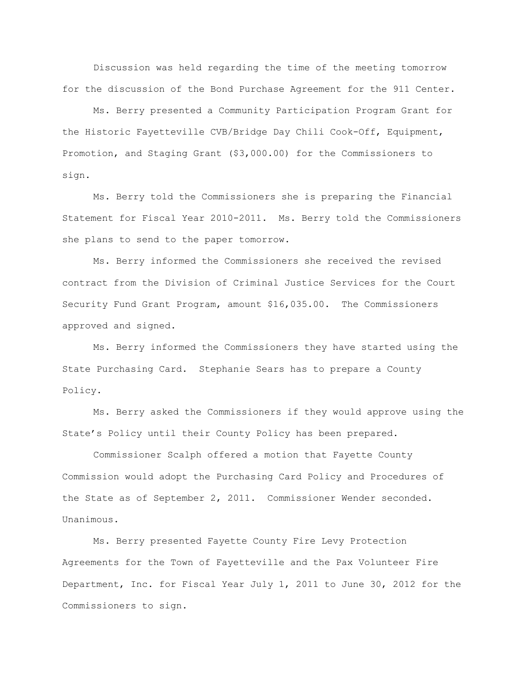Discussion was held regarding the time of the meeting tomorrow for the discussion of the Bond Purchase Agreement for the 911 Center.

Ms. Berry presented a Community Participation Program Grant for the Historic Fayetteville CVB/Bridge Day Chili Cook-Off, Equipment, Promotion, and Staging Grant (\$3,000.00) for the Commissioners to sign.

Ms. Berry told the Commissioners she is preparing the Financial Statement for Fiscal Year 2010-2011. Ms. Berry told the Commissioners she plans to send to the paper tomorrow.

Ms. Berry informed the Commissioners she received the revised contract from the Division of Criminal Justice Services for the Court Security Fund Grant Program, amount \$16,035.00. The Commissioners approved and signed.

Ms. Berry informed the Commissioners they have started using the State Purchasing Card. Stephanie Sears has to prepare a County Policy.

Ms. Berry asked the Commissioners if they would approve using the State"s Policy until their County Policy has been prepared.

Commissioner Scalph offered a motion that Fayette County Commission would adopt the Purchasing Card Policy and Procedures of the State as of September 2, 2011. Commissioner Wender seconded. Unanimous.

Ms. Berry presented Fayette County Fire Levy Protection Agreements for the Town of Fayetteville and the Pax Volunteer Fire Department, Inc. for Fiscal Year July 1, 2011 to June 30, 2012 for the Commissioners to sign.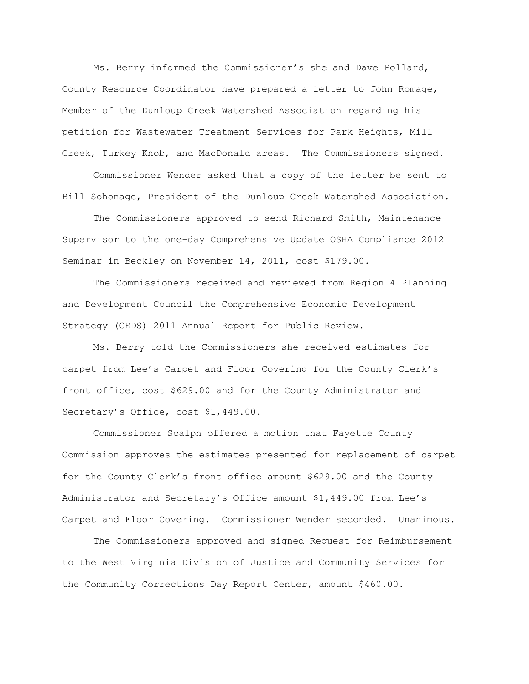Ms. Berry informed the Commissioner"s she and Dave Pollard, County Resource Coordinator have prepared a letter to John Romage, Member of the Dunloup Creek Watershed Association regarding his petition for Wastewater Treatment Services for Park Heights, Mill Creek, Turkey Knob, and MacDonald areas. The Commissioners signed.

Commissioner Wender asked that a copy of the letter be sent to Bill Sohonage, President of the Dunloup Creek Watershed Association.

The Commissioners approved to send Richard Smith, Maintenance Supervisor to the one-day Comprehensive Update OSHA Compliance 2012 Seminar in Beckley on November 14, 2011, cost \$179.00.

The Commissioners received and reviewed from Region 4 Planning and Development Council the Comprehensive Economic Development Strategy (CEDS) 2011 Annual Report for Public Review.

Ms. Berry told the Commissioners she received estimates for carpet from Lee"s Carpet and Floor Covering for the County Clerk"s front office, cost \$629.00 and for the County Administrator and Secretary's Office, cost \$1,449.00.

Commissioner Scalph offered a motion that Fayette County Commission approves the estimates presented for replacement of carpet for the County Clerk"s front office amount \$629.00 and the County Administrator and Secretary"s Office amount \$1,449.00 from Lee"s Carpet and Floor Covering. Commissioner Wender seconded. Unanimous.

The Commissioners approved and signed Request for Reimbursement to the West Virginia Division of Justice and Community Services for the Community Corrections Day Report Center, amount \$460.00.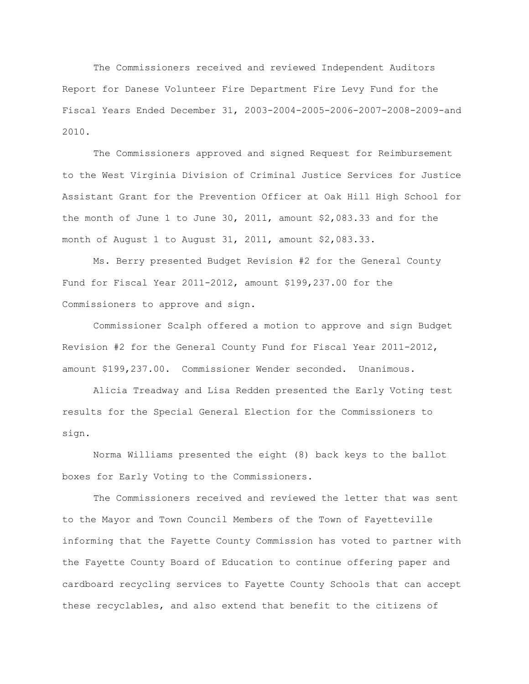The Commissioners received and reviewed Independent Auditors Report for Danese Volunteer Fire Department Fire Levy Fund for the Fiscal Years Ended December 31, 2003-2004-2005-2006-2007-2008-2009-and 2010.

The Commissioners approved and signed Request for Reimbursement to the West Virginia Division of Criminal Justice Services for Justice Assistant Grant for the Prevention Officer at Oak Hill High School for the month of June 1 to June 30, 2011, amount \$2,083.33 and for the month of August 1 to August 31, 2011, amount \$2,083.33.

Ms. Berry presented Budget Revision #2 for the General County Fund for Fiscal Year 2011-2012, amount \$199,237.00 for the Commissioners to approve and sign.

Commissioner Scalph offered a motion to approve and sign Budget Revision #2 for the General County Fund for Fiscal Year 2011-2012, amount \$199,237.00. Commissioner Wender seconded. Unanimous.

Alicia Treadway and Lisa Redden presented the Early Voting test results for the Special General Election for the Commissioners to sign.

Norma Williams presented the eight (8) back keys to the ballot boxes for Early Voting to the Commissioners.

The Commissioners received and reviewed the letter that was sent to the Mayor and Town Council Members of the Town of Fayetteville informing that the Fayette County Commission has voted to partner with the Fayette County Board of Education to continue offering paper and cardboard recycling services to Fayette County Schools that can accept these recyclables, and also extend that benefit to the citizens of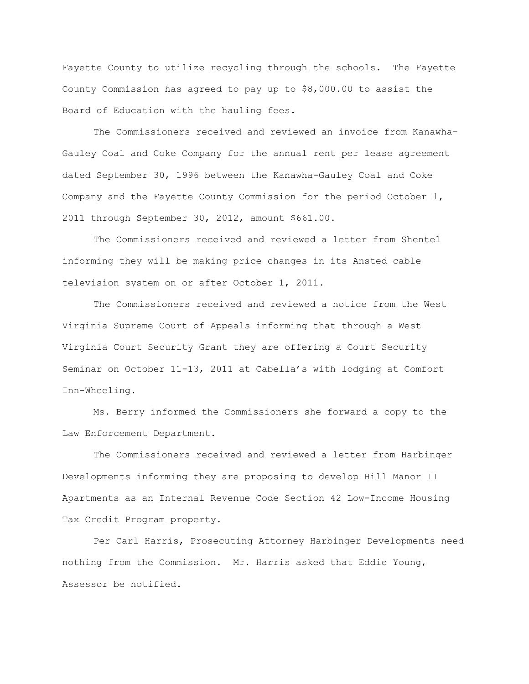Fayette County to utilize recycling through the schools. The Fayette County Commission has agreed to pay up to \$8,000.00 to assist the Board of Education with the hauling fees.

The Commissioners received and reviewed an invoice from Kanawha-Gauley Coal and Coke Company for the annual rent per lease agreement dated September 30, 1996 between the Kanawha-Gauley Coal and Coke Company and the Fayette County Commission for the period October 1, 2011 through September 30, 2012, amount \$661.00.

The Commissioners received and reviewed a letter from Shentel informing they will be making price changes in its Ansted cable television system on or after October 1, 2011.

The Commissioners received and reviewed a notice from the West Virginia Supreme Court of Appeals informing that through a West Virginia Court Security Grant they are offering a Court Security Seminar on October 11-13, 2011 at Cabella"s with lodging at Comfort Inn-Wheeling.

Ms. Berry informed the Commissioners she forward a copy to the Law Enforcement Department.

The Commissioners received and reviewed a letter from Harbinger Developments informing they are proposing to develop Hill Manor II Apartments as an Internal Revenue Code Section 42 Low-Income Housing Tax Credit Program property.

Per Carl Harris, Prosecuting Attorney Harbinger Developments need nothing from the Commission. Mr. Harris asked that Eddie Young, Assessor be notified.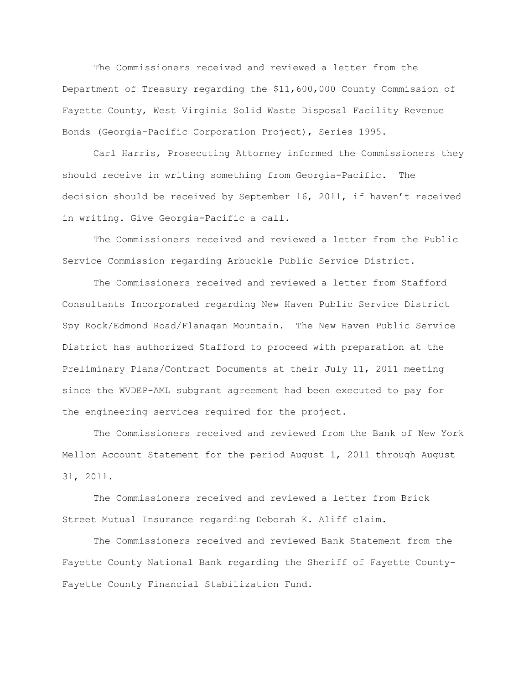The Commissioners received and reviewed a letter from the Department of Treasury regarding the \$11,600,000 County Commission of Fayette County, West Virginia Solid Waste Disposal Facility Revenue Bonds (Georgia-Pacific Corporation Project), Series 1995.

Carl Harris, Prosecuting Attorney informed the Commissioners they should receive in writing something from Georgia-Pacific. The decision should be received by September 16, 2011, if haven't received in writing. Give Georgia-Pacific a call.

The Commissioners received and reviewed a letter from the Public Service Commission regarding Arbuckle Public Service District.

The Commissioners received and reviewed a letter from Stafford Consultants Incorporated regarding New Haven Public Service District Spy Rock/Edmond Road/Flanagan Mountain. The New Haven Public Service District has authorized Stafford to proceed with preparation at the Preliminary Plans/Contract Documents at their July 11, 2011 meeting since the WVDEP-AML subgrant agreement had been executed to pay for the engineering services required for the project.

The Commissioners received and reviewed from the Bank of New York Mellon Account Statement for the period August 1, 2011 through August 31, 2011.

The Commissioners received and reviewed a letter from Brick Street Mutual Insurance regarding Deborah K. Aliff claim.

The Commissioners received and reviewed Bank Statement from the Fayette County National Bank regarding the Sheriff of Fayette County-Fayette County Financial Stabilization Fund.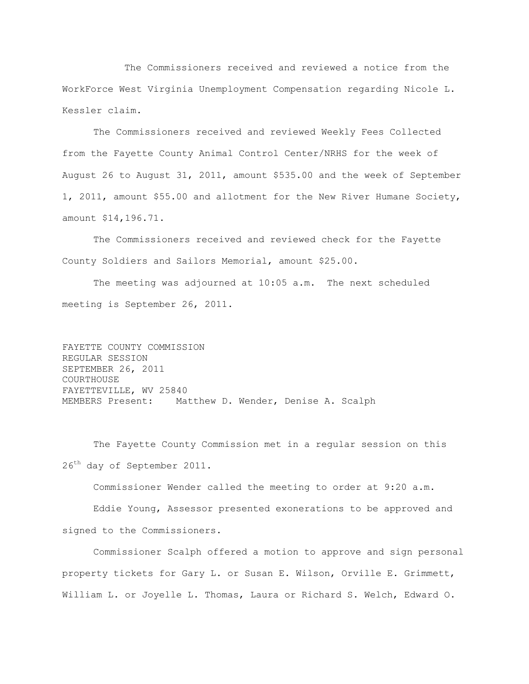The Commissioners received and reviewed a notice from the WorkForce West Virginia Unemployment Compensation regarding Nicole L. Kessler claim.

The Commissioners received and reviewed Weekly Fees Collected from the Fayette County Animal Control Center/NRHS for the week of August 26 to August 31, 2011, amount \$535.00 and the week of September 1, 2011, amount \$55.00 and allotment for the New River Humane Society, amount \$14,196.71.

The Commissioners received and reviewed check for the Fayette County Soldiers and Sailors Memorial, amount \$25.00.

The meeting was adjourned at 10:05 a.m. The next scheduled meeting is September 26, 2011.

FAYETTE COUNTY COMMISSION REGULAR SESSION SEPTEMBER 26, 2011 COURTHOUSE FAYETTEVILLE, WV 25840 MEMBERS Present: Matthew D. Wender, Denise A. Scalph

The Fayette County Commission met in a regular session on this 26<sup>th</sup> day of September 2011.

Commissioner Wender called the meeting to order at 9:20 a.m.

Eddie Young, Assessor presented exonerations to be approved and signed to the Commissioners.

Commissioner Scalph offered a motion to approve and sign personal property tickets for Gary L. or Susan E. Wilson, Orville E. Grimmett, William L. or Joyelle L. Thomas, Laura or Richard S. Welch, Edward O.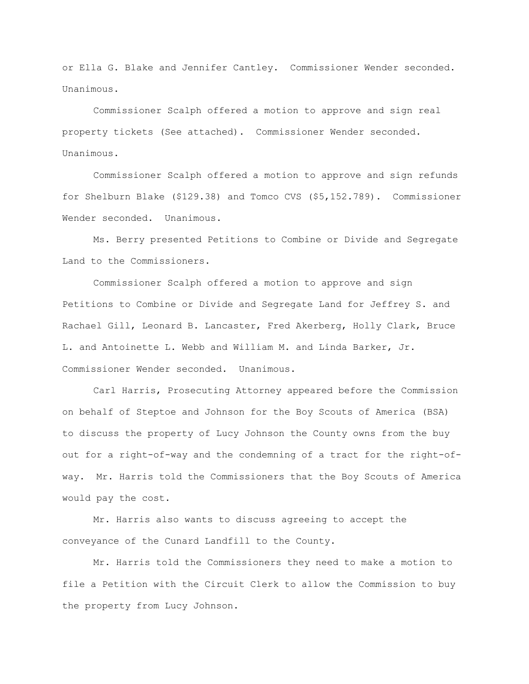or Ella G. Blake and Jennifer Cantley. Commissioner Wender seconded. Unanimous.

Commissioner Scalph offered a motion to approve and sign real property tickets (See attached). Commissioner Wender seconded. Unanimous.

Commissioner Scalph offered a motion to approve and sign refunds for Shelburn Blake (\$129.38) and Tomco CVS (\$5,152.789). Commissioner Wender seconded. Unanimous.

Ms. Berry presented Petitions to Combine or Divide and Segregate Land to the Commissioners.

Commissioner Scalph offered a motion to approve and sign Petitions to Combine or Divide and Segregate Land for Jeffrey S. and Rachael Gill, Leonard B. Lancaster, Fred Akerberg, Holly Clark, Bruce L. and Antoinette L. Webb and William M. and Linda Barker, Jr. Commissioner Wender seconded. Unanimous.

Carl Harris, Prosecuting Attorney appeared before the Commission on behalf of Steptoe and Johnson for the Boy Scouts of America (BSA) to discuss the property of Lucy Johnson the County owns from the buy out for a right-of-way and the condemning of a tract for the right-ofway. Mr. Harris told the Commissioners that the Boy Scouts of America would pay the cost.

Mr. Harris also wants to discuss agreeing to accept the conveyance of the Cunard Landfill to the County.

Mr. Harris told the Commissioners they need to make a motion to file a Petition with the Circuit Clerk to allow the Commission to buy the property from Lucy Johnson.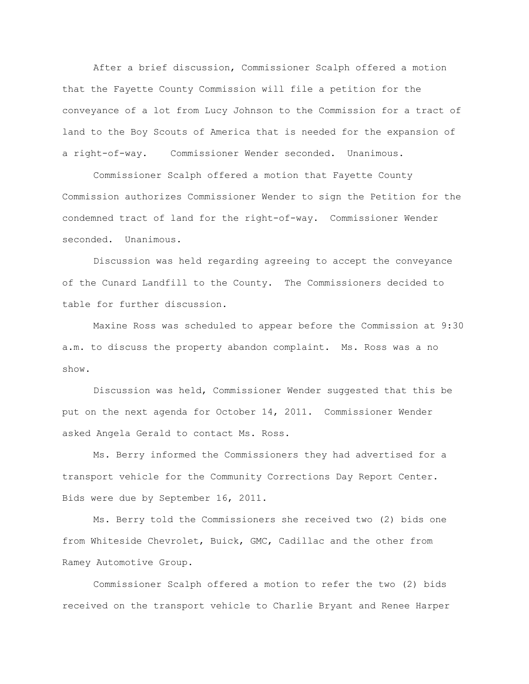After a brief discussion, Commissioner Scalph offered a motion that the Fayette County Commission will file a petition for the conveyance of a lot from Lucy Johnson to the Commission for a tract of land to the Boy Scouts of America that is needed for the expansion of a right-of-way. Commissioner Wender seconded. Unanimous.

Commissioner Scalph offered a motion that Fayette County Commission authorizes Commissioner Wender to sign the Petition for the condemned tract of land for the right-of-way. Commissioner Wender seconded. Unanimous.

Discussion was held regarding agreeing to accept the conveyance of the Cunard Landfill to the County. The Commissioners decided to table for further discussion.

Maxine Ross was scheduled to appear before the Commission at 9:30 a.m. to discuss the property abandon complaint. Ms. Ross was a no show.

Discussion was held, Commissioner Wender suggested that this be put on the next agenda for October 14, 2011. Commissioner Wender asked Angela Gerald to contact Ms. Ross.

Ms. Berry informed the Commissioners they had advertised for a transport vehicle for the Community Corrections Day Report Center. Bids were due by September 16, 2011.

Ms. Berry told the Commissioners she received two (2) bids one from Whiteside Chevrolet, Buick, GMC, Cadillac and the other from Ramey Automotive Group.

Commissioner Scalph offered a motion to refer the two (2) bids received on the transport vehicle to Charlie Bryant and Renee Harper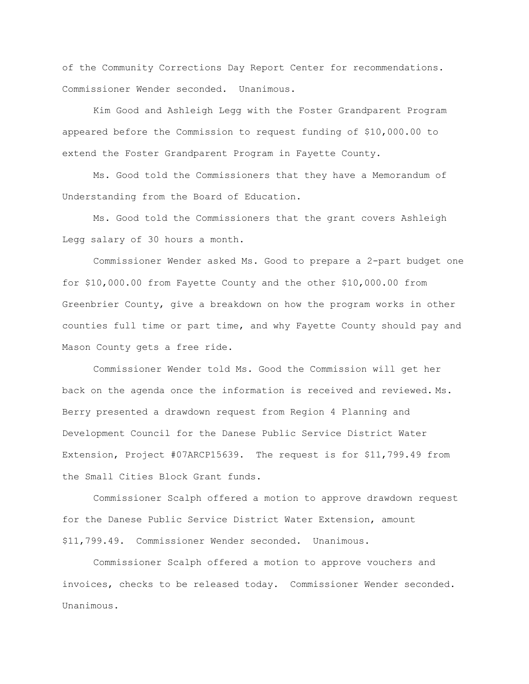of the Community Corrections Day Report Center for recommendations. Commissioner Wender seconded. Unanimous.

Kim Good and Ashleigh Legg with the Foster Grandparent Program appeared before the Commission to request funding of \$10,000.00 to extend the Foster Grandparent Program in Fayette County.

Ms. Good told the Commissioners that they have a Memorandum of Understanding from the Board of Education.

Ms. Good told the Commissioners that the grant covers Ashleigh Legg salary of 30 hours a month.

Commissioner Wender asked Ms. Good to prepare a 2-part budget one for \$10,000.00 from Fayette County and the other \$10,000.00 from Greenbrier County, give a breakdown on how the program works in other counties full time or part time, and why Fayette County should pay and Mason County gets a free ride.

Commissioner Wender told Ms. Good the Commission will get her back on the agenda once the information is received and reviewed. Ms. Berry presented a drawdown request from Region 4 Planning and Development Council for the Danese Public Service District Water Extension, Project #07ARCP15639. The request is for \$11,799.49 from the Small Cities Block Grant funds.

Commissioner Scalph offered a motion to approve drawdown request for the Danese Public Service District Water Extension, amount \$11,799.49. Commissioner Wender seconded. Unanimous.

Commissioner Scalph offered a motion to approve vouchers and invoices, checks to be released today. Commissioner Wender seconded. Unanimous.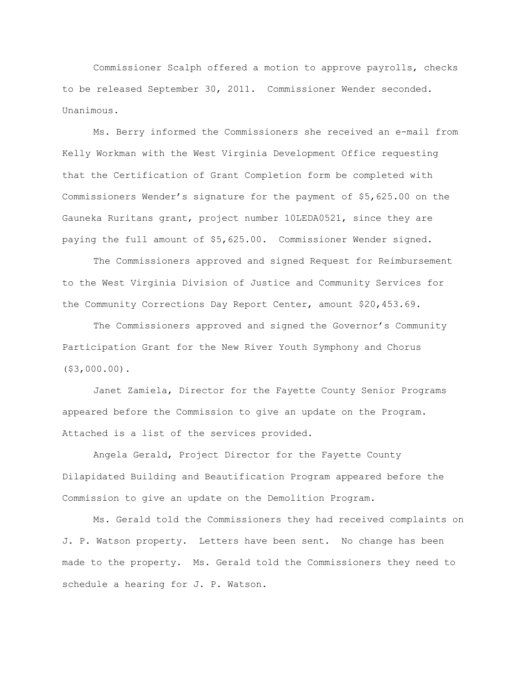Commissioner Scalph offered a motion to approve payrolls, checks to be released September 30, 2011. Commissioner Wender seconded. Unanimous.

Ms. Berry informed the Commissioners she received an e-mail from Kelly Workman with the West Virginia Development Office requesting that the Certification of Grant Completion form be completed with Commissioners Wender"s signature for the payment of \$5,625.00 on the Gauneka Ruritans grant, project number 10LEDA0521, since they are paying the full amount of \$5,625.00. Commissioner Wender signed.

The Commissioners approved and signed Request for Reimbursement to the West Virginia Division of Justice and Community Services for the Community Corrections Day Report Center, amount \$20,453.69.

The Commissioners approved and signed the Governor's Community Participation Grant for the New River Youth Symphony and Chorus (\$3,000.00).

Janet Zamiela, Director for the Fayette County Senior Programs appeared before the Commission to give an update on the Program. Attached is a list of the services provided.

Angela Gerald, Project Director for the Fayette County Dilapidated Building and Beautification Program appeared before the Commission to give an update on the Demolition Program.

Ms. Gerald told the Commissioners they had received complaints on J. P. Watson property. Letters have been sent. No change has been made to the property. Ms. Gerald told the Commissioners they need to schedule a hearing for J. P. Watson.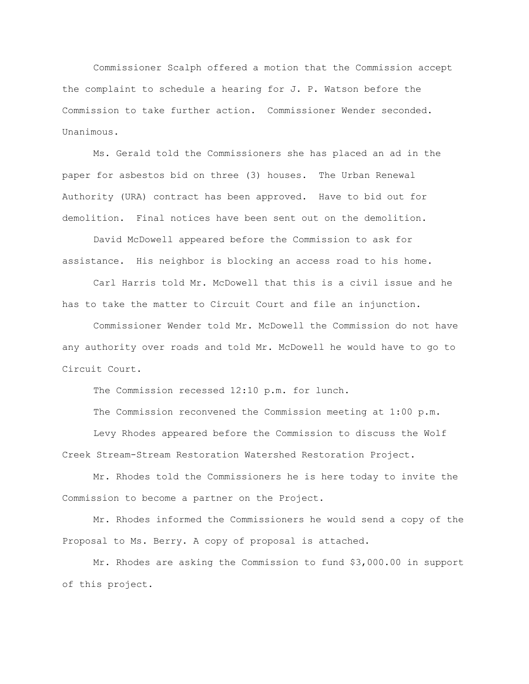Commissioner Scalph offered a motion that the Commission accept the complaint to schedule a hearing for J. P. Watson before the Commission to take further action. Commissioner Wender seconded. Unanimous.

Ms. Gerald told the Commissioners she has placed an ad in the paper for asbestos bid on three (3) houses. The Urban Renewal Authority (URA) contract has been approved. Have to bid out for demolition. Final notices have been sent out on the demolition.

David McDowell appeared before the Commission to ask for assistance. His neighbor is blocking an access road to his home.

Carl Harris told Mr. McDowell that this is a civil issue and he has to take the matter to Circuit Court and file an injunction.

Commissioner Wender told Mr. McDowell the Commission do not have any authority over roads and told Mr. McDowell he would have to go to Circuit Court.

The Commission recessed 12:10 p.m. for lunch.

The Commission reconvened the Commission meeting at 1:00 p.m.

Levy Rhodes appeared before the Commission to discuss the Wolf Creek Stream-Stream Restoration Watershed Restoration Project.

Mr. Rhodes told the Commissioners he is here today to invite the Commission to become a partner on the Project.

Mr. Rhodes informed the Commissioners he would send a copy of the Proposal to Ms. Berry. A copy of proposal is attached.

Mr. Rhodes are asking the Commission to fund \$3,000.00 in support of this project.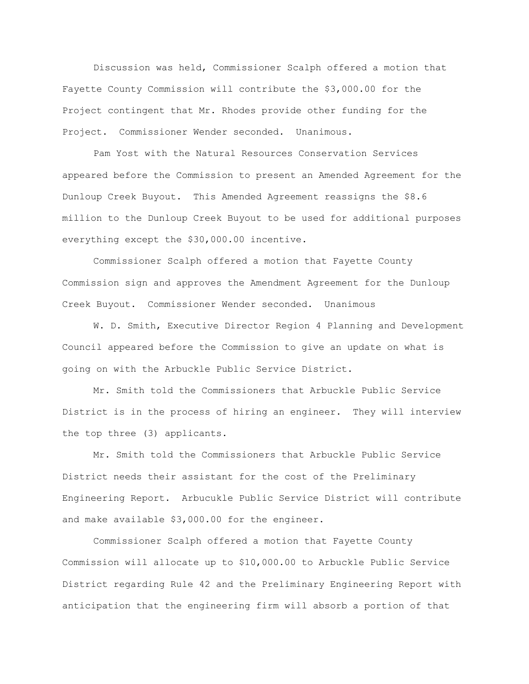Discussion was held, Commissioner Scalph offered a motion that Fayette County Commission will contribute the \$3,000.00 for the Project contingent that Mr. Rhodes provide other funding for the Project. Commissioner Wender seconded. Unanimous.

Pam Yost with the Natural Resources Conservation Services appeared before the Commission to present an Amended Agreement for the Dunloup Creek Buyout. This Amended Agreement reassigns the \$8.6 million to the Dunloup Creek Buyout to be used for additional purposes everything except the \$30,000.00 incentive.

Commissioner Scalph offered a motion that Fayette County Commission sign and approves the Amendment Agreement for the Dunloup Creek Buyout. Commissioner Wender seconded. Unanimous

W. D. Smith, Executive Director Region 4 Planning and Development Council appeared before the Commission to give an update on what is going on with the Arbuckle Public Service District.

Mr. Smith told the Commissioners that Arbuckle Public Service District is in the process of hiring an engineer. They will interview the top three (3) applicants.

Mr. Smith told the Commissioners that Arbuckle Public Service District needs their assistant for the cost of the Preliminary Engineering Report. Arbucukle Public Service District will contribute and make available \$3,000.00 for the engineer.

Commissioner Scalph offered a motion that Fayette County Commission will allocate up to \$10,000.00 to Arbuckle Public Service District regarding Rule 42 and the Preliminary Engineering Report with anticipation that the engineering firm will absorb a portion of that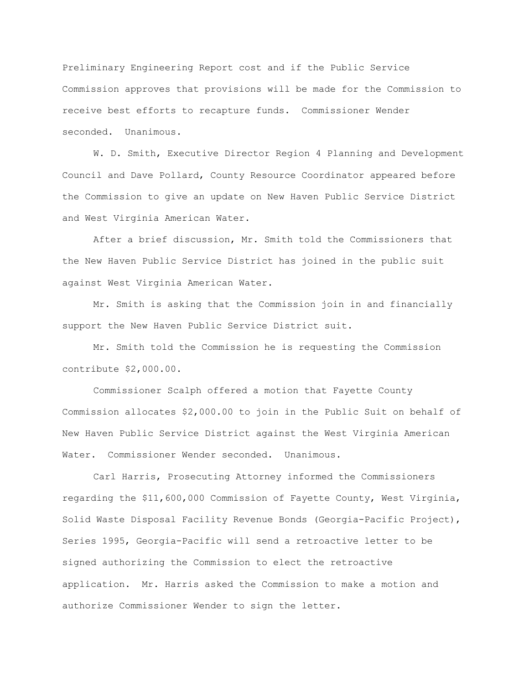Preliminary Engineering Report cost and if the Public Service Commission approves that provisions will be made for the Commission to receive best efforts to recapture funds. Commissioner Wender seconded. Unanimous.

W. D. Smith, Executive Director Region 4 Planning and Development Council and Dave Pollard, County Resource Coordinator appeared before the Commission to give an update on New Haven Public Service District and West Virginia American Water.

After a brief discussion, Mr. Smith told the Commissioners that the New Haven Public Service District has joined in the public suit against West Virginia American Water.

Mr. Smith is asking that the Commission join in and financially support the New Haven Public Service District suit.

Mr. Smith told the Commission he is requesting the Commission contribute \$2,000.00.

Commissioner Scalph offered a motion that Fayette County Commission allocates \$2,000.00 to join in the Public Suit on behalf of New Haven Public Service District against the West Virginia American Water. Commissioner Wender seconded. Unanimous.

Carl Harris, Prosecuting Attorney informed the Commissioners regarding the \$11,600,000 Commission of Fayette County, West Virginia, Solid Waste Disposal Facility Revenue Bonds (Georgia-Pacific Project), Series 1995, Georgia-Pacific will send a retroactive letter to be signed authorizing the Commission to elect the retroactive application. Mr. Harris asked the Commission to make a motion and authorize Commissioner Wender to sign the letter.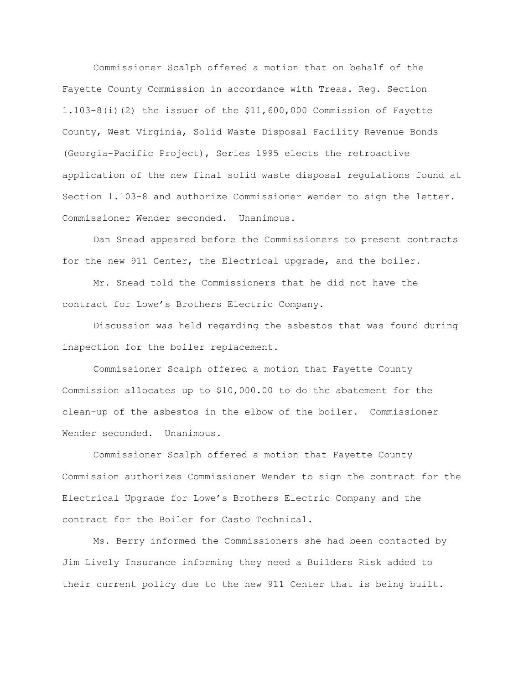Commissioner Scalph offered a motion that on behalf of the Fayette County Commission in accordance with Treas. Reg. Section 1.103-8(i)(2) the issuer of the \$11,600,000 Commission of Fayette County, West Virginia, Solid Waste Disposal Facility Revenue Bonds (Georgia-Pacific Project), Series 1995 elects the retroactive application of the new final solid waste disposal regulations found at Section 1.103-8 and authorize Commissioner Wender to sign the letter. Commissioner Wender seconded. Unanimous.

Dan Snead appeared before the Commissioners to present contracts for the new 911 Center, the Electrical upgrade, and the boiler.

Mr. Snead told the Commissioners that he did not have the contract for Lowe"s Brothers Electric Company.

Discussion was held regarding the asbestos that was found during inspection for the boiler replacement.

Commissioner Scalph offered a motion that Fayette County Commission allocates up to \$10,000.00 to do the abatement for the clean-up of the asbestos in the elbow of the boiler. Commissioner Wender seconded. Unanimous.

Commissioner Scalph offered a motion that Fayette County Commission authorizes Commissioner Wender to sign the contract for the Electrical Upgrade for Lowe"s Brothers Electric Company and the contract for the Boiler for Casto Technical.

Ms. Berry informed the Commissioners she had been contacted by Jim Lively Insurance informing they need a Builders Risk added to their current policy due to the new 911 Center that is being built.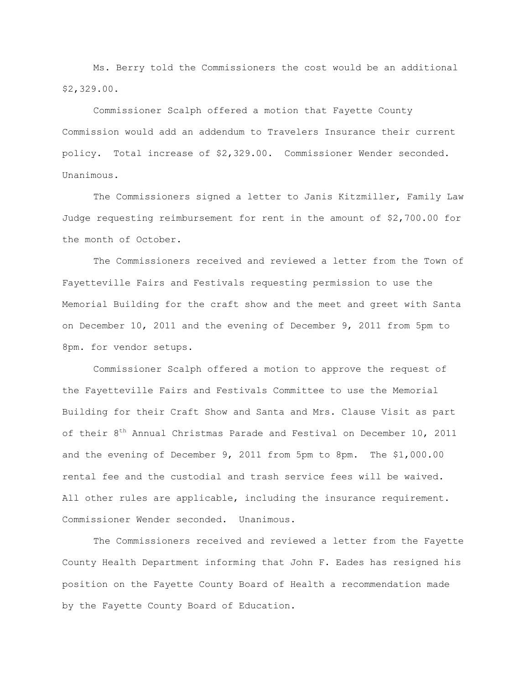Ms. Berry told the Commissioners the cost would be an additional \$2,329.00.

Commissioner Scalph offered a motion that Fayette County Commission would add an addendum to Travelers Insurance their current policy. Total increase of \$2,329.00. Commissioner Wender seconded. Unanimous.

The Commissioners signed a letter to Janis Kitzmiller, Family Law Judge requesting reimbursement for rent in the amount of \$2,700.00 for the month of October.

The Commissioners received and reviewed a letter from the Town of Fayetteville Fairs and Festivals requesting permission to use the Memorial Building for the craft show and the meet and greet with Santa on December 10, 2011 and the evening of December 9, 2011 from 5pm to 8pm. for vendor setups.

Commissioner Scalph offered a motion to approve the request of the Fayetteville Fairs and Festivals Committee to use the Memorial Building for their Craft Show and Santa and Mrs. Clause Visit as part of their 8<sup>th</sup> Annual Christmas Parade and Festival on December 10, 2011 and the evening of December 9, 2011 from 5pm to 8pm. The \$1,000.00 rental fee and the custodial and trash service fees will be waived. All other rules are applicable, including the insurance requirement. Commissioner Wender seconded. Unanimous.

The Commissioners received and reviewed a letter from the Fayette County Health Department informing that John F. Eades has resigned his position on the Fayette County Board of Health a recommendation made by the Fayette County Board of Education.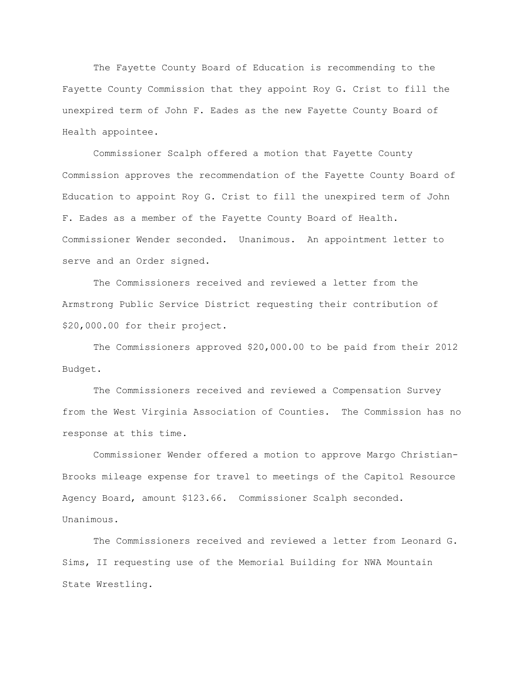The Fayette County Board of Education is recommending to the Fayette County Commission that they appoint Roy G. Crist to fill the unexpired term of John F. Eades as the new Fayette County Board of Health appointee.

Commissioner Scalph offered a motion that Fayette County Commission approves the recommendation of the Fayette County Board of Education to appoint Roy G. Crist to fill the unexpired term of John F. Eades as a member of the Fayette County Board of Health. Commissioner Wender seconded. Unanimous. An appointment letter to serve and an Order signed.

The Commissioners received and reviewed a letter from the Armstrong Public Service District requesting their contribution of \$20,000.00 for their project.

The Commissioners approved \$20,000.00 to be paid from their 2012 Budget.

The Commissioners received and reviewed a Compensation Survey from the West Virginia Association of Counties. The Commission has no response at this time.

Commissioner Wender offered a motion to approve Margo Christian-Brooks mileage expense for travel to meetings of the Capitol Resource Agency Board, amount \$123.66. Commissioner Scalph seconded. Unanimous.

The Commissioners received and reviewed a letter from Leonard G. Sims, II requesting use of the Memorial Building for NWA Mountain State Wrestling.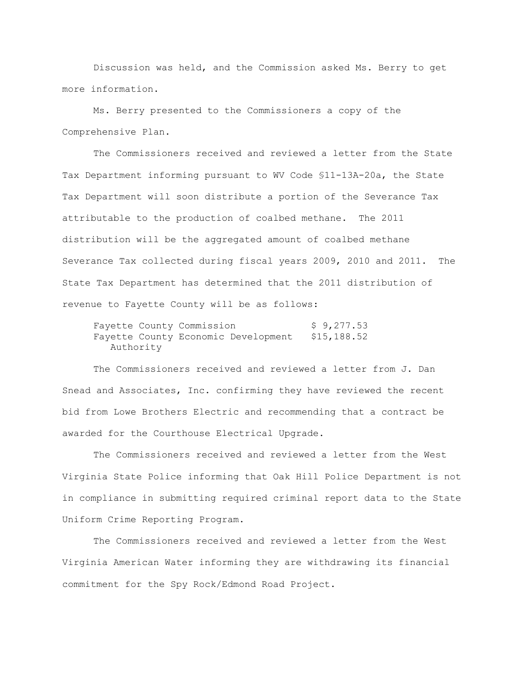Discussion was held, and the Commission asked Ms. Berry to get more information.

Ms. Berry presented to the Commissioners a copy of the Comprehensive Plan.

The Commissioners received and reviewed a letter from the State Tax Department informing pursuant to WV Code §11-13A-20a, the State Tax Department will soon distribute a portion of the Severance Tax attributable to the production of coalbed methane. The 2011 distribution will be the aggregated amount of coalbed methane Severance Tax collected during fiscal years 2009, 2010 and 2011. The State Tax Department has determined that the 2011 distribution of revenue to Fayette County will be as follows:

Fayette County Commission \$ 9,277.53 Fayette County Economic Development \$15,188.52 Authority

The Commissioners received and reviewed a letter from J. Dan Snead and Associates, Inc. confirming they have reviewed the recent bid from Lowe Brothers Electric and recommending that a contract be awarded for the Courthouse Electrical Upgrade.

The Commissioners received and reviewed a letter from the West Virginia State Police informing that Oak Hill Police Department is not in compliance in submitting required criminal report data to the State Uniform Crime Reporting Program.

The Commissioners received and reviewed a letter from the West Virginia American Water informing they are withdrawing its financial commitment for the Spy Rock/Edmond Road Project.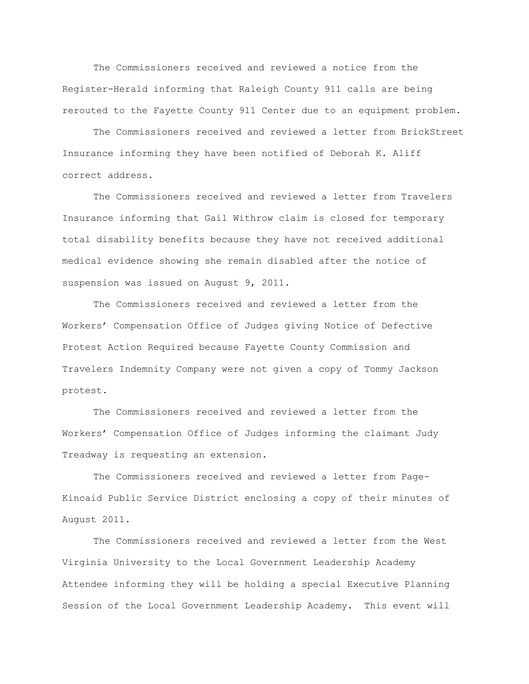The Commissioners received and reviewed a notice from the Register-Herald informing that Raleigh County 911 calls are being rerouted to the Fayette County 911 Center due to an equipment problem.

The Commissioners received and reviewed a letter from BrickStreet Insurance informing they have been notified of Deborah K. Aliff correct address.

The Commissioners received and reviewed a letter from Travelers Insurance informing that Gail Withrow claim is closed for temporary total disability benefits because they have not received additional medical evidence showing she remain disabled after the notice of suspension was issued on August 9, 2011.

The Commissioners received and reviewed a letter from the Workers" Compensation Office of Judges giving Notice of Defective Protest Action Required because Fayette County Commission and Travelers Indemnity Company were not given a copy of Tommy Jackson protest.

The Commissioners received and reviewed a letter from the Workers" Compensation Office of Judges informing the claimant Judy Treadway is requesting an extension.

The Commissioners received and reviewed a letter from Page-Kincaid Public Service District enclosing a copy of their minutes of August 2011.

The Commissioners received and reviewed a letter from the West Virginia University to the Local Government Leadership Academy Attendee informing they will be holding a special Executive Planning Session of the Local Government Leadership Academy. This event will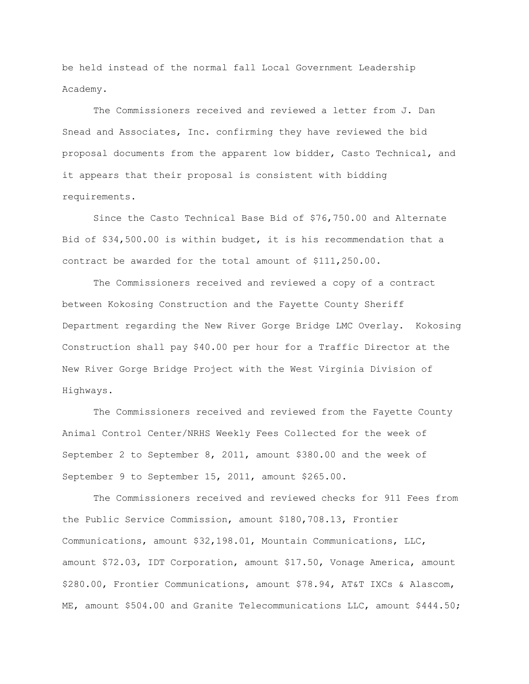be held instead of the normal fall Local Government Leadership Academy.

The Commissioners received and reviewed a letter from J. Dan Snead and Associates, Inc. confirming they have reviewed the bid proposal documents from the apparent low bidder, Casto Technical, and it appears that their proposal is consistent with bidding requirements.

Since the Casto Technical Base Bid of \$76,750.00 and Alternate Bid of \$34,500.00 is within budget, it is his recommendation that a contract be awarded for the total amount of \$111,250.00.

The Commissioners received and reviewed a copy of a contract between Kokosing Construction and the Fayette County Sheriff Department regarding the New River Gorge Bridge LMC Overlay. Kokosing Construction shall pay \$40.00 per hour for a Traffic Director at the New River Gorge Bridge Project with the West Virginia Division of Highways.

The Commissioners received and reviewed from the Fayette County Animal Control Center/NRHS Weekly Fees Collected for the week of September 2 to September 8, 2011, amount \$380.00 and the week of September 9 to September 15, 2011, amount \$265.00.

The Commissioners received and reviewed checks for 911 Fees from the Public Service Commission, amount \$180,708.13, Frontier Communications, amount \$32,198.01, Mountain Communications, LLC, amount \$72.03, IDT Corporation, amount \$17.50, Vonage America, amount \$280.00, Frontier Communications, amount \$78.94, AT&T IXCs & Alascom, ME, amount \$504.00 and Granite Telecommunications LLC, amount \$444.50;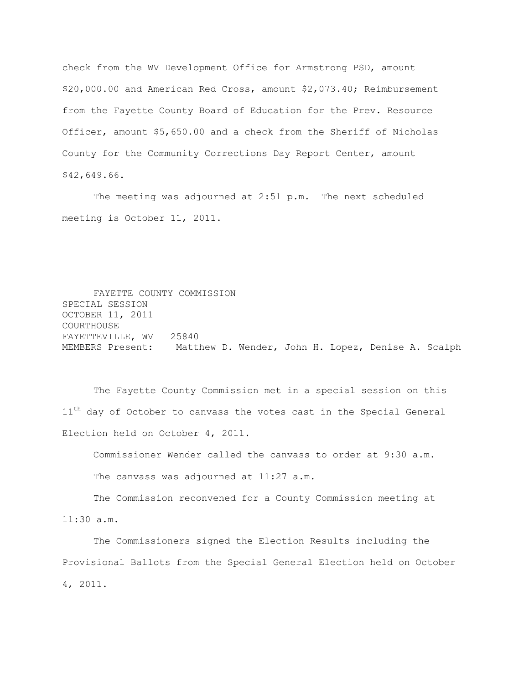check from the WV Development Office for Armstrong PSD, amount \$20,000.00 and American Red Cross, amount \$2,073.40; Reimbursement from the Fayette County Board of Education for the Prev. Resource Officer, amount \$5,650.00 and a check from the Sheriff of Nicholas County for the Community Corrections Day Report Center, amount \$42,649.66.

The meeting was adjourned at 2:51 p.m. The next scheduled meeting is October 11, 2011.

FAYETTE COUNTY COMMISSION SPECIAL SESSION OCTOBER 11, 2011 COURTHOUSE FAYETTEVILLE, WV 25840 MEMBERS Present: Matthew D. Wender, John H. Lopez, Denise A. Scalph

The Fayette County Commission met in a special session on this  $11<sup>th</sup>$  day of October to canvass the votes cast in the Special General Election held on October 4, 2011.

Commissioner Wender called the canvass to order at 9:30 a.m.

The canvass was adjourned at 11:27 a.m.

The Commission reconvened for a County Commission meeting at 11:30 a.m.

The Commissioners signed the Election Results including the Provisional Ballots from the Special General Election held on October 4, 2011.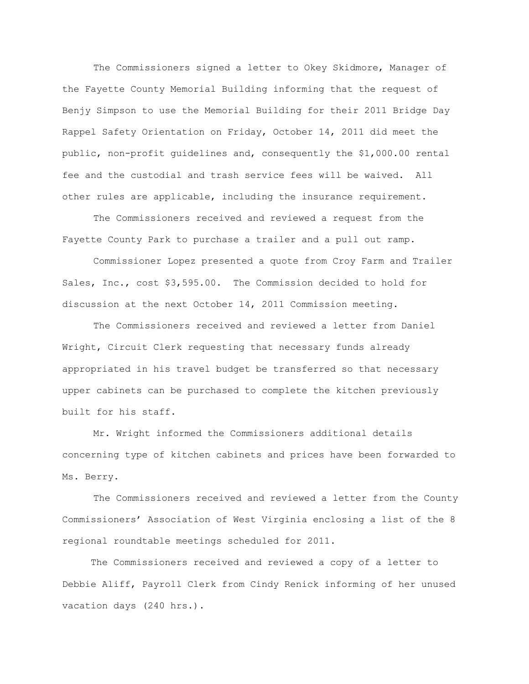The Commissioners signed a letter to Okey Skidmore, Manager of the Fayette County Memorial Building informing that the request of Benjy Simpson to use the Memorial Building for their 2011 Bridge Day Rappel Safety Orientation on Friday, October 14, 2011 did meet the public, non-profit guidelines and, consequently the \$1,000.00 rental fee and the custodial and trash service fees will be waived. All other rules are applicable, including the insurance requirement.

The Commissioners received and reviewed a request from the Fayette County Park to purchase a trailer and a pull out ramp.

Commissioner Lopez presented a quote from Croy Farm and Trailer Sales, Inc., cost \$3,595.00. The Commission decided to hold for discussion at the next October 14, 2011 Commission meeting.

The Commissioners received and reviewed a letter from Daniel Wright, Circuit Clerk requesting that necessary funds already appropriated in his travel budget be transferred so that necessary upper cabinets can be purchased to complete the kitchen previously built for his staff.

Mr. Wright informed the Commissioners additional details concerning type of kitchen cabinets and prices have been forwarded to Ms. Berry.

The Commissioners received and reviewed a letter from the County Commissioners" Association of West Virginia enclosing a list of the 8 regional roundtable meetings scheduled for 2011.

 The Commissioners received and reviewed a copy of a letter to Debbie Aliff, Payroll Clerk from Cindy Renick informing of her unused vacation days (240 hrs.).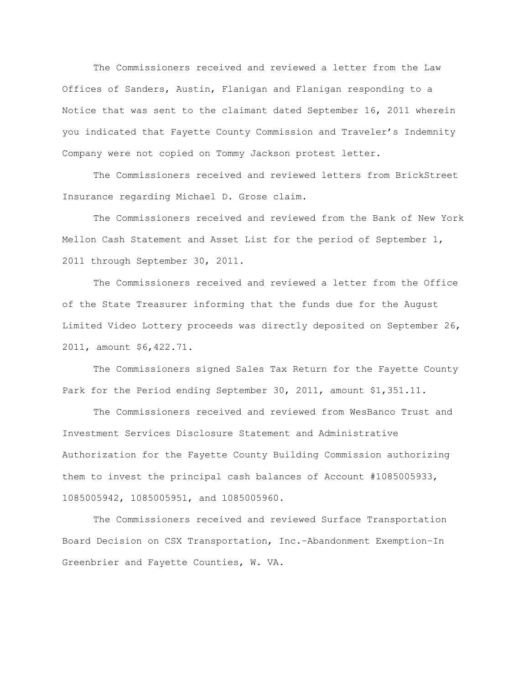The Commissioners received and reviewed a letter from the Law Offices of Sanders, Austin, Flanigan and Flanigan responding to a Notice that was sent to the claimant dated September 16, 2011 wherein you indicated that Fayette County Commission and Traveler"s Indemnity Company were not copied on Tommy Jackson protest letter.

The Commissioners received and reviewed letters from BrickStreet Insurance regarding Michael D. Grose claim.

The Commissioners received and reviewed from the Bank of New York Mellon Cash Statement and Asset List for the period of September 1, 2011 through September 30, 2011.

The Commissioners received and reviewed a letter from the Office of the State Treasurer informing that the funds due for the August Limited Video Lottery proceeds was directly deposited on September 26, 2011, amount \$6,422.71.

The Commissioners signed Sales Tax Return for the Fayette County Park for the Period ending September 30, 2011, amount \$1,351.11.

The Commissioners received and reviewed from WesBanco Trust and Investment Services Disclosure Statement and Administrative Authorization for the Fayette County Building Commission authorizing them to invest the principal cash balances of Account #1085005933, 1085005942, 1085005951, and 1085005960.

The Commissioners received and reviewed Surface Transportation Board Decision on CSX Transportation, Inc.–Abandonment Exemption–In Greenbrier and Fayette Counties, W. VA.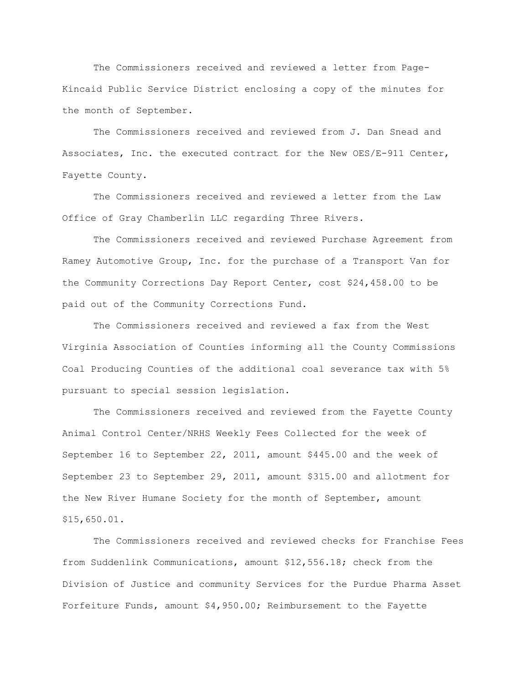The Commissioners received and reviewed a letter from Page-Kincaid Public Service District enclosing a copy of the minutes for the month of September.

The Commissioners received and reviewed from J. Dan Snead and Associates, Inc. the executed contract for the New OES/E-911 Center, Fayette County.

The Commissioners received and reviewed a letter from the Law Office of Gray Chamberlin LLC regarding Three Rivers.

The Commissioners received and reviewed Purchase Agreement from Ramey Automotive Group, Inc. for the purchase of a Transport Van for the Community Corrections Day Report Center, cost \$24,458.00 to be paid out of the Community Corrections Fund.

The Commissioners received and reviewed a fax from the West Virginia Association of Counties informing all the County Commissions Coal Producing Counties of the additional coal severance tax with 5% pursuant to special session legislation.

The Commissioners received and reviewed from the Fayette County Animal Control Center/NRHS Weekly Fees Collected for the week of September 16 to September 22, 2011, amount \$445.00 and the week of September 23 to September 29, 2011, amount \$315.00 and allotment for the New River Humane Society for the month of September, amount \$15,650.01.

The Commissioners received and reviewed checks for Franchise Fees from Suddenlink Communications, amount \$12,556.18; check from the Division of Justice and community Services for the Purdue Pharma Asset Forfeiture Funds, amount \$4,950.00; Reimbursement to the Fayette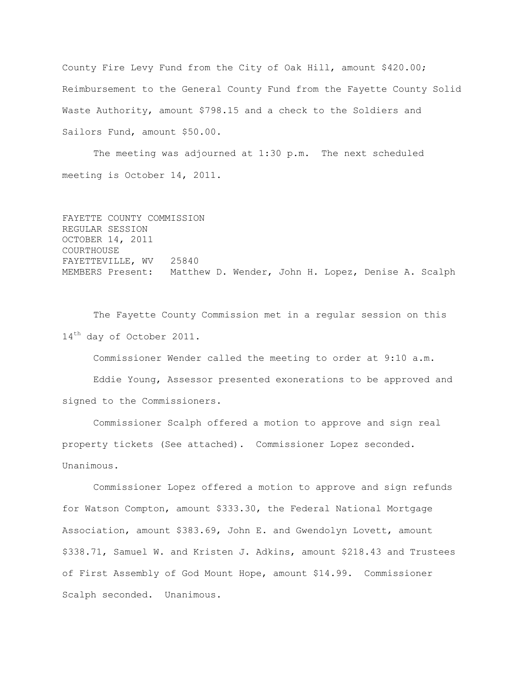County Fire Levy Fund from the City of Oak Hill, amount \$420.00; Reimbursement to the General County Fund from the Fayette County Solid Waste Authority, amount \$798.15 and a check to the Soldiers and Sailors Fund, amount \$50.00.

The meeting was adjourned at 1:30 p.m. The next scheduled meeting is October 14, 2011.

```
FAYETTE COUNTY COMMISSION
REGULAR SESSION
OCTOBER 14, 2011
COURTHOUSE
FAYETTEVILLE, WV 25840
MEMBERS Present: Matthew D. Wender, John H. Lopez, Denise A. Scalph
```
The Fayette County Commission met in a regular session on this 14<sup>th</sup> day of October 2011.

Commissioner Wender called the meeting to order at 9:10 a.m. Eddie Young, Assessor presented exonerations to be approved and signed to the Commissioners.

Commissioner Scalph offered a motion to approve and sign real property tickets (See attached). Commissioner Lopez seconded. Unanimous.

Commissioner Lopez offered a motion to approve and sign refunds for Watson Compton, amount \$333.30, the Federal National Mortgage Association, amount \$383.69, John E. and Gwendolyn Lovett, amount \$338.71, Samuel W. and Kristen J. Adkins, amount \$218.43 and Trustees of First Assembly of God Mount Hope, amount \$14.99. Commissioner Scalph seconded. Unanimous.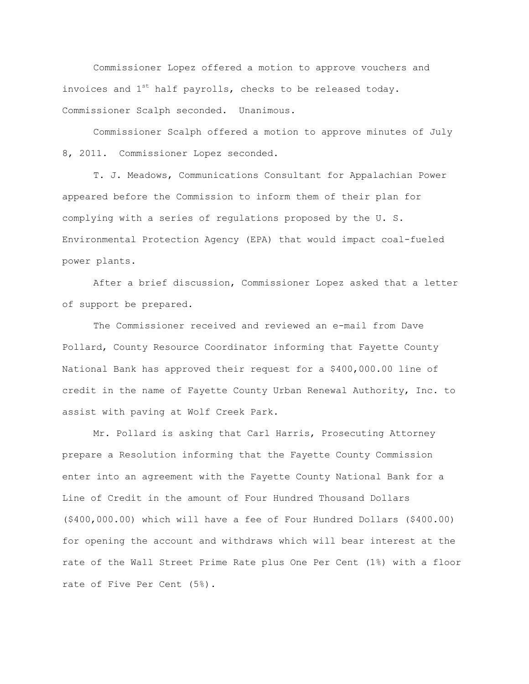Commissioner Lopez offered a motion to approve vouchers and invoices and  $1^{st}$  half payrolls, checks to be released today. Commissioner Scalph seconded. Unanimous.

Commissioner Scalph offered a motion to approve minutes of July 8, 2011. Commissioner Lopez seconded.

T. J. Meadows, Communications Consultant for Appalachian Power appeared before the Commission to inform them of their plan for complying with a series of regulations proposed by the U. S. Environmental Protection Agency (EPA) that would impact coal-fueled power plants.

After a brief discussion, Commissioner Lopez asked that a letter of support be prepared.

The Commissioner received and reviewed an e-mail from Dave Pollard, County Resource Coordinator informing that Fayette County National Bank has approved their request for a \$400,000.00 line of credit in the name of Fayette County Urban Renewal Authority, Inc. to assist with paving at Wolf Creek Park.

Mr. Pollard is asking that Carl Harris, Prosecuting Attorney prepare a Resolution informing that the Fayette County Commission enter into an agreement with the Fayette County National Bank for a Line of Credit in the amount of Four Hundred Thousand Dollars (\$400,000.00) which will have a fee of Four Hundred Dollars (\$400.00) for opening the account and withdraws which will bear interest at the rate of the Wall Street Prime Rate plus One Per Cent (1%) with a floor rate of Five Per Cent (5%).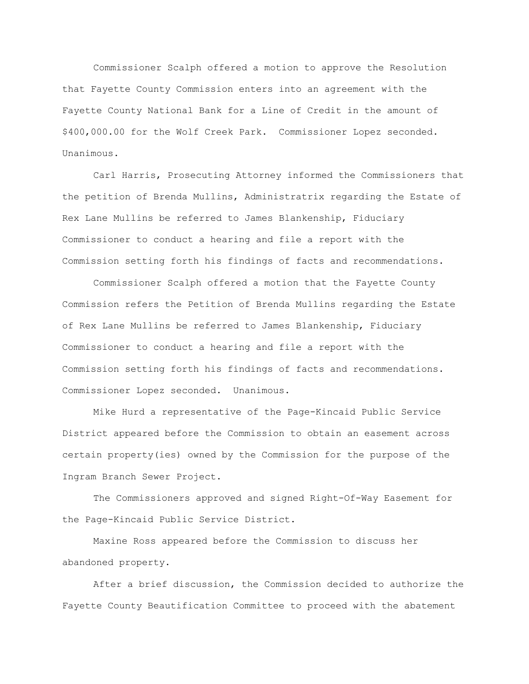Commissioner Scalph offered a motion to approve the Resolution that Fayette County Commission enters into an agreement with the Fayette County National Bank for a Line of Credit in the amount of \$400,000.00 for the Wolf Creek Park. Commissioner Lopez seconded. Unanimous.

Carl Harris, Prosecuting Attorney informed the Commissioners that the petition of Brenda Mullins, Administratrix regarding the Estate of Rex Lane Mullins be referred to James Blankenship, Fiduciary Commissioner to conduct a hearing and file a report with the Commission setting forth his findings of facts and recommendations.

Commissioner Scalph offered a motion that the Fayette County Commission refers the Petition of Brenda Mullins regarding the Estate of Rex Lane Mullins be referred to James Blankenship, Fiduciary Commissioner to conduct a hearing and file a report with the Commission setting forth his findings of facts and recommendations. Commissioner Lopez seconded. Unanimous.

Mike Hurd a representative of the Page-Kincaid Public Service District appeared before the Commission to obtain an easement across certain property(ies) owned by the Commission for the purpose of the Ingram Branch Sewer Project.

The Commissioners approved and signed Right-Of-Way Easement for the Page-Kincaid Public Service District.

Maxine Ross appeared before the Commission to discuss her abandoned property.

After a brief discussion, the Commission decided to authorize the Fayette County Beautification Committee to proceed with the abatement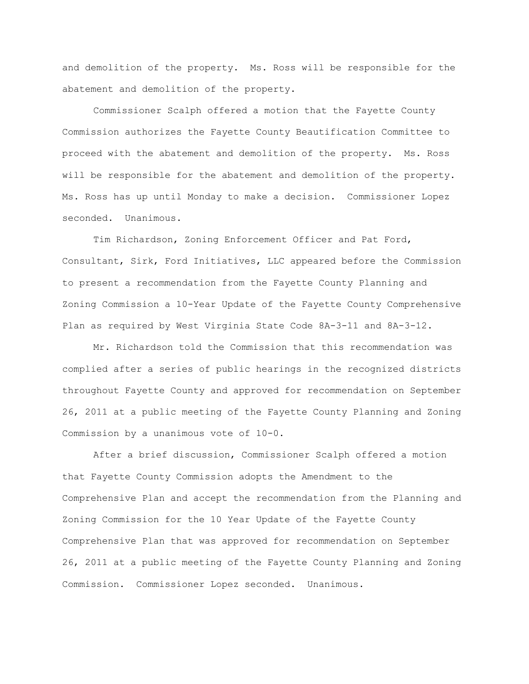and demolition of the property. Ms. Ross will be responsible for the abatement and demolition of the property.

Commissioner Scalph offered a motion that the Fayette County Commission authorizes the Fayette County Beautification Committee to proceed with the abatement and demolition of the property. Ms. Ross will be responsible for the abatement and demolition of the property. Ms. Ross has up until Monday to make a decision. Commissioner Lopez seconded. Unanimous.

Tim Richardson, Zoning Enforcement Officer and Pat Ford, Consultant, Sirk, Ford Initiatives, LLC appeared before the Commission to present a recommendation from the Fayette County Planning and Zoning Commission a 10-Year Update of the Fayette County Comprehensive Plan as required by West Virginia State Code 8A-3-11 and 8A-3-12.

Mr. Richardson told the Commission that this recommendation was complied after a series of public hearings in the recognized districts throughout Fayette County and approved for recommendation on September 26, 2011 at a public meeting of the Fayette County Planning and Zoning Commission by a unanimous vote of 10-0.

After a brief discussion, Commissioner Scalph offered a motion that Fayette County Commission adopts the Amendment to the Comprehensive Plan and accept the recommendation from the Planning and Zoning Commission for the 10 Year Update of the Fayette County Comprehensive Plan that was approved for recommendation on September 26, 2011 at a public meeting of the Fayette County Planning and Zoning Commission. Commissioner Lopez seconded. Unanimous.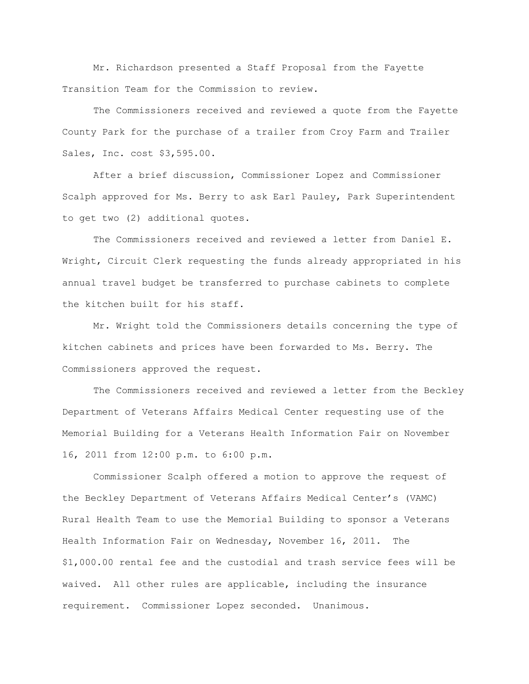Mr. Richardson presented a Staff Proposal from the Fayette Transition Team for the Commission to review.

The Commissioners received and reviewed a quote from the Fayette County Park for the purchase of a trailer from Croy Farm and Trailer Sales, Inc. cost \$3,595.00.

After a brief discussion, Commissioner Lopez and Commissioner Scalph approved for Ms. Berry to ask Earl Pauley, Park Superintendent to get two (2) additional quotes.

The Commissioners received and reviewed a letter from Daniel E. Wright, Circuit Clerk requesting the funds already appropriated in his annual travel budget be transferred to purchase cabinets to complete the kitchen built for his staff.

Mr. Wright told the Commissioners details concerning the type of kitchen cabinets and prices have been forwarded to Ms. Berry. The Commissioners approved the request.

The Commissioners received and reviewed a letter from the Beckley Department of Veterans Affairs Medical Center requesting use of the Memorial Building for a Veterans Health Information Fair on November 16, 2011 from 12:00 p.m. to 6:00 p.m.

Commissioner Scalph offered a motion to approve the request of the Beckley Department of Veterans Affairs Medical Center"s (VAMC) Rural Health Team to use the Memorial Building to sponsor a Veterans Health Information Fair on Wednesday, November 16, 2011. The \$1,000.00 rental fee and the custodial and trash service fees will be waived. All other rules are applicable, including the insurance requirement. Commissioner Lopez seconded. Unanimous.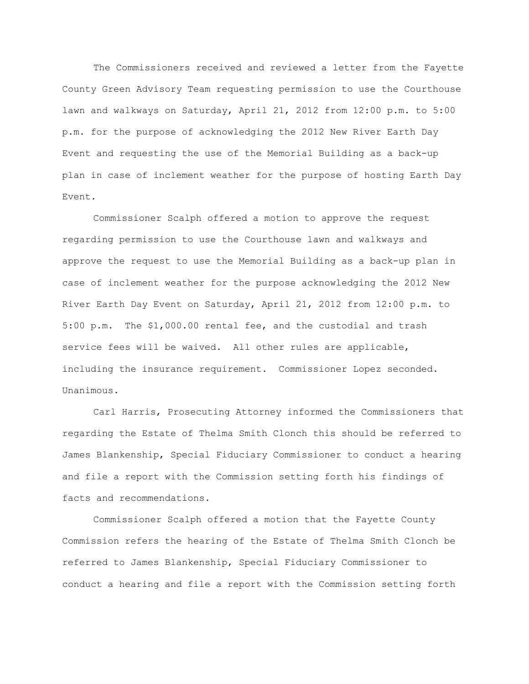The Commissioners received and reviewed a letter from the Fayette County Green Advisory Team requesting permission to use the Courthouse lawn and walkways on Saturday, April 21, 2012 from 12:00 p.m. to 5:00 p.m. for the purpose of acknowledging the 2012 New River Earth Day Event and requesting the use of the Memorial Building as a back-up plan in case of inclement weather for the purpose of hosting Earth Day Event.

Commissioner Scalph offered a motion to approve the request regarding permission to use the Courthouse lawn and walkways and approve the request to use the Memorial Building as a back-up plan in case of inclement weather for the purpose acknowledging the 2012 New River Earth Day Event on Saturday, April 21, 2012 from 12:00 p.m. to 5:00 p.m. The \$1,000.00 rental fee, and the custodial and trash service fees will be waived. All other rules are applicable, including the insurance requirement. Commissioner Lopez seconded. Unanimous.

Carl Harris, Prosecuting Attorney informed the Commissioners that regarding the Estate of Thelma Smith Clonch this should be referred to James Blankenship, Special Fiduciary Commissioner to conduct a hearing and file a report with the Commission setting forth his findings of facts and recommendations.

Commissioner Scalph offered a motion that the Fayette County Commission refers the hearing of the Estate of Thelma Smith Clonch be referred to James Blankenship, Special Fiduciary Commissioner to conduct a hearing and file a report with the Commission setting forth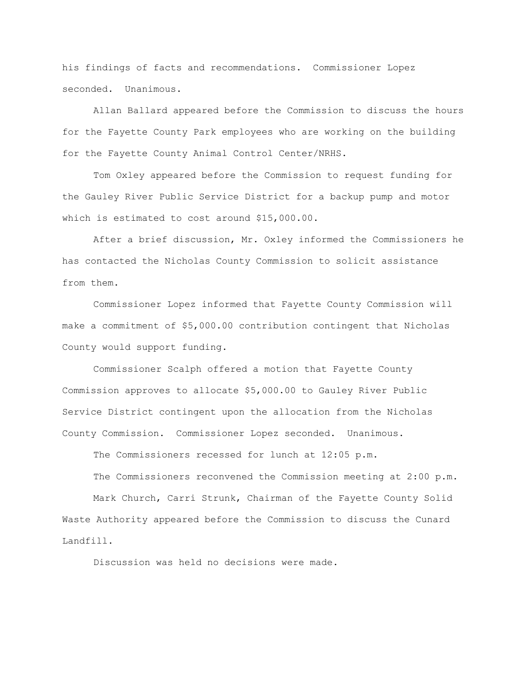his findings of facts and recommendations. Commissioner Lopez seconded. Unanimous.

Allan Ballard appeared before the Commission to discuss the hours for the Fayette County Park employees who are working on the building for the Fayette County Animal Control Center/NRHS.

Tom Oxley appeared before the Commission to request funding for the Gauley River Public Service District for a backup pump and motor which is estimated to cost around \$15,000.00.

After a brief discussion, Mr. Oxley informed the Commissioners he has contacted the Nicholas County Commission to solicit assistance from them.

Commissioner Lopez informed that Fayette County Commission will make a commitment of \$5,000.00 contribution contingent that Nicholas County would support funding.

Commissioner Scalph offered a motion that Fayette County Commission approves to allocate \$5,000.00 to Gauley River Public Service District contingent upon the allocation from the Nicholas County Commission. Commissioner Lopez seconded. Unanimous.

The Commissioners recessed for lunch at 12:05 p.m.

The Commissioners reconvened the Commission meeting at 2:00 p.m. Mark Church, Carri Strunk, Chairman of the Fayette County Solid Waste Authority appeared before the Commission to discuss the Cunard Landfill.

Discussion was held no decisions were made.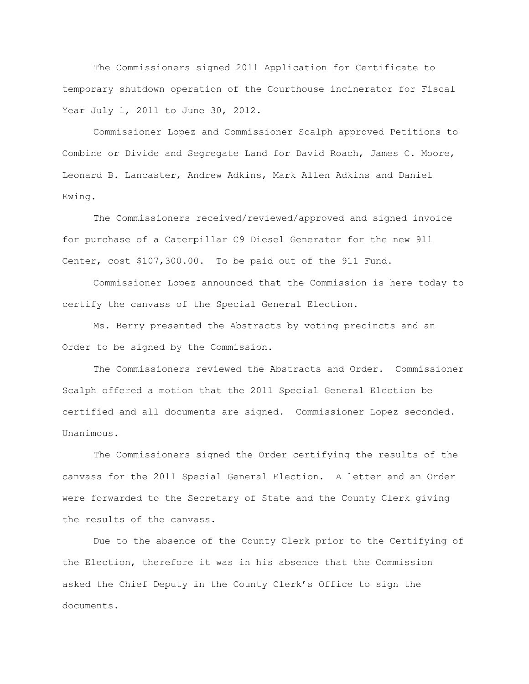The Commissioners signed 2011 Application for Certificate to temporary shutdown operation of the Courthouse incinerator for Fiscal Year July 1, 2011 to June 30, 2012.

Commissioner Lopez and Commissioner Scalph approved Petitions to Combine or Divide and Segregate Land for David Roach, James C. Moore, Leonard B. Lancaster, Andrew Adkins, Mark Allen Adkins and Daniel Ewing.

The Commissioners received/reviewed/approved and signed invoice for purchase of a Caterpillar C9 Diesel Generator for the new 911 Center, cost \$107,300.00. To be paid out of the 911 Fund.

Commissioner Lopez announced that the Commission is here today to certify the canvass of the Special General Election.

Ms. Berry presented the Abstracts by voting precincts and an Order to be signed by the Commission.

The Commissioners reviewed the Abstracts and Order. Commissioner Scalph offered a motion that the 2011 Special General Election be certified and all documents are signed. Commissioner Lopez seconded. Unanimous.

The Commissioners signed the Order certifying the results of the canvass for the 2011 Special General Election. A letter and an Order were forwarded to the Secretary of State and the County Clerk giving the results of the canvass.

Due to the absence of the County Clerk prior to the Certifying of the Election, therefore it was in his absence that the Commission asked the Chief Deputy in the County Clerk"s Office to sign the documents.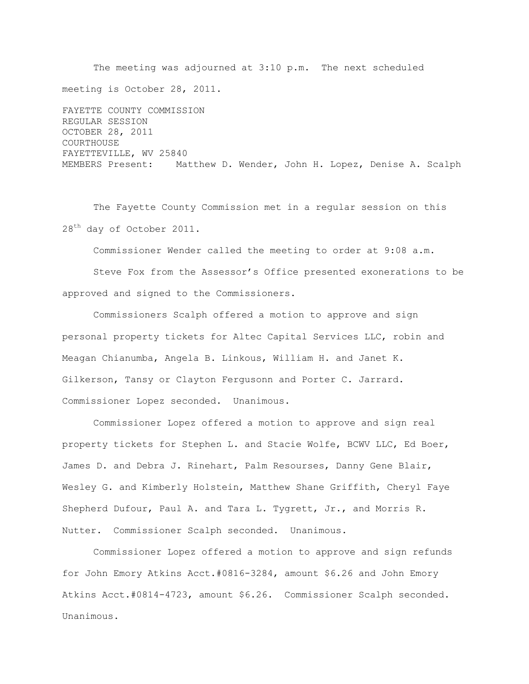The meeting was adjourned at 3:10 p.m. The next scheduled meeting is October 28, 2011. FAYETTE COUNTY COMMISSION REGULAR SESSION OCTOBER 28, 2011 COURTHOUSE FAYETTEVILLE, WV 25840 MEMBERS Present: Matthew D. Wender, John H. Lopez, Denise A. Scalph

The Fayette County Commission met in a regular session on this 28<sup>th</sup> day of October 2011.

Commissioner Wender called the meeting to order at 9:08 a.m.

Steve Fox from the Assessor"s Office presented exonerations to be approved and signed to the Commissioners.

Commissioners Scalph offered a motion to approve and sign personal property tickets for Altec Capital Services LLC, robin and Meagan Chianumba, Angela B. Linkous, William H. and Janet K. Gilkerson, Tansy or Clayton Fergusonn and Porter C. Jarrard. Commissioner Lopez seconded. Unanimous.

Commissioner Lopez offered a motion to approve and sign real property tickets for Stephen L. and Stacie Wolfe, BCWV LLC, Ed Boer, James D. and Debra J. Rinehart, Palm Resourses, Danny Gene Blair, Wesley G. and Kimberly Holstein, Matthew Shane Griffith, Cheryl Faye Shepherd Dufour, Paul A. and Tara L. Tygrett, Jr., and Morris R. Nutter. Commissioner Scalph seconded. Unanimous.

Commissioner Lopez offered a motion to approve and sign refunds for John Emory Atkins Acct.#0816-3284, amount \$6.26 and John Emory Atkins Acct.#0814-4723, amount \$6.26. Commissioner Scalph seconded. Unanimous.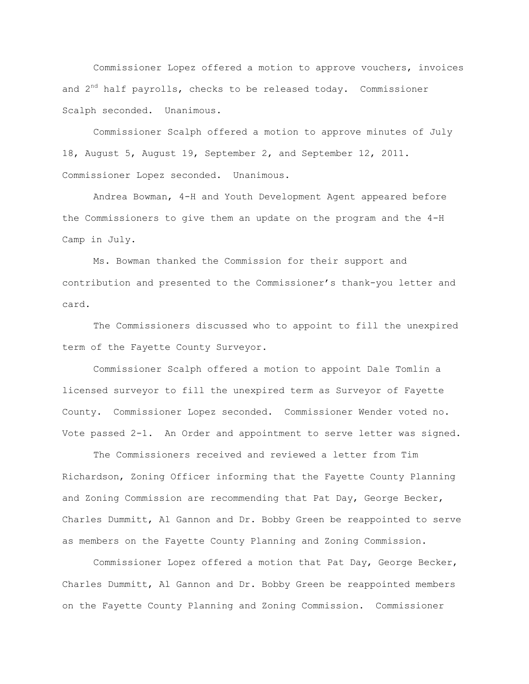Commissioner Lopez offered a motion to approve vouchers, invoices and  $2<sup>nd</sup>$  half payrolls, checks to be released today. Commissioner Scalph seconded. Unanimous.

Commissioner Scalph offered a motion to approve minutes of July 18, August 5, August 19, September 2, and September 12, 2011. Commissioner Lopez seconded. Unanimous.

Andrea Bowman, 4-H and Youth Development Agent appeared before the Commissioners to give them an update on the program and the 4-H Camp in July.

Ms. Bowman thanked the Commission for their support and contribution and presented to the Commissioner"s thank-you letter and card.

The Commissioners discussed who to appoint to fill the unexpired term of the Fayette County Surveyor.

Commissioner Scalph offered a motion to appoint Dale Tomlin a licensed surveyor to fill the unexpired term as Surveyor of Fayette County. Commissioner Lopez seconded. Commissioner Wender voted no. Vote passed 2-1. An Order and appointment to serve letter was signed.

The Commissioners received and reviewed a letter from Tim Richardson, Zoning Officer informing that the Fayette County Planning and Zoning Commission are recommending that Pat Day, George Becker, Charles Dummitt, Al Gannon and Dr. Bobby Green be reappointed to serve as members on the Fayette County Planning and Zoning Commission.

Commissioner Lopez offered a motion that Pat Day, George Becker, Charles Dummitt, Al Gannon and Dr. Bobby Green be reappointed members on the Fayette County Planning and Zoning Commission. Commissioner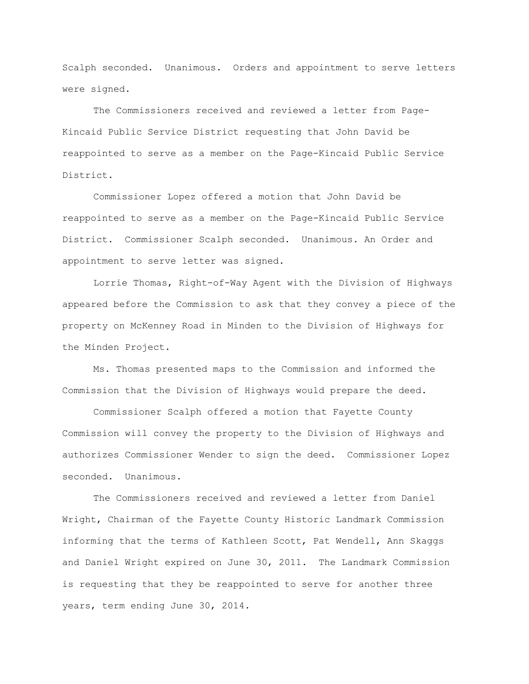Scalph seconded. Unanimous. Orders and appointment to serve letters were signed.

The Commissioners received and reviewed a letter from Page-Kincaid Public Service District requesting that John David be reappointed to serve as a member on the Page-Kincaid Public Service District.

Commissioner Lopez offered a motion that John David be reappointed to serve as a member on the Page-Kincaid Public Service District. Commissioner Scalph seconded. Unanimous. An Order and appointment to serve letter was signed.

Lorrie Thomas, Right-of-Way Agent with the Division of Highways appeared before the Commission to ask that they convey a piece of the property on McKenney Road in Minden to the Division of Highways for the Minden Project.

Ms. Thomas presented maps to the Commission and informed the Commission that the Division of Highways would prepare the deed.

Commissioner Scalph offered a motion that Fayette County Commission will convey the property to the Division of Highways and authorizes Commissioner Wender to sign the deed. Commissioner Lopez seconded. Unanimous.

The Commissioners received and reviewed a letter from Daniel Wright, Chairman of the Fayette County Historic Landmark Commission informing that the terms of Kathleen Scott, Pat Wendell, Ann Skaggs and Daniel Wright expired on June 30, 2011. The Landmark Commission is requesting that they be reappointed to serve for another three years, term ending June 30, 2014.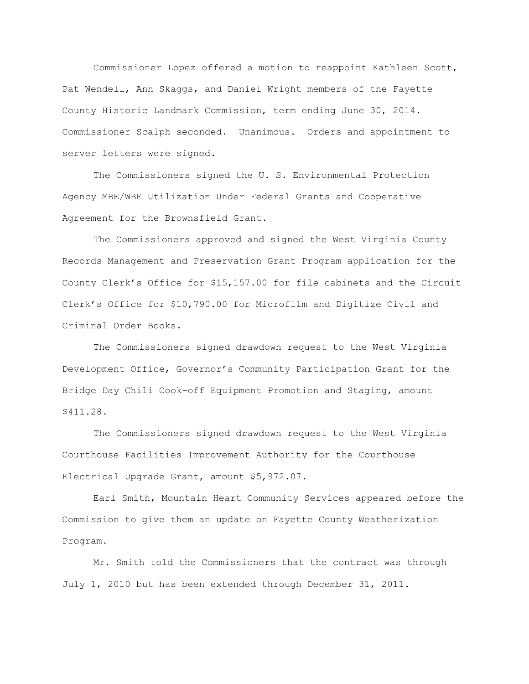Commissioner Lopez offered a motion to reappoint Kathleen Scott, Pat Wendell, Ann Skaggs, and Daniel Wright members of the Fayette County Historic Landmark Commission, term ending June 30, 2014. Commissioner Scalph seconded. Unanimous. Orders and appointment to server letters were signed.

The Commissioners signed the U. S. Environmental Protection Agency MBE/WBE Utilization Under Federal Grants and Cooperative Agreement for the Brownsfield Grant.

The Commissioners approved and signed the West Virginia County Records Management and Preservation Grant Program application for the County Clerk"s Office for \$15,157.00 for file cabinets and the Circuit Clerk"s Office for \$10,790.00 for Microfilm and Digitize Civil and Criminal Order Books.

The Commissioners signed drawdown request to the West Virginia Development Office, Governor"s Community Participation Grant for the Bridge Day Chili Cook-off Equipment Promotion and Staging, amount \$411.28.

The Commissioners signed drawdown request to the West Virginia Courthouse Facilities Improvement Authority for the Courthouse Electrical Upgrade Grant, amount \$5,972.07.

Earl Smith, Mountain Heart Community Services appeared before the Commission to give them an update on Fayette County Weatherization Program.

Mr. Smith told the Commissioners that the contract was through July 1, 2010 but has been extended through December 31, 2011.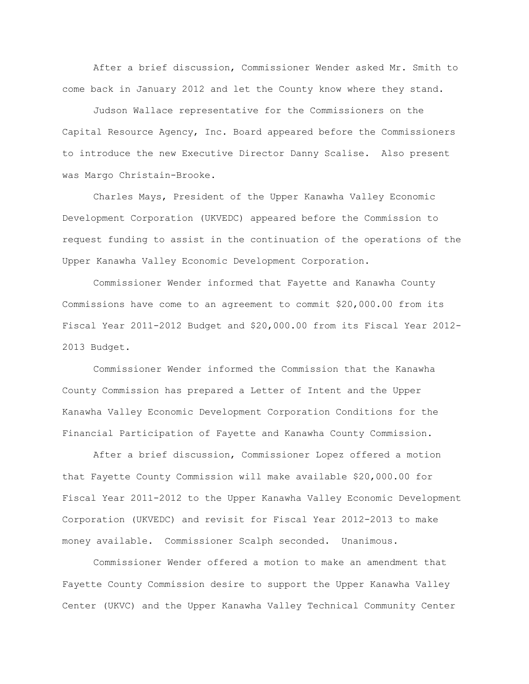After a brief discussion, Commissioner Wender asked Mr. Smith to come back in January 2012 and let the County know where they stand.

Judson Wallace representative for the Commissioners on the Capital Resource Agency, Inc. Board appeared before the Commissioners to introduce the new Executive Director Danny Scalise. Also present was Margo Christain-Brooke.

Charles Mays, President of the Upper Kanawha Valley Economic Development Corporation (UKVEDC) appeared before the Commission to request funding to assist in the continuation of the operations of the Upper Kanawha Valley Economic Development Corporation.

Commissioner Wender informed that Fayette and Kanawha County Commissions have come to an agreement to commit \$20,000.00 from its Fiscal Year 2011-2012 Budget and \$20,000.00 from its Fiscal Year 2012- 2013 Budget.

Commissioner Wender informed the Commission that the Kanawha County Commission has prepared a Letter of Intent and the Upper Kanawha Valley Economic Development Corporation Conditions for the Financial Participation of Fayette and Kanawha County Commission.

After a brief discussion, Commissioner Lopez offered a motion that Fayette County Commission will make available \$20,000.00 for Fiscal Year 2011-2012 to the Upper Kanawha Valley Economic Development Corporation (UKVEDC) and revisit for Fiscal Year 2012-2013 to make money available. Commissioner Scalph seconded. Unanimous.

Commissioner Wender offered a motion to make an amendment that Fayette County Commission desire to support the Upper Kanawha Valley Center (UKVC) and the Upper Kanawha Valley Technical Community Center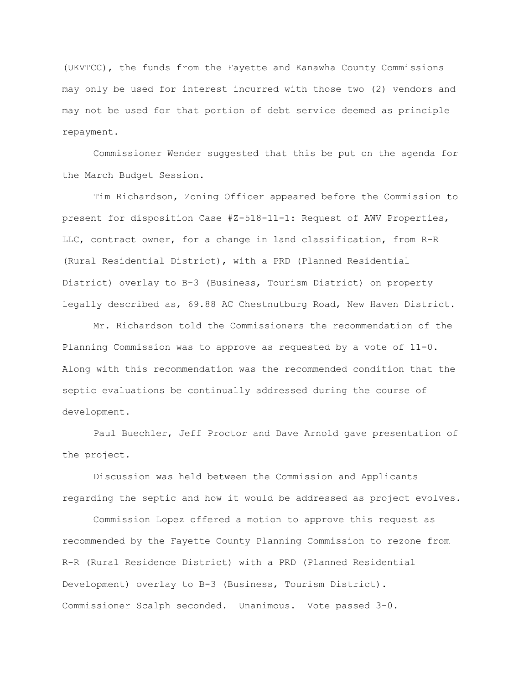(UKVTCC), the funds from the Fayette and Kanawha County Commissions may only be used for interest incurred with those two (2) vendors and may not be used for that portion of debt service deemed as principle repayment.

Commissioner Wender suggested that this be put on the agenda for the March Budget Session.

Tim Richardson, Zoning Officer appeared before the Commission to present for disposition Case #Z-518-11-1: Request of AWV Properties, LLC, contract owner, for a change in land classification, from R-R (Rural Residential District), with a PRD (Planned Residential District) overlay to B-3 (Business, Tourism District) on property legally described as, 69.88 AC Chestnutburg Road, New Haven District.

Mr. Richardson told the Commissioners the recommendation of the Planning Commission was to approve as requested by a vote of 11-0. Along with this recommendation was the recommended condition that the septic evaluations be continually addressed during the course of development.

Paul Buechler, Jeff Proctor and Dave Arnold gave presentation of the project.

Discussion was held between the Commission and Applicants regarding the septic and how it would be addressed as project evolves.

Commission Lopez offered a motion to approve this request as recommended by the Fayette County Planning Commission to rezone from R-R (Rural Residence District) with a PRD (Planned Residential Development) overlay to B-3 (Business, Tourism District). Commissioner Scalph seconded. Unanimous. Vote passed 3-0.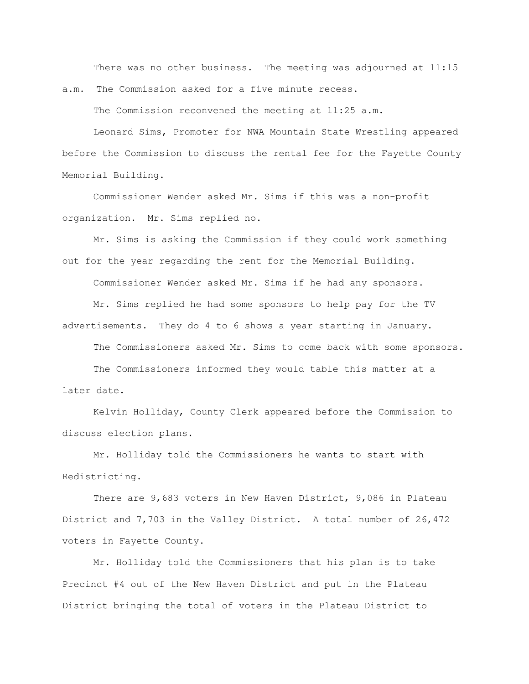There was no other business. The meeting was adjourned at 11:15 a.m. The Commission asked for a five minute recess.

The Commission reconvened the meeting at 11:25 a.m.

Leonard Sims, Promoter for NWA Mountain State Wrestling appeared before the Commission to discuss the rental fee for the Fayette County Memorial Building.

Commissioner Wender asked Mr. Sims if this was a non-profit organization. Mr. Sims replied no.

Mr. Sims is asking the Commission if they could work something out for the year regarding the rent for the Memorial Building.

Commissioner Wender asked Mr. Sims if he had any sponsors.

Mr. Sims replied he had some sponsors to help pay for the TV advertisements. They do 4 to 6 shows a year starting in January.

The Commissioners asked Mr. Sims to come back with some sponsors.

The Commissioners informed they would table this matter at a later date.

Kelvin Holliday, County Clerk appeared before the Commission to discuss election plans.

Mr. Holliday told the Commissioners he wants to start with Redistricting.

There are 9,683 voters in New Haven District, 9,086 in Plateau District and 7,703 in the Valley District. A total number of 26,472 voters in Fayette County.

Mr. Holliday told the Commissioners that his plan is to take Precinct #4 out of the New Haven District and put in the Plateau District bringing the total of voters in the Plateau District to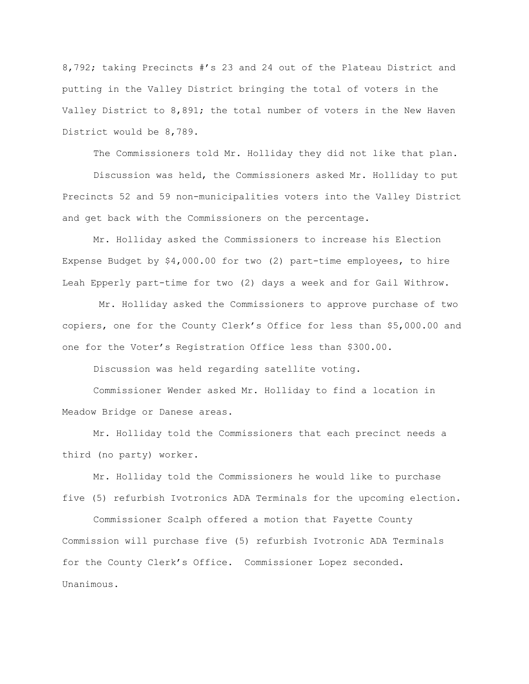8,792; taking Precincts #"s 23 and 24 out of the Plateau District and putting in the Valley District bringing the total of voters in the Valley District to 8,891; the total number of voters in the New Haven District would be 8,789.

The Commissioners told Mr. Holliday they did not like that plan.

Discussion was held, the Commissioners asked Mr. Holliday to put Precincts 52 and 59 non-municipalities voters into the Valley District and get back with the Commissioners on the percentage.

Mr. Holliday asked the Commissioners to increase his Election Expense Budget by \$4,000.00 for two (2) part-time employees, to hire Leah Epperly part-time for two (2) days a week and for Gail Withrow.

Mr. Holliday asked the Commissioners to approve purchase of two copiers, one for the County Clerk"s Office for less than \$5,000.00 and one for the Voter"s Registration Office less than \$300.00.

Discussion was held regarding satellite voting.

Commissioner Wender asked Mr. Holliday to find a location in Meadow Bridge or Danese areas.

Mr. Holliday told the Commissioners that each precinct needs a third (no party) worker.

Mr. Holliday told the Commissioners he would like to purchase five (5) refurbish Ivotronics ADA Terminals for the upcoming election.

Commissioner Scalph offered a motion that Fayette County Commission will purchase five (5) refurbish Ivotronic ADA Terminals for the County Clerk"s Office. Commissioner Lopez seconded. Unanimous.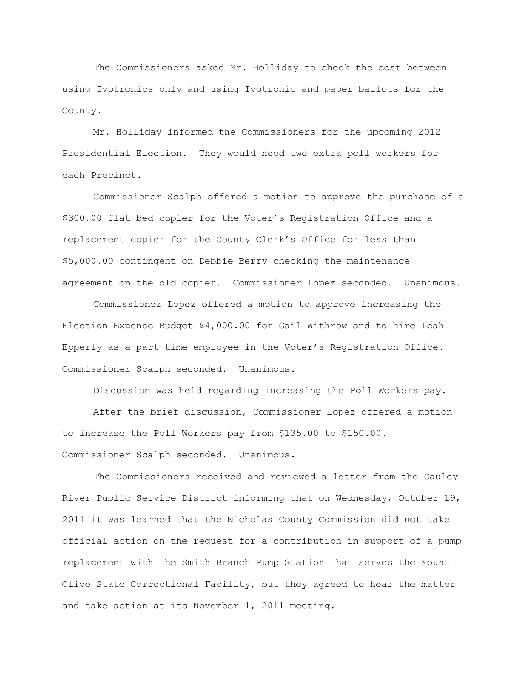The Commissioners asked Mr. Holliday to check the cost between using Ivotronics only and using Ivotronic and paper ballots for the County.

Mr. Holliday informed the Commissioners for the upcoming 2012 Presidential Election. They would need two extra poll workers for each Precinct.

Commissioner Scalph offered a motion to approve the purchase of a \$300.00 flat bed copier for the Voter"s Registration Office and a replacement copier for the County Clerk"s Office for less than \$5,000.00 contingent on Debbie Berry checking the maintenance agreement on the old copier. Commissioner Lopez seconded. Unanimous.

Commissioner Lopez offered a motion to approve increasing the Election Expense Budget \$4,000.00 for Gail Withrow and to hire Leah Epperly as a part-time employee in the Voter"s Registration Office. Commissioner Scalph seconded. Unanimous.

Discussion was held regarding increasing the Poll Workers pay.

After the brief discussion, Commissioner Lopez offered a motion to increase the Poll Workers pay from \$135.00 to \$150.00. Commissioner Scalph seconded. Unanimous.

The Commissioners received and reviewed a letter from the Gauley River Public Service District informing that on Wednesday, October 19, 2011 it was learned that the Nicholas County Commission did not take official action on the request for a contribution in support of a pump replacement with the Smith Branch Pump Station that serves the Mount Olive State Correctional Facility, but they agreed to hear the matter and take action at its November 1, 2011 meeting.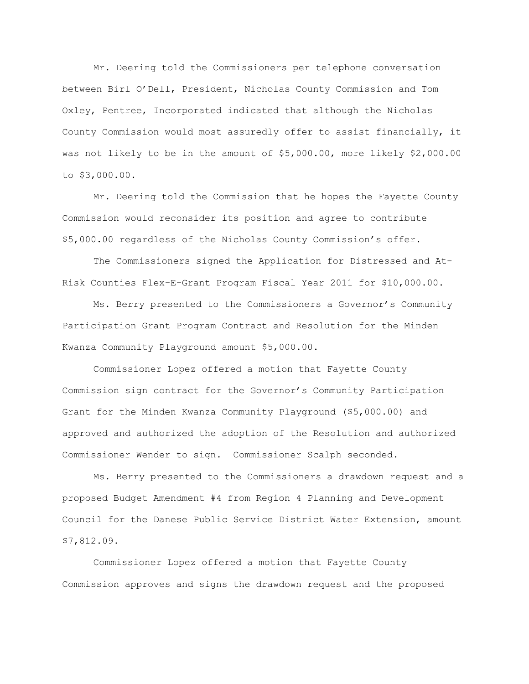Mr. Deering told the Commissioners per telephone conversation between Birl O"Dell, President, Nicholas County Commission and Tom Oxley, Pentree, Incorporated indicated that although the Nicholas County Commission would most assuredly offer to assist financially, it was not likely to be in the amount of \$5,000.00, more likely \$2,000.00 to \$3,000.00.

Mr. Deering told the Commission that he hopes the Fayette County Commission would reconsider its position and agree to contribute \$5,000.00 regardless of the Nicholas County Commission"s offer.

The Commissioners signed the Application for Distressed and At-Risk Counties Flex-E-Grant Program Fiscal Year 2011 for \$10,000.00.

Ms. Berry presented to the Commissioners a Governor"s Community Participation Grant Program Contract and Resolution for the Minden Kwanza Community Playground amount \$5,000.00.

Commissioner Lopez offered a motion that Fayette County Commission sign contract for the Governor"s Community Participation Grant for the Minden Kwanza Community Playground (\$5,000.00) and approved and authorized the adoption of the Resolution and authorized Commissioner Wender to sign. Commissioner Scalph seconded.

Ms. Berry presented to the Commissioners a drawdown request and a proposed Budget Amendment #4 from Region 4 Planning and Development Council for the Danese Public Service District Water Extension, amount \$7,812.09.

Commissioner Lopez offered a motion that Fayette County Commission approves and signs the drawdown request and the proposed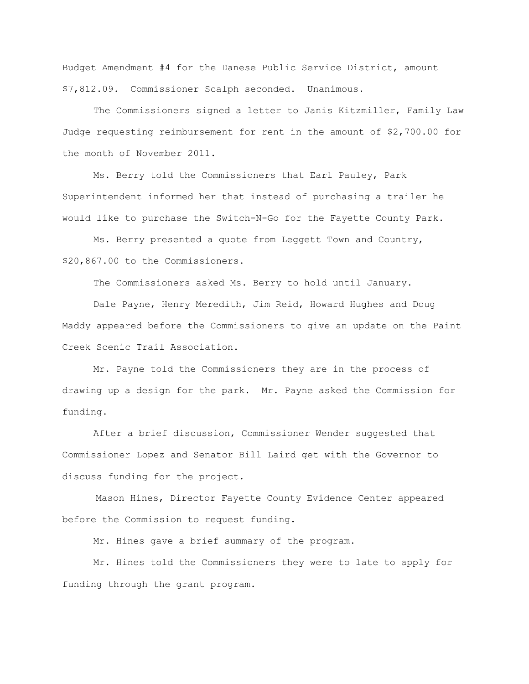Budget Amendment #4 for the Danese Public Service District, amount \$7,812.09. Commissioner Scalph seconded. Unanimous.

The Commissioners signed a letter to Janis Kitzmiller, Family Law Judge requesting reimbursement for rent in the amount of \$2,700.00 for the month of November 2011.

Ms. Berry told the Commissioners that Earl Pauley, Park Superintendent informed her that instead of purchasing a trailer he would like to purchase the Switch-N-Go for the Fayette County Park.

Ms. Berry presented a quote from Leggett Town and Country, \$20,867.00 to the Commissioners.

The Commissioners asked Ms. Berry to hold until January.

Dale Payne, Henry Meredith, Jim Reid, Howard Hughes and Doug Maddy appeared before the Commissioners to give an update on the Paint Creek Scenic Trail Association.

Mr. Payne told the Commissioners they are in the process of drawing up a design for the park. Mr. Payne asked the Commission for funding.

After a brief discussion, Commissioner Wender suggested that Commissioner Lopez and Senator Bill Laird get with the Governor to discuss funding for the project.

Mason Hines, Director Fayette County Evidence Center appeared before the Commission to request funding.

Mr. Hines gave a brief summary of the program.

Mr. Hines told the Commissioners they were to late to apply for funding through the grant program.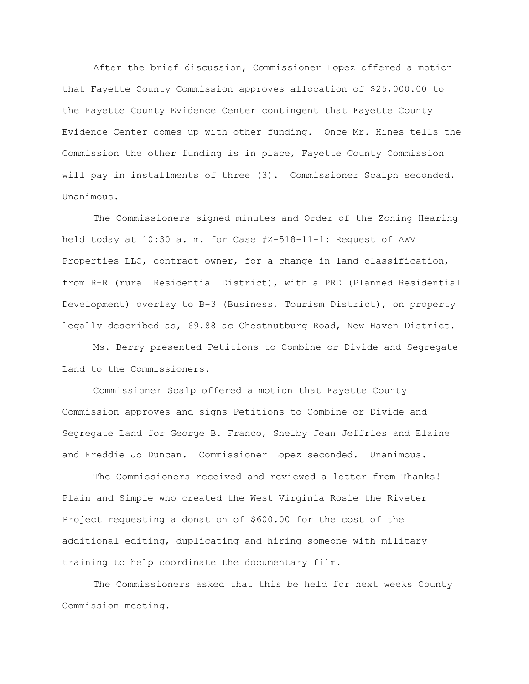After the brief discussion, Commissioner Lopez offered a motion that Fayette County Commission approves allocation of \$25,000.00 to the Fayette County Evidence Center contingent that Fayette County Evidence Center comes up with other funding. Once Mr. Hines tells the Commission the other funding is in place, Fayette County Commission will pay in installments of three (3). Commissioner Scalph seconded. Unanimous.

The Commissioners signed minutes and Order of the Zoning Hearing held today at 10:30 a. m. for Case #Z-518-11-1: Request of AWV Properties LLC, contract owner, for a change in land classification, from R-R (rural Residential District), with a PRD (Planned Residential Development) overlay to B-3 (Business, Tourism District), on property legally described as, 69.88 ac Chestnutburg Road, New Haven District.

Ms. Berry presented Petitions to Combine or Divide and Segregate Land to the Commissioners.

Commissioner Scalp offered a motion that Fayette County Commission approves and signs Petitions to Combine or Divide and Segregate Land for George B. Franco, Shelby Jean Jeffries and Elaine and Freddie Jo Duncan. Commissioner Lopez seconded. Unanimous.

The Commissioners received and reviewed a letter from Thanks! Plain and Simple who created the West Virginia Rosie the Riveter Project requesting a donation of \$600.00 for the cost of the additional editing, duplicating and hiring someone with military training to help coordinate the documentary film.

The Commissioners asked that this be held for next weeks County Commission meeting.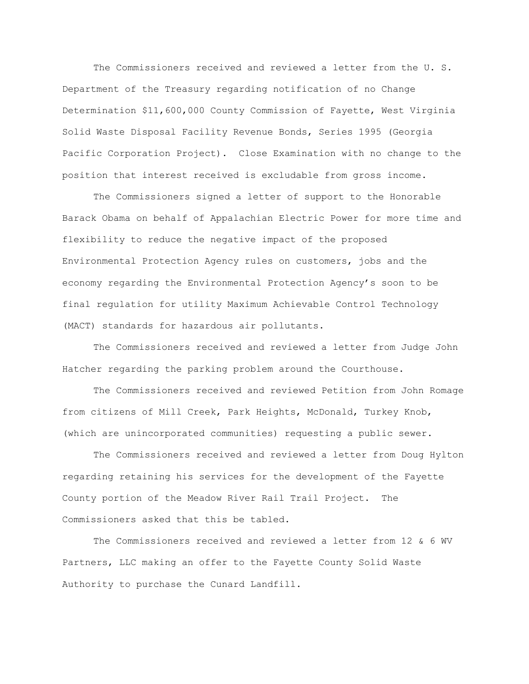The Commissioners received and reviewed a letter from the U. S. Department of the Treasury regarding notification of no Change Determination \$11,600,000 County Commission of Fayette, West Virginia Solid Waste Disposal Facility Revenue Bonds, Series 1995 (Georgia Pacific Corporation Project). Close Examination with no change to the position that interest received is excludable from gross income.

The Commissioners signed a letter of support to the Honorable Barack Obama on behalf of Appalachian Electric Power for more time and flexibility to reduce the negative impact of the proposed Environmental Protection Agency rules on customers, jobs and the economy regarding the Environmental Protection Agency"s soon to be final regulation for utility Maximum Achievable Control Technology (MACT) standards for hazardous air pollutants.

The Commissioners received and reviewed a letter from Judge John Hatcher regarding the parking problem around the Courthouse.

The Commissioners received and reviewed Petition from John Romage from citizens of Mill Creek, Park Heights, McDonald, Turkey Knob, (which are unincorporated communities) requesting a public sewer.

The Commissioners received and reviewed a letter from Doug Hylton regarding retaining his services for the development of the Fayette County portion of the Meadow River Rail Trail Project. The Commissioners asked that this be tabled.

The Commissioners received and reviewed a letter from 12 & 6 WV Partners, LLC making an offer to the Fayette County Solid Waste Authority to purchase the Cunard Landfill.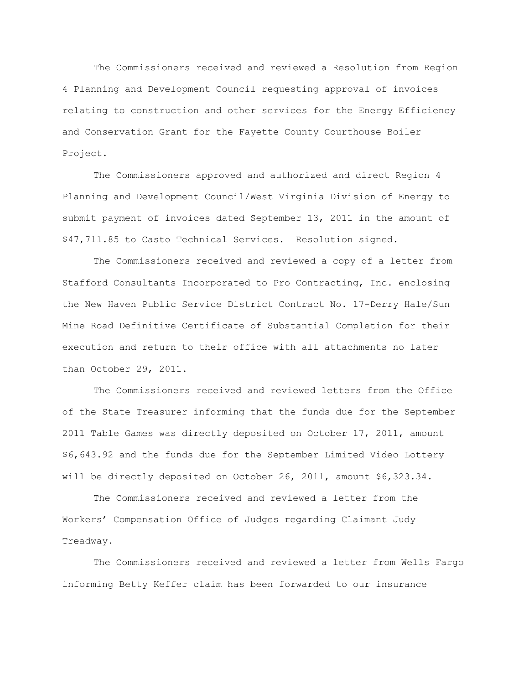The Commissioners received and reviewed a Resolution from Region 4 Planning and Development Council requesting approval of invoices relating to construction and other services for the Energy Efficiency and Conservation Grant for the Fayette County Courthouse Boiler Project.

The Commissioners approved and authorized and direct Region 4 Planning and Development Council/West Virginia Division of Energy to submit payment of invoices dated September 13, 2011 in the amount of \$47,711.85 to Casto Technical Services. Resolution signed.

The Commissioners received and reviewed a copy of a letter from Stafford Consultants Incorporated to Pro Contracting, Inc. enclosing the New Haven Public Service District Contract No. 17-Derry Hale/Sun Mine Road Definitive Certificate of Substantial Completion for their execution and return to their office with all attachments no later than October 29, 2011.

The Commissioners received and reviewed letters from the Office of the State Treasurer informing that the funds due for the September 2011 Table Games was directly deposited on October 17, 2011, amount \$6,643.92 and the funds due for the September Limited Video Lottery will be directly deposited on October 26, 2011, amount \$6,323.34.

The Commissioners received and reviewed a letter from the Workers" Compensation Office of Judges regarding Claimant Judy Treadway.

The Commissioners received and reviewed a letter from Wells Fargo informing Betty Keffer claim has been forwarded to our insurance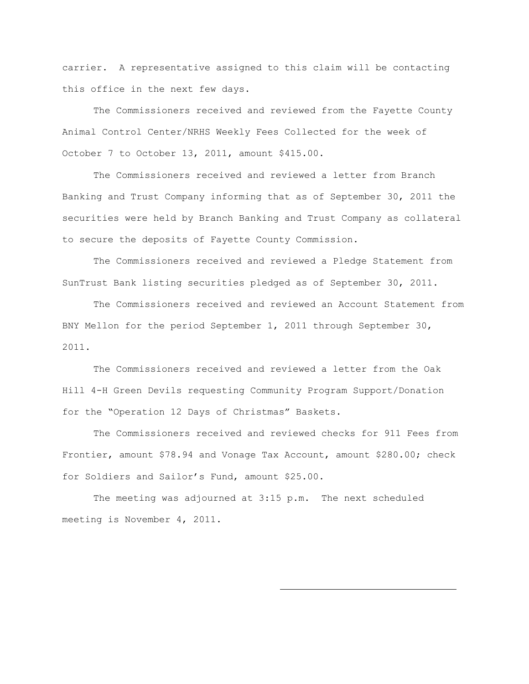carrier. A representative assigned to this claim will be contacting this office in the next few days.

The Commissioners received and reviewed from the Fayette County Animal Control Center/NRHS Weekly Fees Collected for the week of October 7 to October 13, 2011, amount \$415.00.

The Commissioners received and reviewed a letter from Branch Banking and Trust Company informing that as of September 30, 2011 the securities were held by Branch Banking and Trust Company as collateral to secure the deposits of Fayette County Commission.

The Commissioners received and reviewed a Pledge Statement from SunTrust Bank listing securities pledged as of September 30, 2011.

The Commissioners received and reviewed an Account Statement from BNY Mellon for the period September 1, 2011 through September 30, 2011.

The Commissioners received and reviewed a letter from the Oak Hill 4-H Green Devils requesting Community Program Support/Donation for the "Operation 12 Days of Christmas" Baskets.

The Commissioners received and reviewed checks for 911 Fees from Frontier, amount \$78.94 and Vonage Tax Account, amount \$280.00; check for Soldiers and Sailor"s Fund, amount \$25.00.

The meeting was adjourned at 3:15 p.m. The next scheduled meeting is November 4, 2011.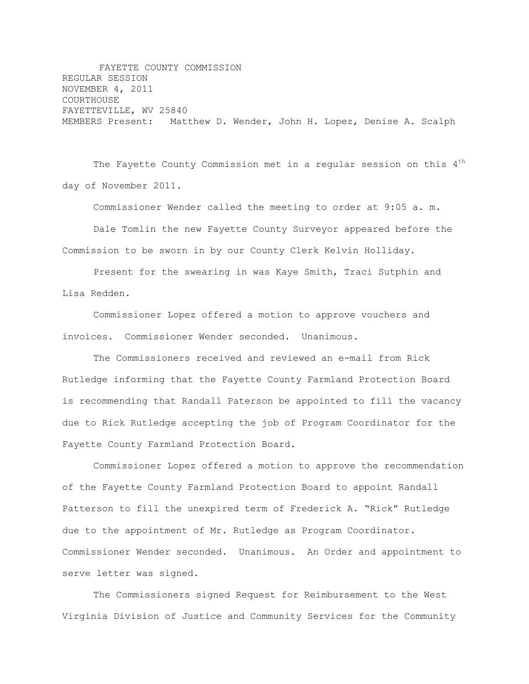FAYETTE COUNTY COMMISSION REGULAR SESSION NOVEMBER 4, 2011 COURTHOUSE FAYETTEVILLE, WV 25840 MEMBERS Present: Matthew D. Wender, John H. Lopez, Denise A. Scalph

The Fayette County Commission met in a regular session on this  $4<sup>th</sup>$ day of November 2011.

Commissioner Wender called the meeting to order at 9:05 a. m.

Dale Tomlin the new Fayette County Surveyor appeared before the Commission to be sworn in by our County Clerk Kelvin Holliday.

Present for the swearing in was Kaye Smith, Traci Sutphin and Lisa Redden.

Commissioner Lopez offered a motion to approve vouchers and invoices. Commissioner Wender seconded. Unanimous.

The Commissioners received and reviewed an e-mail from Rick Rutledge informing that the Fayette County Farmland Protection Board is recommending that Randall Paterson be appointed to fill the vacancy due to Rick Rutledge accepting the job of Program Coordinator for the Fayette County Farmland Protection Board.

Commissioner Lopez offered a motion to approve the recommendation of the Fayette County Farmland Protection Board to appoint Randall Patterson to fill the unexpired term of Frederick A. "Rick" Rutledge due to the appointment of Mr. Rutledge as Program Coordinator. Commissioner Wender seconded. Unanimous. An Order and appointment to serve letter was signed.

The Commissioners signed Request for Reimbursement to the West Virginia Division of Justice and Community Services for the Community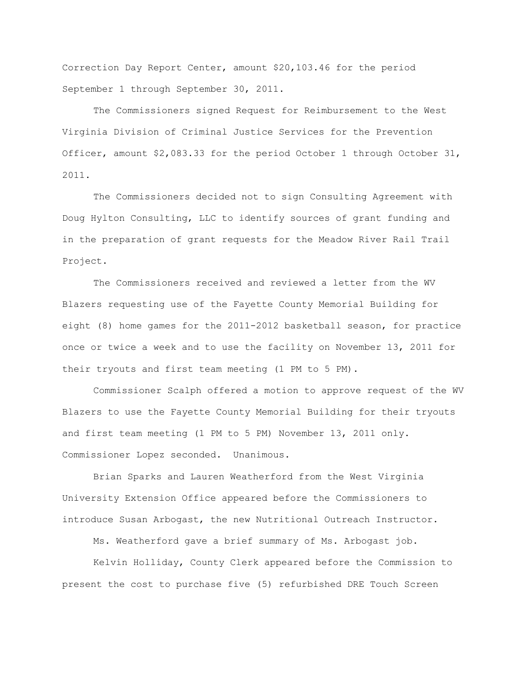Correction Day Report Center, amount \$20,103.46 for the period September 1 through September 30, 2011.

The Commissioners signed Request for Reimbursement to the West Virginia Division of Criminal Justice Services for the Prevention Officer, amount \$2,083.33 for the period October 1 through October 31, 2011.

The Commissioners decided not to sign Consulting Agreement with Doug Hylton Consulting, LLC to identify sources of grant funding and in the preparation of grant requests for the Meadow River Rail Trail Project.

The Commissioners received and reviewed a letter from the WV Blazers requesting use of the Fayette County Memorial Building for eight (8) home games for the 2011-2012 basketball season, for practice once or twice a week and to use the facility on November 13, 2011 for their tryouts and first team meeting (1 PM to 5 PM).

Commissioner Scalph offered a motion to approve request of the WV Blazers to use the Fayette County Memorial Building for their tryouts and first team meeting (1 PM to 5 PM) November 13, 2011 only. Commissioner Lopez seconded. Unanimous.

Brian Sparks and Lauren Weatherford from the West Virginia University Extension Office appeared before the Commissioners to introduce Susan Arbogast, the new Nutritional Outreach Instructor.

Ms. Weatherford gave a brief summary of Ms. Arbogast job.

Kelvin Holliday, County Clerk appeared before the Commission to present the cost to purchase five (5) refurbished DRE Touch Screen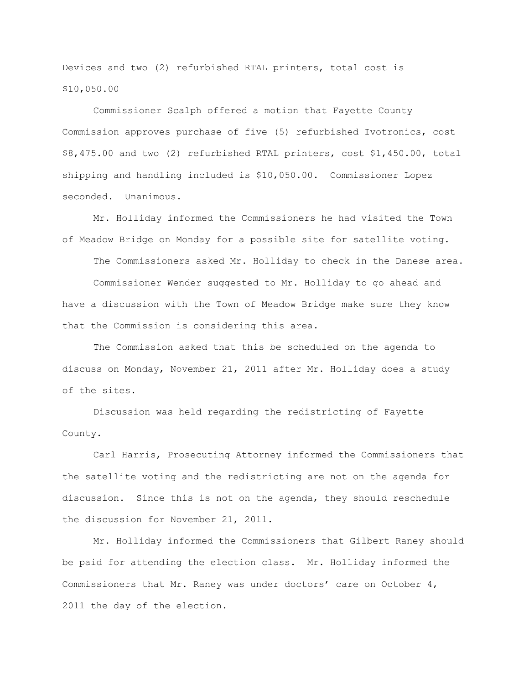Devices and two (2) refurbished RTAL printers, total cost is \$10,050.00

Commissioner Scalph offered a motion that Fayette County Commission approves purchase of five (5) refurbished Ivotronics, cost \$8,475.00 and two (2) refurbished RTAL printers, cost \$1,450.00, total shipping and handling included is \$10,050.00. Commissioner Lopez seconded. Unanimous.

Mr. Holliday informed the Commissioners he had visited the Town of Meadow Bridge on Monday for a possible site for satellite voting.

The Commissioners asked Mr. Holliday to check in the Danese area. Commissioner Wender suggested to Mr. Holliday to go ahead and have a discussion with the Town of Meadow Bridge make sure they know that the Commission is considering this area.

The Commission asked that this be scheduled on the agenda to discuss on Monday, November 21, 2011 after Mr. Holliday does a study of the sites.

Discussion was held regarding the redistricting of Fayette County.

Carl Harris, Prosecuting Attorney informed the Commissioners that the satellite voting and the redistricting are not on the agenda for discussion. Since this is not on the agenda, they should reschedule the discussion for November 21, 2011.

Mr. Holliday informed the Commissioners that Gilbert Raney should be paid for attending the election class. Mr. Holliday informed the Commissioners that Mr. Raney was under doctors' care on October 4, 2011 the day of the election.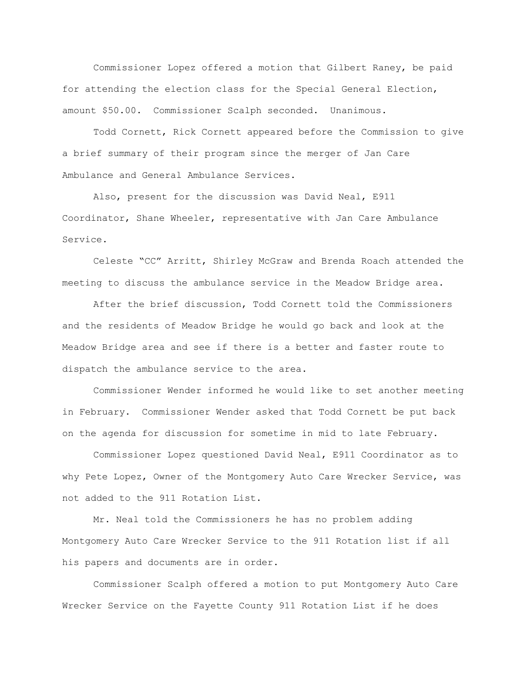Commissioner Lopez offered a motion that Gilbert Raney, be paid for attending the election class for the Special General Election, amount \$50.00. Commissioner Scalph seconded. Unanimous.

Todd Cornett, Rick Cornett appeared before the Commission to give a brief summary of their program since the merger of Jan Care Ambulance and General Ambulance Services.

Also, present for the discussion was David Neal, E911 Coordinator, Shane Wheeler, representative with Jan Care Ambulance Service.

Celeste "CC" Arritt, Shirley McGraw and Brenda Roach attended the meeting to discuss the ambulance service in the Meadow Bridge area.

After the brief discussion, Todd Cornett told the Commissioners and the residents of Meadow Bridge he would go back and look at the Meadow Bridge area and see if there is a better and faster route to dispatch the ambulance service to the area.

Commissioner Wender informed he would like to set another meeting in February. Commissioner Wender asked that Todd Cornett be put back on the agenda for discussion for sometime in mid to late February.

Commissioner Lopez questioned David Neal, E911 Coordinator as to why Pete Lopez, Owner of the Montgomery Auto Care Wrecker Service, was not added to the 911 Rotation List.

Mr. Neal told the Commissioners he has no problem adding Montgomery Auto Care Wrecker Service to the 911 Rotation list if all his papers and documents are in order.

Commissioner Scalph offered a motion to put Montgomery Auto Care Wrecker Service on the Fayette County 911 Rotation List if he does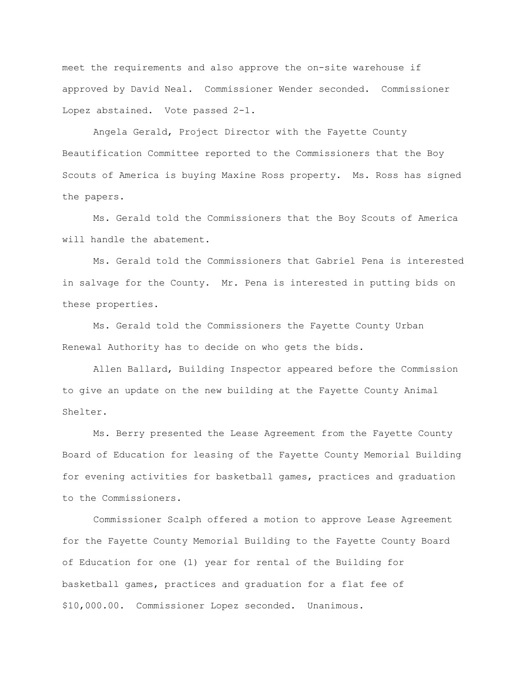meet the requirements and also approve the on-site warehouse if approved by David Neal. Commissioner Wender seconded. Commissioner Lopez abstained. Vote passed 2-1.

Angela Gerald, Project Director with the Fayette County Beautification Committee reported to the Commissioners that the Boy Scouts of America is buying Maxine Ross property. Ms. Ross has signed the papers.

Ms. Gerald told the Commissioners that the Boy Scouts of America will handle the abatement.

Ms. Gerald told the Commissioners that Gabriel Pena is interested in salvage for the County. Mr. Pena is interested in putting bids on these properties.

Ms. Gerald told the Commissioners the Fayette County Urban Renewal Authority has to decide on who gets the bids.

Allen Ballard, Building Inspector appeared before the Commission to give an update on the new building at the Fayette County Animal Shelter.

Ms. Berry presented the Lease Agreement from the Fayette County Board of Education for leasing of the Fayette County Memorial Building for evening activities for basketball games, practices and graduation to the Commissioners.

Commissioner Scalph offered a motion to approve Lease Agreement for the Fayette County Memorial Building to the Fayette County Board of Education for one (1) year for rental of the Building for basketball games, practices and graduation for a flat fee of \$10,000.00. Commissioner Lopez seconded. Unanimous.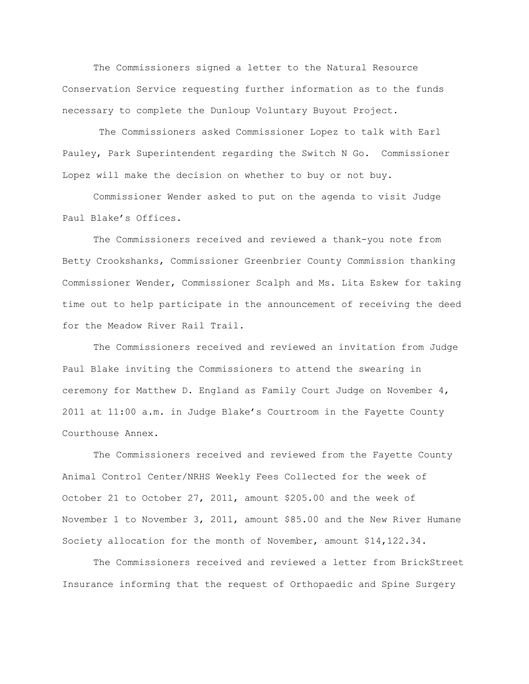The Commissioners signed a letter to the Natural Resource Conservation Service requesting further information as to the funds necessary to complete the Dunloup Voluntary Buyout Project.

The Commissioners asked Commissioner Lopez to talk with Earl Pauley, Park Superintendent regarding the Switch N Go. Commissioner Lopez will make the decision on whether to buy or not buy.

Commissioner Wender asked to put on the agenda to visit Judge Paul Blake"s Offices.

The Commissioners received and reviewed a thank-you note from Betty Crookshanks, Commissioner Greenbrier County Commission thanking Commissioner Wender, Commissioner Scalph and Ms. Lita Eskew for taking time out to help participate in the announcement of receiving the deed for the Meadow River Rail Trail.

The Commissioners received and reviewed an invitation from Judge Paul Blake inviting the Commissioners to attend the swearing in ceremony for Matthew D. England as Family Court Judge on November 4, 2011 at 11:00 a.m. in Judge Blake"s Courtroom in the Fayette County Courthouse Annex.

The Commissioners received and reviewed from the Fayette County Animal Control Center/NRHS Weekly Fees Collected for the week of October 21 to October 27, 2011, amount \$205.00 and the week of November 1 to November 3, 2011, amount \$85.00 and the New River Humane Society allocation for the month of November, amount \$14,122.34.

The Commissioners received and reviewed a letter from BrickStreet Insurance informing that the request of Orthopaedic and Spine Surgery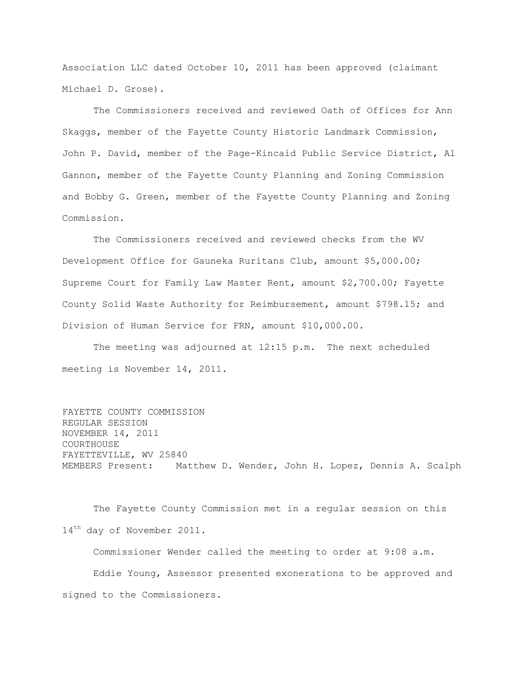Association LLC dated October 10, 2011 has been approved (claimant Michael D. Grose).

The Commissioners received and reviewed Oath of Offices for Ann Skaggs, member of the Fayette County Historic Landmark Commission, John P. David, member of the Page-Kincaid Public Service District, Al Gannon, member of the Fayette County Planning and Zoning Commission and Bobby G. Green, member of the Fayette County Planning and Zoning Commission.

The Commissioners received and reviewed checks from the WV Development Office for Gauneka Ruritans Club, amount \$5,000.00; Supreme Court for Family Law Master Rent, amount \$2,700.00; Fayette County Solid Waste Authority for Reimbursement, amount \$798.15; and Division of Human Service for FRN, amount \$10,000.00.

The meeting was adjourned at 12:15 p.m. The next scheduled meeting is November 14, 2011.

FAYETTE COUNTY COMMISSION REGULAR SESSION NOVEMBER 14, 2011 COURTHOUSE FAYETTEVILLE, WV 25840 MEMBERS Present: Matthew D. Wender, John H. Lopez, Dennis A. Scalph

The Fayette County Commission met in a regular session on this 14<sup>th</sup> day of November 2011.

Commissioner Wender called the meeting to order at 9:08 a.m. Eddie Young, Assessor presented exonerations to be approved and signed to the Commissioners.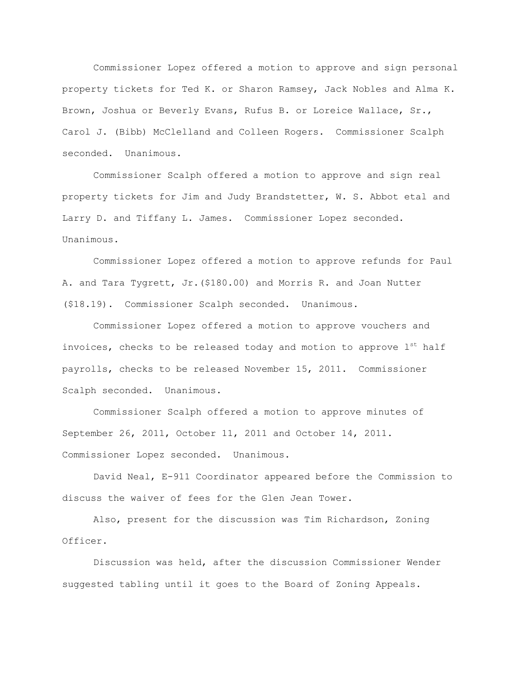Commissioner Lopez offered a motion to approve and sign personal property tickets for Ted K. or Sharon Ramsey, Jack Nobles and Alma K. Brown, Joshua or Beverly Evans, Rufus B. or Loreice Wallace, Sr., Carol J. (Bibb) McClelland and Colleen Rogers. Commissioner Scalph seconded. Unanimous.

Commissioner Scalph offered a motion to approve and sign real property tickets for Jim and Judy Brandstetter, W. S. Abbot etal and Larry D. and Tiffany L. James. Commissioner Lopez seconded. Unanimous.

Commissioner Lopez offered a motion to approve refunds for Paul A. and Tara Tygrett, Jr.(\$180.00) and Morris R. and Joan Nutter (\$18.19). Commissioner Scalph seconded. Unanimous.

Commissioner Lopez offered a motion to approve vouchers and invoices, checks to be released today and motion to approve  $l^{st}$  half payrolls, checks to be released November 15, 2011. Commissioner Scalph seconded. Unanimous.

Commissioner Scalph offered a motion to approve minutes of September 26, 2011, October 11, 2011 and October 14, 2011. Commissioner Lopez seconded. Unanimous.

David Neal, E-911 Coordinator appeared before the Commission to discuss the waiver of fees for the Glen Jean Tower.

Also, present for the discussion was Tim Richardson, Zoning Officer.

Discussion was held, after the discussion Commissioner Wender suggested tabling until it goes to the Board of Zoning Appeals.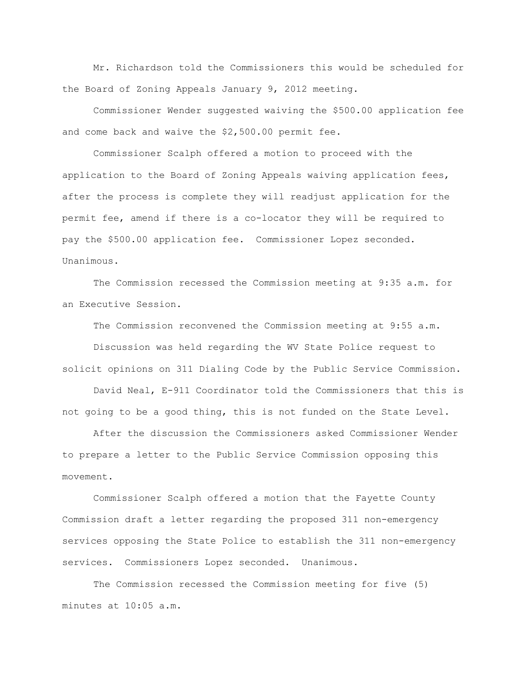Mr. Richardson told the Commissioners this would be scheduled for the Board of Zoning Appeals January 9, 2012 meeting.

Commissioner Wender suggested waiving the \$500.00 application fee and come back and waive the \$2,500.00 permit fee.

Commissioner Scalph offered a motion to proceed with the application to the Board of Zoning Appeals waiving application fees, after the process is complete they will readjust application for the permit fee, amend if there is a co-locator they will be required to pay the \$500.00 application fee. Commissioner Lopez seconded. Unanimous.

The Commission recessed the Commission meeting at 9:35 a.m. for an Executive Session.

The Commission reconvened the Commission meeting at 9:55 a.m.

Discussion was held regarding the WV State Police request to solicit opinions on 311 Dialing Code by the Public Service Commission.

David Neal, E-911 Coordinator told the Commissioners that this is not going to be a good thing, this is not funded on the State Level.

After the discussion the Commissioners asked Commissioner Wender to prepare a letter to the Public Service Commission opposing this movement.

Commissioner Scalph offered a motion that the Fayette County Commission draft a letter regarding the proposed 311 non-emergency services opposing the State Police to establish the 311 non-emergency services. Commissioners Lopez seconded. Unanimous.

The Commission recessed the Commission meeting for five (5) minutes at 10:05 a.m.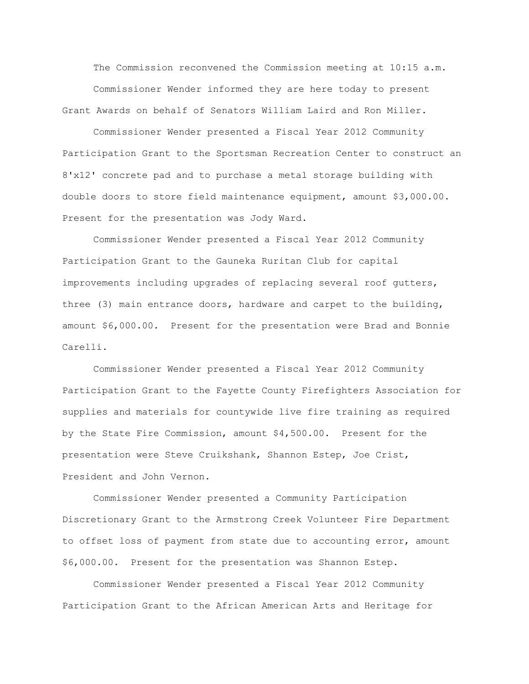The Commission reconvened the Commission meeting at 10:15 a.m. Commissioner Wender informed they are here today to present Grant Awards on behalf of Senators William Laird and Ron Miller.

Commissioner Wender presented a Fiscal Year 2012 Community Participation Grant to the Sportsman Recreation Center to construct an 8'x12' concrete pad and to purchase a metal storage building with double doors to store field maintenance equipment, amount \$3,000.00. Present for the presentation was Jody Ward.

Commissioner Wender presented a Fiscal Year 2012 Community Participation Grant to the Gauneka Ruritan Club for capital improvements including upgrades of replacing several roof gutters, three (3) main entrance doors, hardware and carpet to the building, amount \$6,000.00. Present for the presentation were Brad and Bonnie Carelli.

Commissioner Wender presented a Fiscal Year 2012 Community Participation Grant to the Fayette County Firefighters Association for supplies and materials for countywide live fire training as required by the State Fire Commission, amount \$4,500.00. Present for the presentation were Steve Cruikshank, Shannon Estep, Joe Crist, President and John Vernon.

Commissioner Wender presented a Community Participation Discretionary Grant to the Armstrong Creek Volunteer Fire Department to offset loss of payment from state due to accounting error, amount \$6,000.00. Present for the presentation was Shannon Estep.

Commissioner Wender presented a Fiscal Year 2012 Community Participation Grant to the African American Arts and Heritage for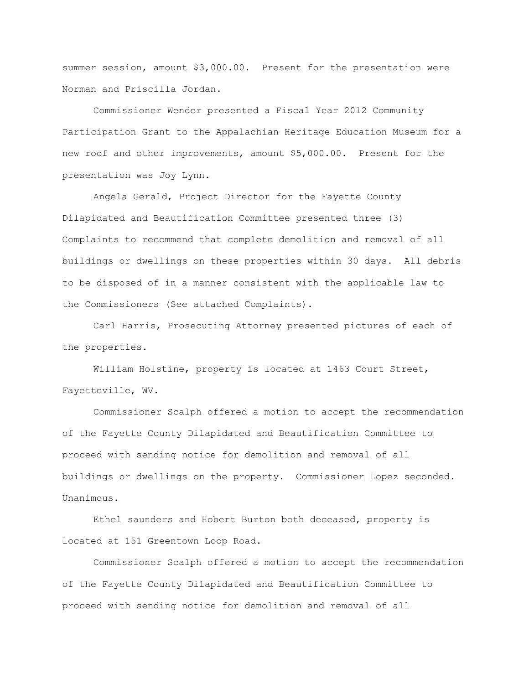summer session, amount \$3,000.00. Present for the presentation were Norman and Priscilla Jordan.

Commissioner Wender presented a Fiscal Year 2012 Community Participation Grant to the Appalachian Heritage Education Museum for a new roof and other improvements, amount \$5,000.00. Present for the presentation was Joy Lynn.

Angela Gerald, Project Director for the Fayette County Dilapidated and Beautification Committee presented three (3) Complaints to recommend that complete demolition and removal of all buildings or dwellings on these properties within 30 days. All debris to be disposed of in a manner consistent with the applicable law to the Commissioners (See attached Complaints).

Carl Harris, Prosecuting Attorney presented pictures of each of the properties.

William Holstine, property is located at 1463 Court Street, Fayetteville, WV.

Commissioner Scalph offered a motion to accept the recommendation of the Fayette County Dilapidated and Beautification Committee to proceed with sending notice for demolition and removal of all buildings or dwellings on the property. Commissioner Lopez seconded. Unanimous.

Ethel saunders and Hobert Burton both deceased, property is located at 151 Greentown Loop Road.

Commissioner Scalph offered a motion to accept the recommendation of the Fayette County Dilapidated and Beautification Committee to proceed with sending notice for demolition and removal of all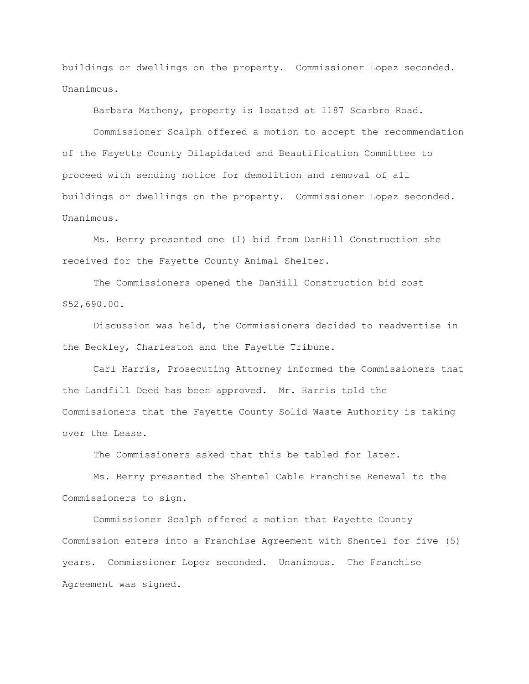buildings or dwellings on the property. Commissioner Lopez seconded. Unanimous.

Barbara Matheny, property is located at 1187 Scarbro Road.

Commissioner Scalph offered a motion to accept the recommendation of the Fayette County Dilapidated and Beautification Committee to proceed with sending notice for demolition and removal of all buildings or dwellings on the property. Commissioner Lopez seconded. Unanimous.

Ms. Berry presented one (1) bid from DanHill Construction she received for the Fayette County Animal Shelter.

The Commissioners opened the DanHill Construction bid cost \$52,690.00.

Discussion was held, the Commissioners decided to readvertise in the Beckley, Charleston and the Fayette Tribune.

Carl Harris, Prosecuting Attorney informed the Commissioners that the Landfill Deed has been approved. Mr. Harris told the Commissioners that the Fayette County Solid Waste Authority is taking over the Lease.

The Commissioners asked that this be tabled for later.

Ms. Berry presented the Shentel Cable Franchise Renewal to the Commissioners to sign.

Commissioner Scalph offered a motion that Fayette County Commission enters into a Franchise Agreement with Shentel for five (5) years. Commissioner Lopez seconded. Unanimous. The Franchise Agreement was signed.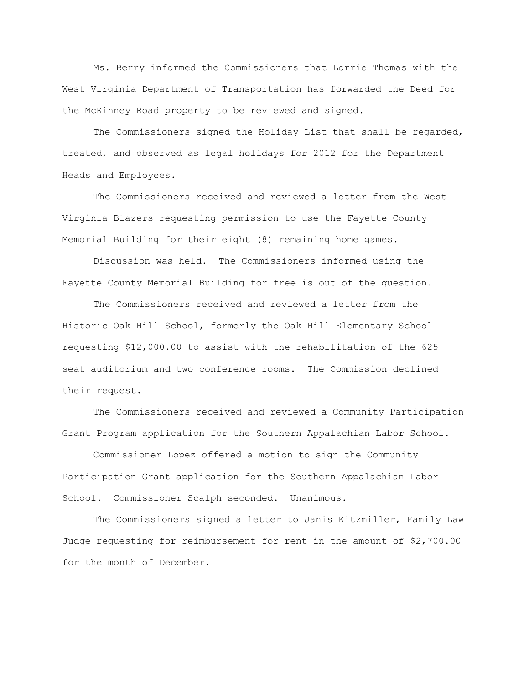Ms. Berry informed the Commissioners that Lorrie Thomas with the West Virginia Department of Transportation has forwarded the Deed for the McKinney Road property to be reviewed and signed.

The Commissioners signed the Holiday List that shall be regarded, treated, and observed as legal holidays for 2012 for the Department Heads and Employees.

The Commissioners received and reviewed a letter from the West Virginia Blazers requesting permission to use the Fayette County Memorial Building for their eight (8) remaining home games.

Discussion was held. The Commissioners informed using the Fayette County Memorial Building for free is out of the question.

The Commissioners received and reviewed a letter from the Historic Oak Hill School, formerly the Oak Hill Elementary School requesting \$12,000.00 to assist with the rehabilitation of the 625 seat auditorium and two conference rooms. The Commission declined their request.

The Commissioners received and reviewed a Community Participation Grant Program application for the Southern Appalachian Labor School.

Commissioner Lopez offered a motion to sign the Community Participation Grant application for the Southern Appalachian Labor School. Commissioner Scalph seconded. Unanimous.

The Commissioners signed a letter to Janis Kitzmiller, Family Law Judge requesting for reimbursement for rent in the amount of \$2,700.00 for the month of December.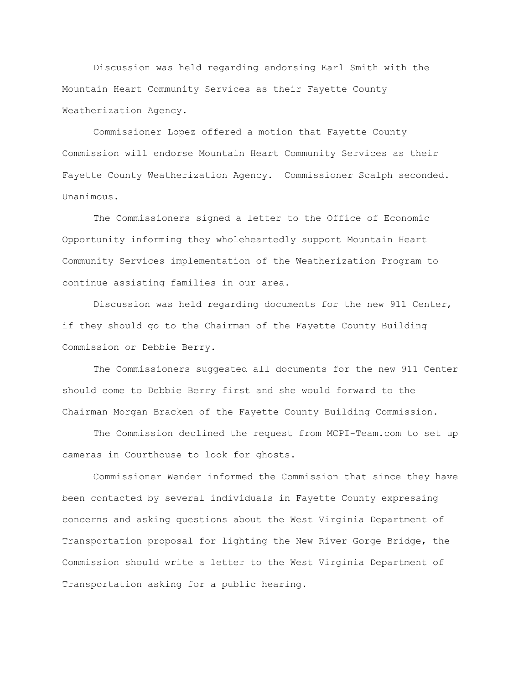Discussion was held regarding endorsing Earl Smith with the Mountain Heart Community Services as their Fayette County Weatherization Agency.

Commissioner Lopez offered a motion that Fayette County Commission will endorse Mountain Heart Community Services as their Fayette County Weatherization Agency. Commissioner Scalph seconded. Unanimous.

The Commissioners signed a letter to the Office of Economic Opportunity informing they wholeheartedly support Mountain Heart Community Services implementation of the Weatherization Program to continue assisting families in our area.

Discussion was held regarding documents for the new 911 Center, if they should go to the Chairman of the Fayette County Building Commission or Debbie Berry.

The Commissioners suggested all documents for the new 911 Center should come to Debbie Berry first and she would forward to the Chairman Morgan Bracken of the Fayette County Building Commission.

The Commission declined the request from MCPI-Team.com to set up cameras in Courthouse to look for ghosts.

Commissioner Wender informed the Commission that since they have been contacted by several individuals in Fayette County expressing concerns and asking questions about the West Virginia Department of Transportation proposal for lighting the New River Gorge Bridge, the Commission should write a letter to the West Virginia Department of Transportation asking for a public hearing.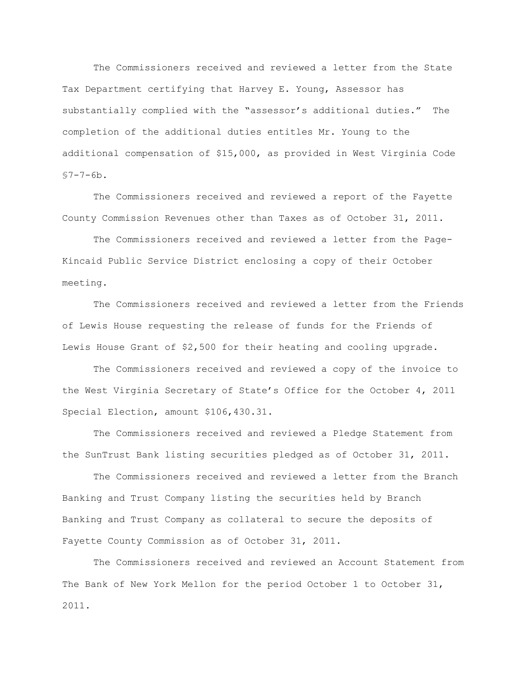The Commissioners received and reviewed a letter from the State Tax Department certifying that Harvey E. Young, Assessor has substantially complied with the "assessor"s additional duties." The completion of the additional duties entitles Mr. Young to the additional compensation of \$15,000, as provided in West Virginia Code  $$7 - 7 - 6b.$ 

The Commissioners received and reviewed a report of the Fayette County Commission Revenues other than Taxes as of October 31, 2011.

The Commissioners received and reviewed a letter from the Page-Kincaid Public Service District enclosing a copy of their October meeting.

The Commissioners received and reviewed a letter from the Friends of Lewis House requesting the release of funds for the Friends of Lewis House Grant of \$2,500 for their heating and cooling upgrade.

The Commissioners received and reviewed a copy of the invoice to the West Virginia Secretary of State"s Office for the October 4, 2011 Special Election, amount \$106,430.31.

The Commissioners received and reviewed a Pledge Statement from the SunTrust Bank listing securities pledged as of October 31, 2011.

The Commissioners received and reviewed a letter from the Branch Banking and Trust Company listing the securities held by Branch Banking and Trust Company as collateral to secure the deposits of Fayette County Commission as of October 31, 2011.

The Commissioners received and reviewed an Account Statement from The Bank of New York Mellon for the period October 1 to October 31, 2011.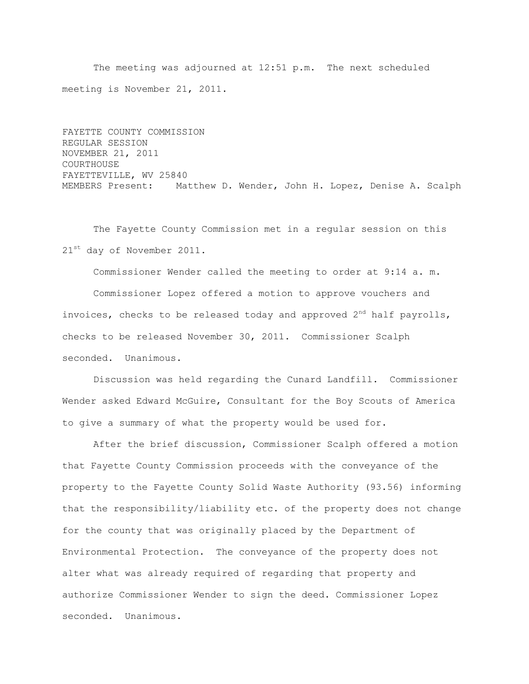The meeting was adjourned at 12:51 p.m. The next scheduled meeting is November 21, 2011.

FAYETTE COUNTY COMMISSION REGULAR SESSION NOVEMBER 21, 2011 COURTHOUSE FAYETTEVILLE, WV 25840 MEMBERS Present: Matthew D. Wender, John H. Lopez, Denise A. Scalph

The Fayette County Commission met in a regular session on this 21<sup>st</sup> day of November 2011.

Commissioner Wender called the meeting to order at 9:14 a. m.

Commissioner Lopez offered a motion to approve vouchers and invoices, checks to be released today and approved  $2^{nd}$  half payrolls, checks to be released November 30, 2011. Commissioner Scalph seconded. Unanimous.

Discussion was held regarding the Cunard Landfill. Commissioner Wender asked Edward McGuire, Consultant for the Boy Scouts of America to give a summary of what the property would be used for.

After the brief discussion, Commissioner Scalph offered a motion that Fayette County Commission proceeds with the conveyance of the property to the Fayette County Solid Waste Authority (93.56) informing that the responsibility/liability etc. of the property does not change for the county that was originally placed by the Department of Environmental Protection. The conveyance of the property does not alter what was already required of regarding that property and authorize Commissioner Wender to sign the deed. Commissioner Lopez seconded. Unanimous.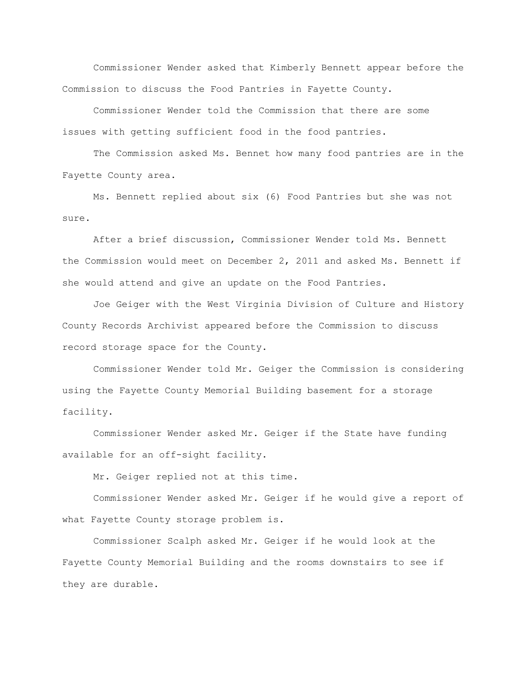Commissioner Wender asked that Kimberly Bennett appear before the Commission to discuss the Food Pantries in Fayette County.

Commissioner Wender told the Commission that there are some issues with getting sufficient food in the food pantries.

The Commission asked Ms. Bennet how many food pantries are in the Fayette County area.

Ms. Bennett replied about six (6) Food Pantries but she was not sure.

After a brief discussion, Commissioner Wender told Ms. Bennett the Commission would meet on December 2, 2011 and asked Ms. Bennett if she would attend and give an update on the Food Pantries.

Joe Geiger with the West Virginia Division of Culture and History County Records Archivist appeared before the Commission to discuss record storage space for the County.

Commissioner Wender told Mr. Geiger the Commission is considering using the Fayette County Memorial Building basement for a storage facility.

Commissioner Wender asked Mr. Geiger if the State have funding available for an off-sight facility.

Mr. Geiger replied not at this time.

Commissioner Wender asked Mr. Geiger if he would give a report of what Fayette County storage problem is.

Commissioner Scalph asked Mr. Geiger if he would look at the Fayette County Memorial Building and the rooms downstairs to see if they are durable.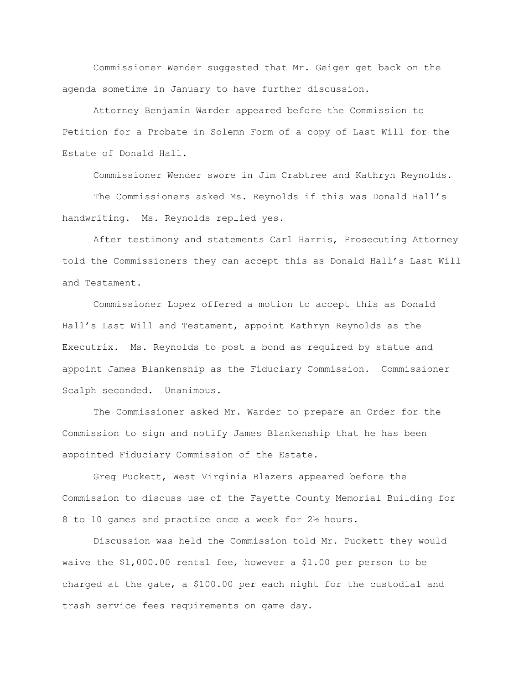Commissioner Wender suggested that Mr. Geiger get back on the agenda sometime in January to have further discussion.

Attorney Benjamin Warder appeared before the Commission to Petition for a Probate in Solemn Form of a copy of Last Will for the Estate of Donald Hall.

Commissioner Wender swore in Jim Crabtree and Kathryn Reynolds. The Commissioners asked Ms. Reynolds if this was Donald Hall"s handwriting. Ms. Reynolds replied yes.

After testimony and statements Carl Harris, Prosecuting Attorney told the Commissioners they can accept this as Donald Hall"s Last Will and Testament.

Commissioner Lopez offered a motion to accept this as Donald Hall"s Last Will and Testament, appoint Kathryn Reynolds as the Executrix. Ms. Reynolds to post a bond as required by statue and appoint James Blankenship as the Fiduciary Commission. Commissioner Scalph seconded. Unanimous.

The Commissioner asked Mr. Warder to prepare an Order for the Commission to sign and notify James Blankenship that he has been appointed Fiduciary Commission of the Estate.

Greg Puckett, West Virginia Blazers appeared before the Commission to discuss use of the Fayette County Memorial Building for 8 to 10 games and practice once a week for 2½ hours.

Discussion was held the Commission told Mr. Puckett they would waive the \$1,000.00 rental fee, however a \$1.00 per person to be charged at the gate, a \$100.00 per each night for the custodial and trash service fees requirements on game day.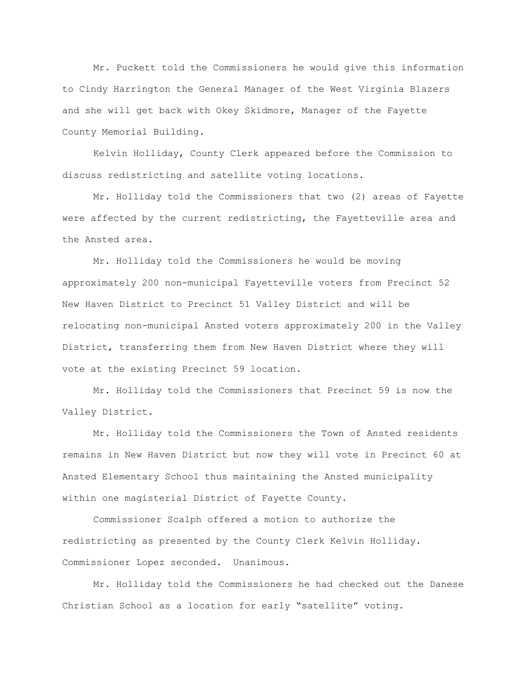Mr. Puckett told the Commissioners he would give this information to Cindy Harrington the General Manager of the West Virginia Blazers and she will get back with Okey Skidmore, Manager of the Fayette County Memorial Building.

Kelvin Holliday, County Clerk appeared before the Commission to discuss redistricting and satellite voting locations.

Mr. Holliday told the Commissioners that two (2) areas of Fayette were affected by the current redistricting, the Fayetteville area and the Ansted area.

Mr. Holliday told the Commissioners he would be moving approximately 200 non-municipal Fayetteville voters from Precinct 52 New Haven District to Precinct 51 Valley District and will be relocating non-municipal Ansted voters approximately 200 in the Valley District, transferring them from New Haven District where they will vote at the existing Precinct 59 location.

Mr. Holliday told the Commissioners that Precinct 59 is now the Valley District.

Mr. Holliday told the Commissioners the Town of Ansted residents remains in New Haven District but now they will vote in Precinct 60 at Ansted Elementary School thus maintaining the Ansted municipality within one magisterial District of Fayette County.

Commissioner Scalph offered a motion to authorize the redistricting as presented by the County Clerk Kelvin Holliday. Commissioner Lopez seconded. Unanimous.

Mr. Holliday told the Commissioners he had checked out the Danese Christian School as a location for early "satellite" voting.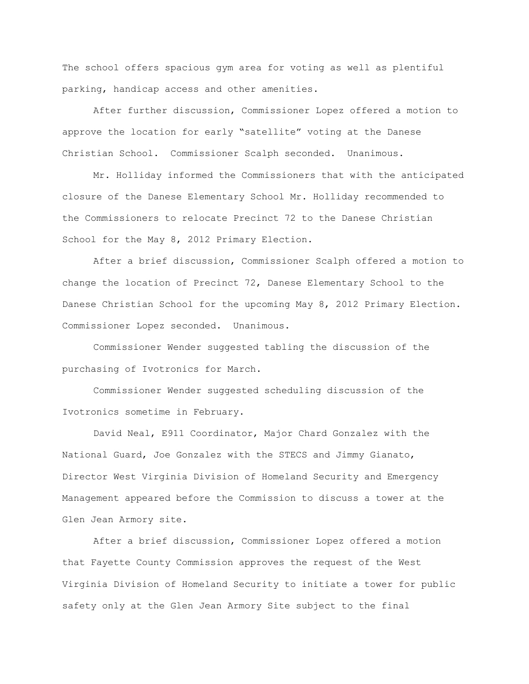The school offers spacious gym area for voting as well as plentiful parking, handicap access and other amenities.

After further discussion, Commissioner Lopez offered a motion to approve the location for early "satellite" voting at the Danese Christian School. Commissioner Scalph seconded. Unanimous.

Mr. Holliday informed the Commissioners that with the anticipated closure of the Danese Elementary School Mr. Holliday recommended to the Commissioners to relocate Precinct 72 to the Danese Christian School for the May 8, 2012 Primary Election.

After a brief discussion, Commissioner Scalph offered a motion to change the location of Precinct 72, Danese Elementary School to the Danese Christian School for the upcoming May 8, 2012 Primary Election. Commissioner Lopez seconded. Unanimous.

Commissioner Wender suggested tabling the discussion of the purchasing of Ivotronics for March.

Commissioner Wender suggested scheduling discussion of the Ivotronics sometime in February.

David Neal, E911 Coordinator, Major Chard Gonzalez with the National Guard, Joe Gonzalez with the STECS and Jimmy Gianato, Director West Virginia Division of Homeland Security and Emergency Management appeared before the Commission to discuss a tower at the Glen Jean Armory site.

After a brief discussion, Commissioner Lopez offered a motion that Fayette County Commission approves the request of the West Virginia Division of Homeland Security to initiate a tower for public safety only at the Glen Jean Armory Site subject to the final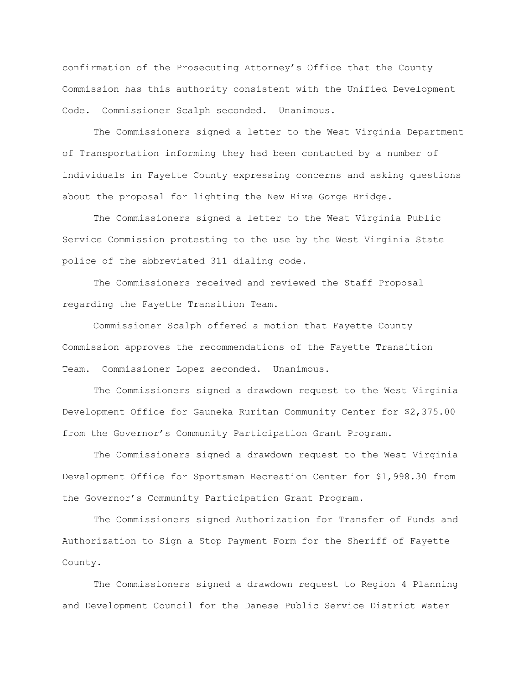confirmation of the Prosecuting Attorney"s Office that the County Commission has this authority consistent with the Unified Development Code. Commissioner Scalph seconded. Unanimous.

The Commissioners signed a letter to the West Virginia Department of Transportation informing they had been contacted by a number of individuals in Fayette County expressing concerns and asking questions about the proposal for lighting the New Rive Gorge Bridge.

The Commissioners signed a letter to the West Virginia Public Service Commission protesting to the use by the West Virginia State police of the abbreviated 311 dialing code.

The Commissioners received and reviewed the Staff Proposal regarding the Fayette Transition Team.

Commissioner Scalph offered a motion that Fayette County Commission approves the recommendations of the Fayette Transition Team. Commissioner Lopez seconded. Unanimous.

The Commissioners signed a drawdown request to the West Virginia Development Office for Gauneka Ruritan Community Center for \$2,375.00 from the Governor"s Community Participation Grant Program.

The Commissioners signed a drawdown request to the West Virginia Development Office for Sportsman Recreation Center for \$1,998.30 from the Governor"s Community Participation Grant Program.

The Commissioners signed Authorization for Transfer of Funds and Authorization to Sign a Stop Payment Form for the Sheriff of Fayette County.

The Commissioners signed a drawdown request to Region 4 Planning and Development Council for the Danese Public Service District Water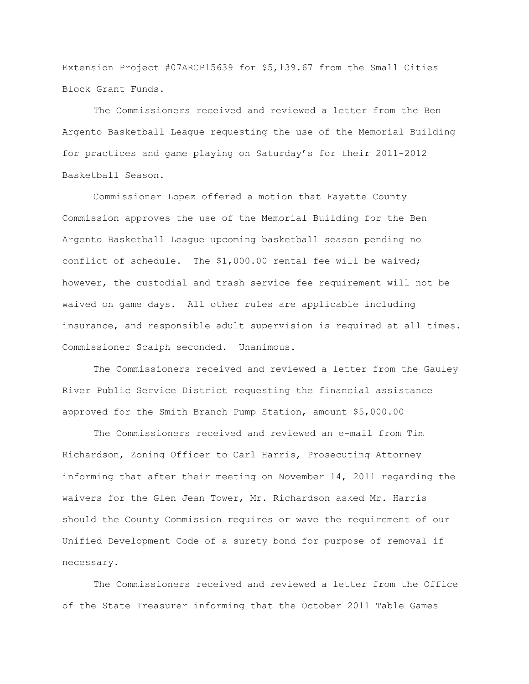Extension Project #07ARCP15639 for \$5,139.67 from the Small Cities Block Grant Funds.

The Commissioners received and reviewed a letter from the Ben Argento Basketball League requesting the use of the Memorial Building for practices and game playing on Saturday"s for their 2011-2012 Basketball Season.

Commissioner Lopez offered a motion that Fayette County Commission approves the use of the Memorial Building for the Ben Argento Basketball League upcoming basketball season pending no conflict of schedule. The \$1,000.00 rental fee will be waived; however, the custodial and trash service fee requirement will not be waived on game days. All other rules are applicable including insurance, and responsible adult supervision is required at all times. Commissioner Scalph seconded. Unanimous.

The Commissioners received and reviewed a letter from the Gauley River Public Service District requesting the financial assistance approved for the Smith Branch Pump Station, amount \$5,000.00

The Commissioners received and reviewed an e-mail from Tim Richardson, Zoning Officer to Carl Harris, Prosecuting Attorney informing that after their meeting on November 14, 2011 regarding the waivers for the Glen Jean Tower, Mr. Richardson asked Mr. Harris should the County Commission requires or wave the requirement of our Unified Development Code of a surety bond for purpose of removal if necessary.

The Commissioners received and reviewed a letter from the Office of the State Treasurer informing that the October 2011 Table Games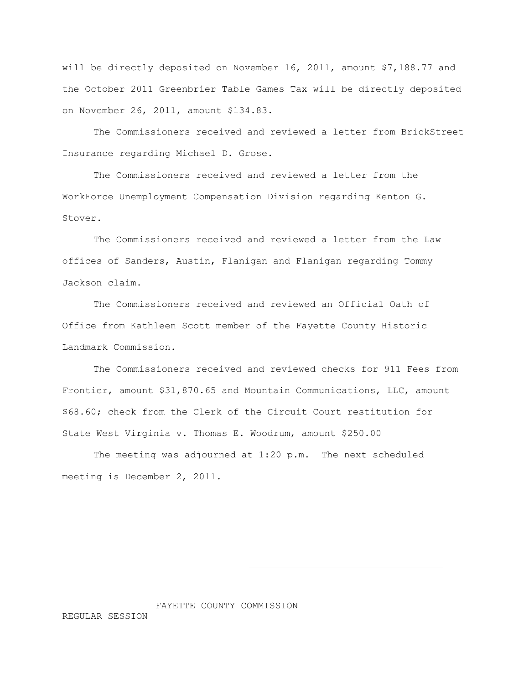will be directly deposited on November 16, 2011, amount \$7,188.77 and the October 2011 Greenbrier Table Games Tax will be directly deposited on November 26, 2011, amount \$134.83.

The Commissioners received and reviewed a letter from BrickStreet Insurance regarding Michael D. Grose.

The Commissioners received and reviewed a letter from the WorkForce Unemployment Compensation Division regarding Kenton G. Stover.

The Commissioners received and reviewed a letter from the Law offices of Sanders, Austin, Flanigan and Flanigan regarding Tommy Jackson claim.

The Commissioners received and reviewed an Official Oath of Office from Kathleen Scott member of the Fayette County Historic Landmark Commission.

The Commissioners received and reviewed checks for 911 Fees from Frontier, amount \$31,870.65 and Mountain Communications, LLC, amount \$68.60; check from the Clerk of the Circuit Court restitution for State West Virginia v. Thomas E. Woodrum, amount \$250.00

The meeting was adjourned at 1:20 p.m. The next scheduled meeting is December 2, 2011.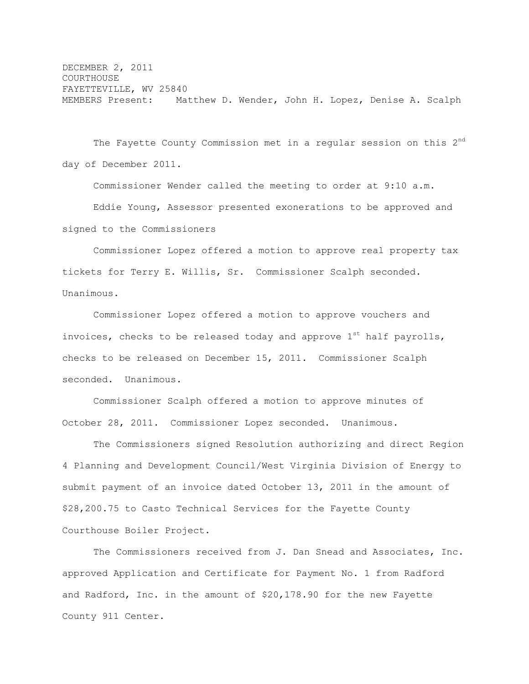DECEMBER 2, 2011 **COURTHOUSE** FAYETTEVILLE, WV 25840 MEMBERS Present: Matthew D. Wender, John H. Lopez, Denise A. Scalph

The Fayette County Commission met in a regular session on this  $2<sup>nd</sup>$ day of December 2011.

Commissioner Wender called the meeting to order at 9:10 a.m.

Eddie Young, Assessor presented exonerations to be approved and signed to the Commissioners

Commissioner Lopez offered a motion to approve real property tax tickets for Terry E. Willis, Sr. Commissioner Scalph seconded. Unanimous.

Commissioner Lopez offered a motion to approve vouchers and invoices, checks to be released today and approve  $1^{st}$  half payrolls, checks to be released on December 15, 2011. Commissioner Scalph seconded. Unanimous.

Commissioner Scalph offered a motion to approve minutes of October 28, 2011. Commissioner Lopez seconded. Unanimous.

The Commissioners signed Resolution authorizing and direct Region 4 Planning and Development Council/West Virginia Division of Energy to submit payment of an invoice dated October 13, 2011 in the amount of \$28,200.75 to Casto Technical Services for the Fayette County Courthouse Boiler Project.

The Commissioners received from J. Dan Snead and Associates, Inc. approved Application and Certificate for Payment No. 1 from Radford and Radford, Inc. in the amount of \$20,178.90 for the new Fayette County 911 Center.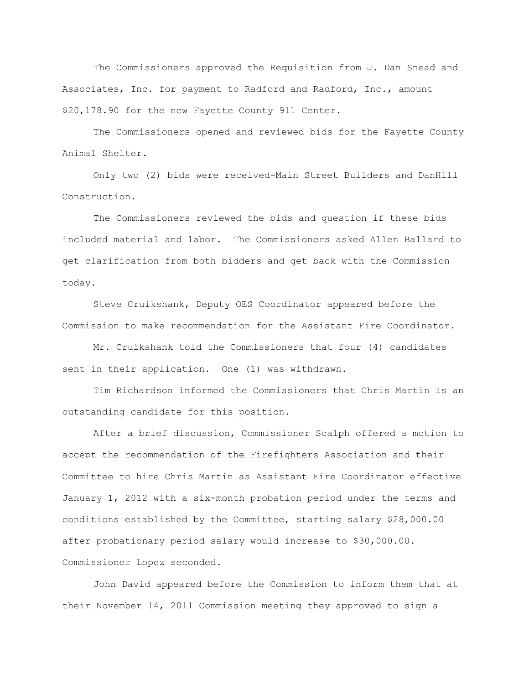The Commissioners approved the Requisition from J. Dan Snead and Associates, Inc. for payment to Radford and Radford, Inc., amount \$20,178.90 for the new Fayette County 911 Center.

The Commissioners opened and reviewed bids for the Fayette County Animal Shelter.

Only two (2) bids were received-Main Street Builders and DanHill Construction.

The Commissioners reviewed the bids and question if these bids included material and labor. The Commissioners asked Allen Ballard to get clarification from both bidders and get back with the Commission today.

Steve Cruikshank, Deputy OES Coordinator appeared before the Commission to make recommendation for the Assistant Fire Coordinator.

Mr. Cruikshank told the Commissioners that four (4) candidates sent in their application. One (1) was withdrawn.

Tim Richardson informed the Commissioners that Chris Martin is an outstanding candidate for this position.

After a brief discussion, Commissioner Scalph offered a motion to accept the recommendation of the Firefighters Association and their Committee to hire Chris Martin as Assistant Fire Coordinator effective January 1, 2012 with a six-month probation period under the terms and conditions established by the Committee, starting salary \$28,000.00 after probationary period salary would increase to \$30,000.00. Commissioner Lopez seconded.

John David appeared before the Commission to inform them that at their November 14, 2011 Commission meeting they approved to sign a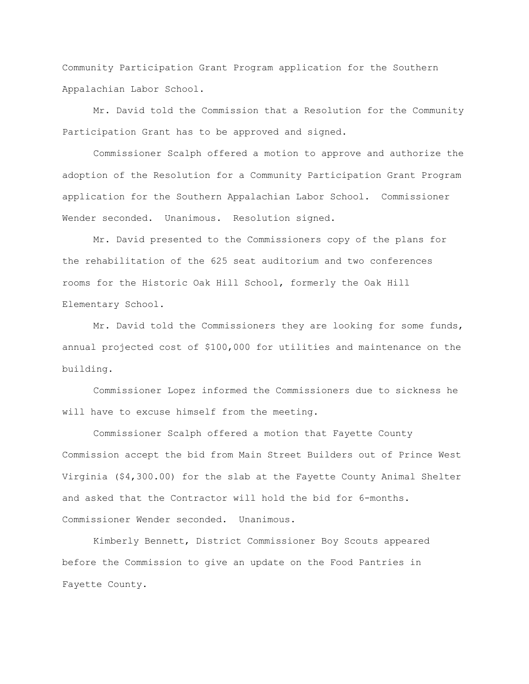Community Participation Grant Program application for the Southern Appalachian Labor School.

Mr. David told the Commission that a Resolution for the Community Participation Grant has to be approved and signed.

Commissioner Scalph offered a motion to approve and authorize the adoption of the Resolution for a Community Participation Grant Program application for the Southern Appalachian Labor School. Commissioner Wender seconded. Unanimous. Resolution signed.

Mr. David presented to the Commissioners copy of the plans for the rehabilitation of the 625 seat auditorium and two conferences rooms for the Historic Oak Hill School, formerly the Oak Hill Elementary School.

Mr. David told the Commissioners they are looking for some funds, annual projected cost of \$100,000 for utilities and maintenance on the building.

Commissioner Lopez informed the Commissioners due to sickness he will have to excuse himself from the meeting.

Commissioner Scalph offered a motion that Fayette County Commission accept the bid from Main Street Builders out of Prince West Virginia (\$4,300.00) for the slab at the Fayette County Animal Shelter and asked that the Contractor will hold the bid for 6-months. Commissioner Wender seconded. Unanimous.

Kimberly Bennett, District Commissioner Boy Scouts appeared before the Commission to give an update on the Food Pantries in Fayette County.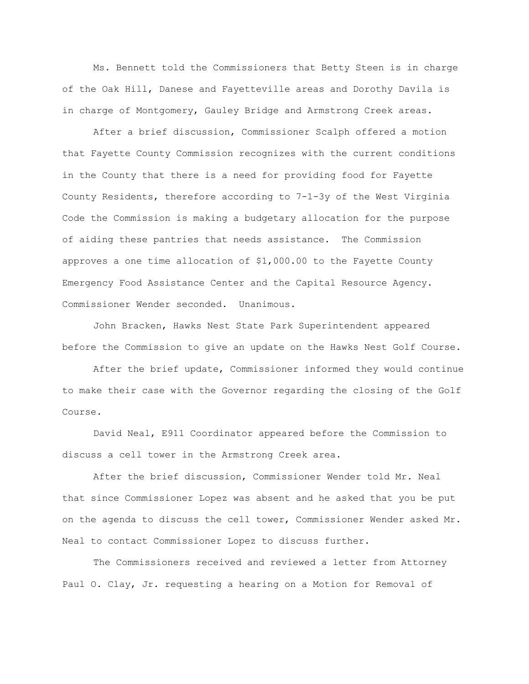Ms. Bennett told the Commissioners that Betty Steen is in charge of the Oak Hill, Danese and Fayetteville areas and Dorothy Davila is in charge of Montgomery, Gauley Bridge and Armstrong Creek areas.

After a brief discussion, Commissioner Scalph offered a motion that Fayette County Commission recognizes with the current conditions in the County that there is a need for providing food for Fayette County Residents, therefore according to 7-1-3y of the West Virginia Code the Commission is making a budgetary allocation for the purpose of aiding these pantries that needs assistance. The Commission approves a one time allocation of \$1,000.00 to the Fayette County Emergency Food Assistance Center and the Capital Resource Agency. Commissioner Wender seconded. Unanimous.

John Bracken, Hawks Nest State Park Superintendent appeared before the Commission to give an update on the Hawks Nest Golf Course.

After the brief update, Commissioner informed they would continue to make their case with the Governor regarding the closing of the Golf Course.

David Neal, E911 Coordinator appeared before the Commission to discuss a cell tower in the Armstrong Creek area.

After the brief discussion, Commissioner Wender told Mr. Neal that since Commissioner Lopez was absent and he asked that you be put on the agenda to discuss the cell tower, Commissioner Wender asked Mr. Neal to contact Commissioner Lopez to discuss further.

The Commissioners received and reviewed a letter from Attorney Paul O. Clay, Jr. requesting a hearing on a Motion for Removal of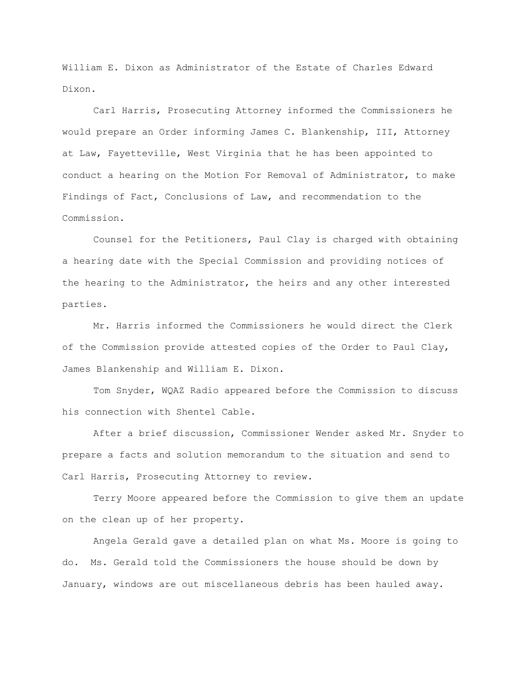William E. Dixon as Administrator of the Estate of Charles Edward Dixon.

Carl Harris, Prosecuting Attorney informed the Commissioners he would prepare an Order informing James C. Blankenship, III, Attorney at Law, Fayetteville, West Virginia that he has been appointed to conduct a hearing on the Motion For Removal of Administrator, to make Findings of Fact, Conclusions of Law, and recommendation to the Commission.

Counsel for the Petitioners, Paul Clay is charged with obtaining a hearing date with the Special Commission and providing notices of the hearing to the Administrator, the heirs and any other interested parties.

Mr. Harris informed the Commissioners he would direct the Clerk of the Commission provide attested copies of the Order to Paul Clay, James Blankenship and William E. Dixon.

Tom Snyder, WQAZ Radio appeared before the Commission to discuss his connection with Shentel Cable.

After a brief discussion, Commissioner Wender asked Mr. Snyder to prepare a facts and solution memorandum to the situation and send to Carl Harris, Prosecuting Attorney to review.

Terry Moore appeared before the Commission to give them an update on the clean up of her property.

Angela Gerald gave a detailed plan on what Ms. Moore is going to do. Ms. Gerald told the Commissioners the house should be down by January, windows are out miscellaneous debris has been hauled away.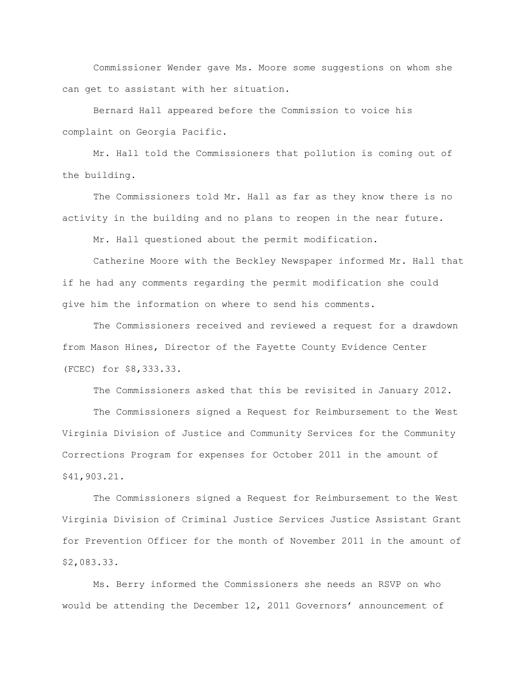Commissioner Wender gave Ms. Moore some suggestions on whom she can get to assistant with her situation.

Bernard Hall appeared before the Commission to voice his complaint on Georgia Pacific.

Mr. Hall told the Commissioners that pollution is coming out of the building.

The Commissioners told Mr. Hall as far as they know there is no activity in the building and no plans to reopen in the near future.

Mr. Hall questioned about the permit modification.

Catherine Moore with the Beckley Newspaper informed Mr. Hall that if he had any comments regarding the permit modification she could give him the information on where to send his comments.

The Commissioners received and reviewed a request for a drawdown from Mason Hines, Director of the Fayette County Evidence Center (FCEC) for \$8,333.33.

The Commissioners asked that this be revisited in January 2012.

The Commissioners signed a Request for Reimbursement to the West Virginia Division of Justice and Community Services for the Community Corrections Program for expenses for October 2011 in the amount of \$41,903.21.

The Commissioners signed a Request for Reimbursement to the West Virginia Division of Criminal Justice Services Justice Assistant Grant for Prevention Officer for the month of November 2011 in the amount of \$2,083.33.

Ms. Berry informed the Commissioners she needs an RSVP on who would be attending the December 12, 2011 Governors' announcement of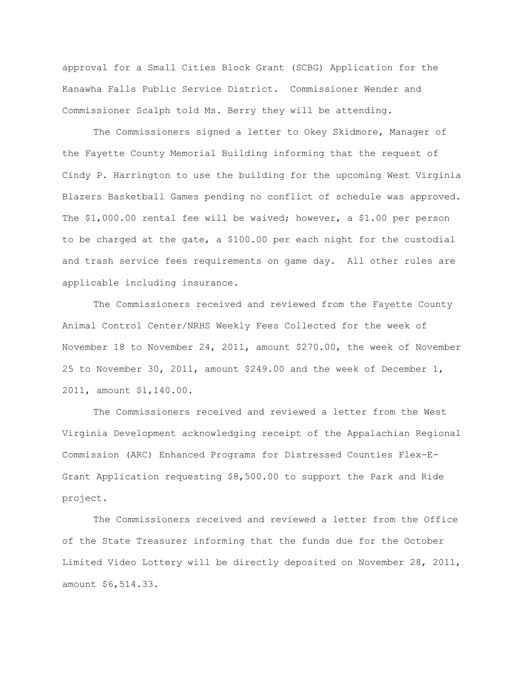approval for a Small Cities Block Grant (SCBG) Application for the Kanawha Falls Public Service District. Commissioner Wender and Commissioner Scalph told Ms. Berry they will be attending.

The Commissioners signed a letter to Okey Skidmore, Manager of the Fayette County Memorial Building informing that the request of Cindy P. Harrington to use the building for the upcoming West Virginia Blazers Basketball Games pending no conflict of schedule was approved. The \$1,000.00 rental fee will be waived; however, a \$1.00 per person to be charged at the gate, a \$100.00 per each night for the custodial and trash service fees requirements on game day. All other rules are applicable including insurance.

The Commissioners received and reviewed from the Fayette County Animal Control Center/NRHS Weekly Fees Collected for the week of November 18 to November 24, 2011, amount \$270.00, the week of November 25 to November 30, 2011, amount \$249.00 and the week of December 1, 2011, amount \$1,140.00.

The Commissioners received and reviewed a letter from the West Virginia Development acknowledging receipt of the Appalachian Regional Commission (ARC) Enhanced Programs for Distressed Counties Flex-E-Grant Application requesting \$8,500.00 to support the Park and Ride project.

The Commissioners received and reviewed a letter from the Office of the State Treasurer informing that the funds due for the October Limited Video Lottery will be directly deposited on November 28, 2011, amount \$6,514.33.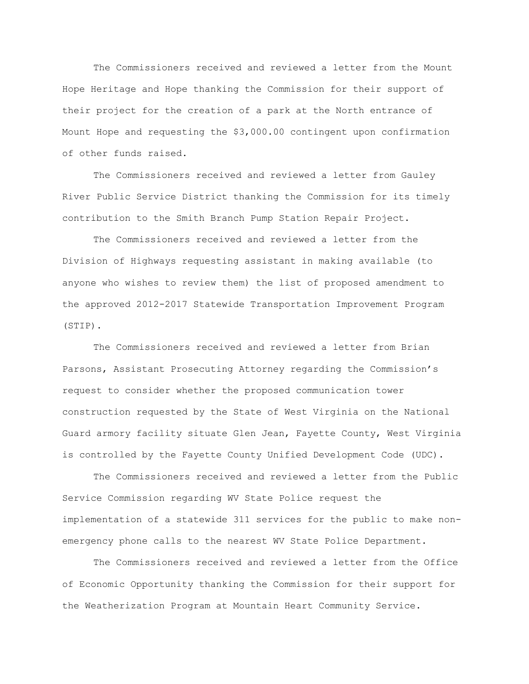The Commissioners received and reviewed a letter from the Mount Hope Heritage and Hope thanking the Commission for their support of their project for the creation of a park at the North entrance of Mount Hope and requesting the \$3,000.00 contingent upon confirmation of other funds raised.

The Commissioners received and reviewed a letter from Gauley River Public Service District thanking the Commission for its timely contribution to the Smith Branch Pump Station Repair Project.

The Commissioners received and reviewed a letter from the Division of Highways requesting assistant in making available (to anyone who wishes to review them) the list of proposed amendment to the approved 2012-2017 Statewide Transportation Improvement Program (STIP).

The Commissioners received and reviewed a letter from Brian Parsons, Assistant Prosecuting Attorney regarding the Commission"s request to consider whether the proposed communication tower construction requested by the State of West Virginia on the National Guard armory facility situate Glen Jean, Fayette County, West Virginia is controlled by the Fayette County Unified Development Code (UDC).

The Commissioners received and reviewed a letter from the Public Service Commission regarding WV State Police request the implementation of a statewide 311 services for the public to make nonemergency phone calls to the nearest WV State Police Department.

The Commissioners received and reviewed a letter from the Office of Economic Opportunity thanking the Commission for their support for the Weatherization Program at Mountain Heart Community Service.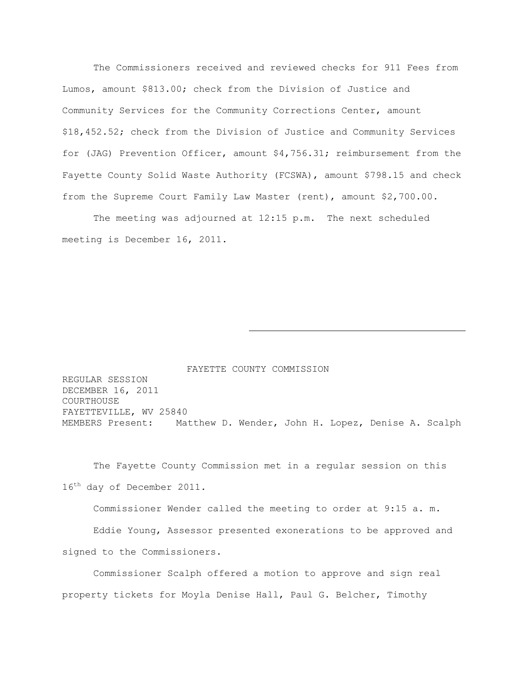The Commissioners received and reviewed checks for 911 Fees from Lumos, amount \$813.00; check from the Division of Justice and Community Services for the Community Corrections Center, amount \$18,452.52; check from the Division of Justice and Community Services for (JAG) Prevention Officer, amount \$4,756.31; reimbursement from the Fayette County Solid Waste Authority (FCSWA), amount \$798.15 and check from the Supreme Court Family Law Master (rent), amount \$2,700.00.

The meeting was adjourned at 12:15 p.m. The next scheduled meeting is December 16, 2011.

FAYETTE COUNTY COMMISSION REGULAR SESSION DECEMBER 16, 2011 COURTHOUSE FAYETTEVILLE, WV 25840 MEMBERS Present: Matthew D. Wender, John H. Lopez, Denise A. Scalph

The Fayette County Commission met in a regular session on this 16<sup>th</sup> day of December 2011.

Commissioner Wender called the meeting to order at 9:15 a. m.

Eddie Young, Assessor presented exonerations to be approved and signed to the Commissioners.

Commissioner Scalph offered a motion to approve and sign real property tickets for Moyla Denise Hall, Paul G. Belcher, Timothy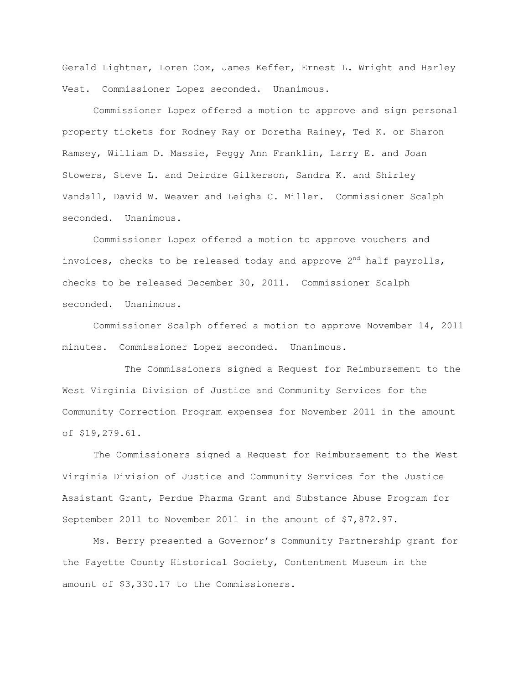Gerald Lightner, Loren Cox, James Keffer, Ernest L. Wright and Harley Vest. Commissioner Lopez seconded. Unanimous.

Commissioner Lopez offered a motion to approve and sign personal property tickets for Rodney Ray or Doretha Rainey, Ted K. or Sharon Ramsey, William D. Massie, Peggy Ann Franklin, Larry E. and Joan Stowers, Steve L. and Deirdre Gilkerson, Sandra K. and Shirley Vandall, David W. Weaver and Leigha C. Miller. Commissioner Scalph seconded. Unanimous.

Commissioner Lopez offered a motion to approve vouchers and invoices, checks to be released today and approve  $2^{nd}$  half payrolls, checks to be released December 30, 2011. Commissioner Scalph seconded. Unanimous.

Commissioner Scalph offered a motion to approve November 14, 2011 minutes. Commissioner Lopez seconded. Unanimous.

The Commissioners signed a Request for Reimbursement to the West Virginia Division of Justice and Community Services for the Community Correction Program expenses for November 2011 in the amount of \$19,279.61.

The Commissioners signed a Request for Reimbursement to the West Virginia Division of Justice and Community Services for the Justice Assistant Grant, Perdue Pharma Grant and Substance Abuse Program for September 2011 to November 2011 in the amount of \$7,872.97.

Ms. Berry presented a Governor"s Community Partnership grant for the Fayette County Historical Society, Contentment Museum in the amount of \$3,330.17 to the Commissioners.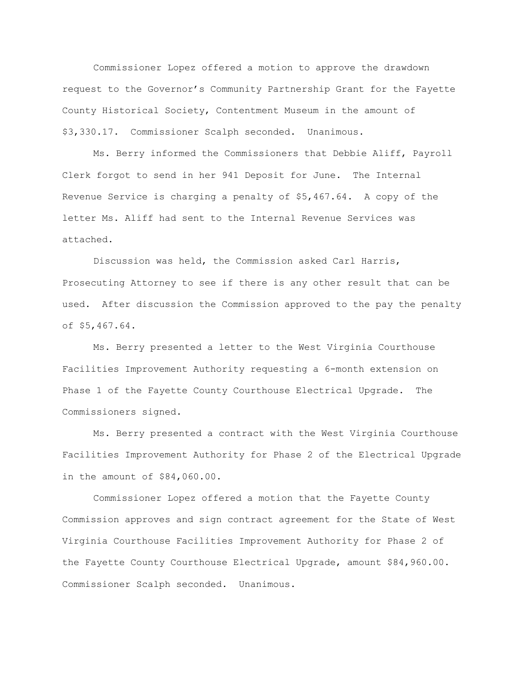Commissioner Lopez offered a motion to approve the drawdown request to the Governor"s Community Partnership Grant for the Fayette County Historical Society, Contentment Museum in the amount of \$3,330.17. Commissioner Scalph seconded. Unanimous.

Ms. Berry informed the Commissioners that Debbie Aliff, Payroll Clerk forgot to send in her 941 Deposit for June. The Internal Revenue Service is charging a penalty of \$5,467.64. A copy of the letter Ms. Aliff had sent to the Internal Revenue Services was attached.

Discussion was held, the Commission asked Carl Harris, Prosecuting Attorney to see if there is any other result that can be used. After discussion the Commission approved to the pay the penalty of \$5,467.64.

Ms. Berry presented a letter to the West Virginia Courthouse Facilities Improvement Authority requesting a 6-month extension on Phase 1 of the Fayette County Courthouse Electrical Upgrade. The Commissioners signed.

Ms. Berry presented a contract with the West Virginia Courthouse Facilities Improvement Authority for Phase 2 of the Electrical Upgrade in the amount of \$84,060.00.

Commissioner Lopez offered a motion that the Fayette County Commission approves and sign contract agreement for the State of West Virginia Courthouse Facilities Improvement Authority for Phase 2 of the Fayette County Courthouse Electrical Upgrade, amount \$84,960.00. Commissioner Scalph seconded. Unanimous.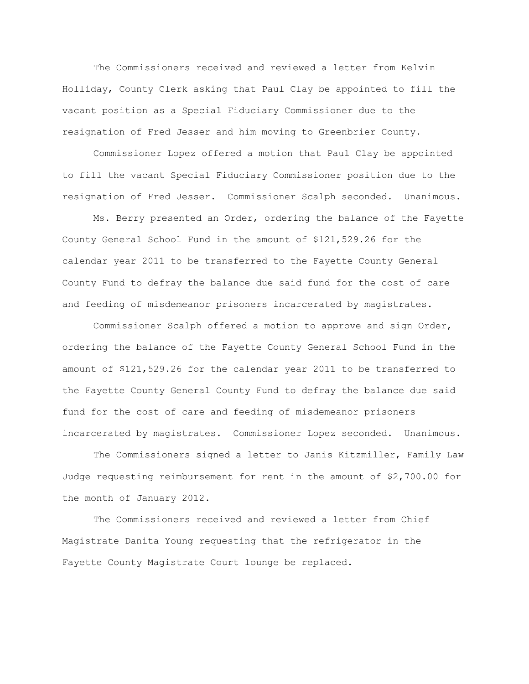The Commissioners received and reviewed a letter from Kelvin Holliday, County Clerk asking that Paul Clay be appointed to fill the vacant position as a Special Fiduciary Commissioner due to the resignation of Fred Jesser and him moving to Greenbrier County.

Commissioner Lopez offered a motion that Paul Clay be appointed to fill the vacant Special Fiduciary Commissioner position due to the resignation of Fred Jesser. Commissioner Scalph seconded. Unanimous.

Ms. Berry presented an Order, ordering the balance of the Fayette County General School Fund in the amount of \$121,529.26 for the calendar year 2011 to be transferred to the Fayette County General County Fund to defray the balance due said fund for the cost of care and feeding of misdemeanor prisoners incarcerated by magistrates.

Commissioner Scalph offered a motion to approve and sign Order, ordering the balance of the Fayette County General School Fund in the amount of \$121,529.26 for the calendar year 2011 to be transferred to the Fayette County General County Fund to defray the balance due said fund for the cost of care and feeding of misdemeanor prisoners incarcerated by magistrates. Commissioner Lopez seconded. Unanimous.

The Commissioners signed a letter to Janis Kitzmiller, Family Law Judge requesting reimbursement for rent in the amount of \$2,700.00 for the month of January 2012.

The Commissioners received and reviewed a letter from Chief Magistrate Danita Young requesting that the refrigerator in the Fayette County Magistrate Court lounge be replaced.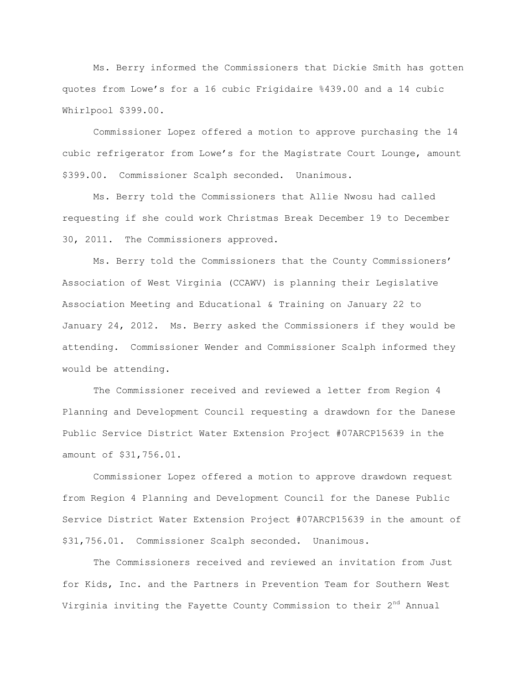Ms. Berry informed the Commissioners that Dickie Smith has gotten quotes from Lowe"s for a 16 cubic Frigidaire %439.00 and a 14 cubic Whirlpool \$399.00.

Commissioner Lopez offered a motion to approve purchasing the 14 cubic refrigerator from Lowe"s for the Magistrate Court Lounge, amount \$399.00. Commissioner Scalph seconded. Unanimous.

Ms. Berry told the Commissioners that Allie Nwosu had called requesting if she could work Christmas Break December 19 to December 30, 2011. The Commissioners approved.

Ms. Berry told the Commissioners that the County Commissioners" Association of West Virginia (CCAWV) is planning their Legislative Association Meeting and Educational & Training on January 22 to January 24, 2012. Ms. Berry asked the Commissioners if they would be attending. Commissioner Wender and Commissioner Scalph informed they would be attending.

The Commissioner received and reviewed a letter from Region 4 Planning and Development Council requesting a drawdown for the Danese Public Service District Water Extension Project #07ARCP15639 in the amount of \$31,756.01.

Commissioner Lopez offered a motion to approve drawdown request from Region 4 Planning and Development Council for the Danese Public Service District Water Extension Project #07ARCP15639 in the amount of \$31,756.01. Commissioner Scalph seconded. Unanimous.

The Commissioners received and reviewed an invitation from Just for Kids, Inc. and the Partners in Prevention Team for Southern West Virginia inviting the Fayette County Commission to their 2<sup>nd</sup> Annual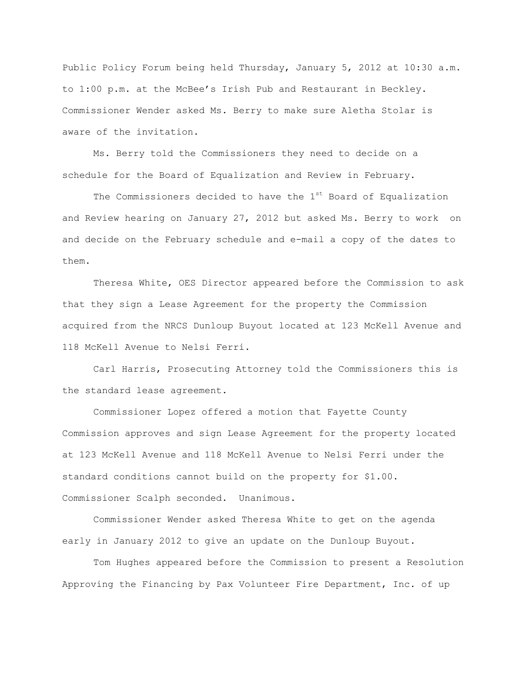Public Policy Forum being held Thursday, January 5, 2012 at 10:30 a.m. to 1:00 p.m. at the McBee"s Irish Pub and Restaurant in Beckley. Commissioner Wender asked Ms. Berry to make sure Aletha Stolar is aware of the invitation.

Ms. Berry told the Commissioners they need to decide on a schedule for the Board of Equalization and Review in February.

The Commissioners decided to have the  $1<sup>st</sup>$  Board of Equalization and Review hearing on January 27, 2012 but asked Ms. Berry to work on and decide on the February schedule and e-mail a copy of the dates to them.

Theresa White, OES Director appeared before the Commission to ask that they sign a Lease Agreement for the property the Commission acquired from the NRCS Dunloup Buyout located at 123 McKell Avenue and 118 McKell Avenue to Nelsi Ferri.

Carl Harris, Prosecuting Attorney told the Commissioners this is the standard lease agreement.

Commissioner Lopez offered a motion that Fayette County Commission approves and sign Lease Agreement for the property located at 123 McKell Avenue and 118 McKell Avenue to Nelsi Ferri under the standard conditions cannot build on the property for \$1.00. Commissioner Scalph seconded. Unanimous.

Commissioner Wender asked Theresa White to get on the agenda early in January 2012 to give an update on the Dunloup Buyout.

Tom Hughes appeared before the Commission to present a Resolution Approving the Financing by Pax Volunteer Fire Department, Inc. of up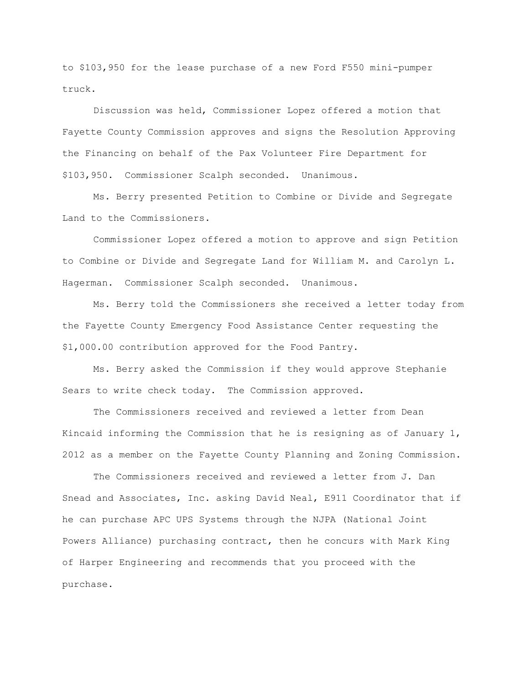to \$103,950 for the lease purchase of a new Ford F550 mini-pumper truck.

Discussion was held, Commissioner Lopez offered a motion that Fayette County Commission approves and signs the Resolution Approving the Financing on behalf of the Pax Volunteer Fire Department for \$103,950. Commissioner Scalph seconded. Unanimous.

Ms. Berry presented Petition to Combine or Divide and Segregate Land to the Commissioners.

Commissioner Lopez offered a motion to approve and sign Petition to Combine or Divide and Segregate Land for William M. and Carolyn L. Hagerman. Commissioner Scalph seconded. Unanimous.

Ms. Berry told the Commissioners she received a letter today from the Fayette County Emergency Food Assistance Center requesting the \$1,000.00 contribution approved for the Food Pantry.

Ms. Berry asked the Commission if they would approve Stephanie Sears to write check today. The Commission approved.

The Commissioners received and reviewed a letter from Dean Kincaid informing the Commission that he is resigning as of January  $1$ , 2012 as a member on the Fayette County Planning and Zoning Commission.

The Commissioners received and reviewed a letter from J. Dan Snead and Associates, Inc. asking David Neal, E911 Coordinator that if he can purchase APC UPS Systems through the NJPA (National Joint Powers Alliance) purchasing contract, then he concurs with Mark King of Harper Engineering and recommends that you proceed with the purchase.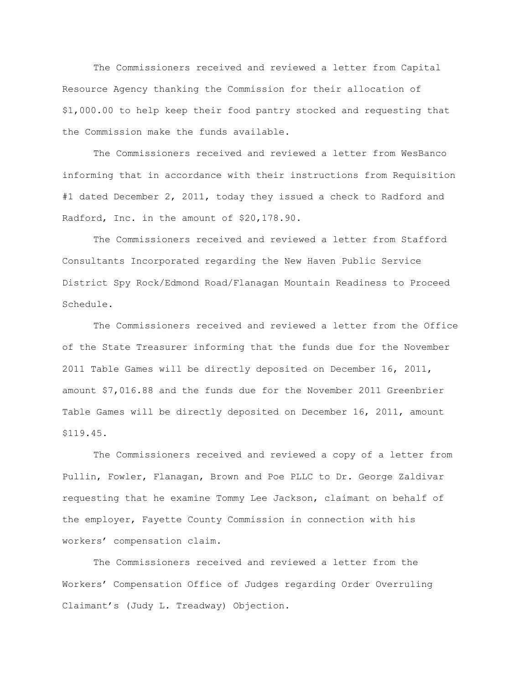The Commissioners received and reviewed a letter from Capital Resource Agency thanking the Commission for their allocation of \$1,000.00 to help keep their food pantry stocked and requesting that the Commission make the funds available.

The Commissioners received and reviewed a letter from WesBanco informing that in accordance with their instructions from Requisition #1 dated December 2, 2011, today they issued a check to Radford and Radford, Inc. in the amount of \$20,178.90.

The Commissioners received and reviewed a letter from Stafford Consultants Incorporated regarding the New Haven Public Service District Spy Rock/Edmond Road/Flanagan Mountain Readiness to Proceed Schedule.

The Commissioners received and reviewed a letter from the Office of the State Treasurer informing that the funds due for the November 2011 Table Games will be directly deposited on December 16, 2011, amount \$7,016.88 and the funds due for the November 2011 Greenbrier Table Games will be directly deposited on December 16, 2011, amount \$119.45.

The Commissioners received and reviewed a copy of a letter from Pullin, Fowler, Flanagan, Brown and Poe PLLC to Dr. George Zaldivar requesting that he examine Tommy Lee Jackson, claimant on behalf of the employer, Fayette County Commission in connection with his workers" compensation claim.

The Commissioners received and reviewed a letter from the Workers" Compensation Office of Judges regarding Order Overruling Claimant"s (Judy L. Treadway) Objection.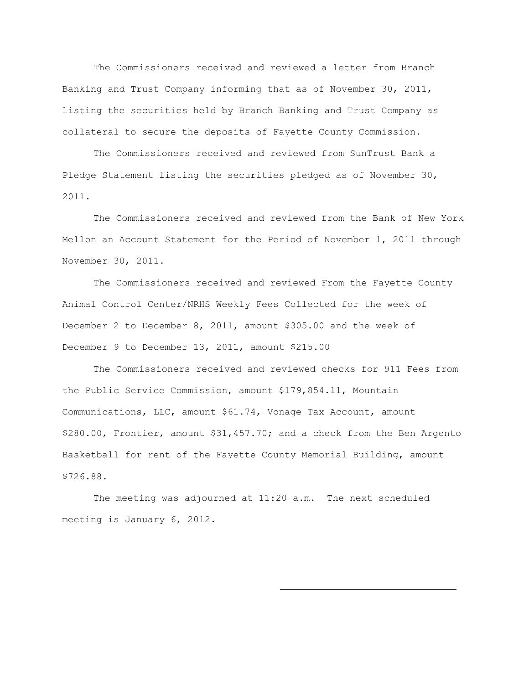The Commissioners received and reviewed a letter from Branch Banking and Trust Company informing that as of November 30, 2011, listing the securities held by Branch Banking and Trust Company as collateral to secure the deposits of Fayette County Commission.

The Commissioners received and reviewed from SunTrust Bank a Pledge Statement listing the securities pledged as of November 30, 2011.

The Commissioners received and reviewed from the Bank of New York Mellon an Account Statement for the Period of November 1, 2011 through November 30, 2011.

The Commissioners received and reviewed From the Fayette County Animal Control Center/NRHS Weekly Fees Collected for the week of December 2 to December 8, 2011, amount \$305.00 and the week of December 9 to December 13, 2011, amount \$215.00

The Commissioners received and reviewed checks for 911 Fees from the Public Service Commission, amount \$179,854.11, Mountain Communications, LLC, amount \$61.74, Vonage Tax Account, amount \$280.00, Frontier, amount \$31,457.70; and a check from the Ben Argento Basketball for rent of the Fayette County Memorial Building, amount \$726.88.

The meeting was adjourned at 11:20 a.m. The next scheduled meeting is January 6, 2012.